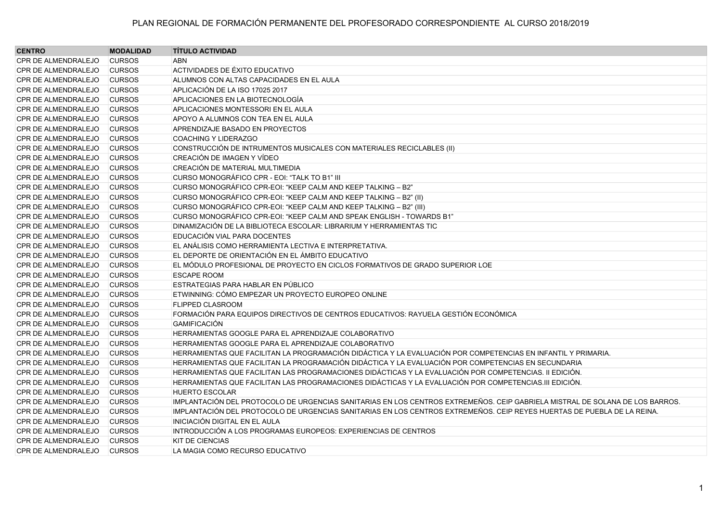| <b>CENTRO</b>              | <b>MODALIDAD</b> | <b>TÍTULO ACTIVIDAD</b>                                                                                                      |
|----------------------------|------------------|------------------------------------------------------------------------------------------------------------------------------|
| CPR DE ALMENDRALEJO        | <b>CURSOS</b>    | <b>ABN</b>                                                                                                                   |
| CPR DE ALMENDRALEJO        | <b>CURSOS</b>    | ACTIVIDADES DE ÉXITO EDUCATIVO                                                                                               |
| <b>CPR DE ALMENDRALEJO</b> | <b>CURSOS</b>    | ALUMNOS CON ALTAS CAPACIDADES EN EL AULA                                                                                     |
| <b>CPR DE ALMENDRALEJO</b> | <b>CURSOS</b>    | APLICACIÓN DE LA ISO 17025 2017                                                                                              |
| CPR DE ALMENDRALEJO        | <b>CURSOS</b>    | APLICACIONES EN LA BIOTECNOLOGÍA                                                                                             |
| <b>CPR DE ALMENDRALEJO</b> | <b>CURSOS</b>    | APLICACIONES MONTESSORI EN EL AULA                                                                                           |
| <b>CPR DE ALMENDRALEJO</b> | <b>CURSOS</b>    | APOYO A ALUMNOS CON TEA EN EL AULA                                                                                           |
| <b>CPR DE ALMENDRALEJO</b> | <b>CURSOS</b>    | APRENDIZAJE BASADO EN PROYECTOS                                                                                              |
| CPR DE ALMENDRALEJO        | <b>CURSOS</b>    | <b>COACHING Y LIDERAZGO</b>                                                                                                  |
| <b>CPR DE ALMENDRALEJO</b> | <b>CURSOS</b>    | CONSTRUCCIÓN DE INTRUMENTOS MUSICALES CON MATERIALES RECICLABLES (II)                                                        |
| <b>CPR DE ALMENDRALEJO</b> | <b>CURSOS</b>    | CREACIÓN DE IMAGEN Y VÍDEO                                                                                                   |
| <b>CPR DE ALMENDRALEJO</b> | <b>CURSOS</b>    | CREACIÓN DE MATERIAL MULTIMEDIA                                                                                              |
| <b>CPR DE ALMENDRALEJO</b> | <b>CURSOS</b>    | CURSO MONOGRÁFICO CPR - EOI: "TALK TO B1" III                                                                                |
| <b>CPR DE ALMENDRALEJO</b> | <b>CURSOS</b>    | CURSO MONOGRÁFICO CPR-EOI: "KEEP CALM AND KEEP TALKING - B2"                                                                 |
| CPR DE ALMENDRALEJO        | <b>CURSOS</b>    | CURSO MONOGRÁFICO CPR-EOI: "KEEP CALM AND KEEP TALKING - B2" (II)                                                            |
| <b>CPR DE ALMENDRALEJO</b> | <b>CURSOS</b>    | CURSO MONOGRÁFICO CPR-EOI: "KEEP CALM AND KEEP TALKING - B2" (III)                                                           |
| CPR DE ALMENDRALEJO        | <b>CURSOS</b>    | CURSO MONOGRÁFICO CPR-EOI: "KEEP CALM AND SPEAK ENGLISH - TOWARDS B1"                                                        |
| <b>CPR DE ALMENDRALEJO</b> | <b>CURSOS</b>    | DINAMIZACIÓN DE LA BIBLIOTECA ESCOLAR: LIBRARIUM Y HERRAMIENTAS TIC                                                          |
| <b>CPR DE ALMENDRALEJO</b> | <b>CURSOS</b>    | EDUCACIÓN VIAL PARA DOCENTES                                                                                                 |
| <b>CPR DE ALMENDRALEJO</b> | <b>CURSOS</b>    | EL ANÁLISIS COMO HERRAMIENTA LECTIVA E INTERPRETATIVA.                                                                       |
| <b>CPR DE ALMENDRALEJO</b> | <b>CURSOS</b>    | EL DEPORTE DE ORIENTACIÓN EN EL ÁMBITO EDUCATIVO                                                                             |
| <b>CPR DE ALMENDRALEJO</b> | <b>CURSOS</b>    | EL MÓDULO PROFESIONAL DE PROYECTO EN CICLOS FORMATIVOS DE GRADO SUPERIOR LOE                                                 |
| <b>CPR DE ALMENDRALEJO</b> | <b>CURSOS</b>    | <b>ESCAPE ROOM</b>                                                                                                           |
| CPR DE ALMENDRALEJO        | <b>CURSOS</b>    | ESTRATEGIAS PARA HABLAR EN PÚBLICO                                                                                           |
| <b>CPR DE ALMENDRALEJO</b> | <b>CURSOS</b>    | ETWINNING: CÓMO EMPEZAR UN PROYECTO EUROPEO ONLINE                                                                           |
| <b>CPR DE ALMENDRALEJO</b> | <b>CURSOS</b>    | FLIPPED CLASROOM                                                                                                             |
| <b>CPR DE ALMENDRALEJO</b> | <b>CURSOS</b>    | FORMACIÓN PARA EQUIPOS DIRECTIVOS DE CENTROS EDUCATIVOS: RAYUELA GESTIÓN ECONÓMICA                                           |
| CPR DE ALMENDRALEJO        | <b>CURSOS</b>    | <b>GAMIFICACIÓN</b>                                                                                                          |
| <b>CPR DE ALMENDRALEJO</b> | <b>CURSOS</b>    | HERRAMIENTAS GOOGLE PARA EL APRENDIZAJE COLABORATIVO                                                                         |
| CPR DE ALMENDRALEJO        | <b>CURSOS</b>    | HERRAMIENTAS GOOGLE PARA EL APRENDIZAJE COLABORATIVO                                                                         |
| <b>CPR DE ALMENDRALEJO</b> | <b>CURSOS</b>    | HERRAMIENTAS QUE FACILITAN LA PROGRAMACIÓN DIDÁCTICA Y LA EVALUACIÓN POR COMPETENCIAS EN INFANTIL Y PRIMARIA.                |
| <b>CPR DE ALMENDRALEJO</b> | <b>CURSOS</b>    | HERRAMIENTAS QUE FACILITAN LA PROGRAMACIÓN DIDÁCTICA Y LA EVALUACIÓN POR COMPETENCIAS EN SECUNDARIA                          |
| <b>CPR DE ALMENDRALEJO</b> | <b>CURSOS</b>    | HERRAMIENTAS QUE FACILITAN LAS PROGRAMACIONES DIDÁCTICAS Y LA EVALUACIÓN POR COMPETENCIAS. II EDICIÓN.                       |
| <b>CPR DE ALMENDRALEJO</b> | <b>CURSOS</b>    | HERRAMIENTAS QUE FACILITAN LAS PROGRAMACIONES DIDÁCTICAS Y LA EVALUACIÓN POR COMPETENCIAS.III EDICIÓN.                       |
| <b>CPR DE ALMENDRALEJO</b> | <b>CURSOS</b>    | <b>HUERTO ESCOLAR</b>                                                                                                        |
| <b>CPR DE ALMENDRALEJO</b> | <b>CURSOS</b>    | IMPLANTACIÓN DEL PROTOCOLO DE URGENCIAS SANITARIAS EN LOS CENTROS EXTREMEÑOS. CEIP GABRIELA MISTRAL DE SOLANA DE LOS BARROS. |
| <b>CPR DE ALMENDRALEJO</b> | <b>CURSOS</b>    | IMPLANTACIÓN DEL PROTOCOLO DE URGENCIAS SANITARIAS EN LOS CENTROS EXTREMEÑOS. CEIP REYES HUERTAS DE PUEBLA DE LA REINA.      |
| CPR DE ALMENDRALEJO        | <b>CURSOS</b>    | INICIACIÓN DIGITAL EN EL AULA                                                                                                |
| <b>CPR DE ALMENDRALEJO</b> | <b>CURSOS</b>    | INTRODUCCIÓN A LOS PROGRAMAS EUROPEOS: EXPERIENCIAS DE CENTROS                                                               |
| <b>CPR DE ALMENDRALEJO</b> | <b>CURSOS</b>    | <b>KIT DE CIENCIAS</b>                                                                                                       |
| <b>CPR DE ALMENDRALEJO</b> | <b>CURSOS</b>    | LA MAGIA COMO RECURSO EDUCATIVO                                                                                              |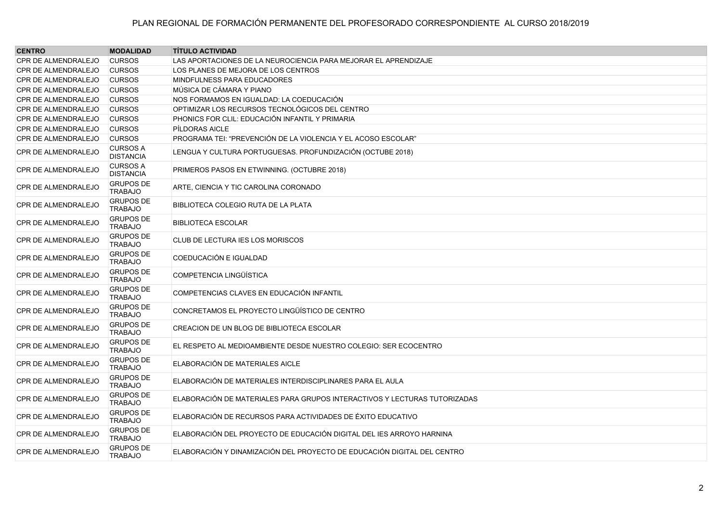| <b>CENTRO</b>              | <b>MODALIDAD</b>                    | <b>TÍTULO ACTIVIDAD</b>                                                   |
|----------------------------|-------------------------------------|---------------------------------------------------------------------------|
| CPR DE ALMENDRALEJO        | <b>CURSOS</b>                       | LAS APORTACIONES DE LA NEUROCIENCIA PARA MEJORAR EL APRENDIZAJE           |
| CPR DE ALMENDRALEJO        | <b>CURSOS</b>                       | LOS PLANES DE MEJORA DE LOS CENTROS                                       |
| CPR DE ALMENDRALEJO        | <b>CURSOS</b>                       | MINDFULNESS PARA EDUCADORES                                               |
| CPR DE ALMENDRALEJO        | <b>CURSOS</b>                       | MÚSICA DE CÁMARA Y PIANO                                                  |
| CPR DE ALMENDRALEJO        | <b>CURSOS</b>                       | NOS FORMAMOS EN IGUALDAD: LA COEDUCACIÓN                                  |
| CPR DE ALMENDRALEJO        | <b>CURSOS</b>                       | OPTIMIZAR LOS RECURSOS TECNOLÓGICOS DEL CENTRO                            |
| <b>CPR DE ALMENDRALEJO</b> | <b>CURSOS</b>                       | PHONICS FOR CLIL: EDUCACIÓN INFANTIL Y PRIMARIA                           |
| CPR DE ALMENDRALEJO        | <b>CURSOS</b>                       | PÍLDORAS AICLE                                                            |
| <b>CPR DE ALMENDRALEJO</b> | <b>CURSOS</b>                       | PROGRAMA TEI: "PREVENCIÓN DE LA VIOLENCIA Y EL ACOSO ESCOLAR"             |
| <b>CPR DE ALMENDRALEJO</b> | <b>CURSOS A</b><br><b>DISTANCIA</b> | LENGUA Y CULTURA PORTUGUESAS. PROFUNDIZACIÓN (OCTUBE 2018)                |
| CPR DE ALMENDRALEJO        | <b>CURSOS A</b><br><b>DISTANCIA</b> | PRIMEROS PASOS EN ETWINNING. (OCTUBRE 2018)                               |
| CPR DE ALMENDRALEJO        | <b>GRUPOS DE</b><br><b>TRABAJO</b>  | ARTE, CIENCIA Y TIC CAROLINA CORONADO                                     |
| CPR DE ALMENDRALEJO        | <b>GRUPOS DE</b><br><b>TRABAJO</b>  | BIBLIOTECA COLEGIO RUTA DE LA PLATA                                       |
| <b>CPR DE ALMENDRALEJO</b> | <b>GRUPOS DE</b><br><b>TRABAJO</b>  | <b>BIBLIOTECA ESCOLAR</b>                                                 |
| CPR DE ALMENDRALEJO        | <b>GRUPOS DE</b><br><b>TRABAJO</b>  | CLUB DE LECTURA IES LOS MORISCOS                                          |
| <b>CPR DE ALMENDRALEJO</b> | <b>GRUPOS DE</b><br><b>TRABAJO</b>  | COEDUCACIÓN E IGUALDAD                                                    |
| <b>CPR DE ALMENDRALEJO</b> | <b>GRUPOS DE</b><br><b>TRABAJO</b>  | COMPETENCIA LINGÜÍSTICA                                                   |
| <b>CPR DE ALMENDRALEJO</b> | <b>GRUPOS DE</b><br><b>TRABAJO</b>  | COMPETENCIAS CLAVES EN EDUCACIÓN INFANTIL                                 |
| CPR DE ALMENDRALEJO        | <b>GRUPOS DE</b><br><b>TRABAJO</b>  | CONCRETAMOS EL PROYECTO LINGÜÍSTICO DE CENTRO                             |
| <b>CPR DE ALMENDRALEJO</b> | <b>GRUPOS DE</b><br><b>TRABAJO</b>  | CREACION DE UN BLOG DE BIBLIOTECA ESCOLAR                                 |
| CPR DE ALMENDRALEJO        | <b>GRUPOS DE</b><br><b>TRABAJO</b>  | EL RESPETO AL MEDIOAMBIENTE DESDE NUESTRO COLEGIO: SER ECOCENTRO          |
| <b>CPR DE ALMENDRALEJO</b> | <b>GRUPOS DE</b><br><b>TRABAJO</b>  | ELABORACIÓN DE MATERIALES AICLE                                           |
| CPR DE ALMENDRALEJO        | <b>GRUPOS DE</b><br><b>TRABAJO</b>  | ELABORACIÓN DE MATERIALES INTERDISCIPLINARES PARA EL AULA                 |
| CPR DE ALMENDRALEJO        | <b>GRUPOS DE</b><br><b>TRABAJO</b>  | ELABORACIÓN DE MATERIALES PARA GRUPOS INTERACTIVOS Y LECTURAS TUTORIZADAS |
| <b>CPR DE ALMENDRALEJO</b> | <b>GRUPOS DE</b><br><b>TRABAJO</b>  | ELABORACIÓN DE RECURSOS PARA ACTIVIDADES DE ÉXITO EDUCATIVO               |
| CPR DE ALMENDRALEJO        | <b>GRUPOS DE</b><br><b>TRABAJO</b>  | ELABORACIÓN DEL PROYECTO DE EDUCACIÓN DIGITAL DEL IES ARROYO HARNINA      |
| CPR DE ALMENDRALEJO        | <b>GRUPOS DE</b><br><b>TRABAJO</b>  | ELABORACIÓN Y DINAMIZACIÓN DEL PROYECTO DE EDUCACIÓN DIGITAL DEL CENTRO   |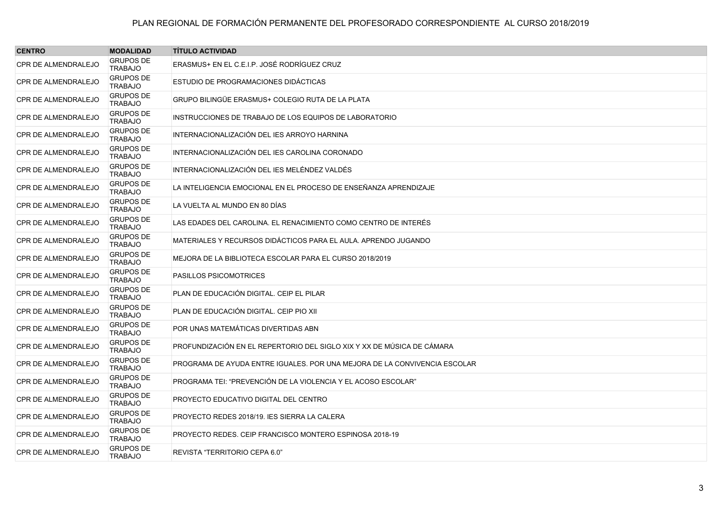| <b>CENTRO</b>              | <b>MODALIDAD</b>                   | <b>TÍTULO ACTIVIDAD</b>                                                   |
|----------------------------|------------------------------------|---------------------------------------------------------------------------|
| CPR DE ALMENDRALEJO        | <b>GRUPOS DE</b><br><b>TRABAJO</b> | ERASMUS+ EN EL C.E.I.P. JOSÉ RODRÍGUEZ CRUZ                               |
| CPR DE ALMENDRALEJO        | <b>GRUPOS DE</b><br><b>TRABAJO</b> | ESTUDIO DE PROGRAMACIONES DIDÁCTICAS                                      |
| <b>CPR DE ALMENDRALEJO</b> | <b>GRUPOS DE</b><br><b>TRABAJO</b> | GRUPO BILINGÜE ERASMUS+ COLEGIO RUTA DE LA PLATA                          |
| <b>CPR DE ALMENDRALEJO</b> | <b>GRUPOS DE</b><br><b>TRABAJO</b> | INSTRUCCIONES DE TRABAJO DE LOS EQUIPOS DE LABORATORIO                    |
| <b>CPR DE ALMENDRALEJO</b> | <b>GRUPOS DE</b><br><b>TRABAJO</b> | INTERNACIONALIZACIÓN DEL IES ARROYO HARNINA                               |
| <b>CPR DE ALMENDRALEJO</b> | <b>GRUPOS DE</b><br><b>TRABAJO</b> | INTERNACIONALIZACIÓN DEL IES CAROLINA CORONADO                            |
| CPR DE ALMENDRALEJO        | <b>GRUPOS DE</b><br><b>TRABAJO</b> | INTERNACIONALIZACIÓN DEL IES MELÉNDEZ VALDÉS                              |
| <b>CPR DE ALMENDRALEJO</b> | <b>GRUPOS DE</b><br><b>TRABAJO</b> | LA INTELIGENCIA EMOCIONAL EN EL PROCESO DE ENSEÑANZA APRENDIZAJE          |
| <b>CPR DE ALMENDRALEJO</b> | <b>GRUPOS DE</b><br><b>TRABAJO</b> | LA VUELTA AL MUNDO EN 80 DÍAS                                             |
| <b>CPR DE ALMENDRALEJO</b> | <b>GRUPOS DE</b><br><b>TRABAJO</b> | LAS EDADES DEL CAROLINA. EL RENACIMIENTO COMO CENTRO DE INTERÉS           |
| <b>CPR DE ALMENDRALEJO</b> | <b>GRUPOS DE</b><br><b>TRABAJO</b> | MATERIALES Y RECURSOS DIDÁCTICOS PARA EL AULA. APRENDO JUGANDO            |
| <b>CPR DE ALMENDRALEJO</b> | <b>GRUPOS DE</b><br><b>TRABAJO</b> | MEJORA DE LA BIBLIOTECA ESCOLAR PARA EL CURSO 2018/2019                   |
| <b>CPR DE ALMENDRALEJO</b> | <b>GRUPOS DE</b><br><b>TRABAJO</b> | <b>PASILLOS PSICOMOTRICES</b>                                             |
| <b>CPR DE ALMENDRALEJO</b> | <b>GRUPOS DE</b><br><b>TRABAJO</b> | PLAN DE EDUCACIÓN DIGITAL. CEIP EL PILAR                                  |
| CPR DE ALMENDRALEJO        | <b>GRUPOS DE</b><br><b>TRABAJO</b> | PLAN DE EDUCACIÓN DIGITAL. CEIP PIO XII                                   |
| <b>CPR DE ALMENDRALEJO</b> | <b>GRUPOS DE</b><br><b>TRABAJO</b> | POR UNAS MATEMÁTICAS DIVERTIDAS ABN                                       |
| <b>CPR DE ALMENDRALEJO</b> | <b>GRUPOS DE</b><br><b>TRABAJO</b> | PROFUNDIZACIÓN EN EL REPERTORIO DEL SIGLO XIX Y XX DE MÚSICA DE CÁMARA    |
| <b>CPR DE ALMENDRALEJO</b> | <b>GRUPOS DE</b><br><b>TRABAJO</b> | PROGRAMA DE AYUDA ENTRE IGUALES. POR UNA MEJORA DE LA CONVIVENCIA ESCOLAR |
| <b>CPR DE ALMENDRALEJO</b> | <b>GRUPOS DE</b><br><b>TRABAJO</b> | PROGRAMA TEI: "PREVENCIÓN DE LA VIOLENCIA Y EL ACOSO ESCOLAR"             |
| CPR DE ALMENDRALEJO        | <b>GRUPOS DE</b><br><b>TRABAJO</b> | PROYECTO EDUCATIVO DIGITAL DEL CENTRO                                     |
| <b>CPR DE ALMENDRALEJO</b> | <b>GRUPOS DE</b><br><b>TRABAJO</b> | PROYECTO REDES 2018/19. IES SIERRA LA CALERA                              |
| <b>CPR DE ALMENDRALEJO</b> | <b>GRUPOS DE</b><br><b>TRABAJO</b> | PROYECTO REDES, CEIP FRANCISCO MONTERO ESPINOSA 2018-19                   |
| CPR DE ALMENDRALEJO        | <b>GRUPOS DE</b><br><b>TRABAJO</b> | REVISTA "TERRITORIO CEPA 6.0"                                             |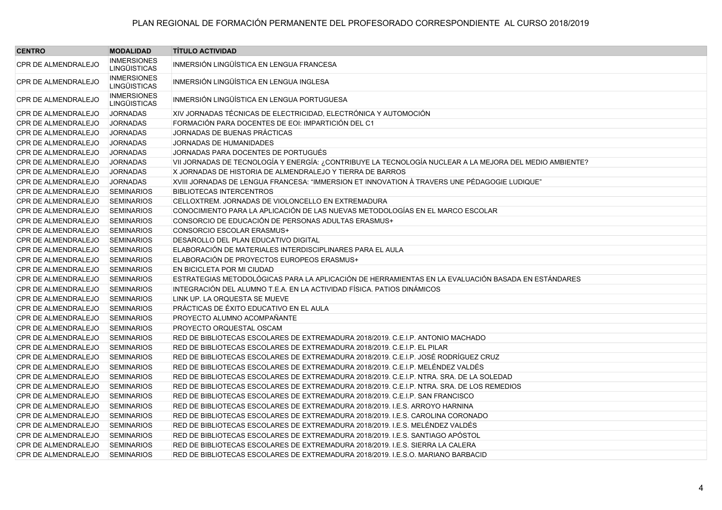| <b>CENTRO</b>              | <b>MODALIDAD</b>                          | <b>TÍTULO ACTIVIDAD</b>                                                                                 |
|----------------------------|-------------------------------------------|---------------------------------------------------------------------------------------------------------|
| CPR DE ALMENDRALEJO        | <b>INMERSIONES</b><br><b>LINGÜISTICAS</b> | INMERSIÓN LINGÜÍSTICA EN LENGUA FRANCESA                                                                |
| CPR DE ALMENDRALEJO        | <b>INMERSIONES</b><br><b>LINGÜISTICAS</b> | INMERSIÓN LINGÜÍSTICA EN LENGUA INGLESA                                                                 |
| CPR DE ALMENDRALEJO        | <b>INMERSIONES</b><br><b>LINGÜISTICAS</b> | INMERSIÓN LINGÜÍSTICA EN LENGUA PORTUGUESA                                                              |
| <b>CPR DE ALMENDRALEJO</b> | <b>JORNADAS</b>                           | XIV JORNADAS TÉCNICAS DE ELECTRICIDAD, ELECTRÓNICA Y AUTOMOCIÓN                                         |
| <b>CPR DE ALMENDRALEJO</b> | <b>JORNADAS</b>                           | FORMACIÓN PARA DOCENTES DE EOI: IMPARTICIÓN DEL C1                                                      |
| CPR DE ALMENDRALEJO        | <b>JORNADAS</b>                           | JORNADAS DE BUENAS PRÁCTICAS                                                                            |
| <b>CPR DE ALMENDRALEJO</b> | <b>JORNADAS</b>                           | JORNADAS DE HUMANIDADES                                                                                 |
| <b>CPR DE ALMENDRALEJO</b> | <b>JORNADAS</b>                           | JORNADAS PARA DOCENTES DE PORTUGUÉS                                                                     |
| <b>CPR DE ALMENDRALEJO</b> | <b>JORNADAS</b>                           | VII JORNADAS DE TECNOLOGÍA Y ENERGÍA: ¿CONTRIBUYE LA TECNOLOGÍA NUCLEAR A LA MEJORA DEL MEDIO AMBIENTE? |
| <b>CPR DE ALMENDRALEJO</b> | <b>JORNADAS</b>                           | X JORNADAS DE HISTORIA DE ALMENDRALEJO Y TIERRA DE BARROS                                               |
| CPR DE ALMENDRALEJO        | <b>JORNADAS</b>                           | XVIII JORNADAS DE LENGUA FRANCESA: "IMMERSION ET INNOVATION À TRAVERS UNE PÉDAGOGIE LUDIQUE"            |
| <b>CPR DE ALMENDRALEJO</b> | <b>SEMINARIOS</b>                         | <b>BIBLIOTECAS INTERCENTROS</b>                                                                         |
| <b>CPR DE ALMENDRALEJO</b> | <b>SEMINARIOS</b>                         | CELLOXTREM. JORNADAS DE VIOLONCELLO EN EXTREMADURA                                                      |
| <b>CPR DE ALMENDRALEJO</b> | <b>SEMINARIOS</b>                         | CONOCIMIENTO PARA LA APLICACIÓN DE LAS NUEVAS METODOLOGÍAS EN EL MARCO ESCOLAR                          |
| CPR DE ALMENDRALEJO        | <b>SEMINARIOS</b>                         | CONSORCIO DE EDUCACIÓN DE PERSONAS ADULTAS ERASMUS+                                                     |
| <b>CPR DE ALMENDRALEJO</b> | <b>SEMINARIOS</b>                         | CONSORCIO ESCOLAR ERASMUS+                                                                              |
| <b>CPR DE ALMENDRALEJO</b> | <b>SEMINARIOS</b>                         | DESAROLLO DEL PLAN EDUCATIVO DIGITAL                                                                    |
| CPR DE ALMENDRALEJO        | <b>SEMINARIOS</b>                         | ELABORACIÓN DE MATERIALES INTERDISCIPLINARES PARA EL AULA                                               |
| <b>CPR DE ALMENDRALEJO</b> | <b>SEMINARIOS</b>                         | ELABORACIÓN DE PROYECTOS EUROPEOS ERASMUS+                                                              |
| CPR DE ALMENDRALEJO        | <b>SEMINARIOS</b>                         | EN BICICLETA POR MI CIUDAD                                                                              |
| CPR DE ALMENDRALEJO        | <b>SEMINARIOS</b>                         | ESTRATEGIAS METODOLÓGICAS PARA LA APLICACIÓN DE HERRAMIENTAS EN LA EVALUACIÓN BASADA EN ESTÁNDARES      |
| CPR DE ALMENDRALEJO        | <b>SEMINARIOS</b>                         | INTEGRACIÓN DEL ALUMNO T.E.A. EN LA ACTIVIDAD FÍSICA. PATIOS DINÁMICOS                                  |
| <b>CPR DE ALMENDRALEJO</b> | <b>SEMINARIOS</b>                         | LINK UP. LA ORQUESTA SE MUEVE                                                                           |
| CPR DE ALMENDRALEJO        | <b>SEMINARIOS</b>                         | PRÁCTICAS DE ÉXITO EDUCATIVO EN EL AULA                                                                 |
| <b>CPR DE ALMENDRALEJO</b> | <b>SEMINARIOS</b>                         | PROYECTO ALUMNO ACOMPAÑANTE                                                                             |
| <b>CPR DE ALMENDRALEJO</b> | <b>SEMINARIOS</b>                         | PROYECTO ORQUESTAL OSCAM                                                                                |
| <b>CPR DE ALMENDRALEJO</b> | <b>SEMINARIOS</b>                         | RED DE BIBLIOTECAS ESCOLARES DE EXTREMADURA 2018/2019. C.E.I.P. ANTONIO MACHADO                         |
| <b>CPR DE ALMENDRALEJO</b> | <b>SEMINARIOS</b>                         | RED DE BIBLIOTECAS ESCOLARES DE EXTREMADURA 2018/2019, C.E.I.P. EL PILAR                                |
| <b>CPR DE ALMENDRALEJO</b> | <b>SEMINARIOS</b>                         | RED DE BIBLIOTECAS ESCOLARES DE EXTREMADURA 2018/2019. C.E.I.P. JOSÉ RODRÍGUEZ CRUZ                     |
| <b>CPR DE ALMENDRALEJO</b> | <b>SEMINARIOS</b>                         | RED DE BIBLIOTECAS ESCOLARES DE EXTREMADURA 2018/2019. C.E.I.P. MELÉNDEZ VALDÉS                         |
| <b>CPR DE ALMENDRALEJO</b> | <b>SEMINARIOS</b>                         | RED DE BIBLIOTECAS ESCOLARES DE EXTREMADURA 2018/2019. C.E.I.P. NTRA. SRA. DE LA SOLEDAD                |
| <b>CPR DE ALMENDRALEJO</b> | <b>SEMINARIOS</b>                         | RED DE BIBLIOTECAS ESCOLARES DE EXTREMADURA 2018/2019. C.E.I.P. NTRA. SRA. DE LOS REMEDIOS              |
| CPR DE ALMENDRALEJO        | <b>SEMINARIOS</b>                         | RED DE BIBLIOTECAS ESCOLARES DE EXTREMADURA 2018/2019. C.E.I.P. SAN FRANCISCO                           |
| <b>CPR DE ALMENDRALEJO</b> | <b>SEMINARIOS</b>                         | RED DE BIBLIOTECAS ESCOLARES DE EXTREMADURA 2018/2019. I.E.S. ARROYO HARNINA                            |
| <b>CPR DE ALMENDRALEJO</b> | <b>SEMINARIOS</b>                         | RED DE BIBLIOTECAS ESCOLARES DE EXTREMADURA 2018/2019. I.E.S. CAROLINA CORONADO                         |
| <b>CPR DE ALMENDRALEJO</b> | <b>SEMINARIOS</b>                         | RED DE BIBLIOTECAS ESCOLARES DE EXTREMADURA 2018/2019. I.E.S. MELÉNDEZ VALDÉS                           |
| CPR DE ALMENDRALEJO        | <b>SEMINARIOS</b>                         | RED DE BIBLIOTECAS ESCOLARES DE EXTREMADURA 2018/2019. I.E.S. SANTIAGO APÓSTOL                          |
| <b>CPR DE ALMENDRALEJO</b> | <b>SEMINARIOS</b>                         | RED DE BIBLIOTECAS ESCOLARES DE EXTREMADURA 2018/2019. I.E.S. SIERRA LA CALERA                          |
| <b>CPR DE ALMENDRALEJO</b> | <b>SEMINARIOS</b>                         | RED DE BIBLIOTECAS ESCOLARES DE EXTREMADURA 2018/2019. I.E.S.O. MARIANO BARBACID                        |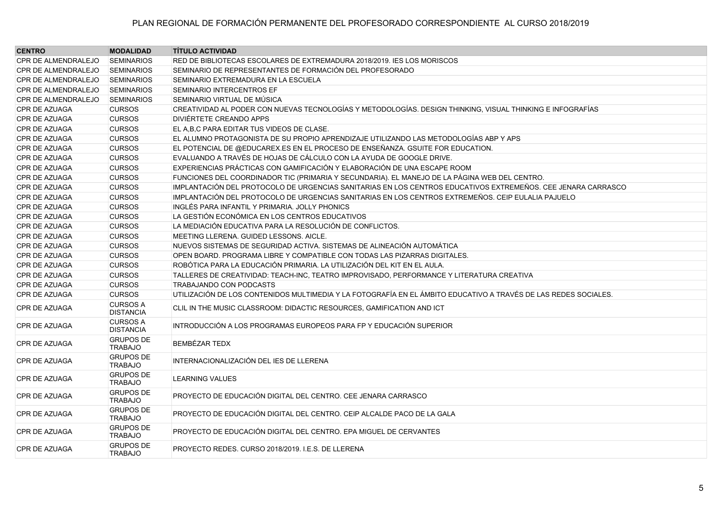| <b>CENTRO</b>              | <b>MODALIDAD</b>                    | <b>TÍTULO ACTIVIDAD</b>                                                                                         |
|----------------------------|-------------------------------------|-----------------------------------------------------------------------------------------------------------------|
| <b>CPR DE ALMENDRALEJO</b> | <b>SEMINARIOS</b>                   | RED DE BIBLIOTECAS ESCOLARES DE EXTREMADURA 2018/2019. IES LOS MORISCOS                                         |
| <b>CPR DE ALMENDRALEJO</b> | <b>SEMINARIOS</b>                   | SEMINARIO DE REPRESENTANTES DE FORMACIÓN DEL PROFESORADO                                                        |
| <b>CPR DE ALMENDRALEJO</b> | <b>SEMINARIOS</b>                   | SEMINARIO EXTREMADURA EN LA ESCUELA                                                                             |
| <b>CPR DE ALMENDRALEJO</b> | <b>SEMINARIOS</b>                   | SEMINARIO INTERCENTROS EF                                                                                       |
| <b>CPR DE ALMENDRALEJO</b> | <b>SEMINARIOS</b>                   | SEMINARIO VIRTUAL DE MÚSICA                                                                                     |
| CPR DE AZUAGA              | <b>CURSOS</b>                       | CREATIVIDAD AL PODER CON NUEVAS TECNOLOGÍAS Y METODOLOGÍAS. DESIGN THINKING, VISUAL THINKING E INFOGRAFÍAS      |
| CPR DE AZUAGA              | <b>CURSOS</b>                       | DIVIÉRTETE CREANDO APPS                                                                                         |
| CPR DE AZUAGA              | <b>CURSOS</b>                       | EL A, B, C PARA EDITAR TUS VIDEOS DE CLASE.                                                                     |
| CPR DE AZUAGA              | <b>CURSOS</b>                       | EL ALUMNO PROTAGONISTA DE SU PROPIO APRENDIZAJE UTILIZANDO LAS METODOLOGÍAS ABP Y APS                           |
| <b>CPR DE AZUAGA</b>       | <b>CURSOS</b>                       | EL POTENCIAL DE @EDUCAREX.ES EN EL PROCESO DE ENSEÑANZA. GSUITE FOR EDUCATION.                                  |
| <b>CPR DE AZUAGA</b>       | <b>CURSOS</b>                       | EVALUANDO A TRAVÉS DE HOJAS DE CÁLCULO CON LA AYUDA DE GOOGLE DRIVE.                                            |
| CPR DE AZUAGA              | <b>CURSOS</b>                       | EXPERIENCIAS PRÁCTICAS CON GAMIFICACIÓN Y ELABORACIÓN DE UNA ESCAPE ROOM                                        |
| CPR DE AZUAGA              | <b>CURSOS</b>                       | FUNCIONES DEL COORDINADOR TIC (PRIMARIA Y SECUNDARIA). EL MANEJO DE LA PÁGINA WEB DEL CENTRO.                   |
| CPR DE AZUAGA              | <b>CURSOS</b>                       | IMPLANTACIÓN DEL PROTOCOLO DE URGENCIAS SANITARIAS EN LOS CENTROS EDUCATIVOS EXTREMEÑOS. CEE JENARA CARRASCO    |
| <b>CPR DE AZUAGA</b>       | <b>CURSOS</b>                       | IMPLANTACIÓN DEL PROTOCOLO DE URGENCIAS SANITARIAS EN LOS CENTROS EXTREMEÑOS. CEIP EULALIA PAJUELO              |
| <b>CPR DE AZUAGA</b>       | <b>CURSOS</b>                       | INGLÉS PARA INFANTIL Y PRIMARIA. JOLLY PHONICS                                                                  |
| <b>CPR DE AZUAGA</b>       | <b>CURSOS</b>                       | LA GESTIÓN ECONÓMICA EN LOS CENTROS EDUCATIVOS                                                                  |
| CPR DE AZUAGA              | <b>CURSOS</b>                       | LA MEDIACIÓN EDUCATIVA PARA LA RESOLUCIÓN DE CONFLICTOS.                                                        |
| <b>CPR DE AZUAGA</b>       | <b>CURSOS</b>                       | MEETING LLERENA. GUIDED LESSONS. AICLE.                                                                         |
| CPR DE AZUAGA              | <b>CURSOS</b>                       | NUEVOS SISTEMAS DE SEGURIDAD ACTIVA. SISTEMAS DE ALINEACIÓN AUTOMÁTICA                                          |
| CPR DE AZUAGA              | <b>CURSOS</b>                       | OPEN BOARD. PROGRAMA LIBRE Y COMPATIBLE CON TODAS LAS PIZARRAS DIGITALES.                                       |
| CPR DE AZUAGA              | <b>CURSOS</b>                       | ROBÓTICA PARA LA EDUCACIÓN PRIMARIA. LA UTILIZACIÓN DEL KIT EN EL AULA.                                         |
| CPR DE AZUAGA              | <b>CURSOS</b>                       | TALLERES DE CREATIVIDAD: TEACH-INC, TEATRO IMPROVISADO, PERFORMANCE Y LITERATURA CREATIVA                       |
| CPR DE AZUAGA              | <b>CURSOS</b>                       | TRABAJANDO CON PODCASTS                                                                                         |
| CPR DE AZUAGA              | <b>CURSOS</b>                       | UTILIZACIÓN DE LOS CONTENIDOS MULTIMEDIA Y LA FOTOGRAFÍA EN EL ÁMBITO EDUCATIVO A TRAVÉS DE LAS REDES SOCIALES. |
| <b>CPR DE AZUAGA</b>       | <b>CURSOS A</b><br><b>DISTANCIA</b> | CLIL IN THE MUSIC CLASSROOM: DIDACTIC RESOURCES, GAMIFICATION AND ICT                                           |
| CPR DE AZUAGA              | <b>CURSOS A</b><br><b>DISTANCIA</b> | INTRODUCCIÓN A LOS PROGRAMAS EUROPEOS PARA FP Y EDUCACIÓN SUPERIOR                                              |
| CPR DE AZUAGA              | <b>GRUPOS DE</b><br><b>TRABAJO</b>  | <b>BEMBÉZAR TEDX</b>                                                                                            |
| CPR DE AZUAGA              | <b>GRUPOS DE</b><br><b>TRABAJO</b>  | INTERNACIONALIZACIÓN DEL IES DE LLERENA                                                                         |
| <b>CPR DE AZUAGA</b>       | <b>GRUPOS DE</b><br><b>TRABAJO</b>  | <b>LEARNING VALUES</b>                                                                                          |
| <b>CPR DE AZUAGA</b>       | <b>GRUPOS DE</b><br><b>TRABAJO</b>  | PROYECTO DE EDUCACIÓN DIGITAL DEL CENTRO. CEE JENARA CARRASCO                                                   |
| CPR DE AZUAGA              | <b>GRUPOS DE</b><br><b>TRABAJO</b>  | PROYECTO DE EDUCACIÓN DIGITAL DEL CENTRO. CEIP ALCALDE PACO DE LA GALA                                          |
| CPR DE AZUAGA              | <b>GRUPOS DE</b><br><b>TRABAJO</b>  | PROYECTO DE EDUCACIÓN DIGITAL DEL CENTRO. EPA MIGUEL DE CERVANTES                                               |
| CPR DE AZUAGA              | <b>GRUPOS DE</b><br><b>TRABAJO</b>  | PROYECTO REDES, CURSO 2018/2019, I.E.S. DE LLERENA                                                              |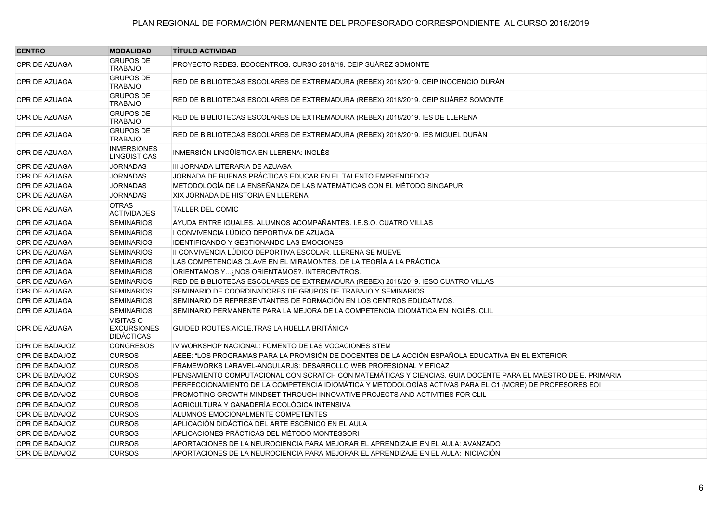| <b>CENTRO</b>        | <b>MODALIDAD</b>                                            | <b>TÍTULO ACTIVIDAD</b>                                                                                       |
|----------------------|-------------------------------------------------------------|---------------------------------------------------------------------------------------------------------------|
| <b>CPR DE AZUAGA</b> | <b>GRUPOS DE</b><br><b>TRABAJO</b>                          | PROYECTO REDES. ECOCENTROS. CURSO 2018/19. CEIP SUÁREZ SOMONTE                                                |
| CPR DE AZUAGA        | <b>GRUPOS DE</b><br><b>TRABAJO</b>                          | RED DE BIBLIOTECAS ESCOLARES DE EXTREMADURA (REBEX) 2018/2019. CEIP INOCENCIO DURÁN                           |
| <b>CPR DE AZUAGA</b> | <b>GRUPOS DE</b><br><b>TRABAJO</b>                          | RED DE BIBLIOTECAS ESCOLARES DE EXTREMADURA (REBEX) 2018/2019. CEIP SUÁREZ SOMONTE                            |
| CPR DE AZUAGA        | <b>GRUPOS DE</b><br><b>TRABAJO</b>                          | RED DE BIBLIOTECAS ESCOLARES DE EXTREMADURA (REBEX) 2018/2019. IES DE LLERENA                                 |
| <b>CPR DE AZUAGA</b> | <b>GRUPOS DE</b><br><b>TRABAJO</b>                          | RED DE BIBLIOTECAS ESCOLARES DE EXTREMADURA (REBEX) 2018/2019. IES MIGUEL DURÁN                               |
| CPR DE AZUAGA        | <b>INMERSIONES</b><br><b>LINGÜISTICAS</b>                   | INMERSIÓN LINGÜÍSTICA EN LLERENA: INGLÉS                                                                      |
| CPR DE AZUAGA        | <b>JORNADAS</b>                                             | III JORNADA LITERARIA DE AZUAGA                                                                               |
| <b>CPR DE AZUAGA</b> | <b>JORNADAS</b>                                             | JORNADA DE BUENAS PRÁCTICAS EDUCAR EN EL TALENTO EMPRENDEDOR                                                  |
| <b>CPR DE AZUAGA</b> | <b>JORNADAS</b>                                             | METODOLOGÍA DE LA ENSEÑANZA DE LAS MATEMÁTICAS CON EL MÉTODO SINGAPUR                                         |
| CPR DE AZUAGA        | <b>JORNADAS</b>                                             | XIX JORNADA DE HISTORIA EN LLERENA                                                                            |
| CPR DE AZUAGA        | <b>OTRAS</b><br><b>ACTIVIDADES</b>                          | <b>TALLER DEL COMIC</b>                                                                                       |
| CPR DE AZUAGA        | <b>SEMINARIOS</b>                                           | AYUDA ENTRE IGUALES. ALUMNOS ACOMPAÑANTES. I.E.S.O. CUATRO VILLAS                                             |
| CPR DE AZUAGA        | <b>SEMINARIOS</b>                                           | I CONVIVENCIA LÚDICO DEPORTIVA DE AZUAGA                                                                      |
| CPR DE AZUAGA        | <b>SEMINARIOS</b>                                           | IDENTIFICANDO Y GESTIONANDO LAS EMOCIONES                                                                     |
| CPR DE AZUAGA        | <b>SEMINARIOS</b>                                           | II CONVIVENCIA LÚDICO DEPORTIVA ESCOLAR. LLERENA SE MUEVE                                                     |
| CPR DE AZUAGA        | <b>SEMINARIOS</b>                                           | LAS COMPETENCIAS CLAVE EN EL MIRAMONTES. DE LA TEORÍA A LA PRÁCTICA                                           |
| <b>CPR DE AZUAGA</b> | <b>SEMINARIOS</b>                                           | ORIENTAMOS Y¿NOS ORIENTAMOS?. INTERCENTROS.                                                                   |
| CPR DE AZUAGA        | <b>SEMINARIOS</b>                                           | RED DE BIBLIOTECAS ESCOLARES DE EXTREMADURA (REBEX) 2018/2019. IESO CUATRO VILLAS                             |
| CPR DE AZUAGA        | <b>SEMINARIOS</b>                                           | SEMINARIO DE COORDINADORES DE GRUPOS DE TRABAJO Y SEMINARIOS                                                  |
| <b>CPR DE AZUAGA</b> | <b>SEMINARIOS</b>                                           | SEMINARIO DE REPRESENTANTES DE FORMACIÓN EN LOS CENTROS EDUCATIVOS.                                           |
| <b>CPR DE AZUAGA</b> | <b>SEMINARIOS</b>                                           | SEMINARIO PERMANENTE PARA LA MEJORA DE LA COMPETENCIA IDIOMÁTICA EN INGLÉS. CLIL                              |
| CPR DE AZUAGA        | <b>VISITAS O</b><br><b>EXCURSIONES</b><br><b>DIDÁCTICAS</b> | GUIDED ROUTES AICLE TRAS LA HUELLA BRITÁNICA                                                                  |
| CPR DE BADAJOZ       | <b>CONGRESOS</b>                                            | IV WORKSHOP NACIONAL: FOMENTO DE LAS VOCACIONES STEM                                                          |
| CPR DE BADAJOZ       | <b>CURSOS</b>                                               | AEEE: "LOS PROGRAMAS PARA LA PROVISIÓN DE DOCENTES DE LA ACCIÓN ESPAÑOLA EDUCATIVA EN EL EXTERIOR             |
| CPR DE BADAJOZ       | <b>CURSOS</b>                                               | FRAMEWORKS LARAVEL-ANGULARJS: DESARROLLO WEB PROFESIONAL Y EFICAZ                                             |
| CPR DE BADAJOZ       | <b>CURSOS</b>                                               | PENSAMIENTO COMPUTACIONAL CON SCRATCH CON MATEMÁTICAS Y CIENCIAS. GUIA DOCENTE PARA EL MAESTRO DE E. PRIMARIA |
| CPR DE BADAJOZ       | <b>CURSOS</b>                                               | PERFECCIONAMIENTO DE LA COMPETENCIA IDIOMÁTICA Y METODOLOGÍAS ACTIVAS PARA EL C1 (MCRE) DE PROFESORES EOI     |
| CPR DE BADAJOZ       | <b>CURSOS</b>                                               | PROMOTING GROWTH MINDSET THROUGH INNOVATIVE PROJECTS AND ACTIVITIES FOR CLIL                                  |
| CPR DE BADAJOZ       | <b>CURSOS</b>                                               | AGRICULTURA Y GANADERÍA ECOLÓGICA INTENSIVA                                                                   |
| CPR DE BADAJOZ       | <b>CURSOS</b>                                               | ALUMNOS EMOCIONALMENTE COMPETENTES                                                                            |
| CPR DE BADAJOZ       | <b>CURSOS</b>                                               | APLICACIÓN DIDÁCTICA DEL ARTE ESCÉNICO EN EL AULA                                                             |
| CPR DE BADAJOZ       | <b>CURSOS</b>                                               | APLICACIONES PRÁCTICAS DEL MÉTODO MONTESSORI                                                                  |
| CPR DE BADAJOZ       | <b>CURSOS</b>                                               | APORTACIONES DE LA NEUROCIENCIA PARA MEJORAR EL APRENDIZAJE EN EL AULA: AVANZADO                              |
| CPR DE BADAJOZ       | <b>CURSOS</b>                                               | APORTACIONES DE LA NEUROCIENCIA PARA MEJORAR EL APRENDIZAJE EN EL AULA: INICIACIÓN                            |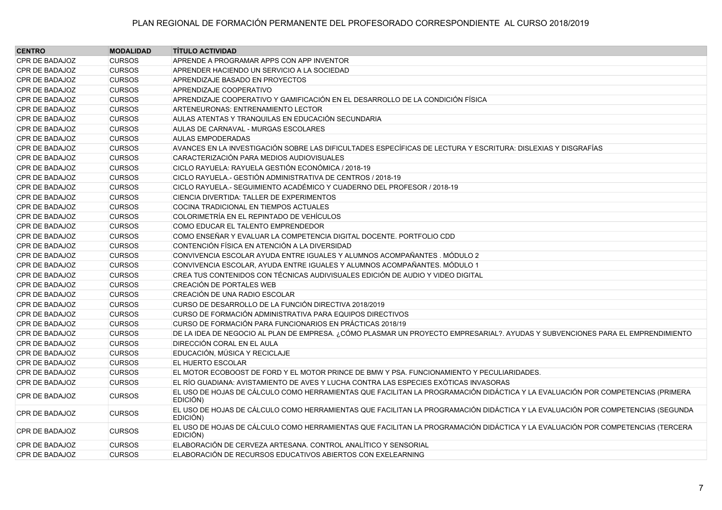| <b>CENTRO</b>         | <b>MODALIDAD</b> | <b>TÍTULO ACTIVIDAD</b>                                                                                                                    |
|-----------------------|------------------|--------------------------------------------------------------------------------------------------------------------------------------------|
| CPR DE BADAJOZ        | <b>CURSOS</b>    | APRENDE A PROGRAMAR APPS CON APP INVENTOR                                                                                                  |
| CPR DE BADAJOZ        | <b>CURSOS</b>    | APRENDER HACIENDO UN SERVICIO A LA SOCIEDAD                                                                                                |
| CPR DE BADAJOZ        | <b>CURSOS</b>    | APRENDIZAJE BASADO EN PROYECTOS                                                                                                            |
| CPR DE BADAJOZ        | <b>CURSOS</b>    | APRENDIZAJE COOPERATIVO                                                                                                                    |
| <b>CPR DE BADAJOZ</b> | <b>CURSOS</b>    | APRENDIZAJE COOPERATIVO Y GAMIFICACIÓN EN EL DESARROLLO DE LA CONDICIÓN FÍSICA                                                             |
| CPR DE BADAJOZ        | <b>CURSOS</b>    | ARTENEURONAS: ENTRENAMIENTO LECTOR                                                                                                         |
| CPR DE BADAJOZ        | <b>CURSOS</b>    | AULAS ATENTAS Y TRANQUILAS EN EDUCACIÓN SECUNDARIA                                                                                         |
| CPR DE BADAJOZ        | <b>CURSOS</b>    | AULAS DE CARNAVAL - MURGAS ESCOLARES                                                                                                       |
| CPR DE BADAJOZ        | <b>CURSOS</b>    | <b>AULAS EMPODERADAS</b>                                                                                                                   |
| CPR DE BADAJOZ        | <b>CURSOS</b>    | AVANCES EN LA INVESTIGACIÓN SOBRE LAS DIFICULTADES ESPECÍFICAS DE LECTURA Y ESCRITURA: DISLEXIAS Y DISGRAFÍAS                              |
| CPR DE BADAJOZ        | <b>CURSOS</b>    | CARACTERIZACIÓN PARA MEDIOS AUDIOVISUALES                                                                                                  |
| CPR DE BADAJOZ        | <b>CURSOS</b>    | CICLO RAYUELA: RAYUELA GESTIÓN ECONÓMICA / 2018-19                                                                                         |
| CPR DE BADAJOZ        | <b>CURSOS</b>    | CICLO RAYUELA.- GESTIÓN ADMINISTRATIVA DE CENTROS / 2018-19                                                                                |
| CPR DE BADAJOZ        | <b>CURSOS</b>    | CICLO RAYUELA.- SEGUIMIENTO ACADÉMICO Y CUADERNO DEL PROFESOR / 2018-19                                                                    |
| CPR DE BADAJOZ        | <b>CURSOS</b>    | CIENCIA DIVERTIDA: TALLER DE EXPERIMENTOS                                                                                                  |
| CPR DE BADAJOZ        | <b>CURSOS</b>    | COCINA TRADICIONAL EN TIEMPOS ACTUALES                                                                                                     |
| CPR DE BADAJOZ        | <b>CURSOS</b>    | COLORIMETRÍA EN EL REPINTADO DE VEHÍCULOS                                                                                                  |
| CPR DE BADAJOZ        | <b>CURSOS</b>    | COMO EDUCAR EL TALENTO EMPRENDEDOR                                                                                                         |
| <b>CPR DE BADAJOZ</b> | <b>CURSOS</b>    | COMO ENSEÑAR Y EVALUAR LA COMPETENCIA DIGITAL DOCENTE. PORTFOLIO CDD                                                                       |
| CPR DE BADAJOZ        | <b>CURSOS</b>    | CONTENCIÓN FÍSICA EN ATENCIÓN A LA DIVERSIDAD                                                                                              |
| <b>CPR DE BADAJOZ</b> | <b>CURSOS</b>    | CONVIVENCIA ESCOLAR AYUDA ENTRE IGUALES Y ALUMNOS ACOMPAÑANTES . MÓDULO 2                                                                  |
| CPR DE BADAJOZ        | <b>CURSOS</b>    | CONVIVENCIA ESCOLAR, AYUDA ENTRE IGUALES Y ALUMNOS ACOMPAÑANTES. MÓDULO 1                                                                  |
| CPR DE BADAJOZ        | <b>CURSOS</b>    | CREA TUS CONTENIDOS CON TÉCNICAS AUDIVISUALES EDICIÓN DE AUDIO Y VIDEO DIGITAL                                                             |
| <b>CPR DE BADAJOZ</b> | <b>CURSOS</b>    | CREACIÓN DE PORTALES WEB                                                                                                                   |
| <b>CPR DE BADAJOZ</b> | <b>CURSOS</b>    | CREACIÓN DE UNA RADIO ESCOLAR                                                                                                              |
| CPR DE BADAJOZ        | <b>CURSOS</b>    | CURSO DE DESARROLLO DE LA FUNCIÓN DIRECTIVA 2018/2019                                                                                      |
| CPR DE BADAJOZ        | <b>CURSOS</b>    | CURSO DE FORMACIÓN ADMINISTRATIVA PARA EQUIPOS DIRECTIVOS                                                                                  |
| CPR DE BADAJOZ        | <b>CURSOS</b>    | CURSO DE FORMACIÓN PARA FUNCIONARIOS EN PRÁCTICAS 2018/19                                                                                  |
| CPR DE BADAJOZ        | <b>CURSOS</b>    | DE LA IDEA DE NEGOCIO AL PLAN DE EMPRESA. ¿CÓMO PLASMAR UN PROYECTO EMPRESARIAL?. AYUDAS Y SUBVENCIONES PARA EL EMPRENDIMIENTO             |
| CPR DE BADAJOZ        | <b>CURSOS</b>    | DIRECCIÓN CORAL EN EL AULA                                                                                                                 |
| <b>CPR DE BADAJOZ</b> | <b>CURSOS</b>    | EDUCACIÓN, MÚSICA Y RECICLAJE                                                                                                              |
| CPR DE BADAJOZ        | <b>CURSOS</b>    | EL HUERTO ESCOLAR                                                                                                                          |
| <b>CPR DE BADAJOZ</b> | <b>CURSOS</b>    | EL MOTOR ECOBOOST DE FORD Y EL MOTOR PRINCE DE BMW Y PSA. FUNCIONAMIENTO Y PECULIARIDADES.                                                 |
| CPR DE BADAJOZ        | <b>CURSOS</b>    | EL RÍO GUADIANA: AVISTAMIENTO DE AVES Y LUCHA CONTRA LAS ESPECIES EXÓTICAS INVASORAS                                                       |
| <b>CPR DE BADAJOZ</b> | <b>CURSOS</b>    | EL USO DE HOJAS DE CÁLCULO COMO HERRAMIENTAS QUE FACILITAN LA PROGRAMACIÓN DIDÁCTICA Y LA EVALUACIÓN POR COMPETENCIAS (PRIMERA<br>EDICIÓN) |
| <b>CPR DE BADAJOZ</b> | <b>CURSOS</b>    | EL USO DE HOJAS DE CÁLCULO COMO HERRAMIENTAS QUE FACILITAN LA PROGRAMACIÓN DIDÁCTICA Y LA EVALUACIÓN POR COMPETENCIAS (SEGUNDA<br>EDICIÓN) |
| <b>CPR DE BADAJOZ</b> | <b>CURSOS</b>    | EL USO DE HOJAS DE CÁLCULO COMO HERRAMIENTAS QUE FACILITAN LA PROGRAMACIÓN DIDÁCTICA Y LA EVALUACIÓN POR COMPETENCIAS (TERCERA<br>EDICIÓN) |
| <b>CPR DE BADAJOZ</b> | <b>CURSOS</b>    | ELABORACIÓN DE CERVEZA ARTESANA. CONTROL ANALÍTICO Y SENSORIAL                                                                             |
| CPR DE BADAJOZ        | <b>CURSOS</b>    | ELABORACIÓN DE RECURSOS EDUCATIVOS ABIERTOS CON EXELEARNING                                                                                |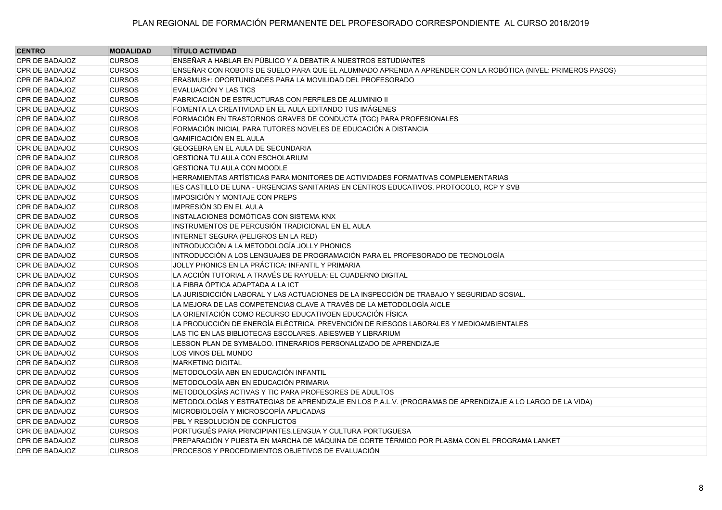| <b>CENTRO</b>         | <b>MODALIDAD</b> | <b>TÍTULO ACTIVIDAD</b>                                                                                     |
|-----------------------|------------------|-------------------------------------------------------------------------------------------------------------|
| CPR DE BADAJOZ        | <b>CURSOS</b>    | ENSEÑAR A HABLAR EN PÚBLICO Y A DEBATIR A NUESTROS ESTUDIANTES                                              |
| CPR DE BADAJOZ        | <b>CURSOS</b>    | ENSEÑAR CON ROBOTS DE SUELO PARA QUE EL ALUMNADO APRENDA A APRENDER CON LA ROBÓTICA (NIVEL: PRIMEROS PASOS) |
| CPR DE BADAJOZ        | <b>CURSOS</b>    | ERASMUS+: OPORTUNIDADES PARA LA MOVILIDAD DEL PROFESORADO                                                   |
| CPR DE BADAJOZ        | <b>CURSOS</b>    | EVALUACIÓN Y LAS TICS                                                                                       |
| <b>CPR DE BADAJOZ</b> | <b>CURSOS</b>    | FABRICACIÓN DE ESTRUCTURAS CON PERFILES DE ALUMINIO II                                                      |
| CPR DE BADAJOZ        | <b>CURSOS</b>    | FOMENTA LA CREATIVIDAD EN EL AULA EDITANDO TUS IMÁGENES                                                     |
| <b>CPR DE BADAJOZ</b> | <b>CURSOS</b>    | FORMACIÓN EN TRASTORNOS GRAVES DE CONDUCTA (TGC) PARA PROFESIONALES                                         |
| <b>CPR DE BADAJOZ</b> | <b>CURSOS</b>    | FORMACIÓN INICIAL PARA TUTORES NOVELES DE EDUCACIÓN A DISTANCIA                                             |
| CPR DE BADAJOZ        | <b>CURSOS</b>    | <b>GAMIFICACIÓN EN EL AULA</b>                                                                              |
| CPR DE BADAJOZ        | <b>CURSOS</b>    | <b>GEOGEBRA EN EL AULA DE SECUNDARIA</b>                                                                    |
| CPR DE BADAJOZ        | <b>CURSOS</b>    | <b>GESTIONA TU AULA CON ESCHOLARIUM</b>                                                                     |
| CPR DE BADAJOZ        | <b>CURSOS</b>    | <b>GESTIONA TU AULA CON MOODLE</b>                                                                          |
| CPR DE BADAJOZ        | <b>CURSOS</b>    | HERRAMIENTAS ARTÍSTICAS PARA MONITORES DE ACTIVIDADES FORMATIVAS COMPLEMENTARIAS                            |
| CPR DE BADAJOZ        | <b>CURSOS</b>    | IES CASTILLO DE LUNA - URGENCIAS SANITARIAS EN CENTROS EDUCATIVOS. PROTOCOLO, RCP Y SVB                     |
| CPR DE BADAJOZ        | <b>CURSOS</b>    | <b>IMPOSICIÓN Y MONTAJE CON PREPS</b>                                                                       |
| CPR DE BADAJOZ        | <b>CURSOS</b>    | IMPRESIÓN 3D EN EL AULA                                                                                     |
| CPR DE BADAJOZ        | <b>CURSOS</b>    | INSTALACIONES DOMÓTICAS CON SISTEMA KNX                                                                     |
| CPR DE BADAJOZ        | <b>CURSOS</b>    | INSTRUMENTOS DE PERCUSIÓN TRADICIONAL EN EL AULA                                                            |
| CPR DE BADAJOZ        | <b>CURSOS</b>    | INTERNET SEGURA (PELIGROS EN LA RED)                                                                        |
| CPR DE BADAJOZ        | <b>CURSOS</b>    | INTRODUCCIÓN A LA METODOLOGÍA JOLLY PHONICS                                                                 |
| CPR DE BADAJOZ        | <b>CURSOS</b>    | INTRODUCCIÓN A LOS LENGUAJES DE PROGRAMACIÓN PARA EL PROFESORADO DE TECNOLOGÍA                              |
| CPR DE BADAJOZ        | <b>CURSOS</b>    | JOLLY PHONICS EN LA PRÁCTICA: INFANTIL Y PRIMARIA                                                           |
| CPR DE BADAJOZ        | <b>CURSOS</b>    | LA ACCIÓN TUTORIAL A TRAVÉS DE RAYUELA: EL CUADERNO DIGITAL                                                 |
| CPR DE BADAJOZ        | <b>CURSOS</b>    | LA FIBRA ÓPTICA ADAPTADA A LA ICT                                                                           |
| <b>CPR DE BADAJOZ</b> | <b>CURSOS</b>    | LA JURISDICCIÓN LABORAL Y LAS ACTUACIONES DE LA INSPECCIÓN DE TRABAJO Y SEGURIDAD SOSIAL.                   |
| CPR DE BADAJOZ        | <b>CURSOS</b>    | LA MEJORA DE LAS COMPETENCIAS CLAVE A TRAVÉS DE LA METODOLOGÍA AICLE                                        |
| <b>CPR DE BADAJOZ</b> | <b>CURSOS</b>    | LA ORIENTACIÓN COMO RECURSO EDUCATIVOEN EDUCACIÓN FÍSICA                                                    |
| <b>CPR DE BADAJOZ</b> | <b>CURSOS</b>    | LA PRODUCCIÓN DE ENERGÍA ELÉCTRICA. PREVENCIÓN DE RIESGOS LABORALES Y MEDIOAMBIENTALES                      |
| <b>CPR DE BADAJOZ</b> | <b>CURSOS</b>    | LAS TIC EN LAS BIBLIOTECAS ESCOLARES. ABIESWEB Y LIBRARIUM                                                  |
| CPR DE BADAJOZ        | <b>CURSOS</b>    | LESSON PLAN DE SYMBALOO. ITINERARIOS PERSONALIZADO DE APRENDIZAJE                                           |
| CPR DE BADAJOZ        | <b>CURSOS</b>    | LOS VINOS DEL MUNDO                                                                                         |
| CPR DE BADAJOZ        | <b>CURSOS</b>    | <b>MARKETING DIGITAL</b>                                                                                    |
| CPR DE BADAJOZ        | <b>CURSOS</b>    | METODOLOGÍA ABN EN EDUCACIÓN INFANTIL                                                                       |
| CPR DE BADAJOZ        | <b>CURSOS</b>    | IMETODOLOGÍA ABN EN EDUCACIÓN PRIMARIA                                                                      |
| CPR DE BADAJOZ        | <b>CURSOS</b>    | METODOLOGÍAS ACTIVAS Y TIC PARA PROFESORES DE ADULTOS                                                       |
| <b>CPR DE BADAJOZ</b> | <b>CURSOS</b>    | METODOLOGÍAS Y ESTRATEGIAS DE APRENDIZAJE EN LOS P.A.L.V. (PROGRAMAS DE APRENDIZAJE A LO LARGO DE LA VIDA)  |
| CPR DE BADAJOZ        | <b>CURSOS</b>    | MICROBIOLOGÍA Y MICROSCOPÍA APLICADAS                                                                       |
| CPR DE BADAJOZ        | <b>CURSOS</b>    | PBL Y RESOLUCIÓN DE CONFLICTOS                                                                              |
| CPR DE BADAJOZ        | <b>CURSOS</b>    | PORTUGUÉS PARA PRINCIPIANTES.LENGUA Y CULTURA PORTUGUESA                                                    |
| CPR DE BADAJOZ        | <b>CURSOS</b>    | PREPARACIÓN Y PUESTA EN MARCHA DE MÁQUINA DE CORTE TÉRMICO POR PLASMA CON EL PROGRAMA LANKET                |
| <b>CPR DE BADAJOZ</b> | <b>CURSOS</b>    | PROCESOS Y PROCEDIMIENTOS OBJETIVOS DE EVALUACIÓN                                                           |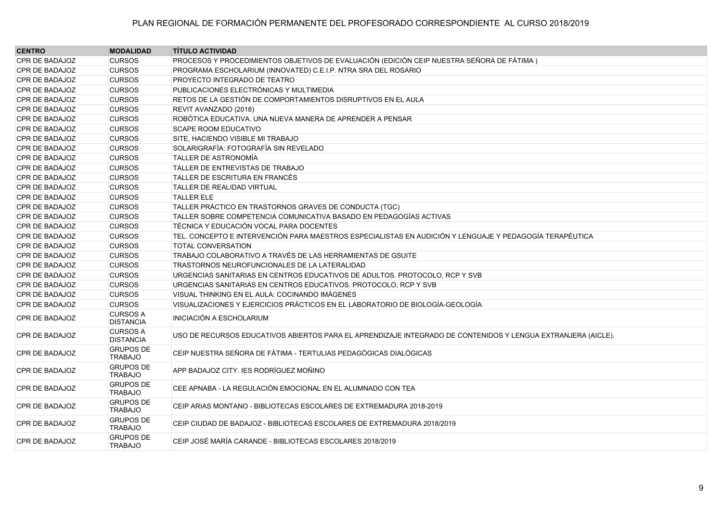| <b>CENTRO</b>         | <b>MODALIDAD</b>                    | <b>TÍTULO ACTIVIDAD</b>                                                                                      |
|-----------------------|-------------------------------------|--------------------------------------------------------------------------------------------------------------|
| CPR DE BADAJOZ        | <b>CURSOS</b>                       | PROCESOS Y PROCEDIMIENTOS OBJETIVOS DE EVALUACIÓN (EDICIÓN CEIP NUESTRA SEÑORA DE FÁTIMA)                    |
| CPR DE BADAJOZ        | <b>CURSOS</b>                       | PROGRAMA ESCHOLARIUM (INNOVATED) C.E.I.P. NTRA SRA DEL ROSARIO                                               |
| CPR DE BADAJOZ        | <b>CURSOS</b>                       | PROYECTO INTEGRADO DE TEATRO                                                                                 |
| CPR DE BADAJOZ        | <b>CURSOS</b>                       | PUBLICACIONES ELECTRÓNICAS Y MULTIMEDIA                                                                      |
| <b>CPR DE BADAJOZ</b> | <b>CURSOS</b>                       | RETOS DE LA GESTIÓN DE COMPORTAMIENTOS DISRUPTIVOS EN EL AULA                                                |
| CPR DE BADAJOZ        | <b>CURSOS</b>                       | REVIT AVANZADO (2018)                                                                                        |
| CPR DE BADAJOZ        | <b>CURSOS</b>                       | ROBÓTICA EDUCATIVA. UNA NUEVA MANERA DE APRENDER A PENSAR                                                    |
| CPR DE BADAJOZ        | <b>CURSOS</b>                       | <b>SCAPE ROOM EDUCATIVO</b>                                                                                  |
| CPR DE BADAJOZ        | <b>CURSOS</b>                       | SITE, HACIENDO VISIBLE MI TRABAJO                                                                            |
| CPR DE BADAJOZ        | <b>CURSOS</b>                       | SOLARIGRAFÍA: FOTOGRAFÍA SIN REVELADO                                                                        |
| CPR DE BADAJOZ        | <b>CURSOS</b>                       | <b>TALLER DE ASTRONOMÍA</b>                                                                                  |
| CPR DE BADAJOZ        | <b>CURSOS</b>                       | TALLER DE ENTREVISTAS DE TRABAJO                                                                             |
| CPR DE BADAJOZ        | <b>CURSOS</b>                       | TALLER DE ESCRITURA EN FRANCÉS                                                                               |
| CPR DE BADAJOZ        | <b>CURSOS</b>                       | <b>TALLER DE REALIDAD VIRTUAL</b>                                                                            |
| CPR DE BADAJOZ        | <b>CURSOS</b>                       | <b>TALLER ELE</b>                                                                                            |
| CPR DE BADAJOZ        | <b>CURSOS</b>                       | TALLER PRÁCTICO EN TRASTORNOS GRAVES DE CONDUCTA (TGC)                                                       |
| CPR DE BADAJOZ        | <b>CURSOS</b>                       | TALLER SOBRE COMPETENCIA COMUNICATIVA BASADO EN PEDAGOGÍAS ACTIVAS                                           |
| CPR DE BADAJOZ        | <b>CURSOS</b>                       | TÉCNICA Y EDUCACIÓN VOCAL PARA DOCENTES                                                                      |
| CPR DE BADAJOZ        | <b>CURSOS</b>                       | TEL. CONCEPTO E INTERVENCIÓN PARA MAESTROS ESPECIALISTAS EN AUDICIÓN Y LENGUAJE Y PEDAGOGÍA TERAPÉUTICA      |
| CPR DE BADAJOZ        | <b>CURSOS</b>                       | <b>TOTAL CONVERSATION</b>                                                                                    |
| CPR DE BADAJOZ        | <b>CURSOS</b>                       | TRABAJO COLABORATIVO A TRAVÉS DE LAS HERRAMIENTAS DE GSUITE                                                  |
| CPR DE BADAJOZ        | <b>CURSOS</b>                       | TRASTORNOS NEUROFUNCIONALES DE LA LATERALIDAD                                                                |
| CPR DE BADAJOZ        | <b>CURSOS</b>                       | URGENCIAS SANITARIAS EN CENTROS EDUCATIVOS DE ADULTOS. PROTOCOLO, RCP Y SVB                                  |
| CPR DE BADAJOZ        | <b>CURSOS</b>                       | URGENCIAS SANITARIAS EN CENTROS EDUCATIVOS. PROTOCOLO, RCP Y SVB                                             |
| CPR DE BADAJOZ        | <b>CURSOS</b>                       | VISUAL THINKING EN EL AULA: COCINANDO IMÁGENES                                                               |
| <b>CPR DE BADAJOZ</b> | <b>CURSOS</b>                       | VISUALIZACIONES Y EJERCICIOS PRÁCTICOS EN EL LABORATORIO DE BIOLOGÍA-GEOLOGÍA                                |
| <b>CPR DE BADAJOZ</b> | <b>CURSOS A</b><br><b>DISTANCIA</b> | <b>INICIACIÓN A ESCHOLARIUM</b>                                                                              |
| <b>CPR DE BADAJOZ</b> | <b>CURSOS A</b><br><b>DISTANCIA</b> | USO DE RECURSOS EDUCATIVOS ABIERTOS PARA EL APRENDIZAJE INTEGRADO DE CONTENIDOS Y LENGUA EXTRANJERA (AICLE). |
| CPR DE BADAJOZ        | <b>GRUPOS DE</b><br><b>TRABAJO</b>  | CEIP NUESTRA SEÑORA DE FÁTIMA - TERTULIAS PEDAGÓGICAS DIALÓGICAS                                             |
| CPR DE BADAJOZ        | <b>GRUPOS DE</b><br><b>TRABAJO</b>  | APP BADAJOZ CITY. IES RODRÍGUEZ MOÑINO                                                                       |
| CPR DE BADAJOZ        | <b>GRUPOS DE</b><br><b>TRABAJO</b>  | CEE APNABA - LA REGULACIÓN EMOCIONAL EN EL ALUMNADO CON TEA                                                  |
| <b>CPR DE BADAJOZ</b> | <b>GRUPOS DE</b><br><b>TRABAJO</b>  | CEIP ARIAS MONTANO - BIBLIOTECAS ESCOLARES DE EXTREMADURA 2018-2019                                          |
| CPR DE BADAJOZ        | <b>GRUPOS DE</b><br><b>TRABAJO</b>  | CEIP CIUDAD DE BADAJOZ - BIBLIOTECAS ESCOLARES DE EXTREMADURA 2018/2019                                      |
| CPR DE BADAJOZ        | <b>GRUPOS DE</b><br><b>TRABAJO</b>  | CEIP JOSÉ MARÍA CARANDE - BIBLIOTECAS ESCOLARES 2018/2019                                                    |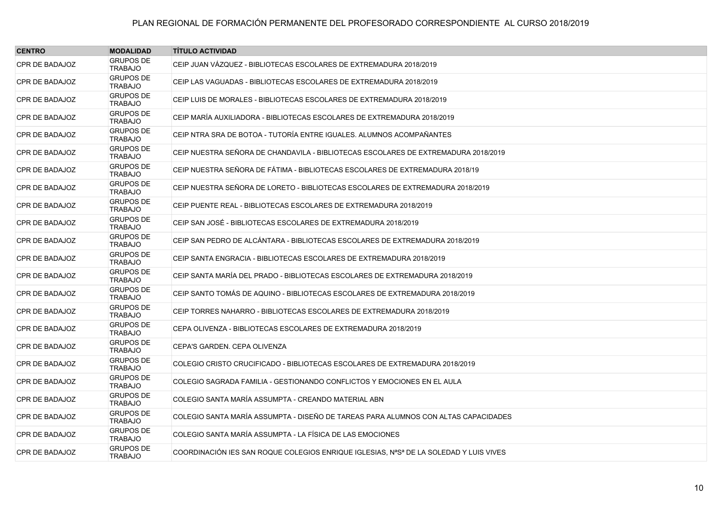| <b>CENTRO</b>         | <b>MODALIDAD</b>                   | <b>TÍTULO ACTIVIDAD</b>                                                               |
|-----------------------|------------------------------------|---------------------------------------------------------------------------------------|
| CPR DE BADAJOZ        | <b>GRUPOS DE</b><br><b>TRABAJO</b> | CEIP JUAN VÁZQUEZ - BIBLIOTECAS ESCOLARES DE EXTREMADURA 2018/2019                    |
| CPR DE BADAJOZ        | <b>GRUPOS DE</b><br><b>TRABAJO</b> | CEIP LAS VAGUADAS - BIBLIOTECAS ESCOLARES DE EXTREMADURA 2018/2019                    |
| <b>CPR DE BADAJOZ</b> | <b>GRUPOS DE</b><br><b>TRABAJO</b> | CEIP LUIS DE MORALES - BIBLIOTECAS ESCOLARES DE EXTREMADURA 2018/2019                 |
| CPR DE BADAJOZ        | <b>GRUPOS DE</b><br><b>TRABAJO</b> | CEIP MARÍA AUXILIADORA - BIBLIOTECAS ESCOLARES DE EXTREMADURA 2018/2019               |
| <b>CPR DE BADAJOZ</b> | <b>GRUPOS DE</b><br><b>TRABAJO</b> | CEIP NTRA SRA DE BOTOA - TUTORÍA ENTRE IGUALES. ALUMNOS ACOMPAÑANTES                  |
| <b>CPR DE BADAJOZ</b> | <b>GRUPOS DE</b><br><b>TRABAJO</b> | CEIP NUESTRA SEÑORA DE CHANDAVILA - BIBLIOTECAS ESCOLARES DE EXTREMADURA 2018/2019    |
| CPR DE BADAJOZ        | <b>GRUPOS DE</b><br><b>TRABAJO</b> | CEIP NUESTRA SEÑORA DE FÁTIMA - BIBLIOTECAS ESCOLARES DE EXTREMADURA 2018/19          |
| <b>CPR DE BADAJOZ</b> | <b>GRUPOS DE</b><br><b>TRABAJO</b> | CEIP NUESTRA SEÑORA DE LORETO - BIBLIOTECAS ESCOLARES DE EXTREMADURA 2018/2019        |
| CPR DE BADAJOZ        | <b>GRUPOS DE</b><br><b>TRABAJO</b> | CEIP PUENTE REAL - BIBLIOTECAS ESCOLARES DE EXTREMADURA 2018/2019                     |
| CPR DE BADAJOZ        | <b>GRUPOS DE</b><br><b>TRABAJO</b> | CEIP SAN JOSÉ - BIBLIOTECAS ESCOLARES DE EXTREMADURA 2018/2019                        |
| <b>CPR DE BADAJOZ</b> | <b>GRUPOS DE</b><br><b>TRABAJO</b> | CEIP SAN PEDRO DE ALCÁNTARA - BIBLIOTECAS ESCOLARES DE EXTREMADURA 2018/2019          |
| <b>CPR DE BADAJOZ</b> | <b>GRUPOS DE</b><br><b>TRABAJO</b> | CEIP SANTA ENGRACIA - BIBLIOTECAS ESCOLARES DE EXTREMADURA 2018/2019                  |
| CPR DE BADAJOZ        | <b>GRUPOS DE</b><br><b>TRABAJO</b> | CEIP SANTA MARÍA DEL PRADO - BIBLIOTECAS ESCOLARES DE EXTREMADURA 2018/2019           |
| <b>CPR DE BADAJOZ</b> | <b>GRUPOS DE</b><br><b>TRABAJO</b> | CEIP SANTO TOMÁS DE AQUINO - BIBLIOTECAS ESCOLARES DE EXTREMADURA 2018/2019           |
| <b>CPR DE BADAJOZ</b> | <b>GRUPOS DE</b><br><b>TRABAJO</b> | CEIP TORRES NAHARRO - BIBLIOTECAS ESCOLARES DE EXTREMADURA 2018/2019                  |
| CPR DE BADAJOZ        | <b>GRUPOS DE</b><br><b>TRABAJO</b> | CEPA OLIVENZA - BIBLIOTECAS ESCOLARES DE EXTREMADURA 2018/2019                        |
| <b>CPR DE BADAJOZ</b> | <b>GRUPOS DE</b><br><b>TRABAJO</b> | CEPA'S GARDEN. CEPA OLIVENZA                                                          |
| <b>CPR DE BADAJOZ</b> | <b>GRUPOS DE</b><br><b>TRABAJO</b> | COLEGIO CRISTO CRUCIFICADO - BIBLIOTECAS ESCOLARES DE EXTREMADURA 2018/2019           |
| <b>CPR DE BADAJOZ</b> | <b>GRUPOS DE</b><br><b>TRABAJO</b> | COLEGIO SAGRADA FAMILIA - GESTIONANDO CONFLICTOS Y EMOCIONES EN EL AULA               |
| <b>CPR DE BADAJOZ</b> | <b>GRUPOS DE</b><br><b>TRABAJO</b> | COLEGIO SANTA MARÍA ASSUMPTA - CREANDO MATERIAL ABN                                   |
| <b>CPR DE BADAJOZ</b> | <b>GRUPOS DE</b><br><b>TRABAJO</b> | COLEGIO SANTA MARÍA ASSUMPTA - DISEÑO DE TAREAS PARA ALUMNOS CON ALTAS CAPACIDADES    |
| CPR DE BADAJOZ        | <b>GRUPOS DE</b><br><b>TRABAJO</b> | COLEGIO SANTA MARÍA ASSUMPTA - LA FÍSICA DE LAS EMOCIONES                             |
| CPR DE BADAJOZ        | <b>GRUPOS DE</b><br><b>TRABAJO</b> | COORDINACIÓN IES SAN ROQUE COLEGIOS ENRIQUE IGLESIAS, NªSª DE LA SOLEDAD Y LUIS VIVES |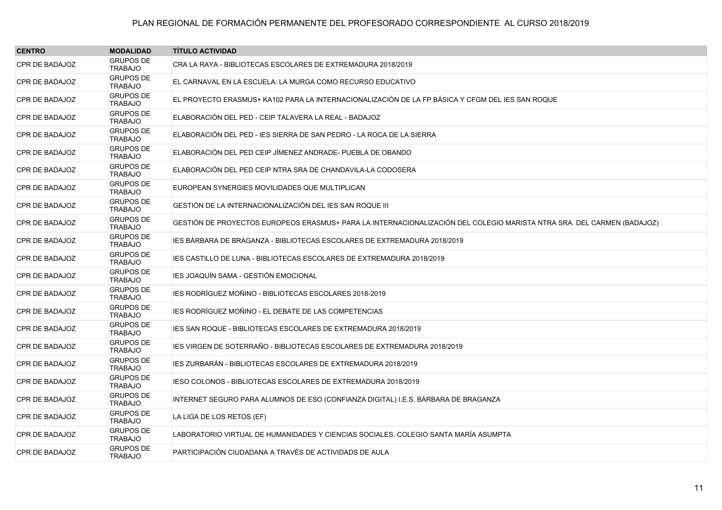| <b>CENTRO</b>         | <b>MODALIDAD</b>                   | <b>TÍTULO ACTIVIDAD</b>                                                                                                |
|-----------------------|------------------------------------|------------------------------------------------------------------------------------------------------------------------|
| <b>CPR DE BADAJOZ</b> | <b>GRUPOS DE</b><br><b>TRABAJO</b> | CRA LA RAYA - BIBLIOTECAS ESCOLARES DE EXTREMADURA 2018/2019                                                           |
| CPR DE BADAJOZ        | <b>GRUPOS DE</b><br><b>TRABAJO</b> | EL CARNAVAL EN LA ESCUELA: LA MURGA COMO RECURSO EDUCATIVO                                                             |
| CPR DE BADAJOZ        | <b>GRUPOS DE</b><br><b>TRABAJO</b> | EL PROYECTO ERASMUS+ KA102 PARA LA INTERNACIONALIZACIÓN DE LA FP BÁSICA Y CFGM DEL IES SAN ROQUE                       |
| <b>CPR DE BADAJOZ</b> | <b>GRUPOS DE</b><br><b>TRABAJO</b> | ELABORACIÓN DEL PED - CEIP TALAVERA LA REAL - BADAJOZ                                                                  |
| CPR DE BADAJOZ        | <b>GRUPOS DE</b><br><b>TRABAJO</b> | ELABORACIÓN DEL PED - IES SIERRA DE SAN PEDRO - LA ROCA DE LA SIERRA                                                   |
| CPR DE BADAJOZ        | <b>GRUPOS DE</b><br><b>TRABAJO</b> | ELABORACIÓN DEL PED CEIP JÍMENEZ ANDRADE- PUEBLA DE OBANDO                                                             |
| CPR DE BADAJOZ        | <b>GRUPOS DE</b><br><b>TRABAJO</b> | ELABORACIÓN DEL PED CEIP NTRA SRA DE CHANDAVILA-LA CODOSERA                                                            |
| <b>CPR DE BADAJOZ</b> | <b>GRUPOS DE</b><br><b>TRABAJO</b> | EUROPEAN SYNERGIES MOVILIDADES QUE MULTIPLICAN                                                                         |
| <b>CPR DE BADAJOZ</b> | <b>GRUPOS DE</b><br><b>TRABAJO</b> | GESTIÓN DE LA INTERNACIONALIZACIÓN DEL IES SAN ROQUE III                                                               |
| <b>CPR DE BADAJOZ</b> | <b>GRUPOS DE</b><br><b>TRABAJO</b> | GESTIÓN DE PROYECTOS EUROPEOS ERASMUS+ PARA LA INTERNACIONALIZACIÓN DEL COLEGIO MARISTA NTRA SRA. DEL CARMEN (BADAJOZ) |
| <b>CPR DE BADAJOZ</b> | <b>GRUPOS DE</b><br><b>TRABAJO</b> | IES BÁRBARA DE BRAGANZA - BIBLIOTECAS ESCOLARES DE EXTREMADURA 2018/2019                                               |
| <b>CPR DE BADAJOZ</b> | <b>GRUPOS DE</b><br>TRABAJO        | IES CASTILLO DE LUNA - BIBLIOTECAS ESCOLARES DE EXTREMADURA 2018/2019                                                  |
| <b>CPR DE BADAJOZ</b> | <b>GRUPOS DE</b><br><b>TRABAJO</b> | IES JOAQUÍN SAMA - GESTIÓN EMOCIONAL                                                                                   |
| <b>CPR DE BADAJOZ</b> | <b>GRUPOS DE</b><br><b>TRABAJO</b> | IES RODRÍGUEZ MOÑINO - BIBLIOTECAS ESCOLARES 2018-2019                                                                 |
| <b>CPR DE BADAJOZ</b> | <b>GRUPOS DE</b><br><b>TRABAJO</b> | IES RODRÍGUEZ MOÑINO - EL DEBATE DE LAS COMPETENCIAS                                                                   |
| <b>CPR DE BADAJOZ</b> | <b>GRUPOS DE</b><br><b>TRABAJO</b> | IES SAN ROQUE - BIBLIOTECAS ESCOLARES DE EXTREMADURA 2018/2019                                                         |
| <b>CPR DE BADAJOZ</b> | <b>GRUPOS DE</b><br><b>TRABAJO</b> | IES VIRGEN DE SOTERRAÑO - BIBLIOTECAS ESCOLARES DE EXTREMADURA 2018/2019                                               |
| CPR DE BADAJOZ        | <b>GRUPOS DE</b><br><b>TRABAJO</b> | IES ZURBARÁN - BIBLIOTECAS ESCOLARES DE EXTREMADURA 2018/2019                                                          |
| <b>CPR DE BADAJOZ</b> | <b>GRUPOS DE</b><br><b>TRABAJO</b> | IESO COLONOS - BIBLIOTECAS ESCOLARES DE EXTREMADURA 2018/2019                                                          |
| <b>CPR DE BADAJOZ</b> | <b>GRUPOS DE</b><br><b>TRABAJO</b> | INTERNET SEGURO PARA ALUMNOS DE ESO (CONFIANZA DIGITAL) I.E.S. BÁRBARA DE BRAGANZA                                     |
| <b>CPR DE BADAJOZ</b> | <b>GRUPOS DE</b><br><b>TRABAJO</b> | LA LIGA DE LOS RETOS (EF)                                                                                              |
| <b>CPR DE BADAJOZ</b> | <b>GRUPOS DE</b><br><b>TRABAJO</b> | LABORATORIO VIRTUAL DE HUMANIDADES Y CIENCIAS SOCIALES. COLEGIO SANTA MARÍA ASUMPTA                                    |
| <b>CPR DE BADAJOZ</b> | <b>GRUPOS DE</b><br><b>TRABAJO</b> | PARTICIPACIÓN CIUDADANA A TRAVÉS DE ACTIVIDADS DE AULA                                                                 |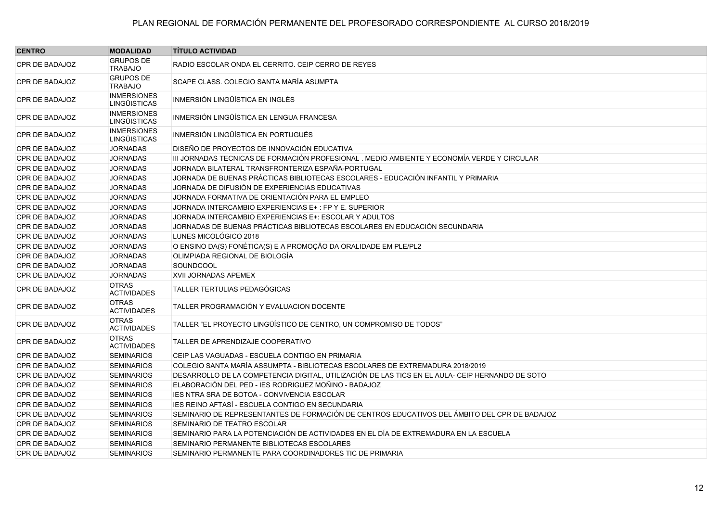| <b>CENTRO</b>         | <b>MODALIDAD</b>                          | <b>TÍTULO ACTIVIDAD</b>                                                                         |
|-----------------------|-------------------------------------------|-------------------------------------------------------------------------------------------------|
| <b>CPR DE BADAJOZ</b> | <b>GRUPOS DE</b><br><b>TRABAJO</b>        | RADIO ESCOLAR ONDA EL CERRITO. CEIP CERRO DE REYES                                              |
| CPR DE BADAJOZ        | <b>GRUPOS DE</b><br><b>TRABAJO</b>        | SCAPE CLASS. COLEGIO SANTA MARÍA ASUMPTA                                                        |
| CPR DE BADAJOZ        | <b>INMERSIONES</b><br><b>LINGÜISTICAS</b> | INMERSIÓN LINGÜÍSTICA EN INGLÉS                                                                 |
| <b>CPR DE BADAJOZ</b> | <b>INMERSIONES</b><br><b>LINGÜISTICAS</b> | INMERSIÓN LINGÜÍSTICA EN LENGUA FRANCESA                                                        |
| CPR DE BADAJOZ        | <b>INMERSIONES</b><br>LINGÜISTICAS        | INMERSIÓN LINGÜÍSTICA EN PORTUGUÉS                                                              |
| CPR DE BADAJOZ        | <b>JORNADAS</b>                           | DISEÑO DE PROYECTOS DE INNOVACIÓN EDUCATIVA                                                     |
| CPR DE BADAJOZ        | <b>JORNADAS</b>                           | III JORNADAS TECNICAS DE FORMACIÓN PROFESIONAL . MEDIO AMBIENTE Y ECONOMÍA VERDE Y CIRCULAR     |
| CPR DE BADAJOZ        | <b>JORNADAS</b>                           | JORNADA BILATERAL TRANSFRONTERIZA ESPAÑA-PORTUGAL                                               |
| CPR DE BADAJOZ        | <b>JORNADAS</b>                           | JORNADA DE BUENAS PRÁCTICAS BIBLIOTECAS ESCOLARES - EDUCACIÓN INFANTIL Y PRIMARIA               |
| CPR DE BADAJOZ        | <b>JORNADAS</b>                           | JORNADA DE DIFUSIÓN DE EXPERIENCIAS EDUCATIVAS                                                  |
| CPR DE BADAJOZ        | <b>JORNADAS</b>                           | JORNADA FORMATIVA DE ORIENTACIÓN PARA EL EMPLEO                                                 |
| CPR DE BADAJOZ        | <b>JORNADAS</b>                           | JORNADA INTERCAMBIO EXPERIENCIAS E+: FP Y E. SUPERIOR                                           |
| CPR DE BADAJOZ        | <b>JORNADAS</b>                           | JORNADA INTERCAMBIO EXPERIENCIAS E+: ESCOLAR Y ADULTOS                                          |
| CPR DE BADAJOZ        | <b>JORNADAS</b>                           | JORNADAS DE BUENAS PRÁCTICAS BIBLIOTECAS ESCOLARES EN EDUCACIÓN SECUNDARIA                      |
| <b>CPR DE BADAJOZ</b> | <b>JORNADAS</b>                           | LUNES MICOLÓGICO 2018                                                                           |
| CPR DE BADAJOZ        | <b>JORNADAS</b>                           | O ENSINO DA(S) FONÉTICA(S) E A PROMOÇÃO DA ORALIDADE EM PLE/PL2                                 |
| CPR DE BADAJOZ        | <b>JORNADAS</b>                           | OLIMPIADA REGIONAL DE BIOLOGÍA                                                                  |
| CPR DE BADAJOZ        | <b>JORNADAS</b>                           | SOUNDCOOL                                                                                       |
| CPR DE BADAJOZ        | <b>JORNADAS</b>                           | XVII JORNADAS APEMEX                                                                            |
| <b>CPR DE BADAJOZ</b> | <b>OTRAS</b><br><b>ACTIVIDADES</b>        | TALLER TERTULIAS PEDAGÓGICAS                                                                    |
| <b>CPR DE BADAJOZ</b> | <b>OTRAS</b><br><b>ACTIVIDADES</b>        | TALLER PROGRAMACIÓN Y EVALUACION DOCENTE                                                        |
| <b>CPR DE BADAJOZ</b> | <b>OTRAS</b><br><b>ACTIVIDADES</b>        | TALLER "EL PROYECTO LINGÜÍSTICO DE CENTRO, UN COMPROMISO DE TODOS"                              |
| <b>CPR DE BADAJOZ</b> | <b>OTRAS</b><br><b>ACTIVIDADES</b>        | TALLER DE APRENDIZAJE COOPERATIVO                                                               |
| CPR DE BADAJOZ        | <b>SEMINARIOS</b>                         | CEIP LAS VAGUADAS - ESCUELA CONTIGO EN PRIMARIA                                                 |
| CPR DE BADAJOZ        | <b>SEMINARIOS</b>                         | COLEGIO SANTA MARÍA ASSUMPTA - BIBLIOTECAS ESCOLARES DE EXTREMADURA 2018/2019                   |
| CPR DE BADAJOZ        | <b>SEMINARIOS</b>                         | DESARROLLO DE LA COMPETENCIA DIGITAL, UTILIZACIÓN DE LAS TICS EN EL AULA- CEIP HERNANDO DE SOTO |
| CPR DE BADAJOZ        | <b>SEMINARIOS</b>                         | ELABORACIÓN DEL PED - IES RODRIGUEZ MOÑINO - BADAJOZ                                            |
| <b>CPR DE BADAJOZ</b> | <b>SEMINARIOS</b>                         | <b>IES NTRA SRA DE BOTOA - CONVIVENCIA ESCOLAR</b>                                              |
| CPR DE BADAJOZ        | <b>SEMINARIOS</b>                         | JES REINO AFTASÍ - ESCUELA CONTIGO EN SECUNDARIA                                                |
| CPR DE BADAJOZ        | <b>SEMINARIOS</b>                         | SEMINARIO DE REPRESENTANTES DE FORMACIÓN DE CENTROS EDUCATIVOS DEL ÁMBITO DEL CPR DE BADAJOZ    |
| CPR DE BADAJOZ        | <b>SEMINARIOS</b>                         | SEMINARIO DE TEATRO ESCOLAR                                                                     |
| CPR DE BADAJOZ        | <b>SEMINARIOS</b>                         | SEMINARIO PARA LA POTENCIACIÓN DE ACTIVIDADES EN EL DÍA DE EXTREMADURA EN LA ESCUELA            |
| CPR DE BADAJOZ        | <b>SEMINARIOS</b>                         | SEMINARIO PERMANENTE BIBLIOTECAS ESCOLARES                                                      |
| CPR DE BADAJOZ        | <b>SEMINARIOS</b>                         | SEMINARIO PERMANENTE PARA COORDINADORES TIC DE PRIMARIA                                         |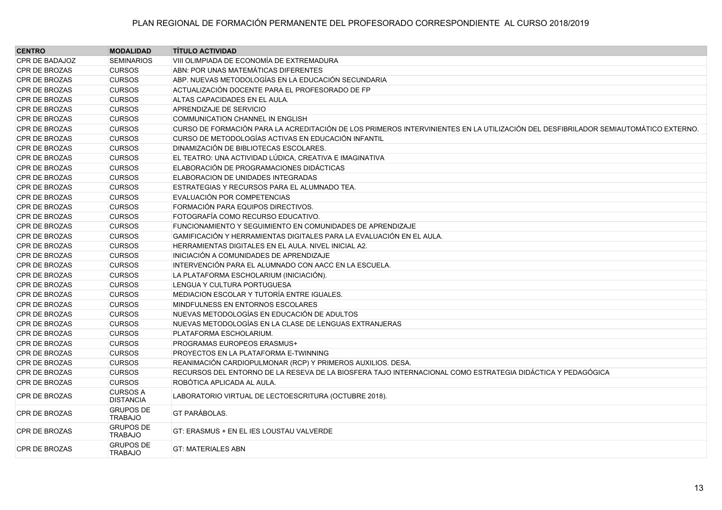| <b>CENTRO</b>        | <b>MODALIDAD</b>                    | <b>TÍTULO ACTIVIDAD</b>                                                                                                            |
|----------------------|-------------------------------------|------------------------------------------------------------------------------------------------------------------------------------|
| CPR DE BADAJOZ       | <b>SEMINARIOS</b>                   | VIII OLIMPIADA DE ECONOMÍA DE EXTREMADURA                                                                                          |
| CPR DE BROZAS        | <b>CURSOS</b>                       | ABN: POR UNAS MATEMÁTICAS DIFERENTES                                                                                               |
| <b>CPR DE BROZAS</b> | <b>CURSOS</b>                       | ABP. NUEVAS METODOLOGÍAS EN LA EDUCACIÓN SECUNDARIA                                                                                |
| <b>CPR DE BROZAS</b> | <b>CURSOS</b>                       | ACTUALIZACIÓN DOCENTE PARA EL PROFESORADO DE FP                                                                                    |
| <b>CPR DE BROZAS</b> | <b>CURSOS</b>                       | ALTAS CAPACIDADES EN EL AULA.                                                                                                      |
| <b>CPR DE BROZAS</b> | <b>CURSOS</b>                       | APRENDIZAJE DE SERVICIO                                                                                                            |
| <b>CPR DE BROZAS</b> | <b>CURSOS</b>                       | <b>COMMUNICATION CHANNEL IN ENGLISH</b>                                                                                            |
| <b>CPR DE BROZAS</b> | <b>CURSOS</b>                       | CURSO DE FORMACIÓN PARA LA ACREDITACIÓN DE LOS PRIMEROS INTERVINIENTES EN LA UTILIZACIÓN DEL DESFIBRILADOR SEMIAUTOMÁTICO EXTERNO. |
| <b>CPR DE BROZAS</b> | <b>CURSOS</b>                       | CURSO DE METODOLOGÍAS ACTIVAS EN EDUCACIÓN INFANTIL                                                                                |
| <b>CPR DE BROZAS</b> | <b>CURSOS</b>                       | DINAMIZACIÓN DE BIBLIOTECAS ESCOLARES.                                                                                             |
| <b>CPR DE BROZAS</b> | <b>CURSOS</b>                       | EL TEATRO: UNA ACTIVIDAD LÚDICA, CREATIVA E IMAGINATIVA                                                                            |
| <b>CPR DE BROZAS</b> | <b>CURSOS</b>                       | ELABORACIÓN DE PROGRAMACIONES DIDÁCTICAS                                                                                           |
| <b>CPR DE BROZAS</b> | <b>CURSOS</b>                       | ELABORACION DE UNIDADES INTEGRADAS                                                                                                 |
| CPR DE BROZAS        | <b>CURSOS</b>                       | ESTRATEGIAS Y RECURSOS PARA EL ALUMNADO TEA.                                                                                       |
| <b>CPR DE BROZAS</b> | <b>CURSOS</b>                       | EVALUACIÓN POR COMPETENCIAS                                                                                                        |
| CPR DE BROZAS        | <b>CURSOS</b>                       | FORMACIÓN PARA EQUIPOS DIRECTIVOS.                                                                                                 |
| CPR DE BROZAS        | <b>CURSOS</b>                       | FOTOGRAFÍA COMO RECURSO EDUCATIVO.                                                                                                 |
| CPR DE BROZAS        | <b>CURSOS</b>                       | FUNCIONAMIENTO Y SEGUIMIENTO EN COMUNIDADES DE APRENDIZAJE                                                                         |
| <b>CPR DE BROZAS</b> | <b>CURSOS</b>                       | GAMIFICACIÓN Y HERRAMIENTAS DIGITALES PARA LA EVALUACIÓN EN EL AULA.                                                               |
| <b>CPR DE BROZAS</b> | <b>CURSOS</b>                       | HERRAMIENTAS DIGITALES EN EL AULA. NIVEL INICIAL A2.                                                                               |
| <b>CPR DE BROZAS</b> | <b>CURSOS</b>                       | INICIACIÓN A COMUNIDADES DE APRENDIZAJE                                                                                            |
| <b>CPR DE BROZAS</b> | <b>CURSOS</b>                       | INTERVENCIÓN PARA EL ALUMNADO CON AACC EN LA ESCUELA.                                                                              |
| <b>CPR DE BROZAS</b> | <b>CURSOS</b>                       | LA PLATAFORMA ESCHOLARIUM (INICIACIÓN).                                                                                            |
| <b>CPR DE BROZAS</b> | <b>CURSOS</b>                       | LENGUA Y CULTURA PORTUGUESA                                                                                                        |
| <b>CPR DE BROZAS</b> | <b>CURSOS</b>                       | MEDIACION ESCOLAR Y TUTORÍA ENTRE IGUALES.                                                                                         |
| <b>CPR DE BROZAS</b> | <b>CURSOS</b>                       | MINDFULNESS EN ENTORNOS ESCOLARES                                                                                                  |
| <b>CPR DE BROZAS</b> | <b>CURSOS</b>                       | NUEVAS METODOLOGÍAS EN EDUCACIÓN DE ADULTOS                                                                                        |
| <b>CPR DE BROZAS</b> | <b>CURSOS</b>                       | NUEVAS METODOLOGÍAS EN LA CLASE DE LENGUAS EXTRANJERAS                                                                             |
| <b>CPR DE BROZAS</b> | <b>CURSOS</b>                       | PLATAFORMA ESCHOLARIUM.                                                                                                            |
| <b>CPR DE BROZAS</b> | <b>CURSOS</b>                       | PROGRAMAS EUROPEOS ERASMUS+                                                                                                        |
| <b>CPR DE BROZAS</b> | <b>CURSOS</b>                       | PROYECTOS EN LA PLATAFORMA E-TWINNING                                                                                              |
| <b>CPR DE BROZAS</b> | <b>CURSOS</b>                       | REANIMACIÓN CARDIOPULMONAR (RCP) Y PRIMEROS AUXILIOS. DESA.                                                                        |
| CPR DE BROZAS        | <b>CURSOS</b>                       | RECURSOS DEL ENTORNO DE LA RESEVA DE LA BIOSFERA TAJO INTERNACIONAL COMO ESTRATEGIA DIDÁCTICA Y PEDAGÓGICA                         |
| <b>CPR DE BROZAS</b> | <b>CURSOS</b>                       | ROBÓTICA APLICADA AL AULA.                                                                                                         |
| <b>CPR DE BROZAS</b> | <b>CURSOS A</b><br><b>DISTANCIA</b> | LABORATORIO VIRTUAL DE LECTOESCRITURA (OCTUBRE 2018).                                                                              |
| <b>CPR DE BROZAS</b> | <b>GRUPOS DE</b><br><b>TRABAJO</b>  | <b>GT PARÁBOLAS.</b>                                                                                                               |
| <b>CPR DE BROZAS</b> | <b>GRUPOS DE</b><br><b>TRABAJO</b>  | GT: ERASMUS + EN EL IES LOUSTAU VALVERDE                                                                                           |
| <b>CPR DE BROZAS</b> | <b>GRUPOS DE</b><br><b>TRABAJO</b>  | <b>GT: MATERIALES ABN</b>                                                                                                          |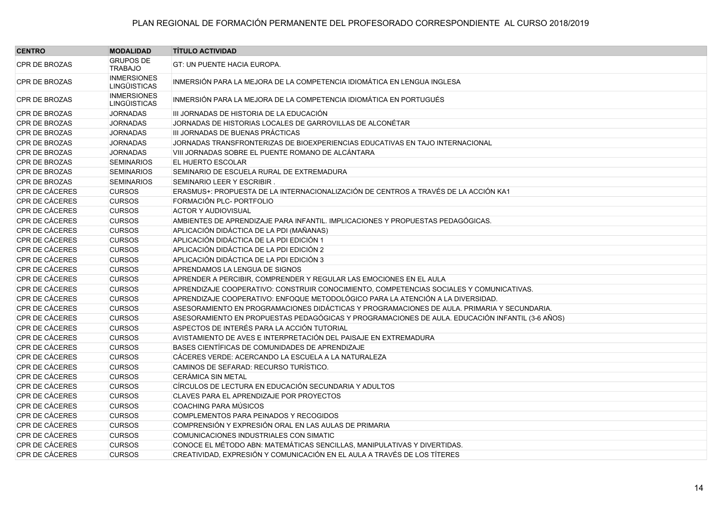| <b>CENTRO</b>         | <b>MODALIDAD</b>                          | <b>TÍTULO ACTIVIDAD</b>                                                                         |
|-----------------------|-------------------------------------------|-------------------------------------------------------------------------------------------------|
| <b>CPR DE BROZAS</b>  | <b>GRUPOS DE</b><br><b>TRABAJO</b>        | <b>GT: UN PUENTE HACIA EUROPA.</b>                                                              |
| <b>CPR DE BROZAS</b>  | <b>INMERSIONES</b><br><b>LINGÜISTICAS</b> | INMERSIÓN PARA LA MEJORA DE LA COMPETENCIA IDIOMÁTICA EN LENGUA INGLESA                         |
| <b>CPR DE BROZAS</b>  | <b>INMERSIONES</b><br><b>LINGÜISTICAS</b> | INMERSIÓN PARA LA MEJORA DE LA COMPETENCIA IDIOMÁTICA EN PORTUGUÉS                              |
| CPR DE BROZAS         | <b>JORNADAS</b>                           | III JORNADAS DE HISTORIA DE LA EDUCACIÓN                                                        |
| <b>CPR DE BROZAS</b>  | <b>JORNADAS</b>                           | JORNADAS DE HISTORIAS LOCALES DE GARROVILLAS DE ALCONÉTAR                                       |
| <b>CPR DE BROZAS</b>  | <b>JORNADAS</b>                           | III JORNADAS DE BUENAS PRÁCTICAS                                                                |
| CPR DE BROZAS         | <b>JORNADAS</b>                           | JORNADAS TRANSFRONTERIZAS DE BIOEXPERIENCIAS EDUCATIVAS EN TAJO INTERNACIONAL                   |
| <b>CPR DE BROZAS</b>  | <b>JORNADAS</b>                           | VIII JORNADAS SOBRE EL PUENTE ROMANO DE ALCÁNTARA                                               |
| <b>CPR DE BROZAS</b>  | <b>SEMINARIOS</b>                         | EL HUERTO ESCOLAR                                                                               |
| <b>CPR DE BROZAS</b>  | <b>SEMINARIOS</b>                         | SEMINARIO DE ESCUELA RURAL DE EXTREMADURA                                                       |
| <b>CPR DE BROZAS</b>  | <b>SEMINARIOS</b>                         | SEMINARIO LEER Y ESCRIBIR.                                                                      |
| CPR DE CÁCERES        | <b>CURSOS</b>                             | ERASMUS+: PROPUESTA DE LA INTERNACIONALIZACIÓN DE CENTROS A TRAVÉS DE LA ACCIÓN KA1             |
| CPR DE CÁCERES        | <b>CURSOS</b>                             | FORMACIÓN PLC- PORTFOLIO                                                                        |
| <b>CPR DE CÁCERES</b> | <b>CURSOS</b>                             | <b>ACTOR Y AUDIOVISUAL</b>                                                                      |
| CPR DE CÁCERES        | <b>CURSOS</b>                             | AMBIENTES DE APRENDIZAJE PARA INFANTIL. IMPLICACIONES Y PROPUESTAS PEDAGÓGICAS.                 |
| <b>CPR DE CÁCERES</b> | <b>CURSOS</b>                             | APLICACIÓN DIDÁCTICA DE LA PDI (MAÑANAS)                                                        |
| <b>CPR DE CÁCERES</b> | <b>CURSOS</b>                             | APLICACIÓN DIDÁCTICA DE LA PDI EDICIÓN 1                                                        |
| CPR DE CÁCERES        | <b>CURSOS</b>                             | APLICACIÓN DIDÁCTICA DE LA PDI EDICIÓN 2                                                        |
| CPR DE CÁCERES        | <b>CURSOS</b>                             | APLICACIÓN DIDÁCTICA DE LA PDI EDICIÓN 3                                                        |
| CPR DE CÁCERES        | <b>CURSOS</b>                             | APRENDAMOS LA LENGUA DE SIGNOS                                                                  |
| <b>CPR DE CÁCERES</b> | <b>CURSOS</b>                             | APRENDER A PERCIBIR, COMPRENDER Y REGULAR LAS EMOCIONES EN EL AULA                              |
| CPR DE CÁCERES        | <b>CURSOS</b>                             | APRENDIZAJE COOPERATIVO: CONSTRUIR CONOCIMIENTO, COMPETENCIAS SOCIALES Y COMUNICATIVAS.         |
| CPR DE CÁCERES        | <b>CURSOS</b>                             | APRENDIZAJE COOPERATIVO: ENFOQUE METODOLÓGICO PARA LA ATENCIÓN A LA DIVERSIDAD.                 |
| CPR DE CÁCERES        | <b>CURSOS</b>                             | ASESORAMIENTO EN PROGRAMACIONES DIDÁCTICAS Y PROGRAMACIONES DE AULA. PRIMARIA Y SECUNDARIA.     |
| <b>CPR DE CÁCERES</b> | <b>CURSOS</b>                             | ASESORAMIENTO EN PROPUESTAS PEDAGÓGICAS Y PROGRAMACIONES DE AULA. EDUCACIÓN INFANTIL (3-6 AÑOS) |
| CPR DE CÁCERES        | <b>CURSOS</b>                             | ASPECTOS DE INTERÉS PARA LA ACCIÓN TUTORIAL                                                     |
| <b>CPR DE CÁCERES</b> | <b>CURSOS</b>                             | AVISTAMIENTO DE AVES E INTERPRETACIÓN DEL PAISAJE EN EXTREMADURA                                |
| CPR DE CÁCERES        | <b>CURSOS</b>                             | BASES CIENTÍFICAS DE COMUNIDADES DE APRENDIZAJE                                                 |
| <b>CPR DE CÁCERES</b> | <b>CURSOS</b>                             | CÁCERES VERDE: ACERCANDO LA ESCUELA A LA NATURALEZA                                             |
| CPR DE CÁCERES        | <b>CURSOS</b>                             | CAMINOS DE SEFARAD: RECURSO TURÍSTICO.                                                          |
| CPR DE CÁCERES        | <b>CURSOS</b>                             | CERÁMICA SIN METAL                                                                              |
| <b>CPR DE CÁCERES</b> | <b>CURSOS</b>                             | CÍRCULOS DE LECTURA EN EDUCACIÓN SECUNDARIA Y ADULTOS                                           |
| <b>CPR DE CÁCERES</b> | <b>CURSOS</b>                             | CLAVES PARA EL APRENDIZAJE POR PROYECTOS                                                        |
| <b>CPR DE CÁCERES</b> | <b>CURSOS</b>                             | <b>COACHING PARA MÚSICOS</b>                                                                    |
| CPR DE CÁCERES        | <b>CURSOS</b>                             | COMPLEMENTOS PARA PEINADOS Y RECOGIDOS                                                          |
| <b>CPR DE CÁCERES</b> | <b>CURSOS</b>                             | COMPRENSIÓN Y EXPRESIÓN ORAL EN LAS AULAS DE PRIMARIA                                           |
| CPR DE CÁCERES        | <b>CURSOS</b>                             | COMUNICACIONES INDUSTRIALES CON SIMATIC                                                         |
| <b>CPR DE CÁCERES</b> | <b>CURSOS</b>                             | CONOCE EL MÉTODO ABN: MATEMÁTICAS SENCILLAS, MANIPULATIVAS Y DIVERTIDAS.                        |
| <b>CPR DE CÁCERES</b> | <b>CURSOS</b>                             | CREATIVIDAD, EXPRESIÓN Y COMUNICACIÓN EN EL AULA A TRAVÉS DE LOS TÍTERES                        |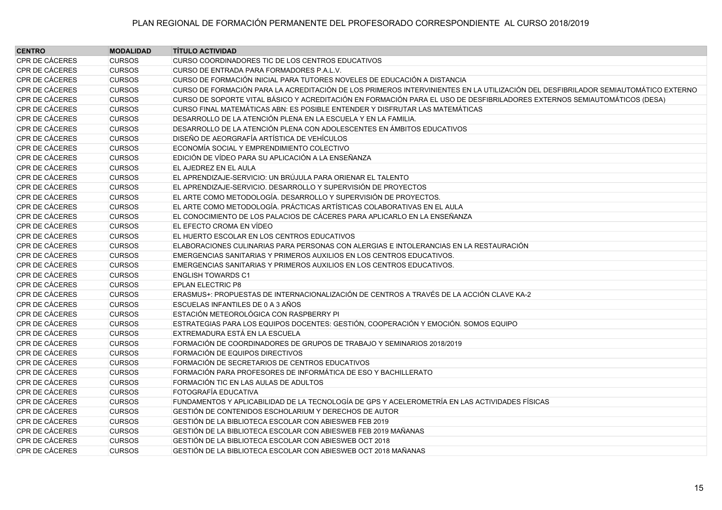| <b>CENTRO</b>         | <b>MODALIDAD</b> | <b>TÍTULO ACTIVIDAD</b>                                                                                                           |
|-----------------------|------------------|-----------------------------------------------------------------------------------------------------------------------------------|
| CPR DE CÁCERES        | <b>CURSOS</b>    | CURSO COORDINADORES TIC DE LOS CENTROS EDUCATIVOS                                                                                 |
| CPR DE CÁCERES        | <b>CURSOS</b>    | CURSO DE ENTRADA PARA FORMADORES P.A.L.V.                                                                                         |
| CPR DE CÁCERES        | <b>CURSOS</b>    | CURSO DE FORMACIÓN INICIAL PARA TUTORES NOVELES DE EDUCACIÓN A DISTANCIA                                                          |
| CPR DE CÁCERES        | <b>CURSOS</b>    | CURSO DE FORMACIÓN PARA LA ACREDITACIÓN DE LOS PRIMEROS INTERVINIENTES EN LA UTILIZACIÓN DEL DESFIBRILADOR SEMIAUTOMÁTICO EXTERNO |
| CPR DE CÁCERES        | <b>CURSOS</b>    | CURSO DE SOPORTE VITAL BÁSICO Y ACREDITACIÓN EN FORMACIÓN PARA EL USO DE DESFIBRILADORES EXTERNOS SEMIAUTOMÁTICOS (DESA)          |
| CPR DE CÁCERES        | <b>CURSOS</b>    | CURSO FINAL MATEMÁTICAS ABN: ES POSIBLE ENTENDER Y DISFRUTAR LAS MATEMÁTICAS                                                      |
| <b>CPR DE CÁCERES</b> | <b>CURSOS</b>    | DESARROLLO DE LA ATENCIÓN PLENA EN LA ESCUELA Y EN LA FAMILIA.                                                                    |
| <b>CPR DE CÁCERES</b> | <b>CURSOS</b>    | DESARROLLO DE LA ATENCIÓN PLENA CON ADOLESCENTES EN ÁMBITOS EDUCATIVOS                                                            |
| CPR DE CÁCERES        | <b>CURSOS</b>    | DISEÑO DE AEORGRAFÍA ARTÍSTICA DE VEHÍCULOS                                                                                       |
| CPR DE CÁCERES        | <b>CURSOS</b>    | ECONOMÍA SOCIAL Y EMPRENDIMIENTO COLECTIVO                                                                                        |
| CPR DE CÁCERES        | <b>CURSOS</b>    | EDICIÓN DE VÍDEO PARA SU APLICACIÓN A LA ENSEÑANZA                                                                                |
| CPR DE CÁCERES        | <b>CURSOS</b>    | EL AJEDREZ EN EL AULA                                                                                                             |
| CPR DE CÁCERES        | <b>CURSOS</b>    | EL APRENDIZAJE-SERVICIO: UN BRÚJULA PARA ORIENAR EL TALENTO                                                                       |
| CPR DE CÁCERES        | <b>CURSOS</b>    | EL APRENDIZAJE-SERVICIO. DESARROLLO Y SUPERVISIÓN DE PROYECTOS                                                                    |
| CPR DE CÁCERES        | <b>CURSOS</b>    | EL ARTE COMO METODOLOGÍA. DESARROLLO Y SUPERVISIÓN DE PROYECTOS.                                                                  |
| CPR DE CÁCERES        | <b>CURSOS</b>    | EL ARTE COMO METODOLOGÍA. PRÁCTICAS ARTÍSTICAS COLABORATIVAS EN EL AULA                                                           |
| <b>CPR DE CÁCERES</b> | <b>CURSOS</b>    | EL CONOCIMIENTO DE LOS PALACIOS DE CÁCERES PARA APLICARLO EN LA ENSEÑANZA                                                         |
| CPR DE CÁCERES        | <b>CURSOS</b>    | EL EFECTO CROMA EN VÍDEO                                                                                                          |
| CPR DE CÁCERES        | <b>CURSOS</b>    | EL HUERTO ESCOLAR EN LOS CENTROS EDUCATIVOS                                                                                       |
| CPR DE CÁCERES        | <b>CURSOS</b>    | ELABORACIONES CULINARIAS PARA PERSONAS CON ALERGIAS E INTOLERANCIAS EN LA RESTAURACIÓN                                            |
| CPR DE CÁCERES        | <b>CURSOS</b>    | EMERGENCIAS SANITARIAS Y PRIMEROS AUXILIOS EN LOS CENTROS EDUCATIVOS.                                                             |
| CPR DE CÁCERES        | <b>CURSOS</b>    | EMERGENCIAS SANITARIAS Y PRIMEROS AUXILIOS EN LOS CENTROS EDUCATIVOS.                                                             |
| CPR DE CÁCERES        | <b>CURSOS</b>    | <b>ENGLISH TOWARDS C1</b>                                                                                                         |
| CPR DE CÁCERES        | <b>CURSOS</b>    | <b>EPLAN ELECTRIC P8</b>                                                                                                          |
| CPR DE CÁCERES        | <b>CURSOS</b>    | ERASMUS+: PROPUESTAS DE INTERNACIONALIZACIÓN DE CENTROS A TRAVÉS DE LA ACCIÓN CLAVE KA-2                                          |
| CPR DE CÁCERES        | <b>CURSOS</b>    | ESCUELAS INFANTILES DE 0 A 3 AÑOS                                                                                                 |
| CPR DE CÁCERES        | <b>CURSOS</b>    | ESTACIÓN METEOROLÓGICA CON RASPBERRY PI                                                                                           |
| CPR DE CÁCERES        | <b>CURSOS</b>    | ESTRATEGIAS PARA LOS EQUIPOS DOCENTES: GESTIÓN, COOPERACIÓN Y EMOCIÓN. SOMOS EQUIPO                                               |
| CPR DE CÁCERES        | <b>CURSOS</b>    | EXTREMADURA ESTÁ EN LA ESCUELA                                                                                                    |
| CPR DE CÁCERES        | <b>CURSOS</b>    | FORMACIÓN DE COORDINADORES DE GRUPOS DE TRABAJO Y SEMINARIOS 2018/2019                                                            |
| CPR DE CÁCERES        | <b>CURSOS</b>    | FORMACIÓN DE EQUIPOS DIRECTIVOS                                                                                                   |
| CPR DE CÁCERES        | <b>CURSOS</b>    | FORMACIÓN DE SECRETARIOS DE CENTROS EDUCATIVOS                                                                                    |
| CPR DE CÁCERES        | <b>CURSOS</b>    | FORMACIÓN PARA PROFESORES DE INFORMÁTICA DE ESO Y BACHILLERATO                                                                    |
| CPR DE CÁCERES        | <b>CURSOS</b>    | FORMACIÓN TIC EN LAS AULAS DE ADULTOS                                                                                             |
| CPR DE CÁCERES        | <b>CURSOS</b>    | <b>FOTOGRAFÍA EDUCATIVA</b>                                                                                                       |
| CPR DE CÁCERES        | <b>CURSOS</b>    | FUNDAMENTOS Y APLICABILIDAD DE LA TECNOLOGÍA DE GPS Y ACELEROMETRÍA EN LAS ACTIVIDADES FÍSICAS                                    |
| CPR DE CÁCERES        | <b>CURSOS</b>    | GESTIÓN DE CONTENIDOS ESCHOLARIUM Y DERECHOS DE AUTOR                                                                             |
| CPR DE CÁCERES        | <b>CURSOS</b>    | GESTIÓN DE LA BIBLIOTECA ESCOLAR CON ABIESWEB FEB 2019                                                                            |
| CPR DE CÁCERES        | <b>CURSOS</b>    | GESTIÓN DE LA BIBLIOTECA ESCOLAR CON ABIESWEB FEB 2019 MAÑANAS                                                                    |
| CPR DE CÁCERES        | <b>CURSOS</b>    | GESTIÓN DE LA BIBLIOTECA ESCOLAR CON ABIESWEB OCT 2018                                                                            |
| CPR DE CÁCERES        | <b>CURSOS</b>    | GESTIÓN DE LA BIBLIOTECA ESCOLAR CON ABIESWEB OCT 2018 MAÑANAS                                                                    |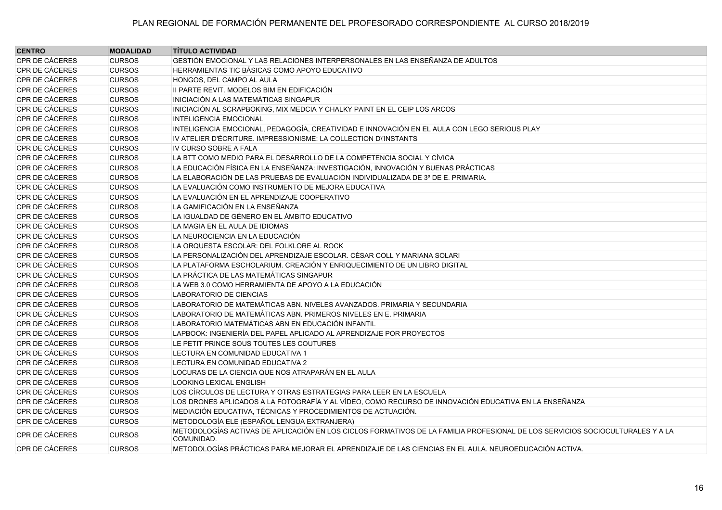| <b>CENTRO</b>         | <b>MODALIDAD</b> | <b>TÍTULO ACTIVIDAD</b>                                                                                                                     |
|-----------------------|------------------|---------------------------------------------------------------------------------------------------------------------------------------------|
| CPR DE CÁCERES        | <b>CURSOS</b>    | GESTIÓN EMOCIONAL Y LAS RELACIONES INTERPERSONALES EN LAS ENSEÑANZA DE ADULTOS                                                              |
| CPR DE CÁCERES        | <b>CURSOS</b>    | HERRAMIENTAS TIC BÁSICAS COMO APOYO EDUCATIVO                                                                                               |
| CPR DE CÁCERES        | <b>CURSOS</b>    | HONGOS, DEL CAMPO AL AULA                                                                                                                   |
| CPR DE CÁCERES        | <b>CURSOS</b>    | II PARTE REVIT. MODELOS BIM EN EDIFICACIÓN                                                                                                  |
| CPR DE CÁCERES        | <b>CURSOS</b>    | INICIACIÓN A LAS MATEMÁTICAS SINGAPUR                                                                                                       |
| CPR DE CÁCERES        | <b>CURSOS</b>    | INICIACIÓN AL SCRAPBOKING, MIX MEDCIA Y CHALKY PAINT EN EL CEIP LOS ARCOS                                                                   |
| CPR DE CÁCERES        | <b>CURSOS</b>    | <b>INTELIGENCIA EMOCIONAL</b>                                                                                                               |
| CPR DE CÁCERES        | <b>CURSOS</b>    | INTELIGENCIA EMOCIONAL, PEDAGOGÍA, CREATIVIDAD E INNOVACIÓN EN EL AULA CON LEGO SERIOUS PLAY                                                |
| CPR DE CÁCERES        | <b>CURSOS</b>    | IV ATELIER D'ÉCRITURE. IMPRESSIONISME: LA COLLECTION DI'INSTANTS                                                                            |
| CPR DE CÁCERES        | <b>CURSOS</b>    | IV CURSO SOBRE A FALA                                                                                                                       |
| CPR DE CÁCERES        | <b>CURSOS</b>    | LA BTT COMO MEDIO PARA EL DESARROLLO DE LA COMPETENCIA SOCIAL Y CÍVICA                                                                      |
| <b>CPR DE CÁCERES</b> | <b>CURSOS</b>    | LA EDUCACIÓN FÍSICA EN LA ENSEÑANZA: INVESTIGACIÓN, INNOVACIÓN Y BUENAS PRÁCTICAS                                                           |
| CPR DE CÁCERES        | <b>CURSOS</b>    | LA ELABORACIÓN DE LAS PRUEBAS DE EVALUACIÓN INDIVIDUALIZADA DE 3º DE E. PRIMARIA.                                                           |
| CPR DE CÁCERES        | <b>CURSOS</b>    | LA EVALUACIÓN COMO INSTRUMENTO DE MEJORA EDUCATIVA                                                                                          |
| CPR DE CÁCERES        | <b>CURSOS</b>    | LA EVALUACIÓN EN EL APRENDIZAJE COOPERATIVO                                                                                                 |
| CPR DE CÁCERES        | <b>CURSOS</b>    | LA GAMIFICACIÓN EN LA ENSEÑANZA                                                                                                             |
| CPR DE CÁCERES        | <b>CURSOS</b>    | LA IGUALDAD DE GÉNERO EN EL ÁMBITO EDUCATIVO                                                                                                |
| CPR DE CÁCERES        | <b>CURSOS</b>    | LA MAGIA EN EL AULA DE IDIOMAS                                                                                                              |
| CPR DE CÁCERES        | <b>CURSOS</b>    | LA NEUROCIENCIA EN LA EDUCACIÓN                                                                                                             |
| CPR DE CÁCERES        | <b>CURSOS</b>    | LA ORQUESTA ESCOLAR: DEL FOLKLORE AL ROCK                                                                                                   |
| CPR DE CÁCERES        | <b>CURSOS</b>    | LA PERSONALIZACIÓN DEL APRENDIZAJE ESCOLAR. CÉSAR COLL Y MARIANA SOLARI                                                                     |
| CPR DE CÁCERES        | <b>CURSOS</b>    | LA PLATAFORMA ESCHOLARIUM. CREACIÓN Y ENRIQUECIMIENTO DE UN LIBRO DIGITAL                                                                   |
| CPR DE CÁCERES        | <b>CURSOS</b>    | LA PRÁCTICA DE LAS MATEMÁTICAS SINGAPUR                                                                                                     |
| CPR DE CÁCERES        | <b>CURSOS</b>    | LA WEB 3.0 COMO HERRAMIENTA DE APOYO A LA EDUCACIÓN                                                                                         |
| CPR DE CÁCERES        | <b>CURSOS</b>    | LABORATORIO DE CIENCIAS                                                                                                                     |
| CPR DE CÁCERES        | <b>CURSOS</b>    | LABORATORIO DE MATEMÁTICAS ABN. NIVELES AVANZADOS. PRIMARIA Y SECUNDARIA                                                                    |
| CPR DE CÁCERES        | <b>CURSOS</b>    | LABORATORIO DE MATEMÁTICAS ABN. PRIMEROS NIVELES EN E. PRIMARIA                                                                             |
| CPR DE CÁCERES        | <b>CURSOS</b>    | LABORATORIO MATEMÁTICAS ABN EN EDUCACIÓN INFANTIL                                                                                           |
| CPR DE CÁCERES        | <b>CURSOS</b>    | LAPBOOK: INGENIERÍA DEL PAPEL APLICADO AL APRENDIZAJE POR PROYECTOS                                                                         |
| CPR DE CÁCERES        | <b>CURSOS</b>    | LE PETIT PRINCE SOUS TOUTES LES COUTURES                                                                                                    |
| CPR DE CÁCERES        | <b>CURSOS</b>    | LECTURA EN COMUNIDAD EDUCATIVA 1                                                                                                            |
| CPR DE CÁCERES        | <b>CURSOS</b>    | LECTURA EN COMUNIDAD EDUCATIVA 2                                                                                                            |
| CPR DE CÁCERES        | <b>CURSOS</b>    | LOCURAS DE LA CIENCIA QUE NOS ATRAPARÁN EN EL AULA                                                                                          |
| CPR DE CÁCERES        | <b>CURSOS</b>    | <b>LOOKING LEXICAL ENGLISH</b>                                                                                                              |
| CPR DE CÁCERES        | <b>CURSOS</b>    | LOS CÍRCULOS DE LECTURA Y OTRAS ESTRATEGIAS PARA LEER EN LA ESCUELA                                                                         |
| CPR DE CÁCERES        | <b>CURSOS</b>    | LOS DRONES APLICADOS A LA FOTOGRAFÍA Y AL VÍDEO, COMO RECURSO DE INNOVACIÓN EDUCATIVA EN LA ENSEÑANZA                                       |
| CPR DE CÁCERES        | <b>CURSOS</b>    | MEDIACIÓN EDUCATIVA, TÉCNICAS Y PROCEDIMIENTOS DE ACTUACIÓN.                                                                                |
| CPR DE CÁCERES        | <b>CURSOS</b>    | METODOLOGÍA ELE (ESPAÑOL LENGUA EXTRANJERA)                                                                                                 |
| CPR DE CÁCERES        | <b>CURSOS</b>    | METODOLOGÍAS ACTIVAS DE APLICACIÓN EN LOS CICLOS FORMATIVOS DE LA FAMILIA PROFESIONAL DE LOS SERVICIOS SOCIOCULTURALES Y A LA<br>COMUNIDAD. |
| CPR DE CÁCERES        | <b>CURSOS</b>    | METODOLOGÍAS PRÁCTICAS PARA MEJORAR EL APRENDIZAJE DE LAS CIENCIAS EN EL AULA. NEUROEDUCACIÓN ACTIVA.                                       |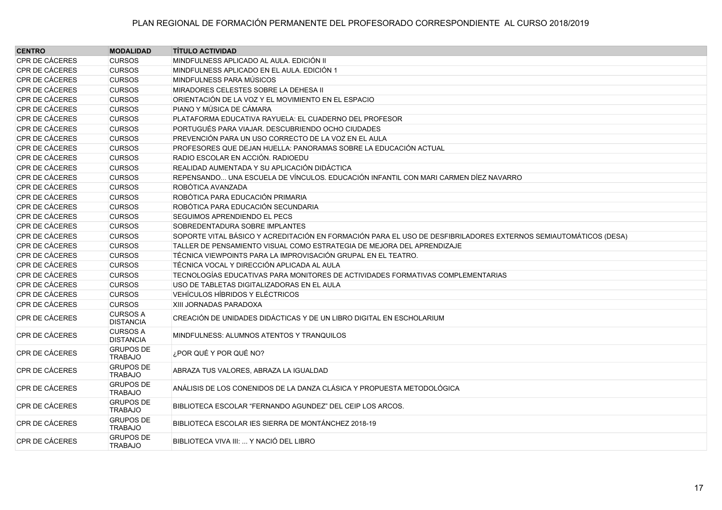| <b>CENTRO</b>  | <b>MODALIDAD</b>                    | <b>TÍTULO ACTIVIDAD</b>                                                                                         |
|----------------|-------------------------------------|-----------------------------------------------------------------------------------------------------------------|
| CPR DE CÁCERES | <b>CURSOS</b>                       | MINDFULNESS APLICADO AL AULA. EDICIÓN II                                                                        |
| CPR DE CÁCERES | <b>CURSOS</b>                       | MINDFULNESS APLICADO EN EL AULA. EDICIÓN 1                                                                      |
| CPR DE CÁCERES | <b>CURSOS</b>                       | MINDFULNESS PARA MÚSICOS                                                                                        |
| CPR DE CÁCERES | <b>CURSOS</b>                       | MIRADORES CELESTES SOBRE LA DEHESA II                                                                           |
| CPR DE CÁCERES | <b>CURSOS</b>                       | ORIENTACIÓN DE LA VOZ Y EL MOVIMIENTO EN EL ESPACIO                                                             |
| CPR DE CÁCERES | <b>CURSOS</b>                       | PIANO Y MÚSICA DE CÁMARA                                                                                        |
| CPR DE CÁCERES | <b>CURSOS</b>                       | PLATAFORMA EDUCATIVA RAYUELA: EL CUADERNO DEL PROFESOR                                                          |
| CPR DE CÁCERES | <b>CURSOS</b>                       | PORTUGUÉS PARA VIAJAR. DESCUBRIENDO OCHO CIUDADES                                                               |
| CPR DE CÁCERES | <b>CURSOS</b>                       | PREVENCIÓN PARA UN USO CORRECTO DE LA VOZ EN EL AULA                                                            |
| CPR DE CÁCERES | <b>CURSOS</b>                       | PROFESORES QUE DEJAN HUELLA: PANORAMAS SOBRE LA EDUCACIÓN ACTUAL                                                |
| CPR DE CÁCERES | <b>CURSOS</b>                       | RADIO ESCOLAR EN ACCIÓN. RADIOEDU                                                                               |
| CPR DE CÁCERES | <b>CURSOS</b>                       | REALIDAD AUMENTADA Y SU APLICACIÓN DIDÁCTICA                                                                    |
| CPR DE CÁCERES | <b>CURSOS</b>                       | REPENSANDO UNA ESCUELA DE VÍNCULOS. EDUCACIÓN INFANTIL CON MARI CARMEN DÍEZ NAVARRO                             |
| CPR DE CÁCERES | <b>CURSOS</b>                       | ROBÓTICA AVANZADA                                                                                               |
| CPR DE CÁCERES | <b>CURSOS</b>                       | ROBÓTICA PARA EDUCACIÓN PRIMARIA                                                                                |
| CPR DE CÁCERES | <b>CURSOS</b>                       | ROBÓTICA PARA EDUCACIÓN SECUNDARIA                                                                              |
| CPR DE CÁCERES | <b>CURSOS</b>                       | SEGUIMOS APRENDIENDO EL PECS                                                                                    |
| CPR DE CÁCERES | <b>CURSOS</b>                       | SOBREDENTADURA SOBRE IMPLANTES                                                                                  |
| CPR DE CÁCERES | <b>CURSOS</b>                       | SOPORTE VITAL BÁSICO Y ACREDITACIÓN EN FORMACIÓN PARA EL USO DE DESFIBRILADORES EXTERNOS SEMIAUTOMÁTICOS (DESA) |
| CPR DE CÁCERES | <b>CURSOS</b>                       | TALLER DE PENSAMIENTO VISUAL COMO ESTRATEGIA DE MEJORA DEL APRENDIZAJE                                          |
| CPR DE CÁCERES | <b>CURSOS</b>                       | TÉCNICA VIEWPOINTS PARA LA IMPROVISACIÓN GRUPAL EN EL TEATRO.                                                   |
| CPR DE CÁCERES | <b>CURSOS</b>                       | TÉCNICA VOCAL Y DIRECCIÓN APLICADA AL AULA                                                                      |
| CPR DE CÁCERES | <b>CURSOS</b>                       | TECNOLOGÍAS EDUCATIVAS PARA MONITORES DE ACTIVIDADES FORMATIVAS COMPLEMENTARIAS                                 |
| CPR DE CÁCERES | <b>CURSOS</b>                       | USO DE TABLETAS DIGITALIZADORAS EN EL AULA                                                                      |
| CPR DE CÁCERES | <b>CURSOS</b>                       | VEHÍCULOS HÍBRIDOS Y ELÉCTRICOS                                                                                 |
| CPR DE CÁCERES | <b>CURSOS</b>                       | XIII JORNADAS PARADOXA                                                                                          |
| CPR DE CÁCERES | <b>CURSOS A</b><br><b>DISTANCIA</b> | CREACIÓN DE UNIDADES DIDÁCTICAS Y DE UN LIBRO DIGITAL EN ESCHOLARIUM                                            |
| CPR DE CÁCERES | <b>CURSOS A</b><br><b>DISTANCIA</b> | MINDFULNESS: ALUMNOS ATENTOS Y TRANQUILOS                                                                       |
| CPR DE CÁCERES | <b>GRUPOS DE</b><br><b>TRABAJO</b>  | ¿POR QUÉ Y POR QUÉ NO?                                                                                          |
| CPR DE CÁCERES | <b>GRUPOS DE</b><br><b>TRABAJO</b>  | ABRAZA TUS VALORES, ABRAZA LA IGUALDAD                                                                          |
| CPR DE CÁCERES | <b>GRUPOS DE</b><br><b>TRABAJO</b>  | ANÁLISIS DE LOS CONENIDOS DE LA DANZA CLÁSICA Y PROPUESTA METODOLÓGICA                                          |
| CPR DE CÁCERES | <b>GRUPOS DE</b><br><b>TRABAJO</b>  | BIBLIOTECA ESCOLAR "FERNANDO AGUNDEZ" DEL CEIP LOS ARCOS.                                                       |
| CPR DE CÁCERES | <b>GRUPOS DE</b><br><b>TRABAJO</b>  | BIBLIOTECA ESCOLAR JES SIERRA DE MONTÁNCHEZ 2018-19                                                             |
| CPR DE CÁCERES | <b>GRUPOS DE</b><br><b>TRABAJO</b>  | BIBLIOTECA VIVA III:  Y NACIÓ DEL LIBRO                                                                         |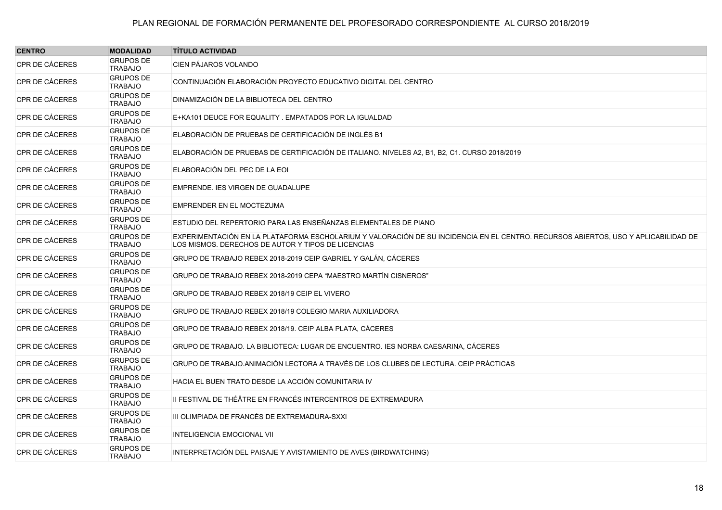| <b>CENTRO</b>         | <b>MODALIDAD</b>                   | <b>TÍTULO ACTIVIDAD</b>                                                                                                                                                                  |
|-----------------------|------------------------------------|------------------------------------------------------------------------------------------------------------------------------------------------------------------------------------------|
| CPR DE CÁCERES        | <b>GRUPOS DE</b><br><b>TRABAJO</b> | CIEN PÁJAROS VOLANDO                                                                                                                                                                     |
| CPR DE CÁCERES        | <b>GRUPOS DE</b><br><b>TRABAJO</b> | CONTINUACIÓN ELABORACIÓN PROYECTO EDUCATIVO DIGITAL DEL CENTRO                                                                                                                           |
| CPR DE CÁCERES        | <b>GRUPOS DE</b><br><b>TRABAJO</b> | DINAMIZACIÓN DE LA BIBLIOTECA DEL CENTRO                                                                                                                                                 |
| CPR DE CÁCERES        | <b>GRUPOS DE</b><br><b>TRABAJO</b> | E+KA101 DEUCE FOR EQUALITY . EMPATADOS POR LA IGUALDAD                                                                                                                                   |
| CPR DE CÁCERES        | <b>GRUPOS DE</b><br><b>TRABAJO</b> | ELABORACIÓN DE PRUEBAS DE CERTIFICACIÓN DE INGLÉS B1                                                                                                                                     |
| CPR DE CÁCERES        | <b>GRUPOS DE</b><br><b>TRABAJO</b> | ELABORACIÓN DE PRUEBAS DE CERTIFICACIÓN DE ITALIANO. NIVELES A2, B1, B2, C1. CURSO 2018/2019                                                                                             |
| CPR DE CÁCERES        | <b>GRUPOS DE</b><br><b>TRABAJO</b> | ELABORACIÓN DEL PEC DE LA EOI                                                                                                                                                            |
| CPR DE CÁCERES        | <b>GRUPOS DE</b><br><b>TRABAJO</b> | EMPRENDE. IES VIRGEN DE GUADALUPE                                                                                                                                                        |
| CPR DE CÁCERES        | <b>GRUPOS DE</b><br><b>TRABAJO</b> | EMPRENDER EN EL MOCTEZUMA                                                                                                                                                                |
| <b>CPR DE CÁCERES</b> | <b>GRUPOS DE</b><br><b>TRABAJO</b> | ESTUDIO DEL REPERTORIO PARA LAS ENSEÑANZAS ELEMENTALES DE PIANO                                                                                                                          |
| CPR DE CÁCERES        | <b>GRUPOS DE</b><br><b>TRABAJO</b> | EXPERIMENTACIÓN EN LA PLATAFORMA ESCHOLARIUM Y VALORACIÓN DE SU INCIDENCIA EN EL CENTRO. RECURSOS ABIERTOS, USO Y APLICABILIDAD DE<br>LOS MISMOS. DERECHOS DE AUTOR Y TIPOS DE LICENCIAS |
| CPR DE CÁCERES        | <b>GRUPOS DE</b><br><b>TRABAJO</b> | GRUPO DE TRABAJO REBEX 2018-2019 CEIP GABRIEL Y GALÁN, CÁCERES                                                                                                                           |
| CPR DE CÁCERES        | <b>GRUPOS DE</b><br><b>TRABAJO</b> | GRUPO DE TRABAJO REBEX 2018-2019 CEPA "MAESTRO MARTÍN CISNEROS"                                                                                                                          |
| CPR DE CÁCERES        | <b>GRUPOS DE</b><br><b>TRABAJO</b> | GRUPO DE TRABAJO REBEX 2018/19 CEIP EL VIVERO                                                                                                                                            |
| CPR DE CÁCERES        | <b>GRUPOS DE</b><br><b>TRABAJO</b> | GRUPO DE TRABAJO REBEX 2018/19 COLEGIO MARIA AUXILIADORA                                                                                                                                 |
| <b>CPR DE CÁCERES</b> | <b>GRUPOS DE</b><br><b>TRABAJO</b> | GRUPO DE TRABAJO REBEX 2018/19. CEIP ALBA PLATA, CÁCERES                                                                                                                                 |
| CPR DE CÁCERES        | <b>GRUPOS DE</b><br><b>TRABAJO</b> | GRUPO DE TRABAJO. LA BIBLIOTECA: LUGAR DE ENCUENTRO. IES NORBA CAESARINA, CÁCERES                                                                                                        |
| CPR DE CÁCERES        | <b>GRUPOS DE</b><br><b>TRABAJO</b> | GRUPO DE TRABAJO ANIMACIÓN LECTORA A TRAVÉS DE LOS CLUBES DE LECTURA. CEIP PRÁCTICAS                                                                                                     |
| CPR DE CÁCERES        | <b>GRUPOS DE</b><br><b>TRABAJO</b> | HACIA EL BUEN TRATO DESDE LA ACCIÓN COMUNITARIA IV                                                                                                                                       |
| CPR DE CÁCERES        | <b>GRUPOS DE</b><br><b>TRABAJO</b> | II FESTIVAL DE THÉÂTRE EN FRANCÉS INTERCENTROS DE EXTREMADURA                                                                                                                            |
| CPR DE CÁCERES        | <b>GRUPOS DE</b><br><b>TRABAJO</b> | III OLIMPIADA DE FRANCÉS DE EXTREMADURA-SXXI                                                                                                                                             |
| CPR DE CÁCERES        | <b>GRUPOS DE</b><br><b>TRABAJO</b> | <b>INTELIGENCIA EMOCIONAL VII</b>                                                                                                                                                        |
| CPR DE CÁCERES        | <b>GRUPOS DE</b><br><b>TRABAJO</b> | INTERPRETACIÓN DEL PAISAJE Y AVISTAMIENTO DE AVES (BIRDWATCHING)                                                                                                                         |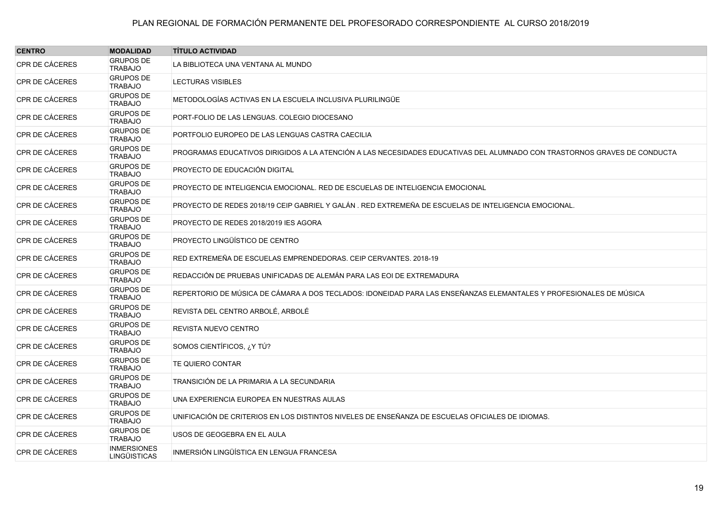| <b>CENTRO</b>         | <b>MODALIDAD</b>                          | <b>TÍTULO ACTIVIDAD</b>                                                                                                  |
|-----------------------|-------------------------------------------|--------------------------------------------------------------------------------------------------------------------------|
| <b>CPR DE CÁCERES</b> | <b>GRUPOS DE</b><br><b>TRABAJO</b>        | LA BIBLIOTECA UNA VENTANA AL MUNDO                                                                                       |
| <b>CPR DE CÁCERES</b> | <b>GRUPOS DE</b><br><b>TRABAJO</b>        | <b>LECTURAS VISIBLES</b>                                                                                                 |
| CPR DE CÁCERES        | <b>GRUPOS DE</b><br><b>TRABAJO</b>        | METODOLOGÍAS ACTIVAS EN LA ESCUELA INCLUSIVA PLURILINGÜE                                                                 |
| CPR DE CÁCERES        | <b>GRUPOS DE</b><br><b>TRABAJO</b>        | PORT-FOLIO DE LAS LENGUAS. COLEGIO DIOCESANO                                                                             |
| <b>CPR DE CÁCERES</b> | <b>GRUPOS DE</b><br><b>TRABAJO</b>        | PORTFOLIO EUROPEO DE LAS LENGUAS CASTRA CAECILIA                                                                         |
| CPR DE CÁCERES        | <b>GRUPOS DE</b><br><b>TRABAJO</b>        | PROGRAMAS EDUCATIVOS DIRIGIDOS A LA ATENCIÓN A LAS NECESIDADES EDUCATIVAS DEL ALUMNADO CON TRASTORNOS GRAVES DE CONDUCTA |
| CPR DE CÁCERES        | <b>GRUPOS DE</b><br><b>TRABAJO</b>        | PROYECTO DE EDUCACIÓN DIGITAL                                                                                            |
| <b>CPR DE CÁCERES</b> | <b>GRUPOS DE</b><br><b>TRABAJO</b>        | PROYECTO DE INTELIGENCIA EMOCIONAL. RED DE ESCUELAS DE INTELIGENCIA EMOCIONAL                                            |
| CPR DE CÁCERES        | <b>GRUPOS DE</b><br><b>TRABAJO</b>        | PROYECTO DE REDES 2018/19 CEIP GABRIEL Y GALÁN . RED EXTREMEÑA DE ESCUELAS DE INTELIGENCIA EMOCIONAL.                    |
| CPR DE CÁCERES        | <b>GRUPOS DE</b><br><b>TRABAJO</b>        | PROYECTO DE REDES 2018/2019 IES AGORA                                                                                    |
| <b>CPR DE CÁCERES</b> | <b>GRUPOS DE</b><br><b>TRABAJO</b>        | PROYECTO LINGÜÍSTICO DE CENTRO                                                                                           |
| CPR DE CÁCERES        | <b>GRUPOS DE</b><br><b>TRABAJO</b>        | RED EXTREMEÑA DE ESCUELAS EMPRENDEDORAS. CEIP CERVANTES. 2018-19                                                         |
| <b>CPR DE CÁCERES</b> | <b>GRUPOS DE</b><br><b>TRABAJO</b>        | REDACCIÓN DE PRUEBAS UNIFICADAS DE ALEMÁN PARA LAS EOI DE EXTREMADURA                                                    |
| <b>CPR DE CÁCERES</b> | <b>GRUPOS DE</b><br><b>TRABAJO</b>        | REPERTORIO DE MÚSICA DE CÁMARA A DOS TECLADOS: IDONEIDAD PARA LAS ENSEÑANZAS ELEMANTALES Y PROFESIONALES DE MÚSICA       |
| CPR DE CÁCERES        | <b>GRUPOS DE</b><br><b>TRABAJO</b>        | REVISTA DEL CENTRO ARBOLÉ, ARBOLÉ                                                                                        |
| CPR DE CÁCERES        | <b>GRUPOS DE</b><br><b>TRABAJO</b>        | REVISTA NUEVO CENTRO                                                                                                     |
| <b>CPR DE CÁCERES</b> | <b>GRUPOS DE</b><br><b>TRABAJO</b>        | SOMOS CIENTÍFICOS, ¿Y TÚ?                                                                                                |
| CPR DE CÁCERES        | <b>GRUPOS DE</b><br><b>TRABAJO</b>        | TE QUIERO CONTAR                                                                                                         |
| CPR DE CÁCERES        | <b>GRUPOS DE</b><br><b>TRABAJO</b>        | TRANSICIÓN DE LA PRIMARIA A LA SECUNDARIA                                                                                |
| <b>CPR DE CÁCERES</b> | <b>GRUPOS DE</b><br><b>TRABAJO</b>        | UNA EXPERIENCIA EUROPEA EN NUESTRAS AULAS                                                                                |
| CPR DE CÁCERES        | <b>GRUPOS DE</b><br><b>TRABAJO</b>        | UNIFICACIÓN DE CRITERIOS EN LOS DISTINTOS NIVELES DE ENSEÑANZA DE ESCUELAS OFICIALES DE IDIOMAS.                         |
| CPR DE CÁCERES        | <b>GRUPOS DE</b><br><b>TRABAJO</b>        | USOS DE GEOGEBRA EN EL AULA                                                                                              |
| <b>CPR DE CÁCERES</b> | <b>INMERSIONES</b><br><b>LINGÜISTICAS</b> | INMERSIÓN LINGÜÍSTICA EN LENGUA FRANCESA                                                                                 |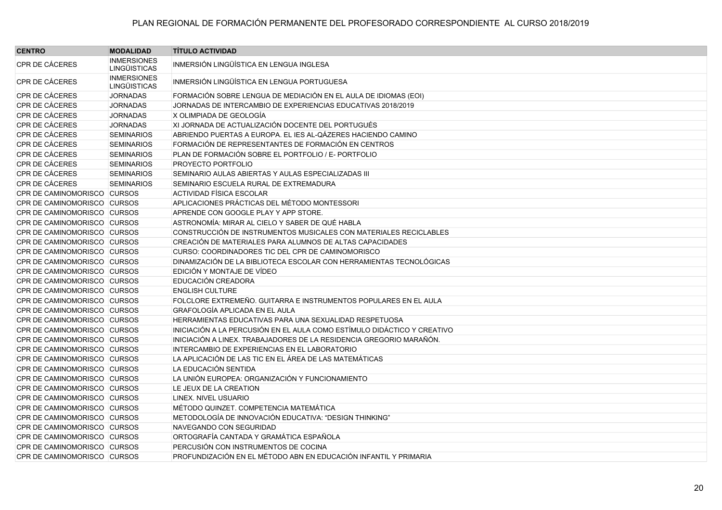| <b>CENTRO</b>               | <b>MODALIDAD</b>                          | <b>TÍTULO ACTIVIDAD</b>                                                 |
|-----------------------------|-------------------------------------------|-------------------------------------------------------------------------|
| <b>CPR DE CÁCERES</b>       | <b>INMERSIONES</b><br><b>LINGÜISTICAS</b> | INMERSIÓN LINGÜÍSTICA EN LENGUA INGLESA                                 |
| CPR DE CÁCERES              | <b>INMERSIONES</b><br><b>LINGÜISTICAS</b> | INMERSIÓN LINGÜÍSTICA EN LENGUA PORTUGUESA                              |
| CPR DE CÁCERES              | <b>JORNADAS</b>                           | FORMACIÓN SOBRE LENGUA DE MEDIACIÓN EN EL AULA DE IDIOMAS (EOI)         |
| <b>CPR DE CÁCERES</b>       | <b>JORNADAS</b>                           | JORNADAS DE INTERCAMBIO DE EXPERIENCIAS EDUCATIVAS 2018/2019            |
| <b>CPR DE CÁCERES</b>       | <b>JORNADAS</b>                           | X OLIMPIADA DE GEOLOGÍA                                                 |
| CPR DE CÁCERES              | <b>JORNADAS</b>                           | XI JORNADA DE ACTUALIZACIÓN DOCENTE DEL PORTUGUÉS                       |
| CPR DE CÁCERES              | <b>SEMINARIOS</b>                         | ABRIENDO PUERTAS A EUROPA. EL IES AL-QÁZERES HACIENDO CAMINO            |
| <b>CPR DE CÁCERES</b>       | <b>SEMINARIOS</b>                         | FORMACIÓN DE REPRESENTANTES DE FORMACIÓN EN CENTROS                     |
| CPR DE CÁCERES              | <b>SEMINARIOS</b>                         | PLAN DE FORMACIÓN SOBRE EL PORTFOLIO / E- PORTFOLIO                     |
| CPR DE CÁCERES              | <b>SEMINARIOS</b>                         | PROYECTO PORTFOLIO                                                      |
| CPR DE CÁCERES              | <b>SEMINARIOS</b>                         | SEMINARIO AULAS ABIERTAS Y AULAS ESPECIALIZADAS III                     |
| CPR DE CÁCERES              | <b>SEMINARIOS</b>                         | SEMINARIO ESCUELA RURAL DE EXTREMADURA                                  |
| CPR DE CAMINOMORISCO CURSOS |                                           | <b>ACTIVIDAD FÍSICA ESCOLAR</b>                                         |
| CPR DE CAMINOMORISCO CURSOS |                                           | APLICACIONES PRÁCTICAS DEL MÉTODO MONTESSORI                            |
| CPR DE CAMINOMORISCO CURSOS |                                           | APRENDE CON GOOGLE PLAY Y APP STORE.                                    |
| CPR DE CAMINOMORISCO CURSOS |                                           | ASTRONOMÍA: MIRAR AL CIELO Y SABER DE QUÉ HABLA                         |
| CPR DE CAMINOMORISCO CURSOS |                                           | CONSTRUCCIÓN DE INSTRUMENTOS MUSICALES CON MATERIALES RECICLABLES       |
| CPR DE CAMINOMORISCO CURSOS |                                           | CREACIÓN DE MATERIALES PARA ALUMNOS DE ALTAS CAPACIDADES                |
| CPR DE CAMINOMORISCO CURSOS |                                           | CURSO: COORDINADORES TIC DEL CPR DE CAMINOMORISCO                       |
| CPR DE CAMINOMORISCO CURSOS |                                           | DINAMIZACIÓN DE LA BIBLIOTECA ESCOLAR CON HERRAMIENTAS TECNOLÓGICAS     |
| CPR DE CAMINOMORISCO CURSOS |                                           | EDICIÓN Y MONTAJE DE VÍDEO                                              |
| CPR DE CAMINOMORISCO CURSOS |                                           | EDUCACIÓN CREADORA                                                      |
| CPR DE CAMINOMORISCO CURSOS |                                           | <b>ENGLISH CULTURE</b>                                                  |
| CPR DE CAMINOMORISCO CURSOS |                                           | FOLCLORE EXTREMEÑO. GUITARRA E INSTRUMENTOS POPULARES EN EL AULA        |
| CPR DE CAMINOMORISCO CURSOS |                                           | <b>GRAFOLOGÍA APLICADA EN EL AULA</b>                                   |
| CPR DE CAMINOMORISCO CURSOS |                                           | HERRAMIENTAS EDUCATIVAS PARA UNA SEXUALIDAD RESPETUOSA                  |
| CPR DE CAMINOMORISCO CURSOS |                                           | INICIACIÓN A LA PERCUSIÓN EN EL AULA COMO ESTÍMULO DIDÁCTICO Y CREATIVO |
| CPR DE CAMINOMORISCO CURSOS |                                           | INICIACIÓN A LINEX. TRABAJADORES DE LA RESIDENCIA GREGORIO MARAÑÓN.     |
| CPR DE CAMINOMORISCO CURSOS |                                           | INTERCAMBIO DE EXPERIENCIAS EN EL LABORATORIO                           |
| CPR DE CAMINOMORISCO CURSOS |                                           | LA APLICACIÓN DE LAS TIC EN EL ÁREA DE LAS MATEMÁTICAS                  |
| CPR DE CAMINOMORISCO CURSOS |                                           | LA EDUCACIÓN SENTIDA                                                    |
| CPR DE CAMINOMORISCO CURSOS |                                           | LA UNIÓN EUROPEA: ORGANIZACIÓN Y FUNCIONAMIENTO                         |
| CPR DE CAMINOMORISCO CURSOS |                                           | LE JEUX DE LA CREATION                                                  |
| CPR DE CAMINOMORISCO CURSOS |                                           | LINEX. NIVEL USUARIO                                                    |
| CPR DE CAMINOMORISCO CURSOS |                                           | MÉTODO QUINZET. COMPETENCIA MATEMÁTICA                                  |
| CPR DE CAMINOMORISCO CURSOS |                                           | METODOLOGÍA DE INNOVACIÓN EDUCATIVA: "DESIGN THINKING"                  |
| CPR DE CAMINOMORISCO CURSOS |                                           | NAVEGANDO CON SEGURIDAD                                                 |
| CPR DE CAMINOMORISCO CURSOS |                                           | ORTOGRAFÍA CANTADA Y GRAMÁTICA ESPAÑOLA                                 |
| CPR DE CAMINOMORISCO CURSOS |                                           | PERCUSIÓN CON INSTRUMENTOS DE COCINA                                    |
| CPR DE CAMINOMORISCO CURSOS |                                           | PROFUNDIZACIÓN EN EL MÉTODO ABN EN EDUCACIÓN INFANTIL Y PRIMARIA        |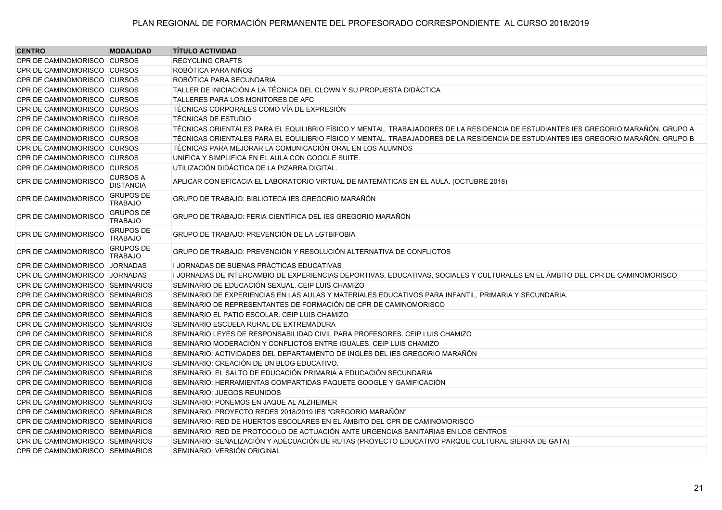| <b>CENTRO</b>                          | <b>MODALIDAD</b>                    | <b>TÍTULO ACTIVIDAD</b>                                                                                                            |
|----------------------------------------|-------------------------------------|------------------------------------------------------------------------------------------------------------------------------------|
| CPR DE CAMINOMORISCO CURSOS            |                                     | <b>RECYCLING CRAFTS</b>                                                                                                            |
| CPR DE CAMINOMORISCO CURSOS            |                                     | ROBÓTICA PARA NIÑOS                                                                                                                |
| CPR DE CAMINOMORISCO CURSOS            |                                     | ROBÓTICA PARA SECUNDARIA                                                                                                           |
| CPR DE CAMINOMORISCO CURSOS            |                                     | TALLER DE INICIACIÓN A LA TÉCNICA DEL CLOWN Y SU PROPUESTA DIDÁCTICA                                                               |
| CPR DE CAMINOMORISCO CURSOS            |                                     | TALLERES PARA LOS MONITORES DE AFC                                                                                                 |
| CPR DE CAMINOMORISCO CURSOS            |                                     | TÉCNICAS CORPORALES COMO VÍA DE EXPRESIÓN                                                                                          |
| CPR DE CAMINOMORISCO CURSOS            |                                     | <b>TÉCNICAS DE ESTUDIO</b>                                                                                                         |
| CPR DE CAMINOMORISCO CURSOS            |                                     | TÉCNICAS ORIENTALES PARA EL EQUILIBRIO FÍSICO Y MENTAL. TRABAJADORES DE LA RESIDENCIA DE ESTUDIANTES IES GREGORIO MARAÑÓN. GRUPO A |
| CPR DE CAMINOMORISCO CURSOS            |                                     | TÉCNICAS ORIENTALES PARA EL EQUILIBRIO FÍSICO Y MENTAL. TRABAJADORES DE LA RESIDENCIA DE ESTUDIANTES IES GREGORIO MARAÑÓN. GRUPO B |
| CPR DE CAMINOMORISCO CURSOS            |                                     | TÉCNICAS PARA MEJORAR LA COMUNICACIÓN ORAL EN LOS ALUMNOS                                                                          |
| CPR DE CAMINOMORISCO CURSOS            |                                     | UNIFICA Y SIMPLIFICA EN EL AULA CON GOOGLE SUITE.                                                                                  |
| CPR DE CAMINOMORISCO CURSOS            |                                     | UTILIZACIÓN DIDÁCTICA DE LA PIZARRA DIGITAL.                                                                                       |
| CPR DE CAMINOMORISCO                   | <b>CURSOS A</b><br><b>DISTANCIA</b> | APLICAR CON EFICACIA EL LABORATORIO VIRTUAL DE MATEMÁTICAS EN EL AULA. (OCTUBRE 2018)                                              |
| CPR DE CAMINOMORISCO                   | <b>GRUPOS DE</b><br><b>TRABAJO</b>  | GRUPO DE TRABAJO: BIBLIOTECA IES GREGORIO MARAÑÓN                                                                                  |
| <b>CPR DE CAMINOMORISCO</b>            | <b>GRUPOS DE</b><br><b>TRABAJO</b>  | GRUPO DE TRABAJO: FERIA CIENTÍFICA DEL IES GREGORIO MARAÑÓN                                                                        |
| <b>CPR DE CAMINOMORISCO</b>            | <b>GRUPOS DE</b><br><b>TRABAJO</b>  | GRUPO DE TRABAJO: PREVENCIÓN DE LA LGTBIFOBIA                                                                                      |
| <b>CPR DE CAMINOMORISCO</b>            | <b>GRUPOS DE</b><br><b>TRABAJO</b>  | GRUPO DE TRABAJO: PREVENCIÓN Y RESOLUCIÓN ALTERNATIVA DE CONFLICTOS                                                                |
| CPR DE CAMINOMORISCO JORNADAS          |                                     | I JORNADAS DE BUENAS PRÁCTICAS EDUCATIVAS                                                                                          |
| CPR DE CAMINOMORISCO JORNADAS          |                                     | I JORNADAS DE INTERCAMBIO DE EXPERIENCIAS DEPORTIVAS, EDUCATIVAS, SOCIALES Y CULTURALES EN EL ÁMBITO DEL CPR DE CAMINOMORISCO      |
| CPR DE CAMINOMORISCO SEMINARIOS        |                                     | SEMINARIO DE EDUCACIÓN SEXUAL. CEIP LUIS CHAMIZO                                                                                   |
| CPR DE CAMINOMORISCO SEMINARIOS        |                                     | SEMINARIO DE EXPERIENCIAS EN LAS AULAS Y MATERIALES EDUCATIVOS PARA INFANTIL, PRIMARIA Y SECUNDARIA.                               |
| CPR DE CAMINOMORISCO SEMINARIOS        |                                     | SEMINARIO DE REPRESENTANTES DE FORMACIÓN DE CPR DE CAMINOMORISCO                                                                   |
| CPR DE CAMINOMORISCO SEMINARIOS        |                                     | SEMINARIO EL PATIO ESCOLAR. CEIP LUIS CHAMIZO                                                                                      |
| CPR DE CAMINOMORISCO SEMINARIOS        |                                     | SEMINARIO ESCUELA RURAL DE EXTREMADURA                                                                                             |
| CPR DE CAMINOMORISCO SEMINARIOS        |                                     | SEMINARIO LEYES DE RESPONSABILIDAD CIVIL PARA PROFESORES. CEIP LUIS CHAMIZO                                                        |
| CPR DE CAMINOMORISCO SEMINARIOS        |                                     | SEMINARIO MODERACIÓN Y CONFLICTOS ENTRE IGUALES. CEIP LUIS CHAMIZO                                                                 |
| CPR DE CAMINOMORISCO SEMINARIOS        |                                     | SEMINARIO: ACTIVIDADES DEL DEPARTAMENTO DE INGLÉS DEL IES GREGORIO MARAÑÓN                                                         |
| CPR DE CAMINOMORISCO SEMINARIOS        |                                     | SEMINARIO: CREACIÓN DE UN BLOG EDUCATIVO.                                                                                          |
| CPR DE CAMINOMORISCO SEMINARIOS        |                                     | SEMINARIO: EL SALTO DE EDUCACIÓN PRIMARIA A EDUCACIÓN SECUNDARIA                                                                   |
| CPR DE CAMINOMORISCO SEMINARIOS        |                                     | SEMINARIO: HERRAMIENTAS COMPARTIDAS PAQUETE GOOGLE Y GAMIFICACIÓN                                                                  |
| CPR DE CAMINOMORISCO SEMINARIOS        |                                     | SEMINARIO: JUEGOS REUNIDOS                                                                                                         |
| CPR DE CAMINOMORISCO SEMINARIOS        |                                     | SEMINARIO: PONEMOS EN JAQUE AL ALZHEIMER                                                                                           |
| CPR DE CAMINOMORISCO SEMINARIOS        |                                     | SEMINARIO: PROYECTO REDES 2018/2019 IES "GREGORIO MARAÑÓN"                                                                         |
| CPR DE CAMINOMORISCO SEMINARIOS        |                                     | SEMINARIO: RED DE HUERTOS ESCOLARES EN EL ÁMBITO DEL CPR DE CAMINOMORISCO                                                          |
| CPR DE CAMINOMORISCO SEMINARIOS        |                                     | SEMINARIO: RED DE PROTOCOLO DE ACTUACIÓN ANTE URGENCIAS SANITARIAS EN LOS CENTROS                                                  |
| <b>CPR DE CAMINOMORISCO SEMINARIOS</b> |                                     | SEMINARIO: SEÑALIZACIÓN Y ADECUACIÓN DE RUTAS (PROYECTO EDUCATIVO PARQUE CULTURAL SIERRA DE GATA)                                  |
| CPR DE CAMINOMORISCO SEMINARIOS        |                                     | SEMINARIO: VERSIÓN ORIGINAL                                                                                                        |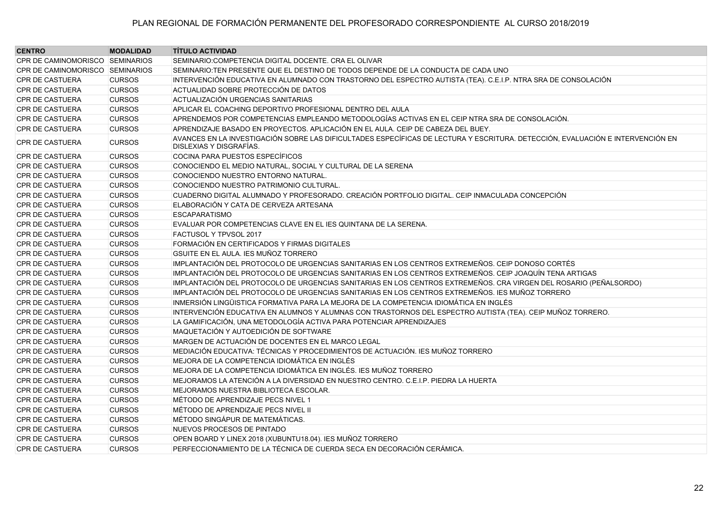| <b>CENTRO</b>                   | <b>MODALIDAD</b> | <b>TÍTULO ACTIVIDAD</b>                                                                                                                                   |
|---------------------------------|------------------|-----------------------------------------------------------------------------------------------------------------------------------------------------------|
| CPR DE CAMINOMORISCO SEMINARIOS |                  | SEMINARIO: COMPETENCIA DIGITAL DOCENTE. CRA EL OLIVAR                                                                                                     |
| CPR DE CAMINOMORISCO SEMINARIOS |                  | SEMINARIO:TEN PRESENTE QUE EL DESTINO DE TODOS DEPENDE DE LA CONDUCTA DE CADA UNO                                                                         |
| <b>CPR DE CASTUERA</b>          | <b>CURSOS</b>    | INTERVENCIÓN EDUCATIVA EN ALUMNADO CON TRASTORNO DEL ESPECTRO AUTISTA (TEA). C.E.I.P. NTRA SRA DE CONSOLACIÓN                                             |
| <b>CPR DE CASTUERA</b>          | <b>CURSOS</b>    | ACTUALIDAD SOBRE PROTECCIÓN DE DATOS                                                                                                                      |
| <b>CPR DE CASTUERA</b>          | <b>CURSOS</b>    | ACTUALIZACIÓN URGENCIAS SANITARIAS                                                                                                                        |
| <b>CPR DE CASTUERA</b>          | <b>CURSOS</b>    | APLICAR EL COACHING DEPORTIVO PROFESIONAL DENTRO DEL AULA                                                                                                 |
| <b>CPR DE CASTUERA</b>          | <b>CURSOS</b>    | APRENDEMOS POR COMPETENCIAS EMPLEANDO METODOLOGÍAS ACTIVAS EN EL CEIP NTRA SRA DE CONSOLACIÓN.                                                            |
| <b>CPR DE CASTUERA</b>          | <b>CURSOS</b>    | APRENDIZAJE BASADO EN PROYECTOS. APLICACIÓN EN EL AULA. CEIP DE CABEZA DEL BUEY.                                                                          |
| <b>CPR DE CASTUERA</b>          | <b>CURSOS</b>    | AVANCES EN LA INVESTIGACIÓN SOBRE LAS DIFICULTADES ESPECÍFICAS DE LECTURA Y ESCRITURA. DETECCIÓN, EVALUACIÓN E INTERVENCIÓN EN<br>DISLEXIAS Y DISGRAFÍAS. |
| <b>CPR DE CASTUERA</b>          | <b>CURSOS</b>    | COCINA PARA PUESTOS ESPECÍFICOS                                                                                                                           |
| <b>CPR DE CASTUERA</b>          | <b>CURSOS</b>    | CONOCIENDO EL MEDIO NATURAL, SOCIAL Y CULTURAL DE LA SERENA                                                                                               |
| <b>CPR DE CASTUERA</b>          | <b>CURSOS</b>    | CONOCIENDO NUESTRO ENTORNO NATURAL.                                                                                                                       |
| <b>CPR DE CASTUERA</b>          | <b>CURSOS</b>    | CONOCIENDO NUESTRO PATRIMONIO CULTURAL.                                                                                                                   |
| <b>CPR DE CASTUERA</b>          | <b>CURSOS</b>    | CUADERNO DIGITAL ALUMNADO Y PROFESORADO. CREACIÓN PORTFOLIO DIGITAL. CEIP INMACULADA CONCEPCIÓN                                                           |
| <b>CPR DE CASTUERA</b>          | <b>CURSOS</b>    | ELABORACIÓN Y CATA DE CERVEZA ARTESANA                                                                                                                    |
| <b>CPR DE CASTUERA</b>          | <b>CURSOS</b>    | <b>ESCAPARATISMO</b>                                                                                                                                      |
| <b>CPR DE CASTUERA</b>          | <b>CURSOS</b>    | EVALUAR POR COMPETENCIAS CLAVE EN EL IES QUINTANA DE LA SERENA.                                                                                           |
| <b>CPR DE CASTUERA</b>          | <b>CURSOS</b>    | FACTUSOL Y TPVSOL 2017                                                                                                                                    |
| <b>CPR DE CASTUERA</b>          | <b>CURSOS</b>    | FORMACIÓN EN CERTIFICADOS Y FIRMAS DIGITALES                                                                                                              |
| <b>CPR DE CASTUERA</b>          | <b>CURSOS</b>    | GSUITE EN EL AULA. IES MUÑOZ TORRERO                                                                                                                      |
| <b>CPR DE CASTUERA</b>          | <b>CURSOS</b>    | IMPLANTACIÓN DEL PROTOCOLO DE URGENCIAS SANITARIAS EN LOS CENTROS EXTREMEÑOS. CEIP DONOSO CORTÉS                                                          |
| <b>CPR DE CASTUERA</b>          | <b>CURSOS</b>    | IMPLANTACIÓN DEL PROTOCOLO DE URGENCIAS SANITARIAS EN LOS CENTROS EXTREMEÑOS. CEIP JOAQUÍN TENA ARTIGAS                                                   |
| CPR DE CASTUERA                 | <b>CURSOS</b>    | IMPLANTACIÓN DEL PROTOCOLO DE URGENCIAS SANITARIAS EN LOS CENTROS EXTREMEÑOS. CRA VIRGEN DEL ROSARIO (PEÑALSORDO)                                         |
| <b>CPR DE CASTUERA</b>          | <b>CURSOS</b>    | IMPLANTACIÓN DEL PROTOCOLO DE URGENCIAS SANITARIAS EN LOS CENTROS EXTREMEÑOS. IES MUÑOZ TORRERO                                                           |
| <b>CPR DE CASTUERA</b>          | <b>CURSOS</b>    | INMERSIÓN LINGÜISTICA FORMATIVA PARA LA MEJORA DE LA COMPETENCIA IDIOMÁTICA EN INGLÉS                                                                     |
| <b>CPR DE CASTUERA</b>          | <b>CURSOS</b>    | INTERVENCIÓN EDUCATIVA EN ALUMNOS Y ALUMNAS CON TRASTORNOS DEL ESPECTRO AUTISTA (TEA). CEIP MUÑOZ TORRERO.                                                |
| <b>CPR DE CASTUERA</b>          | <b>CURSOS</b>    | LA GAMIFICACIÓN, UNA METODOLOGÍA ACTIVA PARA POTENCIAR APRENDIZAJES                                                                                       |
| <b>CPR DE CASTUERA</b>          | <b>CURSOS</b>    | MAQUETACIÓN Y AUTOEDICIÓN DE SOFTWARE                                                                                                                     |
| <b>CPR DE CASTUERA</b>          | <b>CURSOS</b>    | MARGEN DE ACTUACIÓN DE DOCENTES EN EL MARCO LEGAL                                                                                                         |
| <b>CPR DE CASTUERA</b>          | <b>CURSOS</b>    | MEDIACIÓN EDUCATIVA: TÉCNICAS Y PROCEDIMIENTOS DE ACTUACIÓN. IES MUÑOZ TORRERO                                                                            |
| <b>CPR DE CASTUERA</b>          | <b>CURSOS</b>    | MEJORA DE LA COMPETENCIA IDIOMÁTICA EN INGLÉS                                                                                                             |
| <b>CPR DE CASTUERA</b>          | <b>CURSOS</b>    | MEJORA DE LA COMPETENCIA IDIOMÁTICA EN INGLÉS. IES MUÑOZ TORRERO                                                                                          |
| <b>CPR DE CASTUERA</b>          | <b>CURSOS</b>    | MEJORAMOS LA ATENCIÓN A LA DIVERSIDAD EN NUESTRO CENTRO. C.E.I.P. PIEDRA LA HUERTA                                                                        |
| <b>CPR DE CASTUERA</b>          | <b>CURSOS</b>    | MEJORAMOS NUESTRA BIBLIOTECA ESCOLAR.                                                                                                                     |
| CPR DE CASTUERA                 | <b>CURSOS</b>    | MÉTODO DE APRENDIZAJE PECS NIVEL 1                                                                                                                        |
| <b>CPR DE CASTUERA</b>          | <b>CURSOS</b>    | MÉTODO DE APRENDIZAJE PECS NIVEL II                                                                                                                       |
| <b>CPR DE CASTUERA</b>          | <b>CURSOS</b>    | MÉTODO SINGÁPUR DE MATEMÁTICAS.                                                                                                                           |
| <b>CPR DE CASTUERA</b>          | <b>CURSOS</b>    | NUEVOS PROCESOS DE PINTADO                                                                                                                                |
| CPR DE CASTUERA                 | <b>CURSOS</b>    | OPEN BOARD Y LINEX 2018 (XUBUNTU18.04). IES MUÑOZ TORRERO                                                                                                 |
| CPR DE CASTUERA                 | <b>CURSOS</b>    | PERFECCIONAMIENTO DE LA TÉCNICA DE CUERDA SECA EN DECORACIÓN CERÁMICA.                                                                                    |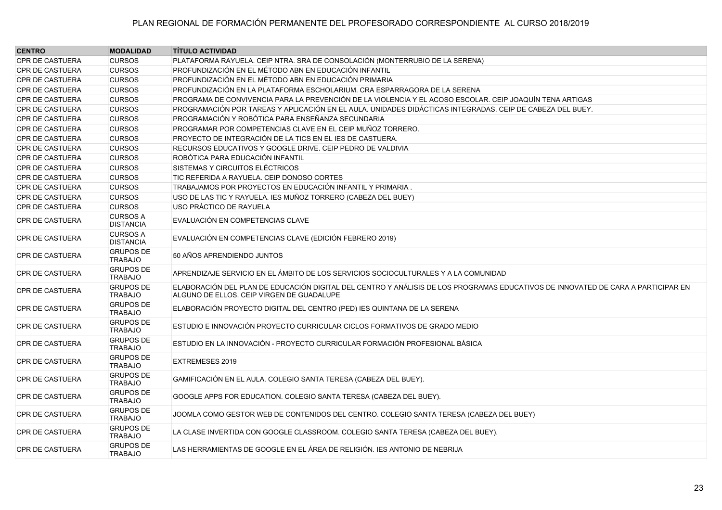| <b>CENTRO</b>          | <b>MODALIDAD</b>                    | <b>TÍTULO ACTIVIDAD</b>                                                                                                                                                       |
|------------------------|-------------------------------------|-------------------------------------------------------------------------------------------------------------------------------------------------------------------------------|
| <b>CPR DE CASTUERA</b> | <b>CURSOS</b>                       | PLATAFORMA RAYUELA. CEIP NTRA. SRA DE CONSOLACIÓN (MONTERRUBIO DE LA SERENA)                                                                                                  |
| <b>CPR DE CASTUERA</b> | <b>CURSOS</b>                       | PROFUNDIZACIÓN EN EL MÉTODO ABN EN EDUCACIÓN INFANTIL                                                                                                                         |
| <b>CPR DE CASTUERA</b> | <b>CURSOS</b>                       | PROFUNDIZACIÓN EN EL MÉTODO ABN EN EDUCACIÓN PRIMARIA                                                                                                                         |
| <b>CPR DE CASTUERA</b> | <b>CURSOS</b>                       | PROFUNDIZACIÓN EN LA PLATAFORMA ESCHOLARIUM. CRA ESPARRAGORA DE LA SERENA                                                                                                     |
| <b>CPR DE CASTUERA</b> | <b>CURSOS</b>                       | PROGRAMA DE CONVIVENCIA PARA LA PREVENCIÓN DE LA VIOLENCIA Y EL ACOSO ESCOLAR. CEIP JOAQUÍN TENA ARTIGAS                                                                      |
| CPR DE CASTUERA        | <b>CURSOS</b>                       | PROGRAMACIÓN POR TAREAS Y APLICACIÓN EN EL AULA. UNIDADES DIDÁCTICAS INTEGRADAS. CEIP DE CABEZA DEL BUEY.                                                                     |
| <b>CPR DE CASTUERA</b> | <b>CURSOS</b>                       | PROGRAMACIÓN Y ROBÓTICA PARA ENSEÑANZA SECUNDARIA                                                                                                                             |
| CPR DE CASTUERA        | <b>CURSOS</b>                       | PROGRAMAR POR COMPETENCIAS CLAVE EN EL CEIP MUÑOZ TORRERO.                                                                                                                    |
| CPR DE CASTUERA        | <b>CURSOS</b>                       | PROYECTO DE INTEGRACIÓN DE LA TICS EN EL IES DE CASTUERA.                                                                                                                     |
| <b>CPR DE CASTUERA</b> | <b>CURSOS</b>                       | RECURSOS EDUCATIVOS Y GOOGLE DRIVE. CEIP PEDRO DE VALDIVIA                                                                                                                    |
| <b>CPR DE CASTUERA</b> | <b>CURSOS</b>                       | ROBÓTICA PARA EDUCACIÓN INFANTIL                                                                                                                                              |
| <b>CPR DE CASTUERA</b> | <b>CURSOS</b>                       | SISTEMAS Y CIRCUITOS ELÉCTRICOS                                                                                                                                               |
| <b>CPR DE CASTUERA</b> | <b>CURSOS</b>                       | TIC REFERIDA A RAYUELA. CEIP DONOSO CORTES                                                                                                                                    |
| <b>CPR DE CASTUERA</b> | <b>CURSOS</b>                       | TRABAJAMOS POR PROYECTOS EN EDUCACIÓN INFANTIL Y PRIMARIA.                                                                                                                    |
| <b>CPR DE CASTUERA</b> | <b>CURSOS</b>                       | USO DE LAS TIC Y RAYUELA. IES MUÑOZ TORRERO (CABEZA DEL BUEY)                                                                                                                 |
| <b>CPR DE CASTUERA</b> | <b>CURSOS</b>                       | USO PRÁCTICO DE RAYUELA                                                                                                                                                       |
| <b>CPR DE CASTUERA</b> | <b>CURSOS A</b><br><b>DISTANCIA</b> | EVALUACIÓN EN COMPETENCIAS CLAVE                                                                                                                                              |
| <b>CPR DE CASTUERA</b> | <b>CURSOS A</b><br><b>DISTANCIA</b> | EVALUACIÓN EN COMPETENCIAS CLAVE (EDICIÓN FEBRERO 2019)                                                                                                                       |
| <b>CPR DE CASTUERA</b> | <b>GRUPOS DE</b><br><b>TRABAJO</b>  | 50 AÑOS APRENDIENDO JUNTOS                                                                                                                                                    |
| <b>CPR DE CASTUERA</b> | <b>GRUPOS DE</b><br><b>TRABAJO</b>  | APRENDIZAJE SERVICIO EN EL ÁMBITO DE LOS SERVICIOS SOCIOCULTURALES Y A LA COMUNIDAD                                                                                           |
| <b>CPR DE CASTUERA</b> | <b>GRUPOS DE</b><br><b>TRABAJO</b>  | ELABORACIÓN DEL PLAN DE EDUCACIÓN DIGITAL DEL CENTRO Y ANÁLISIS DE LOS PROGRAMAS EDUCATIVOS DE INNOVATED DE CARA A PARTICIPAR EN<br>ALGUNO DE ELLOS. CEIP VIRGEN DE GUADALUPE |
| <b>CPR DE CASTUERA</b> | <b>GRUPOS DE</b><br><b>TRABAJO</b>  | ELABORACIÓN PROYECTO DIGITAL DEL CENTRO (PED) IES QUINTANA DE LA SERENA                                                                                                       |
| <b>CPR DE CASTUERA</b> | <b>GRUPOS DE</b><br><b>TRABAJO</b>  | ESTUDIO E INNOVACIÓN PROYECTO CURRICULAR CICLOS FORMATIVOS DE GRADO MEDIO                                                                                                     |
| <b>CPR DE CASTUERA</b> | <b>GRUPOS DE</b><br><b>TRABAJO</b>  | ESTUDIO EN LA INNOVACIÓN - PROYECTO CURRICULAR FORMACIÓN PROFESIONAL BÁSICA                                                                                                   |
| CPR DE CASTUERA        | <b>GRUPOS DE</b><br><b>TRABAJO</b>  | EXTREMESES 2019                                                                                                                                                               |
| <b>CPR DE CASTUERA</b> | <b>GRUPOS DE</b><br><b>TRABAJO</b>  | GAMIFICACIÓN EN EL AULA. COLEGIO SANTA TERESA (CABEZA DEL BUEY).                                                                                                              |
| <b>CPR DE CASTUERA</b> | <b>GRUPOS DE</b><br><b>TRABAJO</b>  | GOOGLE APPS FOR EDUCATION. COLEGIO SANTA TERESA (CABEZA DEL BUEY).                                                                                                            |
| <b>CPR DE CASTUERA</b> | <b>GRUPOS DE</b><br><b>TRABAJO</b>  | JOOMLA COMO GESTOR WEB DE CONTENIDOS DEL CENTRO. COLEGIO SANTA TERESA (CABEZA DEL BUEY)                                                                                       |
| <b>CPR DE CASTUERA</b> | <b>GRUPOS DE</b><br><b>TRABAJO</b>  | LA CLASE INVERTIDA CON GOOGLE CLASSROOM. COLEGIO SANTA TERESA (CABEZA DEL BUEY).                                                                                              |
| <b>CPR DE CASTUERA</b> | <b>GRUPOS DE</b><br><b>TRABAJO</b>  | LAS HERRAMIENTAS DE GOOGLE EN EL ÁREA DE RELIGIÓN. IES ANTONIO DE NEBRIJA                                                                                                     |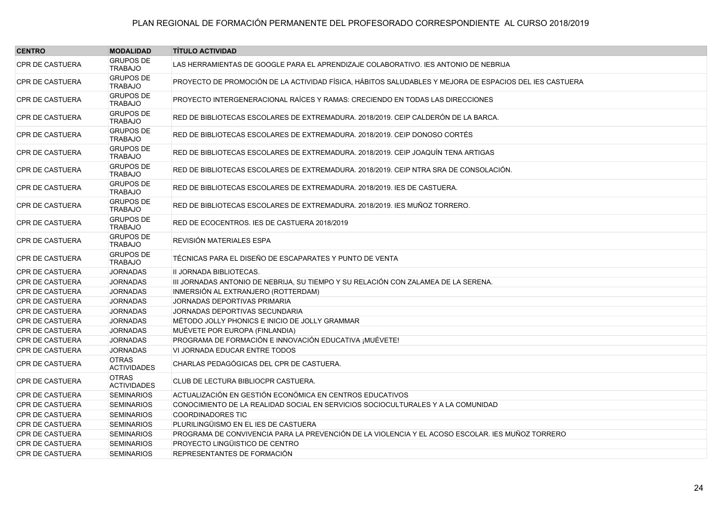| <b>CENTRO</b>          | <b>MODALIDAD</b>                   | <b>TÍTULO ACTIVIDAD</b>                                                                                |
|------------------------|------------------------------------|--------------------------------------------------------------------------------------------------------|
| <b>CPR DE CASTUERA</b> | <b>GRUPOS DE</b><br><b>TRABAJO</b> | LAS HERRAMIENTAS DE GOOGLE PARA EL APRENDIZAJE COLABORATIVO. IES ANTONIO DE NEBRIJA                    |
| <b>CPR DE CASTUERA</b> | <b>GRUPOS DE</b><br><b>TRABAJO</b> | PROYECTO DE PROMOCIÓN DE LA ACTIVIDAD FÍSICA, HÁBITOS SALUDABLES Y MEJORA DE ESPACIOS DEL IES CASTUERA |
| <b>CPR DE CASTUERA</b> | <b>GRUPOS DE</b><br><b>TRABAJO</b> | PROYECTO INTERGENERACIONAL RAÍCES Y RAMAS: CRECIENDO EN TODAS LAS DIRECCIONES                          |
| <b>CPR DE CASTUERA</b> | <b>GRUPOS DE</b><br><b>TRABAJO</b> | RED DE BIBLIOTECAS ESCOLARES DE EXTREMADURA. 2018/2019. CEIP CALDERÓN DE LA BARCA.                     |
| <b>CPR DE CASTUERA</b> | <b>GRUPOS DE</b><br><b>TRABAJO</b> | RED DE BIBLIOTECAS ESCOLARES DE EXTREMADURA. 2018/2019. CEIP DONOSO CORTÉS                             |
| <b>CPR DE CASTUERA</b> | <b>GRUPOS DE</b><br><b>TRABAJO</b> | RED DE BIBLIOTECAS ESCOLARES DE EXTREMADURA. 2018/2019. CEIP JOAQUÍN TENA ARTIGAS                      |
| <b>CPR DE CASTUERA</b> | <b>GRUPOS DE</b><br><b>TRABAJO</b> | RED DE BIBLIOTECAS ESCOLARES DE EXTREMADURA. 2018/2019. CEIP NTRA SRA DE CONSOLACIÓN.                  |
| <b>CPR DE CASTUERA</b> | <b>GRUPOS DE</b><br><b>TRABAJO</b> | RED DE BIBLIOTECAS ESCOLARES DE EXTREMADURA. 2018/2019. IES DE CASTUERA.                               |
| <b>CPR DE CASTUERA</b> | <b>GRUPOS DE</b><br><b>TRABAJO</b> | RED DE BIBLIOTECAS ESCOLARES DE EXTREMADURA, 2018/2019, IES MUÑOZ TORRERO.                             |
| <b>CPR DE CASTUERA</b> | <b>GRUPOS DE</b><br><b>TRABAJO</b> | RED DE ECOCENTROS. IES DE CASTUERA 2018/2019                                                           |
| <b>CPR DE CASTUERA</b> | <b>GRUPOS DE</b><br><b>TRABAJO</b> | REVISIÓN MATERIALES ESPA                                                                               |
| <b>CPR DE CASTUERA</b> | <b>GRUPOS DE</b><br><b>TRABAJO</b> | TÉCNICAS PARA EL DISEÑO DE ESCAPARATES Y PUNTO DE VENTA                                                |
| <b>CPR DE CASTUERA</b> | <b>JORNADAS</b>                    | II JORNADA BIBLIOTECAS.                                                                                |
| <b>CPR DE CASTUERA</b> | <b>JORNADAS</b>                    | III JORNADAS ANTONIO DE NEBRIJA, SU TIEMPO Y SU RELACIÓN CON ZALAMEA DE LA SERENA.                     |
| <b>CPR DE CASTUERA</b> | <b>JORNADAS</b>                    | INMERSIÓN AL EXTRANJERO (ROTTERDAM)                                                                    |
| <b>CPR DE CASTUERA</b> | <b>JORNADAS</b>                    | JORNADAS DEPORTIVAS PRIMARIA                                                                           |
| <b>CPR DE CASTUERA</b> | <b>JORNADAS</b>                    | JORNADAS DEPORTIVAS SECUNDARIA                                                                         |
| <b>CPR DE CASTUERA</b> | <b>JORNADAS</b>                    | MÉTODO JOLLY PHONICS E INICIO DE JOLLY GRAMMAR                                                         |
| CPR DE CASTUERA        | <b>JORNADAS</b>                    | MUÉVETE POR EUROPA (FINLANDIA)                                                                         |
| <b>CPR DE CASTUERA</b> | <b>JORNADAS</b>                    | PROGRAMA DE FORMACIÓN E INNOVACIÓN EDUCATIVA ¡ MUÉVETE!                                                |
| <b>CPR DE CASTUERA</b> | <b>JORNADAS</b>                    | VI JORNADA EDUCAR ENTRE TODOS                                                                          |
| <b>CPR DE CASTUERA</b> | <b>OTRAS</b><br><b>ACTIVIDADES</b> | CHARLAS PEDAGÓGICAS DEL CPR DE CASTUERA.                                                               |
| <b>CPR DE CASTUERA</b> | <b>OTRAS</b><br><b>ACTIVIDADES</b> | CLUB DE LECTURA BIBLIOCPR CASTUERA.                                                                    |
| <b>CPR DE CASTUERA</b> | <b>SEMINARIOS</b>                  | ACTUALIZACIÓN EN GESTIÓN ECONÓMICA EN CENTROS EDUCATIVOS                                               |
| <b>CPR DE CASTUERA</b> | <b>SEMINARIOS</b>                  | CONOCIMIENTO DE LA REALIDAD SOCIAL EN SERVICIOS SOCIOCULTURALES Y A LA COMUNIDAD                       |
| <b>CPR DE CASTUERA</b> | <b>SEMINARIOS</b>                  | <b>COORDINADORES TIC</b>                                                                               |
| <b>CPR DE CASTUERA</b> | <b>SEMINARIOS</b>                  | PLURILINGÜISMO EN EL IES DE CASTUERA                                                                   |
| <b>CPR DE CASTUERA</b> | <b>SEMINARIOS</b>                  | PROGRAMA DE CONVIVENCIA PARA LA PREVENCIÓN DE LA VIOLENCIA Y EL ACOSO ESCOLAR. IES MUÑOZ TORRERO       |
| <b>CPR DE CASTUERA</b> | <b>SEMINARIOS</b>                  | PROYECTO LINGÜISTICO DE CENTRO                                                                         |
| <b>CPR DE CASTUERA</b> | <b>SEMINARIOS</b>                  | REPRESENTANTES DE FORMACIÓN                                                                            |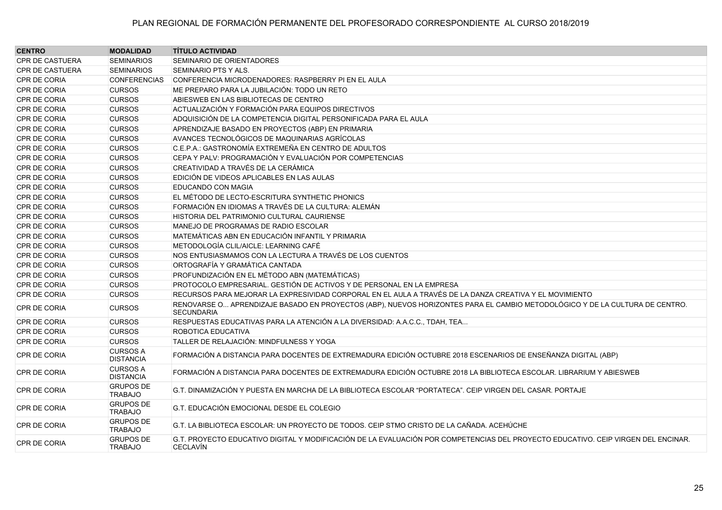| <b>CENTRO</b>          | <b>MODALIDAD</b>                    | <b>TÍTULO ACTIVIDAD</b>                                                                                                                              |
|------------------------|-------------------------------------|------------------------------------------------------------------------------------------------------------------------------------------------------|
| CPR DE CASTUERA        | <b>SEMINARIOS</b>                   | SEMINARIO DE ORIENTADORES                                                                                                                            |
| <b>CPR DE CASTUERA</b> | <b>SEMINARIOS</b>                   | SEMINARIO PTS Y ALS.                                                                                                                                 |
| CPR DE CORIA           | <b>CONFERENCIAS</b>                 | CONFERENCIA MICRODENADORES: RASPBERRY PI EN EL AULA                                                                                                  |
| <b>CPR DE CORIA</b>    | <b>CURSOS</b>                       | ME PREPARO PARA LA JUBILACIÓN: TODO UN RETO                                                                                                          |
| CPR DE CORIA           | <b>CURSOS</b>                       | ABIESWEB EN LAS BIBLIOTECAS DE CENTRO                                                                                                                |
| CPR DE CORIA           | <b>CURSOS</b>                       | ACTUALIZACIÓN Y FORMACIÓN PARA EQUIPOS DIRECTIVOS                                                                                                    |
| CPR DE CORIA           | <b>CURSOS</b>                       | ADQUISICIÓN DE LA COMPETENCIA DIGITAL PERSONIFICADA PARA EL AULA                                                                                     |
| CPR DE CORIA           | <b>CURSOS</b>                       | APRENDIZAJE BASADO EN PROYECTOS (ABP) EN PRIMARIA                                                                                                    |
| CPR DE CORIA           | <b>CURSOS</b>                       | AVANCES TECNOLÓGICOS DE MAQUINARIAS AGRÍCOLAS                                                                                                        |
| <b>CPR DE CORIA</b>    | <b>CURSOS</b>                       | C.E.P.A.: GASTRONOMÍA EXTREMEÑA EN CENTRO DE ADULTOS                                                                                                 |
| <b>CPR DE CORIA</b>    | <b>CURSOS</b>                       | CEPA Y PALV: PROGRAMACIÓN Y EVALUACIÓN POR COMPETENCIAS                                                                                              |
| CPR DE CORIA           | <b>CURSOS</b>                       | CREATIVIDAD A TRAVÉS DE LA CERÁMICA                                                                                                                  |
| CPR DE CORIA           | <b>CURSOS</b>                       | EDICIÓN DE VIDEOS APLICABLES EN LAS AULAS                                                                                                            |
| CPR DE CORIA           | <b>CURSOS</b>                       | EDUCANDO CON MAGIA                                                                                                                                   |
| CPR DE CORIA           | <b>CURSOS</b>                       | EL MÉTODO DE LECTO-ESCRITURA SYNTHETIC PHONICS                                                                                                       |
| CPR DE CORIA           | <b>CURSOS</b>                       | FORMACIÓN EN IDIOMAS A TRAVÉS DE LA CULTURA: ALEMÁN                                                                                                  |
| CPR DE CORIA           | <b>CURSOS</b>                       | HISTORIA DEL PATRIMONIO CULTURAL CAURIENSE                                                                                                           |
| CPR DE CORIA           | <b>CURSOS</b>                       | MANEJO DE PROGRAMAS DE RADIO ESCOLAR                                                                                                                 |
| CPR DE CORIA           | <b>CURSOS</b>                       | MATEMÁTICAS ABN EN EDUCACIÓN INFANTIL Y PRIMARIA                                                                                                     |
| CPR DE CORIA           | <b>CURSOS</b>                       | METODOLOGÍA CLIL/AICLE: LEARNING CAFÉ                                                                                                                |
| CPR DE CORIA           | <b>CURSOS</b>                       | NOS ENTUSIASMAMOS CON LA LECTURA A TRAVÉS DE LOS CUENTOS                                                                                             |
| CPR DE CORIA           | <b>CURSOS</b>                       | ORTOGRAFÍA Y GRAMÁTICA CANTADA                                                                                                                       |
| CPR DE CORIA           | <b>CURSOS</b>                       | PROFUNDIZACIÓN EN EL MÉTODO ABN (MATEMÁTICAS)                                                                                                        |
| <b>CPR DE CORIA</b>    | <b>CURSOS</b>                       | PROTOCOLO EMPRESARIAL. GESTIÓN DE ACTIVOS Y DE PERSONAL EN LA EMPRESA                                                                                |
| <b>CPR DE CORIA</b>    | <b>CURSOS</b>                       | RECURSOS PARA MEJORAR LA EXPRESIVIDAD CORPORAL EN EL AULA A TRAVÉS DE LA DANZA CREATIVA Y EL MOVIMIENTO                                              |
| <b>CPR DE CORIA</b>    | <b>CURSOS</b>                       | RENOVARSE O APRENDIZAJE BASADO EN PROYECTOS (ABP), NUEVOS HORIZONTES PARA EL CAMBIO METODOLÓGICO Y DE LA CULTURA DE CENTRO.<br><b>SECUNDARIA</b>     |
| <b>CPR DE CORIA</b>    | <b>CURSOS</b>                       | RESPUESTAS EDUCATIVAS PARA LA ATENCIÓN A LA DIVERSIDAD: A.A.C.C., TDAH, TEA                                                                          |
| <b>CPR DE CORIA</b>    | <b>CURSOS</b>                       | <b>ROBOTICA EDUCATIVA</b>                                                                                                                            |
| CPR DE CORIA           | <b>CURSOS</b>                       | TALLER DE RELAJACIÓN: MINDFULNESS Y YOGA                                                                                                             |
| <b>CPR DE CORIA</b>    | <b>CURSOS A</b><br><b>DISTANCIA</b> | FORMACIÓN A DISTANCIA PARA DOCENTES DE EXTREMADURA EDICIÓN OCTUBRE 2018 ESCENARIOS DE ENSEÑANZA DIGITAL (ABP)                                        |
| <b>CPR DE CORIA</b>    | <b>CURSOS A</b><br><b>DISTANCIA</b> | FORMACIÓN A DISTANCIA PARA DOCENTES DE EXTREMADURA EDICIÓN OCTUBRE 2018 LA BIBLIOTECA ESCOLAR. LIBRARIUM Y ABIESWEB                                  |
| <b>CPR DE CORIA</b>    | <b>GRUPOS DE</b><br><b>TRABAJO</b>  | G.T. DINAMIZACIÓN Y PUESTA EN MARCHA DE LA BIBLIOTECA ESCOLAR "PORTATECA". CEIP VIRGEN DEL CASAR. PORTAJE                                            |
| <b>CPR DE CORIA</b>    | <b>GRUPOS DE</b><br><b>TRABAJO</b>  | G.T. EDUCACIÓN EMOCIONAL DESDE EL COLEGIO                                                                                                            |
| <b>CPR DE CORIA</b>    | <b>GRUPOS DE</b><br><b>TRABAJO</b>  | G.T. LA BIBLIOTECA ESCOLAR: UN PROYECTO DE TODOS. CEIP STMO CRISTO DE LA CAÑADA. ACEHÚCHE                                                            |
| <b>CPR DE CORIA</b>    | <b>GRUPOS DE</b><br><b>TRABAJO</b>  | G.T. PROYECTO EDUCATIVO DIGITAL Y MODIFICACIÓN DE LA EVALUACIÓN POR COMPETENCIAS DEL PROYECTO EDUCATIVO. CEIP VIRGEN DEL ENCINAR.<br><b>CECLAVIN</b> |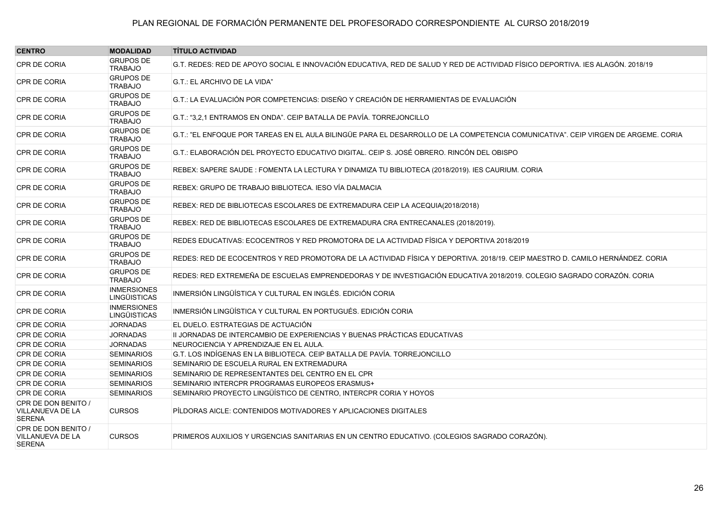| <b>CENTRO</b>                                            | <b>MODALIDAD</b>                          | <b>TÍTULO ACTIVIDAD</b>                                                                                                           |
|----------------------------------------------------------|-------------------------------------------|-----------------------------------------------------------------------------------------------------------------------------------|
| CPR DE CORIA                                             | <b>GRUPOS DE</b><br><b>TRABAJO</b>        | G.T. REDES: RED DE APOYO SOCIAL E INNOVACIÓN EDUCATIVA, RED DE SALUD Y RED DE ACTIVIDAD FÍSICO DEPORTIVA. IES ALAGÓN. 2018/19     |
| CPR DE CORIA                                             | <b>GRUPOS DE</b><br><b>TRABAJO</b>        | G.T.: EL ARCHIVO DE LA VIDA"                                                                                                      |
| CPR DE CORIA                                             | <b>GRUPOS DE</b><br><b>TRABAJO</b>        | G.T.: LA EVALUACIÓN POR COMPETENCIAS: DISEÑO Y CREACIÓN DE HERRAMIENTAS DE EVALUACIÓN                                             |
| CPR DE CORIA                                             | <b>GRUPOS DE</b><br><b>TRABAJO</b>        | G.T.: "3.2.1 ENTRAMOS EN ONDA". CEIP BATALLA DE PAVÍA. TORREJONCILLO                                                              |
| <b>CPR DE CORIA</b>                                      | <b>GRUPOS DE</b><br><b>TRABAJO</b>        | G.T.: "EL ENFOQUE POR TAREAS EN EL AULA BILINGÜE PARA EL DESARROLLO DE LA COMPETENCIA COMUNICATIVA". CEIP VIRGEN DE ARGEME. CORIA |
| CPR DE CORIA                                             | <b>GRUPOS DE</b><br><b>TRABAJO</b>        | G.T.: ELABORACIÓN DEL PROYECTO EDUCATIVO DIGITAL. CEIP S. JOSÉ OBRERO. RINCÓN DEL OBISPO                                          |
| <b>CPR DE CORIA</b>                                      | <b>GRUPOS DE</b><br><b>TRABAJO</b>        | REBEX: SAPERE SAUDE : FOMENTA LA LECTURA Y DINAMIZA TU BIBLIOTECA (2018/2019). IES CAURIUM. CORIA                                 |
| CPR DE CORIA                                             | <b>GRUPOS DE</b><br><b>TRABAJO</b>        | REBEX: GRUPO DE TRABAJO BIBLIOTECA. IESO VÍA DALMACIA                                                                             |
| CPR DE CORIA                                             | <b>GRUPOS DE</b><br><b>TRABAJO</b>        | REBEX: RED DE BIBLIOTECAS ESCOLARES DE EXTREMADURA CEIP LA ACEQUIA(2018/2018)                                                     |
| CPR DE CORIA                                             | <b>GRUPOS DE</b><br><b>TRABAJO</b>        | REBEX: RED DE BIBLIOTECAS ESCOLARES DE EXTREMADURA CRA ENTRECANALES (2018/2019).                                                  |
| <b>CPR DE CORIA</b>                                      | <b>GRUPOS DE</b><br><b>TRABAJO</b>        | REDES EDUCATIVAS: ECOCENTROS Y RED PROMOTORA DE LA ACTIVIDAD FÍSICA Y DEPORTIVA 2018/2019                                         |
| CPR DE CORIA                                             | <b>GRUPOS DE</b><br><b>TRABAJO</b>        | REDES: RED DE ECOCENTROS Y RED PROMOTORA DE LA ACTIVIDAD FÍSICA Y DEPORTIVA. 2018/19. CEIP MAESTRO D. CAMILO HERNÁNDEZ. CORIA     |
| <b>CPR DE CORIA</b>                                      | <b>GRUPOS DE</b><br><b>TRABAJO</b>        | REDES: RED EXTREMEÑA DE ESCUELAS EMPRENDEDORAS Y DE INVESTIGACIÓN EDUCATIVA 2018/2019. COLEGIO SAGRADO CORAZÓN. CORIA             |
| <b>CPR DE CORIA</b>                                      | <b>INMERSIONES</b><br><b>LINGÜISTICAS</b> | INMERSIÓN LINGÜÍSTICA Y CULTURAL EN INGLÉS. EDICIÓN CORIA                                                                         |
| <b>CPR DE CORIA</b>                                      | <b>INMERSIONES</b><br><b>LINGÜISTICAS</b> | INMERSIÓN LINGÜÍSTICA Y CULTURAL EN PORTUGUÉS. EDICIÓN CORIA                                                                      |
| <b>CPR DE CORIA</b>                                      | <b>JORNADAS</b>                           | EL DUELO. ESTRATEGIAS DE ACTUACIÓN                                                                                                |
| CPR DE CORIA                                             | <b>JORNADAS</b>                           | II JORNADAS DE INTERCAMBIO DE EXPERIENCIAS Y BUENAS PRÁCTICAS EDUCATIVAS                                                          |
| CPR DE CORIA                                             | <b>JORNADAS</b>                           | NEUROCIENCIA Y APRENDIZAJE EN EL AULA.                                                                                            |
| <b>CPR DE CORIA</b>                                      | <b>SEMINARIOS</b>                         | G.T. LOS INDÍGENAS EN LA BIBLIOTECA. CEIP BATALLA DE PAVÍA. TORREJONCILLO                                                         |
| CPR DE CORIA                                             | <b>SEMINARIOS</b>                         | SEMINARIO DE ESCUELA RURAL EN EXTREMADURA                                                                                         |
| <b>CPR DE CORIA</b>                                      | <b>SEMINARIOS</b>                         | SEMINARIO DE REPRESENTANTES DEL CENTRO EN EL CPR                                                                                  |
| <b>CPR DE CORIA</b>                                      | <b>SEMINARIOS</b>                         | SEMINARIO INTERCPR PROGRAMAS EUROPEOS ERASMUS+                                                                                    |
| CPR DE CORIA                                             | <b>SEMINARIOS</b>                         | SEMINARIO PROYECTO LINGÜÍSTICO DE CENTRO, INTERCPR CORIA Y HOYOS                                                                  |
| CPR DE DON BENITO /<br>VILLANUEVA DE LA<br><b>SERENA</b> | <b>CURSOS</b>                             | PILDORAS AICLE: CONTENIDOS MOTIVADORES Y APLICACIONES DIGITALES                                                                   |
| CPR DE DON BENITO /<br>VILLANUEVA DE LA<br><b>SERENA</b> | <b>CURSOS</b>                             | PRIMEROS AUXILIOS Y URGENCIAS SANITARIAS EN UN CENTRO EDUCATIVO. (COLEGIOS SAGRADO CORAZÓN).                                      |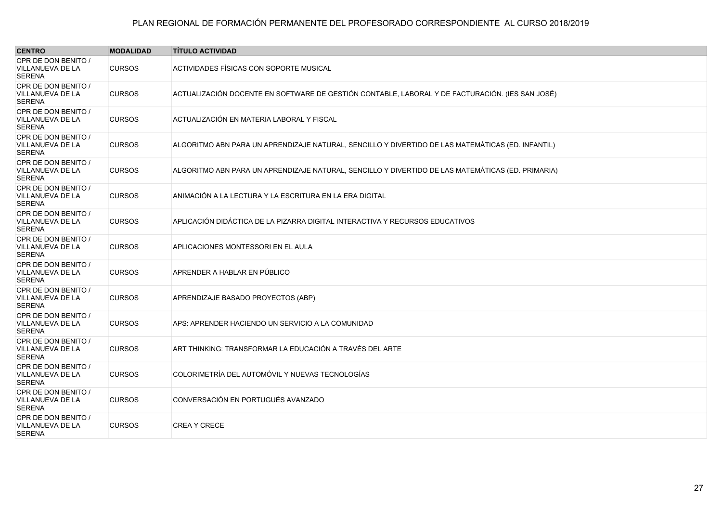| <b>CENTRO</b>                                                   | <b>MODALIDAD</b> | <b>TÍTULO ACTIVIDAD</b>                                                                           |
|-----------------------------------------------------------------|------------------|---------------------------------------------------------------------------------------------------|
| CPR DE DON BENITO /<br><b>VILLANUEVA DE LA</b><br><b>SERENA</b> | <b>CURSOS</b>    | ACTIVIDADES FÍSICAS CON SOPORTE MUSICAL                                                           |
| CPR DE DON BENITO /<br>VILLANUEVA DE LA<br><b>SERENA</b>        | <b>CURSOS</b>    | ACTUALIZACIÓN DOCENTE EN SOFTWARE DE GESTIÓN CONTABLE, LABORAL Y DE FACTURACIÓN. (IES SAN JOSÉ)   |
| CPR DE DON BENITO /<br>VILLANUEVA DE LA<br><b>SERENA</b>        | <b>CURSOS</b>    | ACTUALIZACIÓN EN MATERIA LABORAL Y FISCAL                                                         |
| CPR DE DON BENITO /<br>VILLANUEVA DE LA<br><b>SERENA</b>        | <b>CURSOS</b>    | ALGORITMO ABN PARA UN APRENDIZAJE NATURAL, SENCILLO Y DIVERTIDO DE LAS MATEMÁTICAS (ED. INFANTIL) |
| CPR DE DON BENITO /<br><b>VILLANUEVA DE LA</b><br><b>SERENA</b> | <b>CURSOS</b>    | ALGORITMO ABN PARA UN APRENDIZAJE NATURAL, SENCILLO Y DIVERTIDO DE LAS MATEMÁTICAS (ED. PRIMARIA) |
| CPR DE DON BENITO /<br>VILLANUEVA DE LA<br><b>SERENA</b>        | <b>CURSOS</b>    | ANIMACIÓN A LA LECTURA Y LA ESCRITURA EN LA ERA DIGITAL                                           |
| CPR DE DON BENITO /<br>VILLANUEVA DE LA<br><b>SERENA</b>        | <b>CURSOS</b>    | APLICACIÓN DIDÁCTICA DE LA PIZARRA DIGITAL INTERACTIVA Y RECURSOS EDUCATIVOS                      |
| CPR DE DON BENITO /<br><b>VILLANUEVA DE LA</b><br><b>SERENA</b> | <b>CURSOS</b>    | APLICACIONES MONTESSORI EN EL AULA                                                                |
| CPR DE DON BENITO /<br>VILLANUEVA DE LA<br><b>SERENA</b>        | <b>CURSOS</b>    | APRENDER A HABLAR EN PÚBLICO                                                                      |
| CPR DE DON BENITO /<br>VILLANUEVA DE LA<br><b>SERENA</b>        | <b>CURSOS</b>    | APRENDIZAJE BASADO PROYECTOS (ABP)                                                                |
| CPR DE DON BENITO /<br>VILLANUEVA DE LA<br><b>SERENA</b>        | <b>CURSOS</b>    | APS: APRENDER HACIENDO UN SERVICIO A LA COMUNIDAD                                                 |
| CPR DE DON BENITO /<br><b>VILLANUEVA DE LA</b><br><b>SERENA</b> | <b>CURSOS</b>    | ART THINKING: TRANSFORMAR LA EDUCACIÓN A TRAVÉS DEL ARTE                                          |
| CPR DE DON BENITO /<br>VILLANUEVA DE LA<br><b>SERENA</b>        | <b>CURSOS</b>    | COLORIMETRÍA DEL AUTOMÓVIL Y NUEVAS TECNOLOGÍAS                                                   |
| CPR DE DON BENITO /<br>VILLANUEVA DE LA<br><b>SERENA</b>        | <b>CURSOS</b>    | CONVERSACIÓN EN PORTUGUÉS AVANZADO                                                                |
| CPR DE DON BENITO /<br>VILLANUEVA DE LA<br><b>SERENA</b>        | <b>CURSOS</b>    | <b>CREA Y CRECE</b>                                                                               |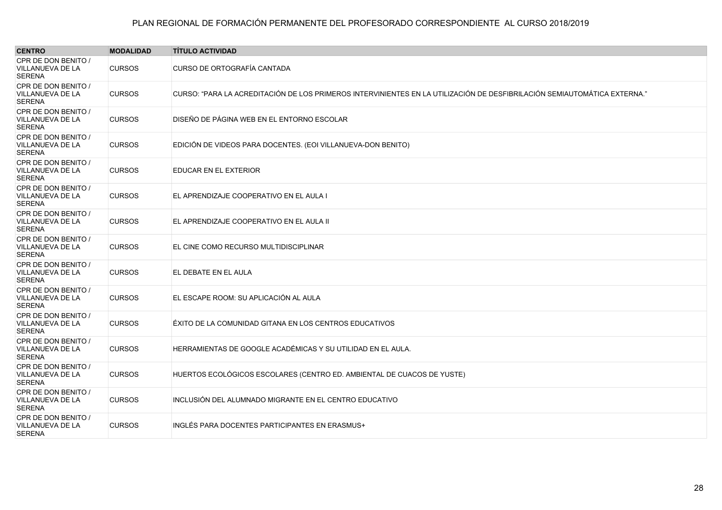| <b>CENTRO</b>                                            | <b>MODALIDAD</b> | <b>TÍTULO ACTIVIDAD</b>                                                                                                  |
|----------------------------------------------------------|------------------|--------------------------------------------------------------------------------------------------------------------------|
| CPR DE DON BENITO /<br>VILLANUEVA DE LA<br><b>SERENA</b> | <b>CURSOS</b>    | CURSO DE ORTOGRAFÍA CANTADA                                                                                              |
| CPR DE DON BENITO /<br>VILLANUEVA DE LA<br><b>SERENA</b> | <b>CURSOS</b>    | CURSO: "PARA LA ACREDITACIÓN DE LOS PRIMEROS INTERVINIENTES EN LA UTILIZACIÓN DE DESFIBRILACIÓN SEMIAUTOMÁTICA EXTERNA." |
| CPR DE DON BENITO /<br>VILLANUEVA DE LA<br><b>SERENA</b> | <b>CURSOS</b>    | DISEÑO DE PÁGINA WEB EN EL ENTORNO ESCOLAR                                                                               |
| CPR DE DON BENITO /<br>VILLANUEVA DE LA<br><b>SERENA</b> | <b>CURSOS</b>    | EDICIÓN DE VIDEOS PARA DOCENTES. (EOI VILLANUEVA-DON BENITO)                                                             |
| CPR DE DON BENITO /<br>VILLANUEVA DE LA<br><b>SERENA</b> | <b>CURSOS</b>    | EDUCAR EN EL EXTERIOR                                                                                                    |
| CPR DE DON BENITO /<br>VILLANUEVA DE LA<br><b>SERENA</b> | <b>CURSOS</b>    | EL APRENDIZAJE COOPERATIVO EN EL AULA I                                                                                  |
| CPR DE DON BENITO /<br>VILLANUEVA DE LA<br><b>SERENA</b> | <b>CURSOS</b>    | EL APRENDIZAJE COOPERATIVO EN EL AULA II                                                                                 |
| CPR DE DON BENITO /<br>VILLANUEVA DE LA<br><b>SERENA</b> | <b>CURSOS</b>    | EL CINE COMO RECURSO MULTIDISCIPLINAR                                                                                    |
| CPR DE DON BENITO /<br>VILLANUEVA DE LA<br><b>SERENA</b> | <b>CURSOS</b>    | EL DEBATE EN EL AULA                                                                                                     |
| CPR DE DON BENITO /<br>VILLANUEVA DE LA<br><b>SERENA</b> | <b>CURSOS</b>    | EL ESCAPE ROOM: SU APLICACIÓN AL AULA                                                                                    |
| CPR DE DON BENITO /<br>VILLANUEVA DE LA<br><b>SERENA</b> | <b>CURSOS</b>    | ÉXITO DE LA COMUNIDAD GITANA EN LOS CENTROS EDUCATIVOS                                                                   |
| CPR DE DON BENITO /<br>VILLANUEVA DE LA<br><b>SERENA</b> | <b>CURSOS</b>    | HERRAMIENTAS DE GOOGLE ACADÉMICAS Y SU UTILIDAD EN EL AULA.                                                              |
| CPR DE DON BENITO /<br>VILLANUEVA DE LA<br><b>SERENA</b> | <b>CURSOS</b>    | HUERTOS ECOLÓGICOS ESCOLARES (CENTRO ED. AMBIENTAL DE CUACOS DE YUSTE)                                                   |
| CPR DE DON BENITO /<br>VILLANUEVA DE LA<br><b>SERENA</b> | <b>CURSOS</b>    | INCLUSIÓN DEL ALUMNADO MIGRANTE EN EL CENTRO EDUCATIVO                                                                   |
| CPR DE DON BENITO /<br>VILLANUEVA DE LA<br><b>SERENA</b> | <b>CURSOS</b>    | INGLÉS PARA DOCENTES PARTICIPANTES EN ERASMUS+                                                                           |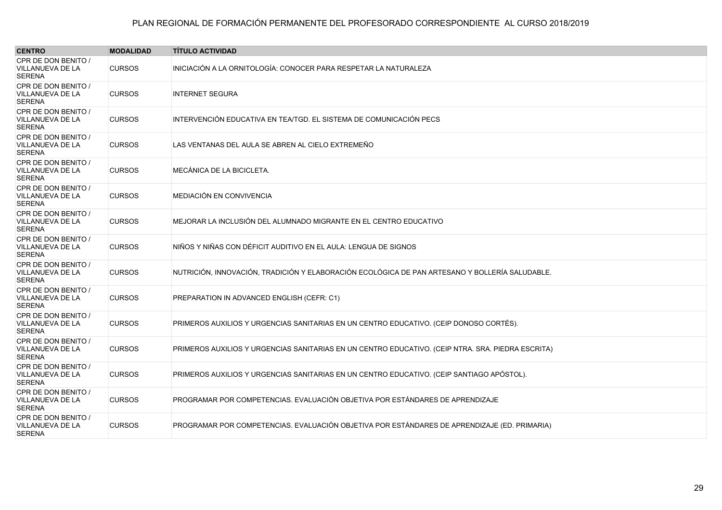| <b>CENTRO</b>                                                   | <b>MODALIDAD</b> | <b>TÍTULO ACTIVIDAD</b>                                                                           |
|-----------------------------------------------------------------|------------------|---------------------------------------------------------------------------------------------------|
| CPR DE DON BENITO /<br>VILLANUEVA DE LA<br><b>SERENA</b>        | <b>CURSOS</b>    | INICIACIÓN A LA ORNITOLOGÍA: CONOCER PARA RESPETAR LA NATURALEZA                                  |
| CPR DE DON BENITO /<br>VILLANUEVA DE LA<br><b>SERENA</b>        | <b>CURSOS</b>    | <b>INTERNET SEGURA</b>                                                                            |
| CPR DE DON BENITO /<br>VILLANUEVA DE LA<br><b>SERENA</b>        | <b>CURSOS</b>    | INTERVENCIÓN EDUCATIVA EN TEA/TGD. EL SISTEMA DE COMUNICACIÓN PECS                                |
| CPR DE DON BENITO /<br>VILLANUEVA DE LA<br><b>SERENA</b>        | <b>CURSOS</b>    | LAS VENTANAS DEL AULA SE ABREN AL CIELO EXTREMEÑO                                                 |
| CPR DE DON BENITO /<br>VILLANUEVA DE LA<br><b>SERENA</b>        | <b>CURSOS</b>    | <b>MECÁNICA DE LA BICICLETA.</b>                                                                  |
| CPR DE DON BENITO /<br>VILLANUEVA DE LA<br><b>SERENA</b>        | <b>CURSOS</b>    | MEDIACIÓN EN CONVIVENCIA                                                                          |
| CPR DE DON BENITO /<br>VILLANUEVA DE LA<br><b>SERENA</b>        | <b>CURSOS</b>    | MEJORAR LA INCLUSIÓN DEL ALUMNADO MIGRANTE EN EL CENTRO EDUCATIVO                                 |
| CPR DE DON BENITO /<br>VILLANUEVA DE LA<br><b>SERENA</b>        | <b>CURSOS</b>    | NIÑOS Y NIÑAS CON DÉFICIT AUDITIVO EN EL AULA: LENGUA DE SIGNOS                                   |
| CPR DE DON BENITO /<br>VILLANUEVA DE LA<br><b>SERENA</b>        | <b>CURSOS</b>    | NUTRICIÓN, INNOVACIÓN, TRADICIÓN Y ELABORACIÓN ECOLÓGICA DE PAN ARTESANO Y BOLLERÍA SALUDABLE.    |
| CPR DE DON BENITO /<br>VILLANUEVA DE LA<br><b>SERENA</b>        | <b>CURSOS</b>    | PREPARATION IN ADVANCED ENGLISH (CEFR: C1)                                                        |
| CPR DE DON BENITO /<br><b>VILLANUEVA DE LA</b><br><b>SERENA</b> | <b>CURSOS</b>    | PRIMEROS AUXILIOS Y URGENCIAS SANITARIAS EN UN CENTRO EDUCATIVO. (CEIP DONOSO CORTÉS).            |
| CPR DE DON BENITO /<br>VILLANUEVA DE LA<br><b>SERENA</b>        | <b>CURSOS</b>    | PRIMEROS AUXILIOS Y URGENCIAS SANITARIAS EN UN CENTRO EDUCATIVO. (CEIP NTRA. SRA. PIEDRA ESCRITA) |
| CPR DE DON BENITO /<br>VILLANUEVA DE LA<br><b>SERENA</b>        | <b>CURSOS</b>    | PRIMEROS AUXILIOS Y URGENCIAS SANITARIAS EN UN CENTRO EDUCATIVO. (CEIP SANTIAGO APÓSTOL).         |
| CPR DE DON BENITO /<br>VILLANUEVA DE LA<br><b>SERENA</b>        | <b>CURSOS</b>    | PROGRAMAR POR COMPETENCIAS. EVALUACIÓN OBJETIVA POR ESTÁNDARES DE APRENDIZAJE                     |
| CPR DE DON BENITO /<br>VILLANUEVA DE LA<br><b>SERENA</b>        | <b>CURSOS</b>    | PROGRAMAR POR COMPETENCIAS. EVALUACIÓN OBJETIVA POR ESTÁNDARES DE APRENDIZAJE (ED. PRIMARIA)      |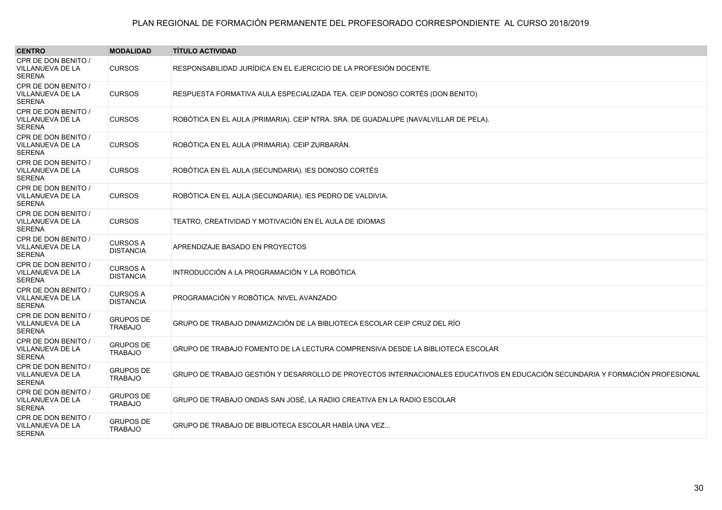| <b>CENTRO</b>                                     | <b>MODALIDAD</b>                    | <b>TÍTULO ACTIVIDAD</b>                                                                                                       |
|---------------------------------------------------|-------------------------------------|-------------------------------------------------------------------------------------------------------------------------------|
| CPR DE DON BENITO /<br>VILLANUEVA DE LA<br>SERENA | <b>CURSOS</b>                       | RESPONSABILIDAD JURÍDICA EN EL EJERCICIO DE LA PROFESIÓN DOCENTE.                                                             |
| CPR DE DON BENITO /<br>VILLANUEVA DE LA<br>SERENA | <b>CURSOS</b>                       | RESPUESTA FORMATIVA AULA ESPECIALIZADA TEA. CEIP DONOSO CORTÉS (DON BENITO)                                                   |
| CPR DE DON BENITO /<br>VILLANUEVA DE LA<br>SERENA | <b>CURSOS</b>                       | ROBÓTICA EN EL AULA (PRIMARIA). CEIP NTRA. SRA. DE GUADALUPE (NAVALVILLAR DE PELA).                                           |
| CPR DE DON BENITO /<br>VILLANUEVA DE LA<br>SERENA | <b>CURSOS</b>                       | ROBÓTICA EN EL AULA (PRIMARIA). CEIP ZURBARÁN.                                                                                |
| CPR DE DON BENITO /<br>VILLANUEVA DE LA<br>SERENA | <b>CURSOS</b>                       | ROBÓTICA EN EL AULA (SECUNDARIA). IES DONOSO CORTÉS                                                                           |
| CPR DE DON BENITO /<br>VILLANUEVA DE LA<br>SERENA | <b>CURSOS</b>                       | ROBÓTICA EN EL AULA (SECUNDARIA). IES PEDRO DE VALDIVIA.                                                                      |
| CPR DE DON BENITO /<br>VILLANUEVA DE LA<br>SERENA | <b>CURSOS</b>                       | TEATRO, CREATIVIDAD Y MOTIVACIÓN EN EL AULA DE IDIOMAS                                                                        |
| CPR DE DON BENITO /<br>VILLANUEVA DE LA<br>SERENA | <b>CURSOS A</b><br><b>DISTANCIA</b> | APRENDIZAJE BASADO EN PROYECTOS                                                                                               |
| CPR DE DON BENITO /<br>VILLANUEVA DE LA<br>SERENA | <b>CURSOS A</b><br><b>DISTANCIA</b> | INTRODUCCIÓN A LA PROGRAMACIÓN Y LA ROBÓTICA                                                                                  |
| CPR DE DON BENITO /<br>VILLANUEVA DE LA<br>SERENA | <b>CURSOS A</b><br><b>DISTANCIA</b> | PROGRAMACIÓN Y ROBÓTICA. NIVEL AVANZADO                                                                                       |
| CPR DE DON BENITO /<br>VILLANUEVA DE LA<br>SERENA | <b>GRUPOS DE</b><br><b>TRABAJO</b>  | GRUPO DE TRABAJO DINAMIZACIÓN DE LA BIBLIOTECA ESCOLAR CEIP CRUZ DEL RÍO                                                      |
| CPR DE DON BENITO /<br>VILLANUEVA DE LA<br>SERENA | <b>GRUPOS DE</b><br><b>TRABAJO</b>  | GRUPO DE TRABAJO FOMENTO DE LA LECTURA COMPRENSIVA DESDE LA BIBLIOTECA ESCOLAR                                                |
| CPR DE DON BENITO /<br>VILLANUEVA DE LA<br>SERENA | <b>GRUPOS DE</b><br><b>TRABAJO</b>  | GRUPO DE TRABAJO GESTIÓN Y DESARROLLO DE PROYECTOS INTERNACIONALES EDUCATIVOS EN EDUCACIÓN SECUNDARIA Y FORMACIÓN PROFESIONAL |
| CPR DE DON BENITO /<br>VILLANUEVA DE LA<br>SERENA | <b>GRUPOS DE</b><br><b>TRABAJO</b>  | GRUPO DE TRABAJO ONDAS SAN JOSÉ, LA RADIO CREATIVA EN LA RADIO ESCOLAR                                                        |
| CPR DE DON BENITO /<br>VILLANUEVA DE LA<br>SERENA | <b>GRUPOS DE</b><br><b>TRABAJO</b>  | GRUPO DE TRABAJO DE BIBLIOTECA ESCOLAR HABÍA UNA VEZ                                                                          |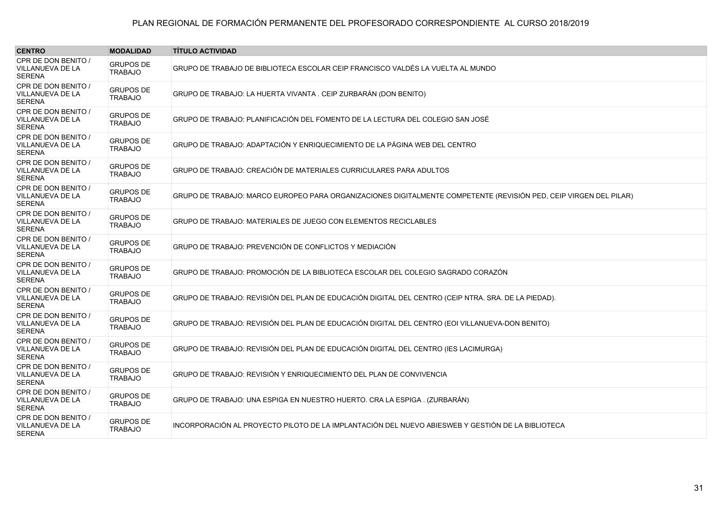| <b>CENTRO</b>                                                   | <b>MODALIDAD</b>                   | <b>TÍTULO ACTIVIDAD</b>                                                                                           |
|-----------------------------------------------------------------|------------------------------------|-------------------------------------------------------------------------------------------------------------------|
| CPR DE DON BENITO /<br><b>VILLANUEVA DE LA</b><br><b>SERENA</b> | <b>GRUPOS DE</b><br><b>TRABAJO</b> | GRUPO DE TRABAJO DE BIBLIOTECA ESCOLAR CEIP FRANCISCO VALDÉS LA VUELTA AL MUNDO                                   |
| CPR DE DON BENITO /<br>VILLANUEVA DE LA<br><b>SERENA</b>        | <b>GRUPOS DE</b><br><b>TRABAJO</b> | GRUPO DE TRABAJO: LA HUERTA VIVANTA. CEIP ZURBARÁN (DON BENITO)                                                   |
| CPR DE DON BENITO /<br>VILLANUEVA DE LA<br><b>SERENA</b>        | <b>GRUPOS DE</b><br><b>TRABAJO</b> | GRUPO DE TRABAJO: PLANIFICACIÓN DEL FOMENTO DE LA LECTURA DEL COLEGIO SAN JOSÉ                                    |
| CPR DE DON BENITO /<br>VILLANUEVA DE LA<br><b>SERENA</b>        | <b>GRUPOS DE</b><br><b>TRABAJO</b> | GRUPO DE TRABAJO: ADAPTACIÓN Y ENRIQUECIMIENTO DE LA PÁGINA WEB DEL CENTRO                                        |
| CPR DE DON BENITO /<br><b>VILLANUEVA DE LA</b><br><b>SERENA</b> | <b>GRUPOS DE</b><br><b>TRABAJO</b> | GRUPO DE TRABAJO: CREACIÓN DE MATERIALES CURRICULARES PARA ADULTOS                                                |
| CPR DE DON BENITO /<br><b>VILLANUEVA DE LA</b><br><b>SERENA</b> | <b>GRUPOS DE</b><br><b>TRABAJO</b> | GRUPO DE TRABAJO: MARCO EUROPEO PARA ORGANIZACIONES DIGITALMENTE COMPETENTE (REVISIÓN PED, CEIP VIRGEN DEL PILAR) |
| CPR DE DON BENITO /<br>VILLANUEVA DE LA<br><b>SERENA</b>        | <b>GRUPOS DE</b><br><b>TRABAJO</b> | GRUPO DE TRABAJO: MATERIALES DE JUEGO CON ELEMENTOS RECICLABLES                                                   |
| CPR DE DON BENITO /<br>VILLANUEVA DE LA<br><b>SERENA</b>        | <b>GRUPOS DE</b><br><b>TRABAJO</b> | GRUPO DE TRABAJO: PREVENCIÓN DE CONFLICTOS Y MEDIACIÓN                                                            |
| CPR DE DON BENITO /<br>VILLANUEVA DE LA<br><b>SERENA</b>        | <b>GRUPOS DE</b><br><b>TRABAJO</b> | GRUPO DE TRABAJO: PROMOCIÓN DE LA BIBLIOTECA ESCOLAR DEL COLEGIO SAGRADO CORAZÓN                                  |
| CPR DE DON BENITO /<br>VILLANUEVA DE LA<br><b>SERENA</b>        | <b>GRUPOS DE</b><br><b>TRABAJO</b> | GRUPO DE TRABAJO: REVISIÓN DEL PLAN DE EDUCACIÓN DIGITAL DEL CENTRO (CEIP NTRA. SRA. DE LA PIEDAD).               |
| CPR DE DON BENITO /<br><b>VILLANUEVA DE LA</b><br><b>SERENA</b> | <b>GRUPOS DE</b><br><b>TRABAJO</b> | GRUPO DE TRABAJO: REVISIÓN DEL PLAN DE EDUCACIÓN DIGITAL DEL CENTRO (EOI VILLANUEVA-DON BENITO)                   |
| CPR DE DON BENITO /<br>VILLANUEVA DE LA<br><b>SERENA</b>        | <b>GRUPOS DE</b><br><b>TRABAJO</b> | GRUPO DE TRABAJO: REVISIÓN DEL PLAN DE EDUCACIÓN DIGITAL DEL CENTRO (IES LACIMURGA)                               |
| CPR DE DON BENITO /<br>VILLANUEVA DE LA<br><b>SERENA</b>        | <b>GRUPOS DE</b><br><b>TRABAJO</b> | GRUPO DE TRABAJO: REVISIÓN Y ENRIQUECIMIENTO DEL PLAN DE CONVIVENCIA                                              |
| CPR DE DON BENITO /<br>VILLANUEVA DE LA<br><b>SERENA</b>        | <b>GRUPOS DE</b><br><b>TRABAJO</b> | GRUPO DE TRABAJO: UNA ESPIGA EN NUESTRO HUERTO. CRA LA ESPIGA. (ZURBARÁN)                                         |
| CPR DE DON BENITO /<br>VILLANUEVA DE LA<br><b>SERENA</b>        | <b>GRUPOS DE</b><br><b>TRABAJO</b> | INCORPORACIÓN AL PROYECTO PILOTO DE LA IMPLANTACIÓN DEL NUEVO ABIESWEB Y GESTIÓN DE LA BIBLIOTECA                 |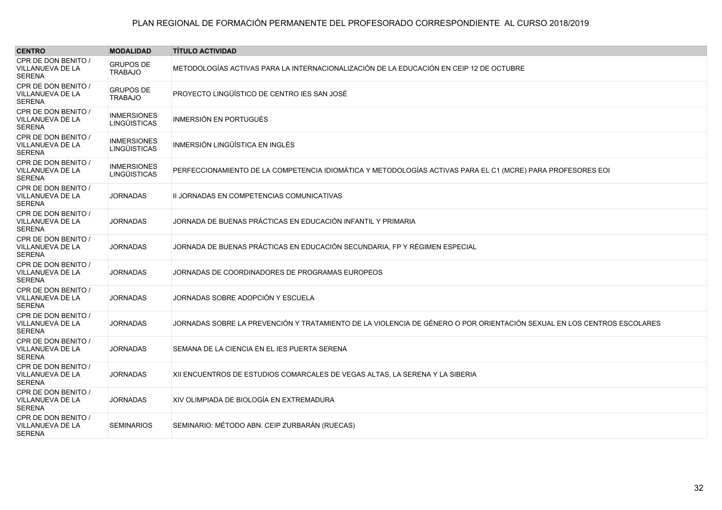| <b>MODALIDAD</b>                          | <b>TÍTULO ACTIVIDAD</b>                                                                                                |
|-------------------------------------------|------------------------------------------------------------------------------------------------------------------------|
| <b>GRUPOS DE</b><br><b>TRABAJO</b>        | METODOLOGÍAS ACTIVAS PARA LA INTERNACIONALIZACIÓN DE LA EDUCACIÓN EN CEIP 12 DE OCTUBRE                                |
| <b>GRUPOS DE</b><br><b>TRABAJO</b>        | PROYECTO LINGÜÍSTICO DE CENTRO IES SAN JOSÉ                                                                            |
| <b>INMERSIONES</b><br><b>LINGÜISTICAS</b> | <b>INMERSIÓN EN PORTUGUÉS</b>                                                                                          |
| <b>INMERSIONES</b><br><b>LINGÜISTICAS</b> | INMERSIÓN LINGÜÍSTICA EN INGLÉS                                                                                        |
| <b>INMERSIONES</b><br>LINGÜISTICAS        | PERFECCIONAMIENTO DE LA COMPETENCIA IDIOMÁTICA Y METODOLOGÍAS ACTIVAS PARA EL C1 (MCRE) PARA PROFESORES EOI            |
| <b>JORNADAS</b>                           | II JORNADAS EN COMPETENCIAS COMUNICATIVAS                                                                              |
| <b>JORNADAS</b>                           | JORNADA DE BUENAS PRÁCTICAS EN EDUCACIÓN INFANTIL Y PRIMARIA                                                           |
| <b>JORNADAS</b>                           | JORNADA DE BUENAS PRÁCTICAS EN EDUCACIÓN SECUNDARIA, FP Y RÉGIMEN ESPECIAL                                             |
| <b>JORNADAS</b>                           | JORNADAS DE COORDINADORES DE PROGRAMAS EUROPEOS                                                                        |
| <b>JORNADAS</b>                           | JORNADAS SOBRE ADOPCIÓN Y ESCUELA                                                                                      |
| <b>JORNADAS</b>                           | JORNADAS SOBRE LA PREVENCIÓN Y TRATAMIENTO DE LA VIOLENCIA DE GÉNERO O POR ORIENTACIÓN SEXUAL EN LOS CENTROS ESCOLARES |
| <b>JORNADAS</b>                           | SEMANA DE LA CIENCIA EN EL IES PUERTA SERENA                                                                           |
| <b>JORNADAS</b>                           | XII ENCUENTROS DE ESTUDIOS COMARCALES DE VEGAS ALTAS, LA SERENA Y LA SIBERIA                                           |
| <b>JORNADAS</b>                           | XIV OLIMPIADA DE BIOLOGÍA EN EXTREMADURA                                                                               |
| <b>SEMINARIOS</b>                         | SEMINARIO: MÉTODO ABN. CEIP ZURBARÁN (RUECAS)                                                                          |
|                                           |                                                                                                                        |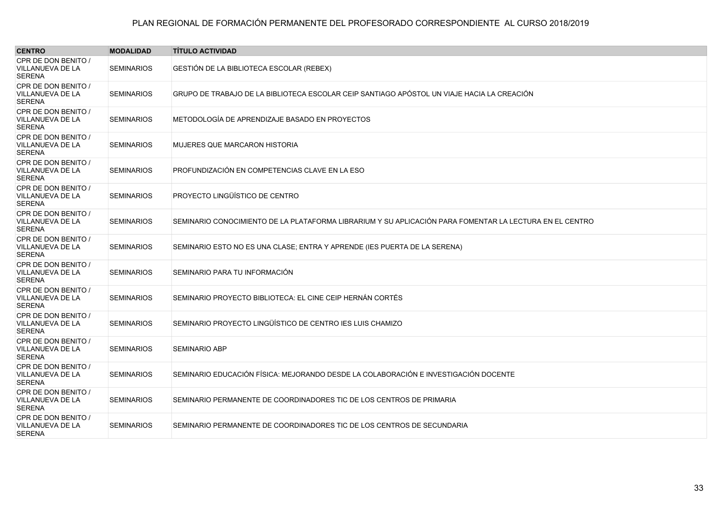| <b>CENTRO</b>                                            | <b>MODALIDAD</b>  | <b>TÍTULO ACTIVIDAD</b>                                                                                 |
|----------------------------------------------------------|-------------------|---------------------------------------------------------------------------------------------------------|
| CPR DE DON BENITO /<br>VILLANUEVA DE LA<br><b>SERENA</b> | <b>SEMINARIOS</b> | GESTIÓN DE LA BIBLIOTECA ESCOLAR (REBEX)                                                                |
| CPR DE DON BENITO /<br>VILLANUEVA DE LA<br><b>SERENA</b> | <b>SEMINARIOS</b> | GRUPO DE TRABAJO DE LA BIBLIOTECA ESCOLAR CEIP SANTIAGO APÓSTOL UN VIAJE HACIA LA CREACIÓN              |
| CPR DE DON BENITO /<br>VILLANUEVA DE LA<br>SERENA        | <b>SEMINARIOS</b> | METODOLOGÍA DE APRENDIZAJE BASADO EN PROYECTOS                                                          |
| CPR DE DON BENITO /<br>VILLANUEVA DE LA<br><b>SERENA</b> | <b>SEMINARIOS</b> | <b>MUJERES QUE MARCARON HISTORIA</b>                                                                    |
| CPR DE DON BENITO /<br>VILLANUEVA DE LA<br>SERENA        | <b>SEMINARIOS</b> | PROFUNDIZACIÓN EN COMPETENCIAS CLAVE EN LA ESO                                                          |
| CPR DE DON BENITO /<br>VILLANUEVA DE LA<br><b>SERENA</b> | <b>SEMINARIOS</b> | PROYECTO LINGÜÍSTICO DE CENTRO                                                                          |
| CPR DE DON BENITO /<br>VILLANUEVA DE LA<br>SERENA        | <b>SEMINARIOS</b> | SEMINARIO CONOCIMIENTO DE LA PLATAFORMA LIBRARIUM Y SU APLICACIÓN PARA FOMENTAR LA LECTURA EN EL CENTRO |
| CPR DE DON BENITO /<br>VILLANUEVA DE LA<br>SERENA        | <b>SEMINARIOS</b> | SEMINARIO ESTO NO ES UNA CLASE; ENTRA Y APRENDE (IES PUERTA DE LA SERENA)                               |
| CPR DE DON BENITO /<br>VILLANUEVA DE LA<br>SERENA        | <b>SEMINARIOS</b> | SEMINARIO PARA TU INFORMACIÓN                                                                           |
| CPR DE DON BENITO /<br>VILLANUEVA DE LA<br>SERENA        | <b>SEMINARIOS</b> | SEMINARIO PROYECTO BIBLIOTECA: EL CINE CEIP HERNÁN CORTÉS                                               |
| CPR DE DON BENITO /<br>VILLANUEVA DE LA<br>SERENA        | <b>SEMINARIOS</b> | SEMINARIO PROYECTO LINGÜÍSTICO DE CENTRO IES LUIS CHAMIZO                                               |
| CPR DE DON BENITO /<br>VILLANUEVA DE LA<br>SERENA        | <b>SEMINARIOS</b> | <b>SEMINARIO ABP</b>                                                                                    |
| CPR DE DON BENITO /<br>VILLANUEVA DE LA<br>SERENA        | <b>SEMINARIOS</b> | SEMINARIO EDUCACIÓN FÍSICA: MEJORANDO DESDE LA COLABORACIÓN E INVESTIGACIÓN DOCENTE                     |
| CPR DE DON BENITO /<br>VILLANUEVA DE LA<br>SERENA        | <b>SEMINARIOS</b> | SEMINARIO PERMANENTE DE COORDINADORES TIC DE LOS CENTROS DE PRIMARIA                                    |
| CPR DE DON BENITO /<br>VILLANUEVA DE LA<br>SERENA        | <b>SEMINARIOS</b> | SEMINARIO PERMANENTE DE COORDINADORES TIC DE LOS CENTROS DE SECUNDARIA                                  |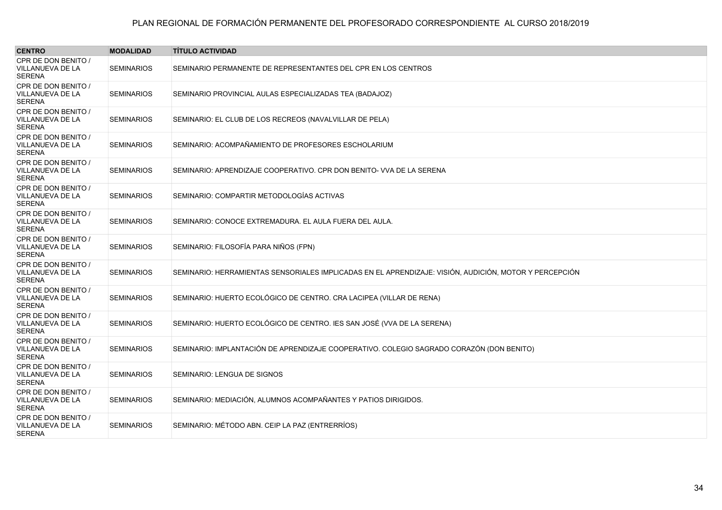| <b>CENTRO</b>                                            | <b>MODALIDAD</b>  | <b>TÍTULO ACTIVIDAD</b>                                                                                |
|----------------------------------------------------------|-------------------|--------------------------------------------------------------------------------------------------------|
| CPR DE DON BENITO /<br>VILLANUEVA DE LA<br><b>SERENA</b> | <b>SEMINARIOS</b> | SEMINARIO PERMANENTE DE REPRESENTANTES DEL CPR EN LOS CENTROS                                          |
| CPR DE DON BENITO /<br>VILLANUEVA DE LA<br><b>SERENA</b> | <b>SEMINARIOS</b> | SEMINARIO PROVINCIAL AULAS ESPECIALIZADAS TEA (BADAJOZ)                                                |
| CPR DE DON BENITO /<br>VILLANUEVA DE LA<br><b>SERENA</b> | <b>SEMINARIOS</b> | SEMINARIO: EL CLUB DE LOS RECREOS (NAVALVILLAR DE PELA)                                                |
| CPR DE DON BENITO /<br>VILLANUEVA DE LA<br><b>SERENA</b> | <b>SEMINARIOS</b> | SEMINARIO: ACOMPAÑAMIENTO DE PROFESORES ESCHOLARIUM                                                    |
| CPR DE DON BENITO /<br>VILLANUEVA DE LA<br><b>SERENA</b> | <b>SEMINARIOS</b> | SEMINARIO: APRENDIZAJE COOPERATIVO, CPR DON BENITO- VVA DE LA SERENA                                   |
| CPR DE DON BENITO /<br>VILLANUEVA DE LA<br><b>SERENA</b> | <b>SEMINARIOS</b> | SEMINARIO: COMPARTIR METODOLOGÍAS ACTIVAS                                                              |
| CPR DE DON BENITO /<br>VILLANUEVA DE LA<br><b>SERENA</b> | <b>SEMINARIOS</b> | SEMINARIO: CONOCE EXTREMADURA. EL AULA FUERA DEL AULA.                                                 |
| CPR DE DON BENITO /<br>VILLANUEVA DE LA<br><b>SERENA</b> | <b>SEMINARIOS</b> | SEMINARIO: FILOSOFÍA PARA NIÑOS (FPN)                                                                  |
| CPR DE DON BENITO /<br>VILLANUEVA DE LA<br><b>SERENA</b> | <b>SEMINARIOS</b> | SEMINARIO: HERRAMIENTAS SENSORIALES IMPLICADAS EN EL APRENDIZAJE: VISIÓN, AUDICIÓN, MOTOR Y PERCEPCIÓN |
| CPR DE DON BENITO /<br>VILLANUEVA DE LA<br><b>SERENA</b> | <b>SEMINARIOS</b> | SEMINARIO: HUERTO ECOLÓGICO DE CENTRO. CRA LACIPEA (VILLAR DE RENA)                                    |
| CPR DE DON BENITO /<br>VILLANUEVA DE LA<br><b>SERENA</b> | <b>SEMINARIOS</b> | SEMINARIO: HUERTO ECOLÓGICO DE CENTRO. IES SAN JOSÉ (VVA DE LA SERENA)                                 |
| CPR DE DON BENITO /<br>VILLANUEVA DE LA<br><b>SERENA</b> | <b>SEMINARIOS</b> | SEMINARIO: IMPLANTACIÓN DE APRENDIZAJE COOPERATIVO. COLEGIO SAGRADO CORAZÓN (DON BENITO)               |
| CPR DE DON BENITO /<br>VILLANUEVA DE LA<br><b>SERENA</b> | <b>SEMINARIOS</b> | SEMINARIO: LENGUA DE SIGNOS                                                                            |
| CPR DE DON BENITO /<br>VILLANUEVA DE LA<br><b>SERENA</b> | <b>SEMINARIOS</b> | SEMINARIO: MEDIACIÓN, ALUMNOS ACOMPAÑANTES Y PATIOS DIRIGIDOS.                                         |
| CPR DE DON BENITO /<br>VILLANUEVA DE LA<br><b>SERENA</b> | <b>SEMINARIOS</b> | SEMINARIO: MÉTODO ABN. CEIP LA PAZ (ENTRERRÍOS)                                                        |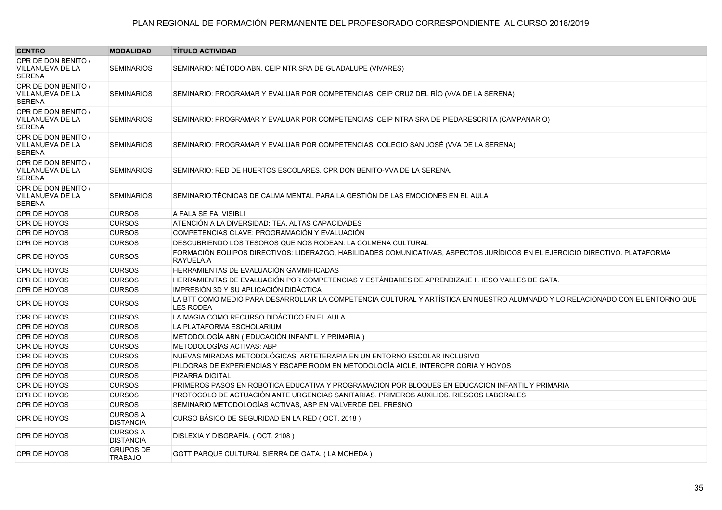| <b>CENTRO</b>                                                   | <b>MODALIDAD</b>                    | <b>TÍTULO ACTIVIDAD</b>                                                                                                                            |
|-----------------------------------------------------------------|-------------------------------------|----------------------------------------------------------------------------------------------------------------------------------------------------|
| CPR DE DON BENITO /                                             |                                     |                                                                                                                                                    |
| <b>VILLANUEVA DE LA</b><br><b>SERENA</b>                        | <b>SEMINARIOS</b>                   | SEMINARIO: MÉTODO ABN. CEIP NTR SRA DE GUADALUPE (VIVARES)                                                                                         |
| CPR DE DON BENITO /<br>VILLANUEVA DE LA<br><b>SERENA</b>        | <b>SEMINARIOS</b>                   | SEMINARIO: PROGRAMAR Y EVALUAR POR COMPETENCIAS. CEIP CRUZ DEL RÍO (VVA DE LA SERENA)                                                              |
| CPR DE DON BENITO /<br><b>VILLANUEVA DE LA</b><br><b>SERENA</b> | <b>SEMINARIOS</b>                   | SEMINARIO: PROGRAMAR Y EVALUAR POR COMPETENCIAS. CEIP NTRA SRA DE PIEDARESCRITA (CAMPANARIO)                                                       |
| CPR DE DON BENITO /<br><b>VILLANUEVA DE LA</b><br><b>SERENA</b> | <b>SEMINARIOS</b>                   | SEMINARIO: PROGRAMAR Y EVALUAR POR COMPETENCIAS. COLEGIO SAN JOSÉ (VVA DE LA SERENA)                                                               |
| CPR DE DON BENITO /<br>VILLANUEVA DE LA<br><b>SERENA</b>        | <b>SEMINARIOS</b>                   | SEMINARIO: RED DE HUERTOS ESCOLARES. CPR DON BENITO-VVA DE LA SERENA.                                                                              |
| CPR DE DON BENITO /<br>VILLANUEVA DE LA<br><b>SERENA</b>        | <b>SEMINARIOS</b>                   | SEMINARIO: TÉCNICAS DE CALMA MENTAL PARA LA GESTIÓN DE LAS EMOCIONES EN EL AULA                                                                    |
| CPR DE HOYOS                                                    | <b>CURSOS</b>                       | A FALA SE FAI VISIBLI                                                                                                                              |
| CPR DE HOYOS                                                    | <b>CURSOS</b>                       | ATENCIÓN A LA DIVERSIDAD: TEA. ALTAS CAPACIDADES                                                                                                   |
| CPR DE HOYOS                                                    | <b>CURSOS</b>                       | COMPETENCIAS CLAVE: PROGRAMACIÓN Y EVALUACIÓN                                                                                                      |
| CPR DE HOYOS                                                    | <b>CURSOS</b>                       | DESCUBRIENDO LOS TESOROS QUE NOS RODEAN: LA COLMENA CULTURAL                                                                                       |
| CPR DE HOYOS                                                    | <b>CURSOS</b>                       | FORMACIÓN EQUIPOS DIRECTIVOS: LIDERAZGO, HABILIDADES COMUNICATIVAS, ASPECTOS JURÍDICOS EN EL EJERCICIO DIRECTIVO. PLATAFORMA<br>RAYUELA.A          |
| CPR DE HOYOS                                                    | <b>CURSOS</b>                       | HERRAMIENTAS DE EVALUACIÓN GAMMIFICADAS                                                                                                            |
| CPR DE HOYOS                                                    | <b>CURSOS</b>                       | HERRAMIENTAS DE EVALUACIÓN POR COMPETENCIAS Y ESTÁNDARES DE APRENDIZAJE II. IESO VALLES DE GATA.                                                   |
| CPR DE HOYOS                                                    | <b>CURSOS</b>                       | IMPRESIÓN 3D Y SU APLICACIÓN DIDÁCTICA                                                                                                             |
| CPR DE HOYOS                                                    | <b>CURSOS</b>                       | LA BTT COMO MEDIO PARA DESARROLLAR LA COMPETENCIA CULTURAL Y ARTÍSTICA EN NUESTRO ALUMNADO Y LO RELACIONADO CON EL ENTORNO QUE<br><b>LES RODEA</b> |
| CPR DE HOYOS                                                    | <b>CURSOS</b>                       | LA MAGIA COMO RECURSO DIDÁCTICO EN EL AULA.                                                                                                        |
| CPR DE HOYOS                                                    | <b>CURSOS</b>                       | LA PLATAFORMA ESCHOLARIUM                                                                                                                          |
| CPR DE HOYOS                                                    | <b>CURSOS</b>                       | METODOLOGÍA ABN (EDUCACIÓN INFANTIL Y PRIMARIA)                                                                                                    |
| CPR DE HOYOS                                                    | <b>CURSOS</b>                       | METODOLOGÍAS ACTIVAS: ABP                                                                                                                          |
| CPR DE HOYOS                                                    | <b>CURSOS</b>                       | NUEVAS MIRADAS METODOLÓGICAS: ARTETERAPIA EN UN ENTORNO ESCOLAR INCLUSIVO                                                                          |
| CPR DE HOYOS                                                    | <b>CURSOS</b>                       | PILDORAS DE EXPERIENCIAS Y ESCAPE ROOM EN METODOLOGÍA AICLE, INTERCPR CORIA Y HOYOS                                                                |
| CPR DE HOYOS                                                    | <b>CURSOS</b>                       | PIZARRA DIGITAL.                                                                                                                                   |
| CPR DE HOYOS                                                    | <b>CURSOS</b>                       | PRIMEROS PASOS EN ROBÓTICA EDUCATIVA Y PROGRAMACIÓN POR BLOQUES EN EDUCACIÓN INFANTIL Y PRIMARIA                                                   |
| <b>CPR DE HOYOS</b>                                             | <b>CURSOS</b>                       | PROTOCOLO DE ACTUACIÓN ANTE URGENCIAS SANITARIAS. PRIMEROS AUXILIOS. RIESGOS LABORALES                                                             |
| CPR DE HOYOS                                                    | <b>CURSOS</b>                       | SEMINARIO METODOLOGÍAS ACTIVAS, ABP EN VALVERDE DEL FRESNO                                                                                         |
| <b>CPR DE HOYOS</b>                                             | <b>CURSOS A</b><br><b>DISTANCIA</b> | CURSO BÁSICO DE SEGURIDAD EN LA RED (OCT. 2018)                                                                                                    |
| CPR DE HOYOS                                                    | <b>CURSOS A</b><br><b>DISTANCIA</b> | DISLEXIA Y DISGRAFÍA. (OCT. 2108)                                                                                                                  |
| CPR DE HOYOS                                                    | <b>GRUPOS DE</b><br><b>TRABAJO</b>  | GGTT PARQUE CULTURAL SIERRA DE GATA. (LA MOHEDA)                                                                                                   |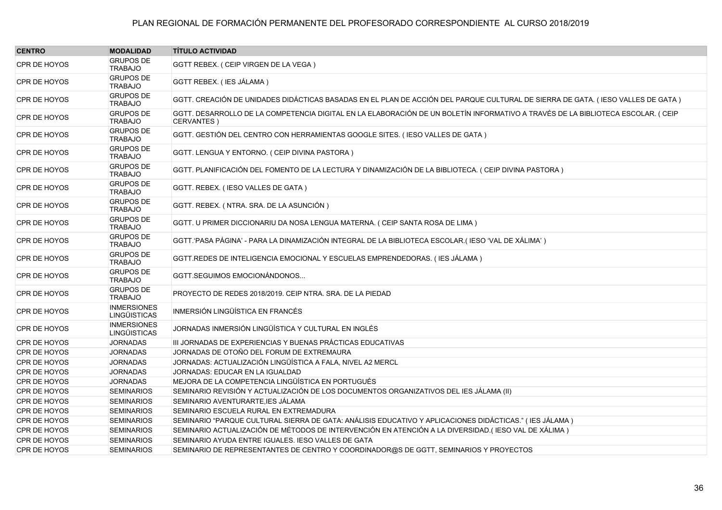| <b>CENTRO</b>       | <b>MODALIDAD</b>                          | <b>TÍTULO ACTIVIDAD</b>                                                                                                                       |
|---------------------|-------------------------------------------|-----------------------------------------------------------------------------------------------------------------------------------------------|
| CPR DE HOYOS        | <b>GRUPOS DE</b><br><b>TRABAJO</b>        | GGTT REBEX. ( CEIP VIRGEN DE LA VEGA )                                                                                                        |
| <b>CPR DE HOYOS</b> | <b>GRUPOS DE</b><br><b>TRABAJO</b>        | GGTT REBEX. (IES JÁLAMA)                                                                                                                      |
| <b>CPR DE HOYOS</b> | <b>GRUPOS DE</b><br><b>TRABAJO</b>        | GGTT. CREACIÓN DE UNIDADES DIDÁCTICAS BASADAS EN EL PLAN DE ACCIÓN DEL PARQUE CULTURAL DE SIERRA DE GATA. (IESO VALLES DE GATA)               |
| CPR DE HOYOS        | <b>GRUPOS DE</b><br><b>TRABAJO</b>        | GGTT. DESARROLLO DE LA COMPETENCIA DIGITAL EN LA ELABORACIÓN DE UN BOLETÍN INFORMATIVO A TRAVÉS DE LA BIBLIOTECA ESCOLAR. (CEIP<br>CERVANTES) |
| <b>CPR DE HOYOS</b> | <b>GRUPOS DE</b><br><b>TRABAJO</b>        | GGTT. GESTIÓN DEL CENTRO CON HERRAMIENTAS GOOGLE SITES. (IESO VALLES DE GATA)                                                                 |
| <b>CPR DE HOYOS</b> | <b>GRUPOS DE</b><br><b>TRABAJO</b>        | GGTT. LENGUA Y ENTORNO. ( CEIP DIVINA PASTORA )                                                                                               |
| CPR DE HOYOS        | <b>GRUPOS DE</b><br><b>TRABAJO</b>        | GGTT. PLANIFICACIÓN DEL FOMENTO DE LA LECTURA Y DINAMIZACIÓN DE LA BIBLIOTECA. ( CEIP DIVINA PASTORA )                                        |
| <b>CPR DE HOYOS</b> | <b>GRUPOS DE</b><br><b>TRABAJO</b>        | GGTT. REBEX. (IESO VALLES DE GATA)                                                                                                            |
| <b>CPR DE HOYOS</b> | <b>GRUPOS DE</b><br><b>TRABAJO</b>        | GGTT. REBEX. (NTRA. SRA. DE LA ASUNCIÓN)                                                                                                      |
| CPR DE HOYOS        | <b>GRUPOS DE</b><br><b>TRABAJO</b>        | GGTT. U PRIMER DICCIONARIU DA NOSA LENGUA MATERNA. ( CEIP SANTA ROSA DE LIMA )                                                                |
| <b>CPR DE HOYOS</b> | <b>GRUPOS DE</b><br><b>TRABAJO</b>        | GGTT. PASA PÁGINA' - PARA LA DINAMIZACIÓN INTEGRAL DE LA BIBLIOTECA ESCOLAR.(IESO 'VAL DE XÁLIMA')                                            |
| <b>CPR DE HOYOS</b> | <b>GRUPOS DE</b><br><b>TRABAJO</b>        | GGTT.REDES DE INTELIGENCIA EMOCIONAL Y ESCUELAS EMPRENDEDORAS. (IES JÁLAMA)                                                                   |
| <b>CPR DE HOYOS</b> | <b>GRUPOS DE</b><br><b>TRABAJO</b>        | GGTT.SEGUIMOS EMOCIONÁNDONOS                                                                                                                  |
| <b>CPR DE HOYOS</b> | <b>GRUPOS DE</b><br><b>TRABAJO</b>        | PROYECTO DE REDES 2018/2019. CEIP NTRA. SRA. DE LA PIEDAD                                                                                     |
| <b>CPR DE HOYOS</b> | <b>INMERSIONES</b><br><b>LINGÜISTICAS</b> | INMERSIÓN LINGÜÍSTICA EN FRANCÉS                                                                                                              |
| CPR DE HOYOS        | <b>INMERSIONES</b><br><b>LINGÜISTICAS</b> | JORNADAS INMERSIÓN LINGÜÍSTICA Y CULTURAL EN INGLÉS                                                                                           |
| CPR DE HOYOS        | <b>JORNADAS</b>                           | III JORNADAS DE EXPERIENCIAS Y BUENAS PRÁCTICAS EDUCATIVAS                                                                                    |
| CPR DE HOYOS        | <b>JORNADAS</b>                           | JORNADAS DE OTOÑO DEL FORUM DE EXTREMAURA                                                                                                     |
| CPR DE HOYOS        | <b>JORNADAS</b>                           | JORNADAS: ACTUALIZACIÓN LINGÜÍSTICA A FALA, NIVEL A2 MERCL                                                                                    |
| CPR DE HOYOS        | <b>JORNADAS</b>                           | JORNADAS: EDUCAR EN LA IGUALDAD                                                                                                               |
| CPR DE HOYOS        | <b>JORNADAS</b>                           | MEJORA DE LA COMPETENCIA LINGÜÍSTICA EN PORTUGUÉS                                                                                             |
| CPR DE HOYOS        | <b>SEMINARIOS</b>                         | SEMINARIO REVISIÓN Y ACTUALIZACIÓN DE LOS DOCUMENTOS ORGANIZATIVOS DEL IES JÁLAMA (II)                                                        |
| <b>CPR DE HOYOS</b> | <b>SEMINARIOS</b>                         | SEMINARIO AVENTURARTE, IES JÁLAMA                                                                                                             |
| CPR DE HOYOS        | <b>SEMINARIOS</b>                         | SEMINARIO ESCUELA RURAL EN EXTREMADURA                                                                                                        |
| <b>CPR DE HOYOS</b> | <b>SEMINARIOS</b>                         | SEMINARIO "PARQUE CULTURAL SIERRA DE GATA: ANÁLISIS EDUCATIVO Y APLICACIONES DIDÁCTICAS." (IES JÁLAMA)                                        |
| CPR DE HOYOS        | <b>SEMINARIOS</b>                         | SEMINARIO ACTUALIZACIÓN DE MÉTODOS DE INTERVENCIÓN EN ATENCIÓN A LA DIVERSIDAD.(IESO VAL DE XÁLIMA)                                           |
| CPR DE HOYOS        | <b>SEMINARIOS</b>                         | SEMINARIO AYUDA ENTRE IGUALES. IESO VALLES DE GATA                                                                                            |
| CPR DE HOYOS        | <b>SEMINARIOS</b>                         | SEMINARIO DE REPRESENTANTES DE CENTRO Y COORDINADOR@S DE GGTT, SEMINARIOS Y PROYECTOS                                                         |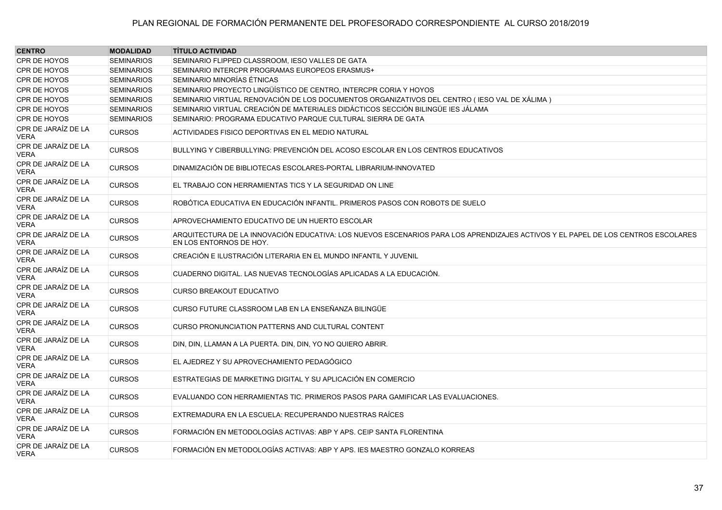| <b>CENTRO</b>                      | <b>MODALIDAD</b>  | <b>TÍTULO ACTIVIDAD</b>                                                                                                                                     |
|------------------------------------|-------------------|-------------------------------------------------------------------------------------------------------------------------------------------------------------|
| CPR DE HOYOS                       | <b>SEMINARIOS</b> | SEMINARIO FLIPPED CLASSROOM, IESO VALLES DE GATA                                                                                                            |
| CPR DE HOYOS                       | <b>SEMINARIOS</b> | SEMINARIO INTERCPR PROGRAMAS EUROPEOS ERASMUS+                                                                                                              |
| CPR DE HOYOS                       | <b>SEMINARIOS</b> | SEMINARIO MINORÍAS ÉTNICAS                                                                                                                                  |
| CPR DE HOYOS                       | <b>SEMINARIOS</b> | SEMINARIO PROYECTO LINGÜÍSTICO DE CENTRO, INTERCPR CORIA Y HOYOS                                                                                            |
| CPR DE HOYOS                       | <b>SEMINARIOS</b> | SEMINARIO VIRTUAL RENOVACIÓN DE LOS DOCUMENTOS ORGANIZATIVOS DEL CENTRO ( IESO VAL DE XÁLIMA )                                                              |
| CPR DE HOYOS                       | <b>SEMINARIOS</b> | SEMINARIO VIRTUAL CREACIÓN DE MATERIALES DIDÁCTICOS SECCIÓN BILINGÜE IES JÁLAMA                                                                             |
| CPR DE HOYOS                       | <b>SEMINARIOS</b> | SEMINARIO: PROGRAMA EDUCATIVO PARQUE CULTURAL SIERRA DE GATA                                                                                                |
| CPR DE JARAÍZ DE LA<br>VERA        | <b>CURSOS</b>     | ACTIVIDADES FISICO DEPORTIVAS EN EL MEDIO NATURAL                                                                                                           |
| CPR DE JARAÍZ DE LA<br>VERA        | <b>CURSOS</b>     | BULLYING Y CIBERBULLYING: PREVENCIÓN DEL ACOSO ESCOLAR EN LOS CENTROS EDUCATIVOS                                                                            |
| CPR DE JARAÍZ DE LA<br>VERA        | <b>CURSOS</b>     | DINAMIZACIÓN DE BIBLIOTECAS ESCOLARES-PORTAL LIBRARIUM-INNOVATED                                                                                            |
| CPR DE JARAÍZ DE LA<br>VERA        | <b>CURSOS</b>     | EL TRABAJO CON HERRAMIENTAS TICS Y LA SEGURIDAD ON LINE                                                                                                     |
| CPR DE JARAÍZ DE LA<br>VERA        | <b>CURSOS</b>     | ROBÓTICA EDUCATIVA EN EDUCACIÓN INFANTIL. PRIMEROS PASOS CON ROBOTS DE SUELO                                                                                |
| CPR DE JARAÍZ DE LA<br><b>VERA</b> | <b>CURSOS</b>     | APROVECHAMIENTO EDUCATIVO DE UN HUERTO ESCOLAR                                                                                                              |
| CPR DE JARAÍZ DE LA<br>VERA        | <b>CURSOS</b>     | ARQUITECTURA DE LA INNOVACIÓN EDUCATIVA: LOS NUEVOS ESCENARIOS PARA LOS APRENDIZAJES ACTIVOS Y EL PAPEL DE LOS CENTROS ESCOLARES<br>EN LOS ENTORNOS DE HOY. |
| CPR DE JARAÍZ DE LA<br>VERA        | <b>CURSOS</b>     | CREACIÓN E ILUSTRACIÓN LITERARIA EN EL MUNDO INFANTIL Y JUVENIL                                                                                             |
| CPR DE JARAÍZ DE LA<br>VERA        | <b>CURSOS</b>     | CUADERNO DIGITAL. LAS NUEVAS TECNOLOGÍAS APLICADAS A LA EDUCACIÓN.                                                                                          |
| CPR DE JARAÍZ DE LA<br>VERA        | <b>CURSOS</b>     | <b>CURSO BREAKOUT EDUCATIVO</b>                                                                                                                             |
| CPR DE JARAÍZ DE LA<br>VERA        | <b>CURSOS</b>     | CURSO FUTURE CLASSROOM LAB EN LA ENSEÑANZA BILINGÜE                                                                                                         |
| CPR DE JARAÍZ DE LA<br>VERA        | <b>CURSOS</b>     | CURSO PRONUNCIATION PATTERNS AND CULTURAL CONTENT                                                                                                           |
| CPR DE JARAÍZ DE LA<br>VERA        | <b>CURSOS</b>     | DIN, DIN, LLAMAN A LA PUERTA. DIN, DIN, YO NO QUIERO ABRIR.                                                                                                 |
| CPR DE JARAÍZ DE LA<br>VERA        | <b>CURSOS</b>     | EL AJEDREZ Y SU APROVECHAMIENTO PEDAGÓGICO                                                                                                                  |
| CPR DE JARAÍZ DE LA<br>VERA        | <b>CURSOS</b>     | ESTRATEGIAS DE MARKETING DIGITAL Y SU APLICACIÓN EN COMERCIO                                                                                                |
| CPR DE JARAÍZ DE LA<br>VERA        | <b>CURSOS</b>     | EVALUANDO CON HERRAMIENTAS TIC. PRIMEROS PASOS PARA GAMIFICAR LAS EVALUACIONES.                                                                             |
| CPR DE JARAÍZ DE LA<br>VERA        | <b>CURSOS</b>     | EXTREMADURA EN LA ESCUELA: RECUPERANDO NUESTRAS RAÍCES                                                                                                      |
| CPR DE JARAÍZ DE LA<br>VERA        | <b>CURSOS</b>     | FORMACIÓN EN METODOLOGÍAS ACTIVAS: ABP Y APS. CEIP SANTA FLORENTINA                                                                                         |
| CPR DE JARAÍZ DE LA<br>VERA        | <b>CURSOS</b>     | FORMACIÓN EN METODOLOGÍAS ACTIVAS: ABP Y APS. IES MAESTRO GONZALO KORREAS                                                                                   |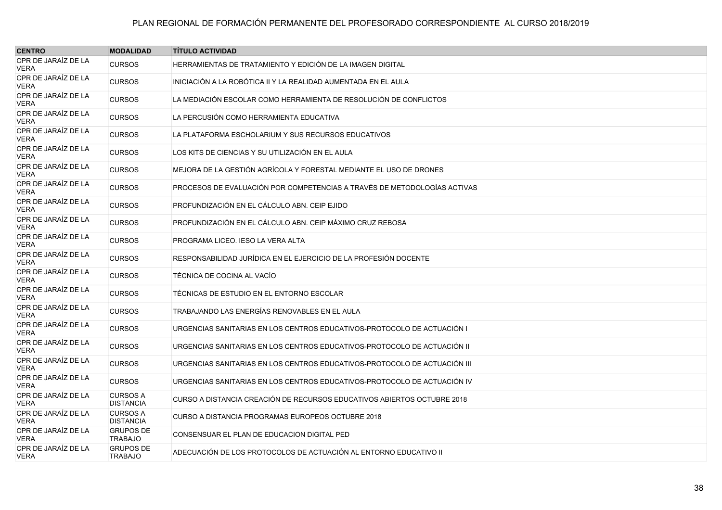| <b>CENTRO</b>                      | <b>MODALIDAD</b>                    | <b>TITULO ACTIVIDAD</b>                                                   |
|------------------------------------|-------------------------------------|---------------------------------------------------------------------------|
| CPR DE JARAÍZ DE LA<br>VERA        | <b>CURSOS</b>                       | HERRAMIENTAS DE TRATAMIENTO Y EDICIÓN DE LA IMAGEN DIGITAL                |
| CPR DE JARAÍZ DE LA<br><b>VERA</b> | <b>CURSOS</b>                       | INICIACIÓN A LA ROBÓTICA II Y LA REALIDAD AUMENTADA EN EL AULA            |
| CPR DE JARAÍZ DE LA<br>VERA        | <b>CURSOS</b>                       | LA MEDIACIÓN ESCOLAR COMO HERRAMIENTA DE RESOLUCIÓN DE CONFLICTOS         |
| CPR DE JARAÍZ DE LA<br>VERA        | <b>CURSOS</b>                       | LA PERCUSIÓN COMO HERRAMIENTA EDUCATIVA                                   |
| CPR DE JARAÍZ DE LA<br>VERA        | <b>CURSOS</b>                       | LA PLATAFORMA ESCHOLARIUM Y SUS RECURSOS EDUCATIVOS                       |
| CPR DE JARAÍZ DE LA<br>VERA        | <b>CURSOS</b>                       | LOS KITS DE CIENCIAS Y SU UTILIZACIÓN EN EL AULA                          |
| CPR DE JARAÍZ DE LA<br>VERA        | <b>CURSOS</b>                       | MEJORA DE LA GESTIÓN AGRÍCOLA Y FORESTAL MEDIANTE EL USO DE DRONES.       |
| CPR DE JARAÍZ DE LA<br>VERA        | <b>CURSOS</b>                       | PROCESOS DE EVALUACIÓN POR COMPETENCIAS A TRAVÉS DE METODOLOGÍAS ACTIVAS  |
| CPR DE JARAÍZ DE LA<br>VERA        | <b>CURSOS</b>                       | PROFUNDIZACIÓN EN EL CÁLCULO ABN. CEIP EJIDO                              |
| CPR DE JARAÍZ DE LA<br>VERA        | <b>CURSOS</b>                       | PROFUNDIZACIÓN EN EL CÁLCULO ABN. CEIP MÁXIMO CRUZ REBOSA                 |
| CPR DE JARAÍZ DE LA<br>VERA        | <b>CURSOS</b>                       | PROGRAMA LICEO. IESO LA VERA ALTA                                         |
| CPR DE JARAÍZ DE LA<br>VERA        | <b>CURSOS</b>                       | RESPONSABILIDAD JURÍDICA EN EL EJERCICIO DE LA PROFESIÓN DOCENTE          |
| CPR DE JARAÍZ DE LA<br>VERA        | <b>CURSOS</b>                       | TÉCNICA DE COCINA AL VACÍO                                                |
| CPR DE JARAÍZ DE LA<br>VERA        | <b>CURSOS</b>                       | TÉCNICAS DE ESTUDIO EN EL ENTORNO ESCOLAR                                 |
| CPR DE JARAÍZ DE LA<br>VERA        | <b>CURSOS</b>                       | TRABAJANDO LAS ENERGÍAS RENOVABLES EN EL AULA                             |
| CPR DE JARAÍZ DE LA<br>VERA        | <b>CURSOS</b>                       | URGENCIAS SANITARIAS EN LOS CENTROS EDUCATIVOS-PROTOCOLO DE ACTUACIÓN I   |
| CPR DE JARAÍZ DE LA<br>VERA        | <b>CURSOS</b>                       | URGENCIAS SANITARIAS EN LOS CENTROS EDUCATIVOS-PROTOCOLO DE ACTUACIÓN II  |
| CPR DE JARAÍZ DE LA<br>VERA        | <b>CURSOS</b>                       | URGENCIAS SANITARIAS EN LOS CENTROS EDUCATIVOS-PROTOCOLO DE ACTUACIÓN III |
| CPR DE JARAÍZ DE LA<br>VERA        | <b>CURSOS</b>                       | URGENCIAS SANITARIAS EN LOS CENTROS EDUCATIVOS-PROTOCOLO DE ACTUACIÓN IV  |
| CPR DE JARAÍZ DE LA<br>VERA        | <b>CURSOS A</b><br><b>DISTANCIA</b> | CURSO A DISTANCIA CREACIÓN DE RECURSOS EDUCATIVOS ABIERTOS OCTUBRE 2018   |
| CPR DE JARAÍZ DE LA<br>VERA        | <b>CURSOS A</b><br><b>DISTANCIA</b> | CURSO A DISTANCIA PROGRAMAS EUROPEOS OCTUBRE 2018                         |
| CPR DE JARAÍZ DE LA<br>VERA        | <b>GRUPOS DE</b><br><b>TRABAJO</b>  | CONSENSUAR EL PLAN DE EDUCACION DIGITAL PED                               |
| CPR DE JARAÍZ DE LA<br>VERA        | <b>GRUPOS DE</b><br><b>TRABAJO</b>  | ADECUACIÓN DE LOS PROTOCOLOS DE ACTUACIÓN AL ENTORNO EDUCATIVO II         |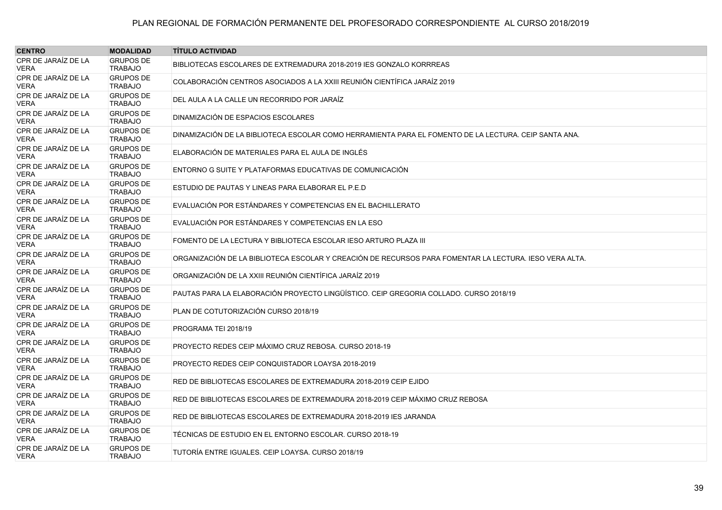| <b>CENTRO</b>                      | <b>MODALIDAD</b>                   | <b>TÍTULO ACTIVIDAD</b>                                                                                |
|------------------------------------|------------------------------------|--------------------------------------------------------------------------------------------------------|
| CPR DE JARAÍZ DE LA<br><b>VERA</b> | <b>GRUPOS DE</b><br><b>TRABAJO</b> | BIBLIOTECAS ESCOLARES DE EXTREMADURA 2018-2019 IES GONZALO KORRREAS                                    |
| CPR DE JARAÍZ DE LA<br><b>VERA</b> | <b>GRUPOS DE</b><br><b>TRABAJO</b> | COLABORACIÓN CENTROS ASOCIADOS A LA XXIII REUNIÓN CIENTÍFICA JARAÍZ 2019                               |
| CPR DE JARAÍZ DE LA<br><b>VERA</b> | <b>GRUPOS DE</b><br><b>TRABAJO</b> | DEL AULA A LA CALLE UN RECORRIDO POR JARAÍZ                                                            |
| CPR DE JARAÍZ DE LA<br><b>VERA</b> | <b>GRUPOS DE</b><br><b>TRABAJO</b> | DINAMIZACIÓN DE ESPACIOS ESCOLARES                                                                     |
| CPR DE JARAÍZ DE LA<br><b>VERA</b> | <b>GRUPOS DE</b><br><b>TRABAJO</b> | DINAMIZACIÓN DE LA BIBLIOTECA ESCOLAR COMO HERRAMIENTA PARA EL FOMENTO DE LA LECTURA. CEIP SANTA ANA.  |
| CPR DE JARAÍZ DE LA<br><b>VERA</b> | <b>GRUPOS DE</b><br><b>TRABAJO</b> | ELABORACIÓN DE MATERIALES PARA EL AULA DE INGLÉS                                                       |
| CPR DE JARAÍZ DE LA<br><b>VERA</b> | <b>GRUPOS DE</b><br><b>TRABAJO</b> | ENTORNO G SUITE Y PLATAFORMAS EDUCATIVAS DE COMUNICACIÓN                                               |
| CPR DE JARAÍZ DE LA<br><b>VERA</b> | <b>GRUPOS DE</b><br><b>TRABAJO</b> | ESTUDIO DE PAUTAS Y LINEAS PARA ELABORAR EL P.E.D                                                      |
| CPR DE JARAÍZ DE LA<br>VERA        | <b>GRUPOS DE</b><br><b>TRABAJO</b> | EVALUACIÓN POR ESTÁNDARES Y COMPETENCIAS EN EL BACHILLERATO                                            |
| CPR DE JARAÍZ DE LA<br><b>VERA</b> | <b>GRUPOS DE</b><br><b>TRABAJO</b> | EVALUACIÓN POR ESTÁNDARES Y COMPETENCIAS EN LA ESO                                                     |
| CPR DE JARAÍZ DE LA<br><b>VERA</b> | <b>GRUPOS DE</b><br><b>TRABAJO</b> | FOMENTO DE LA LECTURA Y BIBLIOTECA ESCOLAR IESO ARTURO PLAZA III                                       |
| CPR DE JARAÍZ DE LA<br>VERA        | <b>GRUPOS DE</b><br><b>TRABAJO</b> | ORGANIZACIÓN DE LA BIBLIOTECA ESCOLAR Y CREACIÓN DE RECURSOS PARA FOMENTAR LA LECTURA. IESO VERA ALTA. |
| CPR DE JARAÍZ DE LA<br><b>VERA</b> | <b>GRUPOS DE</b><br><b>TRABAJO</b> | ORGANIZACIÓN DE LA XXIII REUNIÓN CIENTÍFICA JARAÍZ 2019                                                |
| CPR DE JARAÍZ DE LA<br><b>VERA</b> | <b>GRUPOS DE</b><br><b>TRABAJO</b> | PAUTAS PARA LA ELABORACIÓN PROYECTO LINGÜÍSTICO. CEIP GREGORIA COLLADO. CURSO 2018/19                  |
| CPR DE JARAIZ DE LA<br>VERA        | <b>GRUPOS DE</b><br><b>TRABAJO</b> | PLAN DE COTUTORIZACIÓN CURSO 2018/19                                                                   |
| CPR DE JARAÍZ DE LA<br><b>VERA</b> | <b>GRUPOS DE</b><br><b>TRABAJO</b> | PROGRAMA TEI 2018/19                                                                                   |
| CPR DE JARAÍZ DE LA<br><b>VERA</b> | <b>GRUPOS DE</b><br><b>TRABAJO</b> | PROYECTO REDES CEIP MÁXIMO CRUZ REBOSA. CURSO 2018-19                                                  |
| CPR DE JARAÍZ DE LA<br>VERA        | <b>GRUPOS DE</b><br><b>TRABAJO</b> | PROYECTO REDES CEIP CONQUISTADOR LOAYSA 2018-2019                                                      |
| CPR DE JARAÍZ DE LA<br><b>VERA</b> | <b>GRUPOS DE</b><br><b>TRABAJO</b> | RED DE BIBLIOTECAS ESCOLARES DE EXTREMADURA 2018-2019 CEIP EJIDO                                       |
| CPR DE JARAÍZ DE LA<br><b>VERA</b> | <b>GRUPOS DE</b><br><b>TRABAJO</b> | RED DE BIBLIOTECAS ESCOLARES DE EXTREMADURA 2018-2019 CEIP MÁXIMO CRUZ REBOSA                          |
| CPR DE JARAÍZ DE LA<br><b>VERA</b> | <b>GRUPOS DE</b><br><b>TRABAJO</b> | RED DE BIBLIOTECAS ESCOLARES DE EXTREMADURA 2018-2019 IES JARANDA                                      |
| CPR DE JARAÍZ DE LA<br>VERA        | <b>GRUPOS DE</b><br><b>TRABAJO</b> | TÉCNICAS DE ESTUDIO EN EL ENTORNO ESCOLAR. CURSO 2018-19                                               |
| CPR DE JARAÍZ DE LA<br>VERA        | <b>GRUPOS DE</b><br><b>TRABAJO</b> | TUTORÍA ENTRE IGUALES. CEIP LOAYSA. CURSO 2018/19                                                      |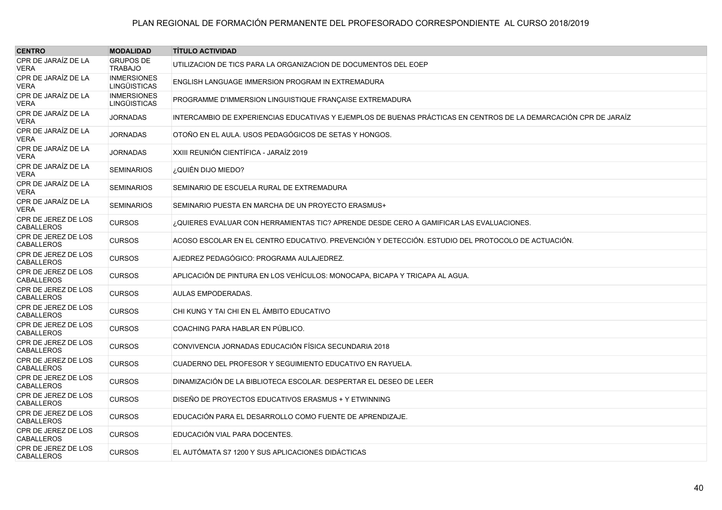| <b>CENTRO</b>                      | <b>MODALIDAD</b>                          | <b>TÍTULO ACTIVIDAD</b>                                                                                          |
|------------------------------------|-------------------------------------------|------------------------------------------------------------------------------------------------------------------|
| CPR DE JARAÍZ DE LA<br>VERA        | <b>GRUPOS DE</b><br><b>TRABAJO</b>        | UTILIZACION DE TICS PARA LA ORGANIZACION DE DOCUMENTOS DEL EOEP                                                  |
| CPR DE JARAÍZ DE LA<br>VERA        | <b>INMERSIONES</b><br><b>LINGÜISTICAS</b> | ENGLISH LANGUAGE IMMERSION PROGRAM IN EXTREMADURA                                                                |
| CPR DE JARAÌZ DE LA<br>VERA        | <b>INMERSIONES</b><br><b>LINGÜISTICAS</b> | PROGRAMME D'IMMERSION LINGUISTIQUE FRANÇAISE EXTREMADURA                                                         |
| CPR DE JARAÍZ DE LA<br>VERA        | <b>JORNADAS</b>                           | INTERCAMBIO DE EXPERIENCIAS EDUCATIVAS Y EJEMPLOS DE BUENAS PRÁCTICAS EN CENTROS DE LA DEMARCACIÓN CPR DE JARAÍZ |
| CPR DE JARAÍZ DE LA<br>VERA        | <b>JORNADAS</b>                           | OTOÑO EN EL AULA. USOS PEDAGÓGICOS DE SETAS Y HONGOS.                                                            |
| CPR DE JARAÍZ DE LA<br>VERA        | <b>JORNADAS</b>                           | XXIII REUNIÓN CIENTÍFICA - JARAÍZ 2019                                                                           |
| CPR DE JARAÍZ DE LA<br>VERA        | <b>SEMINARIOS</b>                         | ¿QUIÉN DIJO MIEDO?                                                                                               |
| CPR DE JARAÍZ DE LA<br>VERA        | <b>SEMINARIOS</b>                         | SEMINARIO DE ESCUELA RURAL DE EXTREMADURA                                                                        |
| CPR DE JARAÍZ DE LA<br><b>VERA</b> | <b>SEMINARIOS</b>                         | SEMINARIO PUESTA EN MARCHA DE UN PROYECTO ERASMUS+                                                               |
| CPR DE JEREZ DE LOS<br>CABALLEROS  | <b>CURSOS</b>                             | ¿QUIERES EVALUAR CON HERRAMIENTAS TIC? APRENDE DESDE CERO A GAMIFICAR LAS EVALUACIONES.                          |
| CPR DE JEREZ DE LOS<br>CABALLEROS  | <b>CURSOS</b>                             | ACOSO ESCOLAR EN EL CENTRO EDUCATIVO. PREVENCIÓN Y DETECCIÓN. ESTUDIO DEL PROTOCOLO DE ACTUACIÓN.                |
| CPR DE JEREZ DE LOS<br>CABALLEROS  | <b>CURSOS</b>                             | AJEDREZ PEDAGÓGICO: PROGRAMA AULAJEDREZ.                                                                         |
| CPR DE JEREZ DE LOS<br>CABALLEROS  | <b>CURSOS</b>                             | APLICACIÓN DE PINTURA EN LOS VEHÍCULOS: MONOCAPA, BICAPA Y TRICAPA AL AGUA.                                      |
| CPR DE JEREZ DE LOS<br>CABALLEROS  | <b>CURSOS</b>                             | AULAS EMPODERADAS.                                                                                               |
| CPR DE JEREZ DE LOS<br>CABALLEROS  | <b>CURSOS</b>                             | CHI KUNG Y TAI CHI EN EL ÁMBITO EDUCATIVO                                                                        |
| CPR DE JEREZ DE LOS<br>CABALLEROS  | <b>CURSOS</b>                             | COACHING PARA HABLAR EN PÚBLICO.                                                                                 |
| CPR DE JEREZ DE LOS<br>CABALLEROS  | <b>CURSOS</b>                             | CONVIVENCIA JORNADAS EDUCACIÓN FÍSICA SECUNDARIA 2018                                                            |
| CPR DE JEREZ DE LOS<br>CABALLEROS  | <b>CURSOS</b>                             | CUADERNO DEL PROFESOR Y SEGUIMIENTO EDUCATIVO EN RAYUELA.                                                        |
| CPR DE JEREZ DE LOS<br>CABALLEROS  | <b>CURSOS</b>                             | DINAMIZACIÓN DE LA BIBLIOTECA ESCOLAR. DESPERTAR EL DESEO DE LEER                                                |
| CPR DE JEREZ DE LOS<br>CABALLEROS  | <b>CURSOS</b>                             | DISEÑO DE PROYECTOS EDUCATIVOS ERASMUS + Y ETWINNING                                                             |
| CPR DE JEREZ DE LOS<br>CABALLEROS  | <b>CURSOS</b>                             | EDUCACIÓN PARA EL DESARROLLO COMO FUENTE DE APRENDIZAJE.                                                         |
| CPR DE JEREZ DE LOS<br>CABALLEROS  | <b>CURSOS</b>                             | EDUCACIÓN VIAL PARA DOCENTES.                                                                                    |
| CPR DE JEREZ DE LOS<br>CABALLEROS  | <b>CURSOS</b>                             | EL AUTÓMATA S7 1200 Y SUS APLICACIONES DIDÁCTICAS                                                                |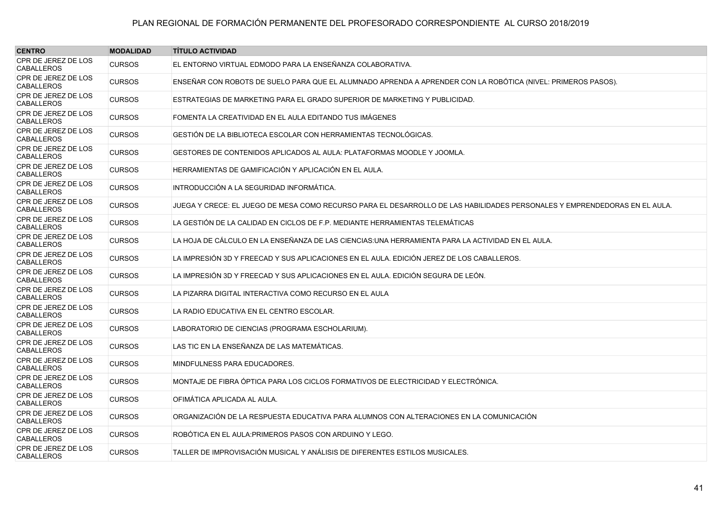| <b>CENTRO</b>                            | <b>MODALIDAD</b> | <b>TÍTULO ACTIVIDAD</b>                                                                                                   |
|------------------------------------------|------------------|---------------------------------------------------------------------------------------------------------------------------|
| CPR DE JEREZ DE LOS<br><b>CABALLEROS</b> | <b>CURSOS</b>    | EL ENTORNO VIRTUAL EDMODO PARA LA ENSEÑANZA COLABORATIVA.                                                                 |
| CPR DE JEREZ DE LOS<br><b>CABALLEROS</b> | <b>CURSOS</b>    | ENSEÑAR CON ROBOTS DE SUELO PARA QUE EL ALUMNADO APRENDA A APRENDER CON LA ROBÓTICA (NIVEL: PRIMEROS PASOS).              |
| CPR DE JEREZ DE LOS<br><b>CABALLEROS</b> | <b>CURSOS</b>    | ESTRATEGIAS DE MARKETING PARA EL GRADO SUPERIOR DE MARKETING Y PUBLICIDAD.                                                |
| CPR DE JEREZ DE LOS<br><b>CABALLEROS</b> | <b>CURSOS</b>    | FOMENTA LA CREATIVIDAD EN EL AULA EDITANDO TUS IMÁGENES                                                                   |
| CPR DE JEREZ DE LOS<br><b>CABALLEROS</b> | <b>CURSOS</b>    | GESTIÓN DE LA BIBLIOTECA ESCOLAR CON HERRAMIENTAS TECNOLÓGICAS.                                                           |
| CPR DE JEREZ DE LOS<br><b>CABALLEROS</b> | <b>CURSOS</b>    | GESTORES DE CONTENIDOS APLICADOS AL AULA: PLATAFORMAS MOODLE Y JOOMLA.                                                    |
| CPR DE JEREZ DE LOS<br><b>CABALLEROS</b> | <b>CURSOS</b>    | HERRAMIENTAS DE GAMIFICACIÓN Y APLICACIÓN EN EL AULA.                                                                     |
| CPR DE JEREZ DE LOS<br><b>CABALLEROS</b> | <b>CURSOS</b>    | INTRODUCCIÓN A LA SEGURIDAD INFORMÁTICA.                                                                                  |
| CPR DE JEREZ DE LOS<br><b>CABALLEROS</b> | <b>CURSOS</b>    | JUEGA Y CRECE: EL JUEGO DE MESA COMO RECURSO PARA EL DESARROLLO DE LAS HABILIDADES PERSONALES Y EMPRENDEDORAS EN EL AULA. |
| CPR DE JEREZ DE LOS<br><b>CABALLEROS</b> | <b>CURSOS</b>    | LA GESTIÓN DE LA CALIDAD EN CICLOS DE F.P. MEDIANTE HERRAMIENTAS TELEMÁTICAS                                              |
| CPR DE JEREZ DE LOS<br><b>CABALLEROS</b> | <b>CURSOS</b>    | LA HOJA DE CÁLCULO EN LA ENSEÑANZA DE LAS CIENCIAS:UNA HERRAMIENTA PARA LA ACTIVIDAD EN EL AULA.                          |
| CPR DE JEREZ DE LOS<br><b>CABALLEROS</b> | <b>CURSOS</b>    | LA IMPRESIÓN 3D Y FREECAD Y SUS APLICACIONES EN EL AULA. EDICIÓN JEREZ DE LOS CABALLEROS.                                 |
| CPR DE JEREZ DE LOS<br><b>CABALLEROS</b> | <b>CURSOS</b>    | LA IMPRESIÓN 3D Y FREECAD Y SUS APLICACIONES EN EL AULA. EDICIÓN SEGURA DE LEÓN.                                          |
| CPR DE JEREZ DE LOS<br><b>CABALLEROS</b> | <b>CURSOS</b>    | LA PIZARRA DIGITAL INTERACTIVA COMO RECURSO EN EL AULA                                                                    |
| CPR DE JEREZ DE LOS<br><b>CABALLEROS</b> | <b>CURSOS</b>    | LA RADIO EDUCATIVA EN EL CENTRO ESCOLAR.                                                                                  |
| CPR DE JEREZ DE LOS<br><b>CABALLEROS</b> | <b>CURSOS</b>    | LABORATORIO DE CIENCIAS (PROGRAMA ESCHOLARIUM).                                                                           |
| CPR DE JEREZ DE LOS<br><b>CABALLEROS</b> | <b>CURSOS</b>    | LAS TIC EN LA ENSEÑANZA DE LAS MATEMÁTICAS.                                                                               |
| CPR DE JEREZ DE LOS<br><b>CABALLEROS</b> | <b>CURSOS</b>    | MINDFULNESS PARA EDUCADORES.                                                                                              |
| CPR DE JEREZ DE LOS<br><b>CABALLEROS</b> | <b>CURSOS</b>    | MONTAJE DE FIBRA ÓPTICA PARA LOS CICLOS FORMATIVOS DE ELECTRICIDAD Y ELECTRÓNICA.                                         |
| CPR DE JEREZ DE LOS<br><b>CABALLEROS</b> | <b>CURSOS</b>    | OFIMÁTICA APLICADA AL AULA.                                                                                               |
| CPR DE JEREZ DE LOS<br><b>CABALLEROS</b> | <b>CURSOS</b>    | ORGANIZACIÓN DE LA RESPUESTA EDUCATIVA PARA ALUMNOS CON ALTERACIONES EN LA COMUNICACIÓN                                   |
| CPR DE JEREZ DE LOS<br><b>CABALLEROS</b> | <b>CURSOS</b>    | ROBÓTICA EN EL AULA: PRIMEROS PASOS CON ARDUINO Y LEGO.                                                                   |
| CPR DE JEREZ DE LOS<br><b>CABALLEROS</b> | <b>CURSOS</b>    | TALLER DE IMPROVISACIÓN MUSICAL Y ANÁLISIS DE DIFERENTES ESTILOS MUSICALES.                                               |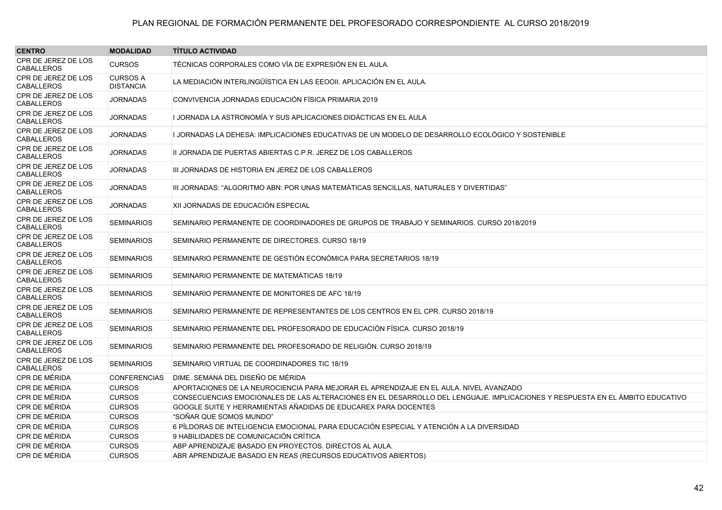| <b>CENTRO</b>                            | <b>MODALIDAD</b>                    | <b>TITULO ACTIVIDAD</b>                                                                                                       |
|------------------------------------------|-------------------------------------|-------------------------------------------------------------------------------------------------------------------------------|
| CPR DE JEREZ DE LOS<br><b>CABALLEROS</b> | <b>CURSOS</b>                       | TÉCNICAS CORPORALES COMO VÍA DE EXPRESIÓN EN EL AULA.                                                                         |
| CPR DE JEREZ DE LOS<br><b>CABALLEROS</b> | <b>CURSOS A</b><br><b>DISTANCIA</b> | LA MEDIACIÓN INTERLINGÜÍSTICA EN LAS EEOOII. APLICACIÓN EN EL AULA.                                                           |
| CPR DE JEREZ DE LOS<br><b>CABALLEROS</b> | <b>JORNADAS</b>                     | CONVIVENCIA JORNADAS EDUCACIÓN FÍSICA PRIMARIA 2019                                                                           |
| CPR DE JEREZ DE LOS<br><b>CABALLEROS</b> | <b>JORNADAS</b>                     | I JORNADA LA ASTRONOMÍA Y SUS APLICACIONES DIDÁCTICAS EN EL AULA                                                              |
| CPR DE JEREZ DE LOS<br><b>CABALLEROS</b> | <b>JORNADAS</b>                     | I JORNADAS LA DEHESA: IMPLICACIONES EDUCATIVAS DE UN MODELO DE DESARROLLO ECOLÓGICO Y SOSTENIBLE                              |
| CPR DE JEREZ DE LOS<br><b>CABALLEROS</b> | <b>JORNADAS</b>                     | II JORNADA DE PUERTAS ABIERTAS C.P.R. JEREZ DE LOS CABALLEROS                                                                 |
| CPR DE JEREZ DE LOS<br><b>CABALLEROS</b> | <b>JORNADAS</b>                     | III JORNADAS DE HISTORIA EN JEREZ DE LOS CABALLEROS                                                                           |
| CPR DE JEREZ DE LOS<br><b>CABALLEROS</b> | <b>JORNADAS</b>                     | III JORNADAS: "ALGORITMO ABN: POR UNAS MATEMÁTICAS SENCILLAS. NATURALES Y DIVERTIDAS"                                         |
| CPR DE JEREZ DE LOS<br><b>CABALLEROS</b> | <b>JORNADAS</b>                     | XII JORNADAS DE EDUCACIÓN ESPECIAL                                                                                            |
| CPR DE JEREZ DE LOS<br><b>CABALLEROS</b> | <b>SEMINARIOS</b>                   | SEMINARIO PERMANENTE DE COORDINADORES DE GRUPOS DE TRABAJO Y SEMINARIOS. CURSO 2018/2019                                      |
| CPR DE JEREZ DE LOS<br><b>CABALLEROS</b> | <b>SEMINARIOS</b>                   | SEMINARIO PERMANENTE DE DIRECTORES. CURSO 18/19                                                                               |
| CPR DE JEREZ DE LOS<br><b>CABALLEROS</b> | <b>SEMINARIOS</b>                   | SEMINARIO PERMANENTE DE GESTIÓN ECONÓMICA PARA SECRETARIOS 18/19                                                              |
| CPR DE JEREZ DE LOS<br><b>CABALLEROS</b> | <b>SEMINARIOS</b>                   | SEMINARIO PERMANENTE DE MATEMÁTICAS 18/19                                                                                     |
| CPR DE JEREZ DE LOS<br><b>CABALLEROS</b> | <b>SEMINARIOS</b>                   | SEMINARIO PERMANENTE DE MONITORES DE AFC 18/19                                                                                |
| CPR DE JEREZ DE LOS<br><b>CABALLEROS</b> | <b>SEMINARIOS</b>                   | SEMINARIO PERMANENTE DE REPRESENTANTES DE LOS CENTROS EN EL CPR. CURSO 2018/19                                                |
| CPR DE JEREZ DE LOS<br><b>CABALLEROS</b> | <b>SEMINARIOS</b>                   | SEMINARIO PERMANENTE DEL PROFESORADO DE EDUCACIÓN FÍSICA. CURSO 2018/19                                                       |
| CPR DE JEREZ DE LOS<br><b>CABALLEROS</b> | <b>SEMINARIOS</b>                   | SEMINARIO PERMANENTE DEL PROFESORADO DE RELIGIÓN, CURSO 2018/19                                                               |
| CPR DE JEREZ DE LOS<br><b>CABALLEROS</b> | <b>SEMINARIOS</b>                   | SEMINARIO VIRTUAL DE COORDINADORES TIC 18/19                                                                                  |
| CPR DE MÉRIDA                            | <b>CONFERENCIAS</b>                 | DIME. SEMANA DEL DISEÑO DE MÉRIDA                                                                                             |
| CPR DE MÉRIDA                            | <b>CURSOS</b>                       | APORTACIONES DE LA NEUROCIENCIA PARA MEJORAR EL APRENDIZAJE EN EL AULA. NIVEL AVANZADO                                        |
| CPR DE MÉRIDA                            | <b>CURSOS</b>                       | CONSECUENCIAS EMOCIONALES DE LAS ALTERACIONES EN EL DESARROLLO DEL LENGUAJE. IMPLICACIONES Y RESPUESTA EN EL ÁMBITO EDUCATIVO |
| CPR DE MÉRIDA                            | <b>CURSOS</b>                       | GOOGLE SUITE Y HERRAMIENTAS AÑADIDAS DE EDUCAREX PARA DOCENTES                                                                |
| CPR DE MÉRIDA                            | <b>CURSOS</b>                       | "SOÑAR QUE SOMOS MUNDO"                                                                                                       |
| CPR DE MÉRIDA                            | <b>CURSOS</b>                       | 6 PÍLDORAS DE INTELIGENCIA EMOCIONAL PARA EDUCACIÓN ESPECIAL Y ATENCIÓN A LA DIVERSIDAD                                       |
| CPR DE MÉRIDA                            | <b>CURSOS</b>                       | 9 HABILIDADES DE COMUNICACIÓN CRÍTICA                                                                                         |
| CPR DE MÉRIDA                            | <b>CURSOS</b>                       | ABP APRENDIZAJE BASADO EN PROYECTOS. DIRECTOS AL AULA.                                                                        |
| CPR DE MÉRIDA                            | <b>CURSOS</b>                       | ABR APRENDIZAJE BASADO EN REAS (RECURSOS EDUCATIVOS ABIERTOS)                                                                 |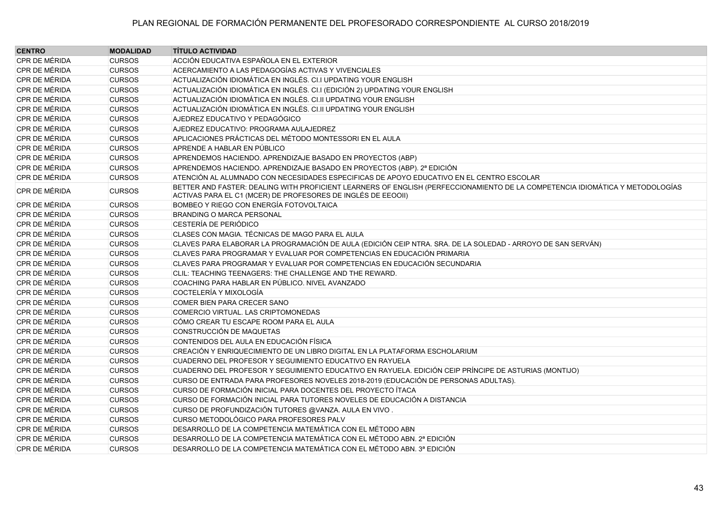| <b>CENTRO</b>        | <b>MODALIDAD</b> | <b>TÍTULO ACTIVIDAD</b>                                                                                                                                                                       |
|----------------------|------------------|-----------------------------------------------------------------------------------------------------------------------------------------------------------------------------------------------|
| CPR DE MÉRIDA        | <b>CURSOS</b>    | ACCIÓN EDUCATIVA ESPAÑOLA EN EL EXTERIOR                                                                                                                                                      |
| CPR DE MÉRIDA        | <b>CURSOS</b>    | ACERCAMIENTO A LAS PEDAGOGÍAS ACTIVAS Y VIVENCIALES                                                                                                                                           |
| CPR DE MÉRIDA        | <b>CURSOS</b>    | ACTUALIZACIÓN IDIOMÁTICA EN INGLÉS. CI.I UPDATING YOUR ENGLISH                                                                                                                                |
| CPR DE MÉRIDA        | <b>CURSOS</b>    | ACTUALIZACIÓN IDIOMÁTICA EN INGLÉS. CI.I (EDICIÓN 2) UPDATING YOUR ENGLISH                                                                                                                    |
| CPR DE MÉRIDA        | <b>CURSOS</b>    | ACTUALIZACIÓN IDIOMÁTICA EN INGLÉS. CI.II UPDATING YOUR ENGLISH                                                                                                                               |
| CPR DE MÉRIDA        | <b>CURSOS</b>    | ACTUALIZACIÓN IDIOMÁTICA EN INGLÉS. CI.II UPDATING YOUR ENGLISH                                                                                                                               |
| CPR DE MÉRIDA        | <b>CURSOS</b>    | AJEDREZ EDUCATIVO Y PEDAGÓGICO                                                                                                                                                                |
| CPR DE MÉRIDA        | <b>CURSOS</b>    | AJEDREZ EDUCATIVO: PROGRAMA AULAJEDREZ                                                                                                                                                        |
| CPR DE MÉRIDA        | <b>CURSOS</b>    | APLICACIONES PRÁCTICAS DEL MÉTODO MONTESSORI EN EL AULA                                                                                                                                       |
| CPR DE MÉRIDA        | <b>CURSOS</b>    | APRENDE A HABLAR EN PÚBLICO                                                                                                                                                                   |
| CPR DE MÉRIDA        | <b>CURSOS</b>    | APRENDEMOS HACIENDO. APRENDIZAJE BASADO EN PROYECTOS (ABP)                                                                                                                                    |
| CPR DE MÉRIDA        | <b>CURSOS</b>    | APRENDEMOS HACIENDO. APRENDIZAJE BASADO EN PROYECTOS (ABP). 2ª EDICIÓN                                                                                                                        |
| CPR DE MÉRIDA        | <b>CURSOS</b>    | ATENCIÓN AL ALUMNADO CON NECESIDADES ESPECIFICAS DE APOYO EDUCATIVO EN EL CENTRO ESCOLAR                                                                                                      |
| CPR DE MÉRIDA        | <b>CURSOS</b>    | BETTER AND FASTER: DEALING WITH PROFICIENT LEARNERS OF ENGLISH (PERFECCIONAMIENTO DE LA COMPETENCIA IDIOMÁTICA Y METODOLOGÍAS<br>ACTIVAS PARA EL C1 (MCER) DE PROFESORES DE INGLÉS DE EEOOII) |
| CPR DE MÉRIDA        | <b>CURSOS</b>    | BOMBEO Y RIEGO CON ENERGÍA FOTOVOLTAICA                                                                                                                                                       |
| CPR DE MÉRIDA        | <b>CURSOS</b>    | <b>BRANDING O MARCA PERSONAL</b>                                                                                                                                                              |
| CPR DE MÉRIDA        | <b>CURSOS</b>    | CESTERÍA DE PERIÓDICO                                                                                                                                                                         |
| CPR DE MÉRIDA        | <b>CURSOS</b>    | CLASES CON MAGIA. TÉCNICAS DE MAGO PARA EL AULA                                                                                                                                               |
| <b>CPR DE MÉRIDA</b> | <b>CURSOS</b>    | CLAVES PARA ELABORAR LA PROGRAMACIÓN DE AULA (EDICIÓN CEIP NTRA. SRA. DE LA SOLEDAD - ARROYO DE SAN SERVÁN)                                                                                   |
| CPR DE MÉRIDA        | <b>CURSOS</b>    | CLAVES PARA PROGRAMAR Y EVALUAR POR COMPETENCIAS EN EDUCACIÓN PRIMARIA                                                                                                                        |
| CPR DE MÉRIDA        | <b>CURSOS</b>    | CLAVES PARA PROGRAMAR Y EVALUAR POR COMPETENCIAS EN EDUCACIÓN SECUNDARIA                                                                                                                      |
| CPR DE MÉRIDA        | <b>CURSOS</b>    | CLIL: TEACHING TEENAGERS: THE CHALLENGE AND THE REWARD.                                                                                                                                       |
| CPR DE MÉRIDA        | <b>CURSOS</b>    | COACHING PARA HABLAR EN PÚBLICO. NIVEL AVANZADO                                                                                                                                               |
| CPR DE MÉRIDA        | <b>CURSOS</b>    | COCTELERÍA Y MIXOLOGÍA                                                                                                                                                                        |
| CPR DE MÉRIDA        | <b>CURSOS</b>    | COMER BIEN PARA CRECER SANO                                                                                                                                                                   |
| CPR DE MÉRIDA        | <b>CURSOS</b>    | COMERCIO VIRTUAL. LAS CRIPTOMONEDAS                                                                                                                                                           |
| CPR DE MÉRIDA        | <b>CURSOS</b>    | CÓMO CREAR TU ESCAPE ROOM PARA EL AULA                                                                                                                                                        |
| CPR DE MÉRIDA        | <b>CURSOS</b>    | CONSTRUCCIÓN DE MAQUETAS                                                                                                                                                                      |
| CPR DE MÉRIDA        | <b>CURSOS</b>    | CONTENIDOS DEL AULA EN EDUCACIÓN FÍSICA                                                                                                                                                       |
| CPR DE MÉRIDA        | <b>CURSOS</b>    | CREACIÓN Y ENRIQUECIMIENTO DE UN LIBRO DIGITAL EN LA PLATAFORMA ESCHOLARIUM                                                                                                                   |
| CPR DE MÉRIDA        | <b>CURSOS</b>    | CUADERNO DEL PROFESOR Y SEGUIMIENTO EDUCATIVO EN RAYUELA                                                                                                                                      |
| CPR DE MÉRIDA        | <b>CURSOS</b>    | CUADERNO DEL PROFESOR Y SEGUIMIENTO EDUCATIVO EN RAYUELA. EDICIÓN CEIP PRÍNCIPE DE ASTURIAS (MONTIJO)                                                                                         |
| <b>CPR DE MÉRIDA</b> | <b>CURSOS</b>    | CURSO DE ENTRADA PARA PROFESORES NOVELES 2018-2019 (EDUCACIÓN DE PERSONAS ADULTAS).                                                                                                           |
| CPR DE MÉRIDA        | <b>CURSOS</b>    | CURSO DE FORMACIÓN INICIAL PARA DOCENTES DEL PROYECTO ÍTACA                                                                                                                                   |
| CPR DE MÉRIDA        | <b>CURSOS</b>    | CURSO DE FORMACIÓN INICIAL PARA TUTORES NOVELES DE EDUCACIÓN A DISTANCIA                                                                                                                      |
| CPR DE MÉRIDA        | <b>CURSOS</b>    | CURSO DE PROFUNDIZACIÓN TUTORES @VANZA. AULA EN VIVO.                                                                                                                                         |
| CPR DE MÉRIDA        | <b>CURSOS</b>    | CURSO METODOLÓGICO PARA PROFESORES PALV                                                                                                                                                       |
| CPR DE MÉRIDA        | <b>CURSOS</b>    | DESARROLLO DE LA COMPETENCIA MATEMÁTICA CON EL MÉTODO ABN                                                                                                                                     |
| CPR DE MÉRIDA        | <b>CURSOS</b>    | DESARROLLO DE LA COMPETENCIA MATEMÁTICA CON EL MÉTODO ABN. 2ª EDICIÓN                                                                                                                         |
| CPR DE MÉRIDA        | <b>CURSOS</b>    | DESARROLLO DE LA COMPETENCIA MATEMÁTICA CON EL MÉTODO ABN. 3ª EDICIÓN                                                                                                                         |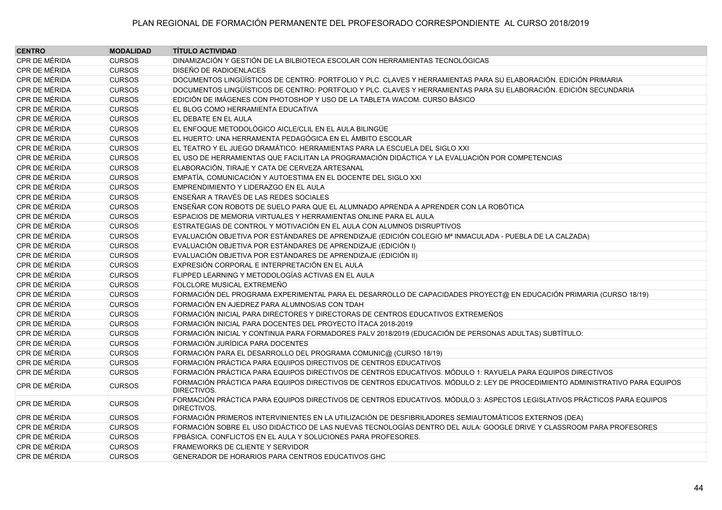| <b>CENTRO</b>        | <b>MODALIDAD</b> | <b>TÍTULO ACTIVIDAD</b>                                                                                                                     |
|----------------------|------------------|---------------------------------------------------------------------------------------------------------------------------------------------|
| CPR DE MÉRIDA        | <b>CURSOS</b>    | DINAMIZACIÓN Y GESTIÓN DE LA BILBIOTECA ESCOLAR CON HERRAMIENTAS TECNOLÓGICAS                                                               |
| CPR DE MÉRIDA        | <b>CURSOS</b>    | DISEÑO DE RADIOENLACES                                                                                                                      |
| <b>CPR DE MÉRIDA</b> | <b>CURSOS</b>    | DOCUMENTOS LINGÜÍSTICOS DE CENTRO: PORTFOLIO Y PLC. CLAVES Y HERRAMIENTAS PARA SU ELABORACIÓN. EDICIÓN PRIMARIA                             |
| CPR DE MÉRIDA        | <b>CURSOS</b>    | DOCUMENTOS LINGÜÍSTICOS DE CENTRO: PORTFOLIO Y PLC. CLAVES Y HERRAMIENTAS PARA SU ELABORACIÓN. EDICIÓN SECUNDARIA                           |
| CPR DE MÉRIDA        | <b>CURSOS</b>    | EDICIÓN DE IMÁGENES CON PHOTOSHOP Y USO DE LA TABLETA WACOM. CURSO BÁSICO                                                                   |
| CPR DE MÉRIDA        | <b>CURSOS</b>    | EL BLOG COMO HERRAMIENTA EDUCATIVA                                                                                                          |
| <b>CPR DE MÉRIDA</b> | <b>CURSOS</b>    | EL DEBATE EN EL AULA                                                                                                                        |
| CPR DE MÉRIDA        | <b>CURSOS</b>    | EL ENFOQUE METODOLÓGICO AICLE/CLIL EN EL AULA BILINGÜE                                                                                      |
| CPR DE MÉRIDA        | <b>CURSOS</b>    | EL HUERTO: UNA HERRAMENTA PEDAGÓGICA EN EL ÁMBITO ESCOLAR                                                                                   |
| CPR DE MÉRIDA        | <b>CURSOS</b>    | EL TEATRO Y EL JUEGO DRAMÁTICO: HERRAMIENTAS PARA LA ESCUELA DEL SIGLO XXI                                                                  |
| CPR DE MÉRIDA        | <b>CURSOS</b>    | EL USO DE HERRAMIENTAS QUE FACILITAN LA PROGRAMACIÓN DIDÁCTICA Y LA EVALUACIÓN POR COMPETENCIAS                                             |
| CPR DE MÉRIDA        | <b>CURSOS</b>    | ELABORACIÓN, TIRAJE Y CATA DE CERVEZA ARTESANAL                                                                                             |
| CPR DE MÉRIDA        | <b>CURSOS</b>    | EMPATÍA, COMUNICACIÓN Y AUTOESTIMA EN EL DOCENTE DEL SIGLO XXI                                                                              |
| CPR DE MÉRIDA        | <b>CURSOS</b>    | EMPRENDIMIENTO Y LIDERAZGO EN EL AULA                                                                                                       |
| <b>CPR DE MÉRIDA</b> | <b>CURSOS</b>    | ENSEÑAR A TRAVÉS DE LAS REDES SOCIALES                                                                                                      |
| CPR DE MÉRIDA        | <b>CURSOS</b>    | ENSEÑAR CON ROBOTS DE SUELO PARA QUE EL ALUMNADO APRENDA A APRENDER CON LA ROBÓTICA                                                         |
| CPR DE MÉRIDA        | <b>CURSOS</b>    | ESPACIOS DE MEMORIA VIRTUALES Y HERRAMIENTAS ONLINE PARA EL AULA                                                                            |
| CPR DE MÉRIDA        | <b>CURSOS</b>    | ESTRATEGIAS DE CONTROL Y MOTIVACIÓN EN EL AULA CON ALUMNOS DISRUPTIVOS                                                                      |
| CPR DE MÉRIDA        | <b>CURSOS</b>    | EVALUACIÓN OBJETIVA POR ESTÁNDARES DE APRENDIZAJE (EDICIÓN COLEGIO Mª INMACULADA - PUEBLA DE LA CALZADA)                                    |
| CPR DE MÉRIDA        | <b>CURSOS</b>    | EVALUACIÓN OBJETIVA POR ESTÁNDARES DE APRENDIZAJE (EDICIÓN I)                                                                               |
| <b>CPR DE MÉRIDA</b> | <b>CURSOS</b>    | EVALUACIÓN OBJETIVA POR ESTÁNDARES DE APRENDIZAJE (EDICIÓN II)                                                                              |
| CPR DE MÉRIDA        | <b>CURSOS</b>    | EXPRESIÓN CORPORAL E INTERPRETACIÓN EN EL AULA                                                                                              |
| CPR DE MÉRIDA        | <b>CURSOS</b>    | FLIPPED LEARNING Y METODOLOGÍAS ACTIVAS EN EL AULA                                                                                          |
| CPR DE MÉRIDA        | <b>CURSOS</b>    | FOLCLORE MUSICAL EXTREMEÑO                                                                                                                  |
| CPR DE MÉRIDA        | <b>CURSOS</b>    | FORMACIÓN DEL PROGRAMA EXPERIMENTAL PARA EL DESARROLLO DE CAPACIDADES PROYECT@ EN EDUCACIÓN PRIMARIA (CURSO 18/19)                          |
| <b>CPR DE MÉRIDA</b> | <b>CURSOS</b>    | FORMACIÓN EN AJEDREZ PARA ALUMNOS/AS CON TDAH                                                                                               |
| CPR DE MÉRIDA        | <b>CURSOS</b>    | FORMACIÓN INICIAL PARA DIRECTORES Y DIRECTORAS DE CENTROS EDUCATIVOS EXTREMEÑOS                                                             |
| CPR DE MÉRIDA        | <b>CURSOS</b>    | FORMACIÓN INICIAL PARA DOCENTES DEL PROYECTO ÍTACA 2018-2019                                                                                |
| <b>CPR DE MÉRIDA</b> | <b>CURSOS</b>    | FORMACIÓN INICIAL Y CONTINUA PARA FORMADORES PALV 2018/2019 (EDUCACIÓN DE PERSONAS ADULTAS) SUBTÍTULO:                                      |
| <b>CPR DE MÉRIDA</b> | <b>CURSOS</b>    | FORMACIÓN JURÍDICA PARA DOCENTES                                                                                                            |
| CPR DE MÉRIDA        | <b>CURSOS</b>    | FORMACIÓN PARA EL DESARROLLO DEL PROGRAMA COMUNIC@ (CURSO 18/19)                                                                            |
| CPR DE MÉRIDA        | <b>CURSOS</b>    | FORMACIÓN PRÁCTICA PARA EQUIPOS DIRECTIVOS DE CENTROS EDUCATIVOS                                                                            |
| <b>CPR DE MÉRIDA</b> | <b>CURSOS</b>    | FORMACIÓN PRÁCTICA PARA EQUIPOS DIRECTIVOS DE CENTROS EDUCATIVOS. MÓDULO 1: RAYUELA PARA EQUIPOS DIRECTIVOS                                 |
| CPR DE MÉRIDA        | <b>CURSOS</b>    | FORMACIÓN PRÁCTICA PARA EQUIPOS DIRECTIVOS DE CENTROS EDUCATIVOS. MÓDULO 2: LEY DE PROCEDIMIENTO ADMINISTRATIVO PARA EQUIPOS<br>DIRECTIVOS. |
| <b>CPR DE MÉRIDA</b> | <b>CURSOS</b>    | FORMACIÓN PRÁCTICA PARA EQUIPOS DIRECTIVOS DE CENTROS EDUCATIVOS. MÓDULO 3: ASPECTOS LEGISLATIVOS PRÁCTICOS PARA EQUIPOS<br>DIRECTIVOS.     |
| <b>CPR DE MÉRIDA</b> | <b>CURSOS</b>    | FORMACIÓN PRIMEROS INTERVINIENTES EN LA UTILIZACIÓN DE DESFIBRILADORES SEMIAUTOMÁTICOS EXTERNOS (DEA)                                       |
| CPR DE MÉRIDA        | <b>CURSOS</b>    | FORMACIÓN SOBRE EL USO DIDÁCTICO DE LAS NUEVAS TECNOLOGÍAS DENTRO DEL AULA: GOOGLE DRIVE Y CLASSROOM PARA PROFESORES                        |
| CPR DE MÉRIDA        | <b>CURSOS</b>    | FPBÁSICA. CONFLICTOS EN EL AULA Y SOLUCIONES PARA PROFESORES.                                                                               |
| CPR DE MÉRIDA        | <b>CURSOS</b>    | <b>FRAMEWORKS DE CLIENTE Y SERVIDOR</b>                                                                                                     |
| <b>CPR DE MÉRIDA</b> | <b>CURSOS</b>    | GENERADOR DE HORARIOS PARA CENTROS EDUCATIVOS GHC                                                                                           |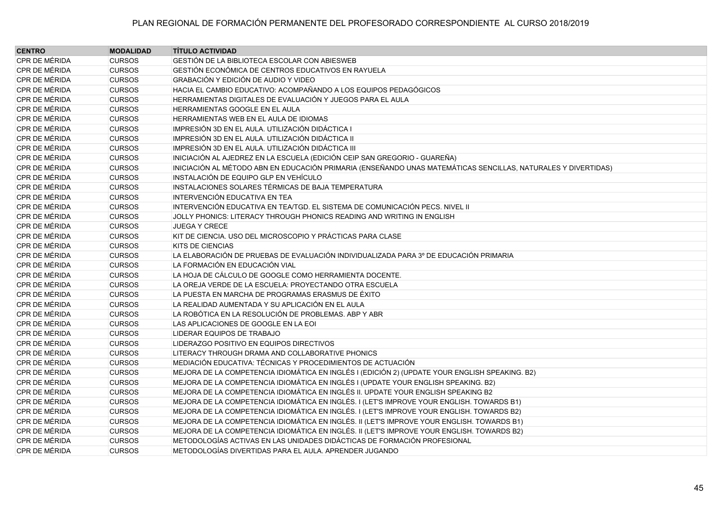| <b>CENTRO</b> | <b>MODALIDAD</b> | <b>TÍTULO ACTIVIDAD</b>                                                                                       |
|---------------|------------------|---------------------------------------------------------------------------------------------------------------|
| CPR DE MÉRIDA | <b>CURSOS</b>    | GESTIÓN DE LA BIBLIOTECA ESCOLAR CON ABIESWEB                                                                 |
| CPR DE MÉRIDA | <b>CURSOS</b>    | GESTIÓN ECONÓMICA DE CENTROS EDUCATIVOS EN RAYUELA                                                            |
| CPR DE MÉRIDA | <b>CURSOS</b>    | GRABACIÓN Y EDICIÓN DE AUDIO Y VIDEO                                                                          |
| CPR DE MÉRIDA | <b>CURSOS</b>    | HACIA EL CAMBIO EDUCATIVO: ACOMPAÑANDO A LOS EQUIPOS PEDAGÓGICOS                                              |
| CPR DE MÉRIDA | <b>CURSOS</b>    | HERRAMIENTAS DIGITALES DE EVALUACIÓN Y JUEGOS PARA EL AULA                                                    |
| CPR DE MÉRIDA | <b>CURSOS</b>    | HERRAMIENTAS GOOGLE EN EL AULA                                                                                |
| CPR DE MÉRIDA | <b>CURSOS</b>    | HERRAMIENTAS WEB EN EL AULA DE IDIOMAS                                                                        |
| CPR DE MÉRIDA | <b>CURSOS</b>    | IMPRESIÓN 3D EN EL AULA. UTILIZACIÓN DIDÁCTICA I                                                              |
| CPR DE MÉRIDA | <b>CURSOS</b>    | IMPRESIÓN 3D EN EL AULA. UTILIZACIÓN DIDÁCTICA II                                                             |
| CPR DE MÉRIDA | <b>CURSOS</b>    | IMPRESIÓN 3D EN EL AULA. UTILIZACIÓN DIDÁCTICA III                                                            |
| CPR DE MÉRIDA | <b>CURSOS</b>    | INICIACIÓN AL AJEDREZ EN LA ESCUELA (EDICIÓN CEIP SAN GREGORIO - GUAREÑA)                                     |
| CPR DE MÉRIDA | <b>CURSOS</b>    | INICIACIÓN AL MÉTODO ABN EN EDUCACIÓN PRIMARIA (ENSEÑANDO UNAS MATEMÁTICAS SENCILLAS, NATURALES Y DIVERTIDAS) |
| CPR DE MÉRIDA | <b>CURSOS</b>    | INSTALACIÓN DE EQUIPO GLP EN VEHÍCULO                                                                         |
| CPR DE MÉRIDA | <b>CURSOS</b>    | INSTALACIONES SOLARES TÉRMICAS DE BAJA TEMPERATURA                                                            |
| CPR DE MÉRIDA | <b>CURSOS</b>    | INTERVENCIÓN EDUCATIVA EN TEA                                                                                 |
| CPR DE MÉRIDA | <b>CURSOS</b>    | INTERVENCIÓN EDUCATIVA EN TEA/TGD. EL SISTEMA DE COMUNICACIÓN PECS. NIVEL II                                  |
| CPR DE MÉRIDA | <b>CURSOS</b>    | JOLLY PHONICS: LITERACY THROUGH PHONICS READING AND WRITING IN ENGLISH                                        |
| CPR DE MÉRIDA | <b>CURSOS</b>    | <b>JUEGA Y CRECE</b>                                                                                          |
| CPR DE MÉRIDA | <b>CURSOS</b>    | KIT DE CIENCIA. USO DEL MICROSCOPIO Y PRÁCTICAS PARA CLASE                                                    |
| CPR DE MÉRIDA | <b>CURSOS</b>    | <b>KITS DE CIENCIAS</b>                                                                                       |
| CPR DE MÉRIDA | <b>CURSOS</b>    | LA ELABORACIÓN DE PRUEBAS DE EVALUACIÓN INDIVIDUALIZADA PARA 3º DE EDUCACIÓN PRIMARIA                         |
| CPR DE MÉRIDA | <b>CURSOS</b>    | LA FORMACIÓN EN EDUCACIÓN VIAL                                                                                |
| CPR DE MÉRIDA | <b>CURSOS</b>    | LA HOJA DE CÁLCULO DE GOOGLE COMO HERRAMIENTA DOCENTE.                                                        |
| CPR DE MÉRIDA | <b>CURSOS</b>    | LA OREJA VERDE DE LA ESCUELA: PROYECTANDO OTRA ESCUELA                                                        |
| CPR DE MÉRIDA | <b>CURSOS</b>    | LA PUESTA EN MARCHA DE PROGRAMAS ERASMUS DE ÉXITO                                                             |
| CPR DE MÉRIDA | <b>CURSOS</b>    | LA REALIDAD AUMENTADA Y SU APLICACIÓN EN EL AULA                                                              |
| CPR DE MÉRIDA | <b>CURSOS</b>    | LA ROBÓTICA EN LA RESOLUCIÓN DE PROBLEMAS. ABP Y ABR                                                          |
| CPR DE MÉRIDA | <b>CURSOS</b>    | LAS APLICACIONES DE GOOGLE EN LA EOI                                                                          |
| CPR DE MÉRIDA | <b>CURSOS</b>    | LIDERAR EQUIPOS DE TRABAJO                                                                                    |
| CPR DE MÉRIDA | <b>CURSOS</b>    | LIDERAZGO POSITIVO EN EQUIPOS DIRECTIVOS                                                                      |
| CPR DE MÉRIDA | <b>CURSOS</b>    | LITERACY THROUGH DRAMA AND COLLABORATIVE PHONICS                                                              |
| CPR DE MÉRIDA | <b>CURSOS</b>    | MEDIACIÓN EDUCATIVA: TÉCNICAS Y PROCEDIMIENTOS DE ACTUACIÓN                                                   |
| CPR DE MÉRIDA | <b>CURSOS</b>    | MEJORA DE LA COMPETENCIA IDIOMÁTICA EN INGLÉS I (EDICIÓN 2) (UPDATE YOUR ENGLISH SPEAKING. B2)                |
| CPR DE MÉRIDA | <b>CURSOS</b>    | MEJORA DE LA COMPETENCIA IDIOMÁTICA EN INGLÉS I (UPDATE YOUR ENGLISH SPEAKING. B2)                            |
| CPR DE MÉRIDA | <b>CURSOS</b>    | MEJORA DE LA COMPETENCIA IDIOMÁTICA EN INGLÉS II. UPDATE YOUR ENGLISH SPEAKING B2                             |
| CPR DE MÉRIDA | <b>CURSOS</b>    | MEJORA DE LA COMPETENCIA IDIOMÁTICA EN INGLÉS. I (LET'S IMPROVE YOUR ENGLISH. TOWARDS B1)                     |
| CPR DE MÉRIDA | <b>CURSOS</b>    | MEJORA DE LA COMPETENCIA IDIOMÁTICA EN INGLÉS. I (LET'S IMPROVE YOUR ENGLISH. TOWARDS B2)                     |
| CPR DE MÉRIDA | <b>CURSOS</b>    | MEJORA DE LA COMPETENCIA IDIOMÁTICA EN INGLÉS. II (LET'S IMPROVE YOUR ENGLISH. TOWARDS B1)                    |
| CPR DE MÉRIDA | <b>CURSOS</b>    | MEJORA DE LA COMPETENCIA IDIOMÁTICA EN INGLÉS. II (LET'S IMPROVE YOUR ENGLISH. TOWARDS B2)                    |
| CPR DE MÉRIDA | <b>CURSOS</b>    | METODOLOGÍAS ACTIVAS EN LAS UNIDADES DIDÁCTICAS DE FORMACIÓN PROFESIONAL                                      |
| CPR DE MÉRIDA | <b>CURSOS</b>    | METODOLOGÍAS DIVERTIDAS PARA EL AULA. APRENDER JUGANDO                                                        |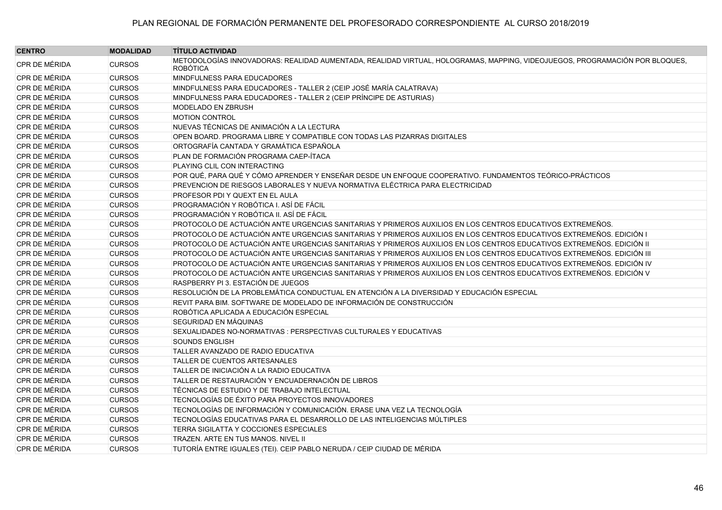| <b>CENTRO</b> | <b>MODALIDAD</b> | <b>TÍTULO ACTIVIDAD</b>                                                                                                                        |
|---------------|------------------|------------------------------------------------------------------------------------------------------------------------------------------------|
| CPR DE MÉRIDA | <b>CURSOS</b>    | METODOLOGÍAS INNOVADORAS: REALIDAD AUMENTADA, REALIDAD VIRTUAL, HOLOGRAMAS, MAPPING, VIDEOJUEGOS, PROGRAMACIÓN POR BLOQUES,<br><b>ROBÓTICA</b> |
| CPR DE MÉRIDA | <b>CURSOS</b>    | MINDFULNESS PARA EDUCADORES                                                                                                                    |
| CPR DE MÉRIDA | <b>CURSOS</b>    | MINDFULNESS PARA EDUCADORES - TALLER 2 (CEIP JOSÉ MARÍA CALATRAVA)                                                                             |
| CPR DE MÉRIDA | <b>CURSOS</b>    | MINDFULNESS PARA EDUCADORES - TALLER 2 (CEIP PRÍNCIPE DE ASTURIAS)                                                                             |
| CPR DE MÉRIDA | <b>CURSOS</b>    | MODELADO EN ZBRUSH                                                                                                                             |
| CPR DE MÉRIDA | <b>CURSOS</b>    | <b>MOTION CONTROL</b>                                                                                                                          |
| CPR DE MÉRIDA | <b>CURSOS</b>    | NUEVAS TÉCNICAS DE ANIMACIÓN A LA LECTURA                                                                                                      |
| CPR DE MÉRIDA | <b>CURSOS</b>    | OPEN BOARD. PROGRAMA LIBRE Y COMPATIBLE CON TODAS LAS PIZARRAS DIGITALES                                                                       |
| CPR DE MÉRIDA | <b>CURSOS</b>    | ORTOGRAFÍA CANTADA Y GRAMÁTICA ESPAÑOLA                                                                                                        |
| CPR DE MÉRIDA | <b>CURSOS</b>    | PLAN DE FORMACIÓN PROGRAMA CAEP-ÍTACA                                                                                                          |
| CPR DE MÉRIDA | <b>CURSOS</b>    | PLAYING CLIL CON INTERACTING                                                                                                                   |
| CPR DE MÉRIDA | <b>CURSOS</b>    | POR QUÉ, PARA QUÉ Y CÓMO APRENDER Y ENSEÑAR DESDE UN ENFOQUE COOPERATIVO. FUNDAMENTOS TEÓRICO-PRÁCTICOS                                        |
| CPR DE MÉRIDA | <b>CURSOS</b>    | PREVENCION DE RIESGOS LABORALES Y NUEVA NORMATIVA ELÉCTRICA PARA ELECTRICIDAD                                                                  |
| CPR DE MÉRIDA | <b>CURSOS</b>    | PROFESOR PDI Y QUEXT EN EL AULA                                                                                                                |
| CPR DE MÉRIDA | <b>CURSOS</b>    | PROGRAMACIÓN Y ROBÓTICA I. ASÍ DE FÁCIL                                                                                                        |
| CPR DE MÉRIDA | <b>CURSOS</b>    | PROGRAMACIÓN Y ROBÓTICA II. ASÍ DE FÁCIL                                                                                                       |
| CPR DE MÉRIDA | <b>CURSOS</b>    | PROTOCOLO DE ACTUACIÓN ANTE URGENCIAS SANITARIAS Y PRIMEROS AUXILIOS EN LOS CENTROS EDUCATIVOS EXTREMEÑOS.                                     |
| CPR DE MÉRIDA | <b>CURSOS</b>    | PROTOCOLO DE ACTUACIÓN ANTE URGENCIAS SANITARIAS Y PRIMEROS AUXILIOS EN LOS CENTROS EDUCATIVOS EXTREMEÑOS. EDICIÓN I                           |
| CPR DE MÉRIDA | <b>CURSOS</b>    | PROTOCOLO DE ACTUACIÓN ANTE URGENCIAS SANITARIAS Y PRIMEROS AUXILIOS EN LOS CENTROS EDUCATIVOS EXTREMEÑOS. EDICIÓN II                          |
| CPR DE MÉRIDA | <b>CURSOS</b>    | PROTOCOLO DE ACTUACIÓN ANTE URGENCIAS SANITARIAS Y PRIMEROS AUXILIOS EN LOS CENTROS EDUCATIVOS EXTREMEÑOS. EDICIÓN III                         |
| CPR DE MÉRIDA | <b>CURSOS</b>    | PROTOCOLO DE ACTUACIÓN ANTE URGENCIAS SANITARIAS Y PRIMEROS AUXILIOS EN LOS CENTROS EDUCATIVOS EXTREMEÑOS. EDICIÓN IV                          |
| CPR DE MÉRIDA | <b>CURSOS</b>    | PROTOCOLO DE ACTUACIÓN ANTE URGENCIAS SANITARIAS Y PRIMEROS AUXILIOS EN LOS CENTROS EDUCATIVOS EXTREMEÑOS. EDICIÓN V                           |
| CPR DE MÉRIDA | <b>CURSOS</b>    | RASPBERRY PI 3. ESTACIÓN DE JUEGOS                                                                                                             |
| CPR DE MÉRIDA | <b>CURSOS</b>    | RESOLUCIÓN DE LA PROBLEMÁTICA CONDUCTUAL EN ATENCIÓN A LA DIVERSIDAD Y EDUCACIÓN ESPECIAL                                                      |
| CPR DE MÉRIDA | <b>CURSOS</b>    | REVIT PARA BIM. SOFTWARE DE MODELADO DE INFORMACIÓN DE CONSTRUCCIÓN                                                                            |
| CPR DE MÉRIDA | <b>CURSOS</b>    | ROBÓTICA APLICADA A EDUCACIÓN ESPECIAL                                                                                                         |
| CPR DE MÉRIDA | <b>CURSOS</b>    | SEGURIDAD EN MÁQUINAS                                                                                                                          |
| CPR DE MÉRIDA | <b>CURSOS</b>    | SEXUALIDADES NO-NORMATIVAS : PERSPECTIVAS CULTURALES Y EDUCATIVAS                                                                              |
| CPR DE MÉRIDA | <b>CURSOS</b>    | <b>SOUNDS ENGLISH</b>                                                                                                                          |
| CPR DE MÉRIDA | <b>CURSOS</b>    | TALLER AVANZADO DE RADIO EDUCATIVA                                                                                                             |
| CPR DE MÉRIDA | <b>CURSOS</b>    | <b>TALLER DE CUENTOS ARTESANALES</b>                                                                                                           |
| CPR DE MÉRIDA | <b>CURSOS</b>    | TALLER DE INICIACIÓN A LA RADIO EDUCATIVA                                                                                                      |
| CPR DE MÉRIDA | <b>CURSOS</b>    | TALLER DE RESTAURACIÓN Y ENCUADERNACIÓN DE LIBROS                                                                                              |
| CPR DE MÉRIDA | <b>CURSOS</b>    | TÉCNICAS DE ESTUDIO Y DE TRABAJO INTELECTUAL                                                                                                   |
| CPR DE MÉRIDA | <b>CURSOS</b>    | TECNOLOGÍAS DE ÉXITO PARA PROYECTOS INNOVADORES                                                                                                |
| CPR DE MÉRIDA | <b>CURSOS</b>    | TECNOLOGÍAS DE INFORMACIÓN Y COMUNICACIÓN. ERASE UNA VEZ LA TECNOLOGÍA                                                                         |
| CPR DE MÉRIDA | <b>CURSOS</b>    | TECNOLOGÍAS EDUCATIVAS PARA EL DESARROLLO DE LAS INTELIGENCIAS MÚLTIPLES                                                                       |
| CPR DE MÉRIDA | <b>CURSOS</b>    | <b>TERRA SIGILATTA Y COCCIONES ESPECIALES</b>                                                                                                  |
| CPR DE MÉRIDA | <b>CURSOS</b>    | TRAZEN. ARTE EN TUS MANOS. NIVEL II                                                                                                            |
| CPR DE MÉRIDA | <b>CURSOS</b>    | TUTORÍA ENTRE IGUALES (TEI). CEIP PABLO NERUDA / CEIP CIUDAD DE MÉRIDA                                                                         |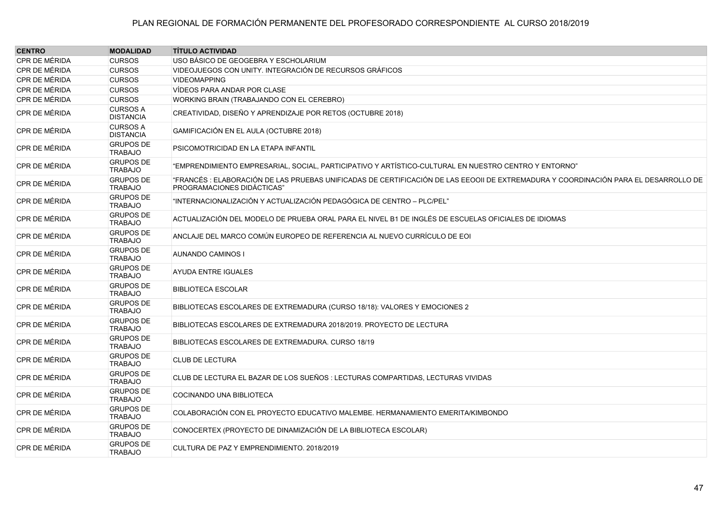| <b>CENTRO</b> | <b>MODALIDAD</b>                    | <b>TÍTULO ACTIVIDAD</b>                                                                                                                                           |
|---------------|-------------------------------------|-------------------------------------------------------------------------------------------------------------------------------------------------------------------|
| CPR DE MÉRIDA | <b>CURSOS</b>                       | USO BÁSICO DE GEOGEBRA Y ESCHOLARIUM                                                                                                                              |
| CPR DE MÉRIDA | <b>CURSOS</b>                       | VIDEOJUEGOS CON UNITY. INTEGRACIÓN DE RECURSOS GRÁFICOS                                                                                                           |
| CPR DE MÉRIDA | <b>CURSOS</b>                       | <b>VIDEOMAPPING</b>                                                                                                                                               |
| CPR DE MÉRIDA | <b>CURSOS</b>                       | VÍDEOS PARA ANDAR POR CLASE                                                                                                                                       |
| CPR DE MÉRIDA | <b>CURSOS</b>                       | WORKING BRAIN (TRABAJANDO CON EL CEREBRO)                                                                                                                         |
| CPR DE MÉRIDA | <b>CURSOS A</b><br><b>DISTANCIA</b> | CREATIVIDAD, DISEÑO Y APRENDIZAJE POR RETOS (OCTUBRE 2018)                                                                                                        |
| CPR DE MÉRIDA | <b>CURSOS A</b><br><b>DISTANCIA</b> | GAMIFICACIÓN EN EL AULA (OCTUBRE 2018)                                                                                                                            |
| CPR DE MÉRIDA | <b>GRUPOS DE</b><br><b>TRABAJO</b>  | PSICOMOTRICIDAD EN LA ETAPA INFANTIL                                                                                                                              |
| CPR DE MÉRIDA | <b>GRUPOS DE</b><br><b>TRABAJO</b>  | "EMPRENDIMIENTO EMPRESARIAL, SOCIAL, PARTICIPATIVO Y ARTÍSTICO-CULTURAL EN NUESTRO CENTRO Y ENTORNO"                                                              |
| CPR DE MÉRIDA | <b>GRUPOS DE</b><br><b>TRABAJO</b>  | "FRANCÉS : ELABORACIÓN DE LAS PRUEBAS UNIFICADAS DE CERTIFICACIÓN DE LAS EEOOII DE EXTREMADURA Y COORDINACIÓN PARA EL DESARROLLO DE<br>PROGRAMACIONES DIDÁCTICAS" |
| CPR DE MÉRIDA | <b>GRUPOS DE</b><br><b>TRABAJO</b>  | "INTERNACIONALIZACIÓN Y ACTUALIZACIÓN PEDAGÓGICA DE CENTRO - PLC/PEL"                                                                                             |
| CPR DE MÉRIDA | <b>GRUPOS DE</b><br><b>TRABAJO</b>  | ACTUALIZACIÓN DEL MODELO DE PRUEBA ORAL PARA EL NIVEL B1 DE INGLÉS DE ESCUELAS OFICIALES DE IDIOMAS                                                               |
| CPR DE MÉRIDA | <b>GRUPOS DE</b><br><b>TRABAJO</b>  | ANCLAJE DEL MARCO COMÚN EUROPEO DE REFERENCIA AL NUEVO CURRÍCULO DE EOI                                                                                           |
| CPR DE MÉRIDA | <b>GRUPOS DE</b><br><b>TRABAJO</b>  | <b>AUNANDO CAMINOS I</b>                                                                                                                                          |
| CPR DE MÉRIDA | <b>GRUPOS DE</b><br><b>TRABAJO</b>  | <b>AYUDA ENTRE IGUALES</b>                                                                                                                                        |
| CPR DE MÉRIDA | <b>GRUPOS DE</b><br><b>TRABAJO</b>  | <b>BIBLIOTECA ESCOLAR</b>                                                                                                                                         |
| CPR DE MÉRIDA | <b>GRUPOS DE</b><br><b>TRABAJO</b>  | BIBLIOTECAS ESCOLARES DE EXTREMADURA (CURSO 18/18): VALORES Y EMOCIONES 2                                                                                         |
| CPR DE MÉRIDA | <b>GRUPOS DE</b><br><b>TRABAJO</b>  | BIBLIOTECAS ESCOLARES DE EXTREMADURA 2018/2019, PROYECTO DE LECTURA                                                                                               |
| CPR DE MÉRIDA | <b>GRUPOS DE</b><br><b>TRABAJO</b>  | BIBLIOTECAS ESCOLARES DE EXTREMADURA. CURSO 18/19                                                                                                                 |
| CPR DE MÉRIDA | <b>GRUPOS DE</b><br><b>TRABAJO</b>  | <b>CLUB DE LECTURA</b>                                                                                                                                            |
| CPR DE MÉRIDA | <b>GRUPOS DE</b><br><b>TRABAJO</b>  | CLUB DE LECTURA EL BAZAR DE LOS SUEÑOS : LECTURAS COMPARTIDAS, LECTURAS VIVIDAS                                                                                   |
| CPR DE MÉRIDA | <b>GRUPOS DE</b><br><b>TRABAJO</b>  | COCINANDO UNA BIBLIOTECA                                                                                                                                          |
| CPR DE MÉRIDA | <b>GRUPOS DE</b><br><b>TRABAJO</b>  | COLABORACIÓN CON EL PROYECTO EDUCATIVO MALEMBE. HERMANAMIENTO EMERITA/KIMBONDO                                                                                    |
| CPR DE MÉRIDA | <b>GRUPOS DE</b><br><b>TRABAJO</b>  | CONOCERTEX (PROYECTO DE DINAMIZACIÓN DE LA BIBLIOTECA ESCOLAR)                                                                                                    |
| CPR DE MÉRIDA | <b>GRUPOS DE</b><br><b>TRABAJO</b>  | CULTURA DE PAZ Y EMPRENDIMIENTO, 2018/2019                                                                                                                        |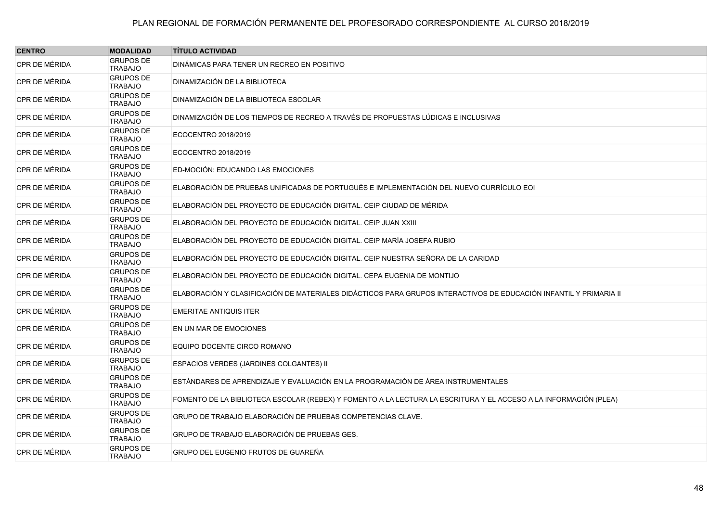| <b>CENTRO</b> | <b>MODALIDAD</b>                   | <b>TÍTULO ACTIVIDAD</b>                                                                                           |
|---------------|------------------------------------|-------------------------------------------------------------------------------------------------------------------|
| CPR DE MÉRIDA | <b>GRUPOS DE</b><br><b>TRABAJO</b> | DINÁMICAS PARA TENER UN RECREO EN POSITIVO                                                                        |
| CPR DE MÉRIDA | <b>GRUPOS DE</b><br><b>TRABAJO</b> | DINAMIZACIÓN DE LA BIBLIOTECA                                                                                     |
| CPR DE MÉRIDA | <b>GRUPOS DE</b><br><b>TRABAJO</b> | DINAMIZACIÓN DE LA BIBLIOTECA ESCOLAR                                                                             |
| CPR DE MÉRIDA | <b>GRUPOS DE</b><br><b>TRABAJO</b> | DINAMIZACIÓN DE LOS TIEMPOS DE RECREO A TRAVÉS DE PROPUESTAS LÚDICAS E INCLUSIVAS                                 |
| CPR DE MÉRIDA | <b>GRUPOS DE</b><br><b>TRABAJO</b> | ECOCENTRO 2018/2019                                                                                               |
| CPR DE MÉRIDA | <b>GRUPOS DE</b><br><b>TRABAJO</b> | ECOCENTRO 2018/2019                                                                                               |
| CPR DE MÉRIDA | <b>GRUPOS DE</b><br><b>TRABAJO</b> | ED-MOCIÓN: EDUCANDO LAS EMOCIONES                                                                                 |
| CPR DE MÉRIDA | <b>GRUPOS DE</b><br><b>TRABAJO</b> | ELABORACIÓN DE PRUEBAS UNIFICADAS DE PORTUGUÉS E IMPLEMENTACIÓN DEL NUEVO CURRÍCULO EOI                           |
| CPR DE MÉRIDA | <b>GRUPOS DE</b><br><b>TRABAJO</b> | ELABORACIÓN DEL PROYECTO DE EDUCACIÓN DIGITAL. CEIP CIUDAD DE MÉRIDA                                              |
| CPR DE MÉRIDA | <b>GRUPOS DE</b><br><b>TRABAJO</b> | ELABORACIÓN DEL PROYECTO DE EDUCACIÓN DIGITAL. CEIP JUAN XXIII                                                    |
| CPR DE MÉRIDA | <b>GRUPOS DE</b><br><b>TRABAJO</b> | ELABORACIÓN DEL PROYECTO DE EDUCACIÓN DIGITAL. CEIP MARÍA JOSEFA RUBIO                                            |
| CPR DE MÉRIDA | <b>GRUPOS DE</b><br><b>TRABAJO</b> | ELABORACIÓN DEL PROYECTO DE EDUCACIÓN DIGITAL. CEIP NUESTRA SEÑORA DE LA CARIDAD                                  |
| CPR DE MÉRIDA | <b>GRUPOS DE</b><br><b>TRABAJO</b> | ELABORACIÓN DEL PROYECTO DE EDUCACIÓN DIGITAL. CEPA EUGENIA DE MONTIJO                                            |
| CPR DE MÉRIDA | <b>GRUPOS DE</b><br><b>TRABAJO</b> | ELABORACIÓN Y CLASIFICACIÓN DE MATERIALES DIDÁCTICOS PARA GRUPOS INTERACTIVOS DE EDUCACIÓN INFANTIL Y PRIMARIA II |
| CPR DE MÉRIDA | <b>GRUPOS DE</b><br><b>TRABAJO</b> | <b>EMERITAE ANTIQUIS ITER</b>                                                                                     |
| CPR DE MÉRIDA | <b>GRUPOS DE</b><br><b>TRABAJO</b> | EN UN MAR DE EMOCIONES                                                                                            |
| CPR DE MÉRIDA | <b>GRUPOS DE</b><br><b>TRABAJO</b> | EQUIPO DOCENTE CIRCO ROMANO                                                                                       |
| CPR DE MÉRIDA | <b>GRUPOS DE</b><br><b>TRABAJO</b> | ESPACIOS VERDES (JARDINES COLGANTES) II                                                                           |
| CPR DE MÉRIDA | <b>GRUPOS DE</b><br><b>TRABAJO</b> | ESTÁNDARES DE APRENDIZAJE Y EVALUACIÓN EN LA PROGRAMACIÓN DE ÁREA INSTRUMENTALES                                  |
| CPR DE MÉRIDA | <b>GRUPOS DE</b><br><b>TRABAJO</b> | FOMENTO DE LA BIBLIOTECA ESCOLAR (REBEX) Y FOMENTO A LA LECTURA LA ESCRITURA Y EL ACCESO A LA INFORMACIÓN (PLEA)  |
| CPR DE MÉRIDA | <b>GRUPOS DE</b><br><b>TRABAJO</b> | GRUPO DE TRABAJO ELABORACIÓN DE PRUEBAS COMPETENCIAS CLAVE.                                                       |
| CPR DE MÉRIDA | <b>GRUPOS DE</b><br><b>TRABAJO</b> | GRUPO DE TRABAJO ELABORACIÓN DE PRUEBAS GES.                                                                      |
| CPR DE MÉRIDA | <b>GRUPOS DE</b><br><b>TRABAJO</b> | GRUPO DEL EUGENIO FRUTOS DE GUAREÑA                                                                               |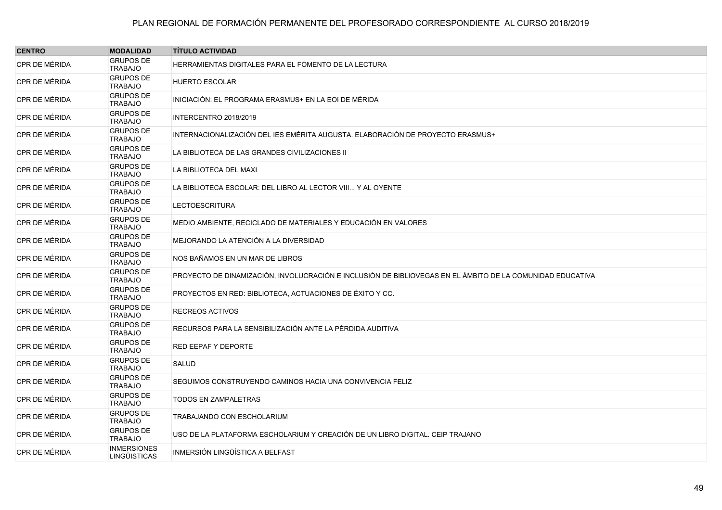| <b>CENTRO</b> | <b>MODALIDAD</b>                   | <b>TÍTULO ACTIVIDAD</b>                                                                                   |
|---------------|------------------------------------|-----------------------------------------------------------------------------------------------------------|
| CPR DE MÉRIDA | <b>GRUPOS DE</b><br><b>TRABAJO</b> | HERRAMIENTAS DIGITALES PARA EL FOMENTO DE LA LECTURA                                                      |
| CPR DE MÉRIDA | <b>GRUPOS DE</b><br><b>TRABAJO</b> | <b>HUERTO ESCOLAR</b>                                                                                     |
| CPR DE MÉRIDA | <b>GRUPOS DE</b><br><b>TRABAJO</b> | INICIACIÓN: EL PROGRAMA ERASMUS+ EN LA EOI DE MÉRIDA                                                      |
| CPR DE MÉRIDA | <b>GRUPOS DE</b><br><b>TRABAJO</b> | INTERCENTRO 2018/2019                                                                                     |
| CPR DE MÉRIDA | <b>GRUPOS DE</b><br><b>TRABAJO</b> | INTERNACIONALIZACIÓN DEL IES EMÉRITA AUGUSTA. ELABORACIÓN DE PROYECTO ERASMUS+                            |
| CPR DE MÉRIDA | <b>GRUPOS DE</b><br><b>TRABAJO</b> | LA BIBLIOTECA DE LAS GRANDES CIVILIZACIONES II                                                            |
| CPR DE MÉRIDA | <b>GRUPOS DE</b><br><b>TRABAJO</b> | LA BIBLIOTECA DEL MAXI                                                                                    |
| CPR DE MÉRIDA | <b>GRUPOS DE</b><br><b>TRABAJO</b> | LA BIBLIOTECA ESCOLAR: DEL LIBRO AL LECTOR VIII Y AL OYENTE                                               |
| CPR DE MÉRIDA | <b>GRUPOS DE</b><br><b>TRABAJO</b> | <b>LECTOESCRITURA</b>                                                                                     |
| CPR DE MÉRIDA | <b>GRUPOS DE</b><br><b>TRABAJO</b> | MEDIO AMBIENTE, RECICLADO DE MATERIALES Y EDUCACIÓN EN VALORES                                            |
| CPR DE MÉRIDA | <b>GRUPOS DE</b><br><b>TRABAJO</b> | MEJORANDO LA ATENCIÓN A LA DIVERSIDAD                                                                     |
| CPR DE MÉRIDA | <b>GRUPOS DE</b><br><b>TRABAJO</b> | NOS BAÑAMOS EN UN MAR DE LIBROS                                                                           |
| CPR DE MÉRIDA | <b>GRUPOS DE</b><br><b>TRABAJO</b> | PROYECTO DE DINAMIZACIÓN, INVOLUCRACIÓN E INCLUSIÓN DE BIBLIOVEGAS EN EL ÁMBITO DE LA COMUNIDAD EDUCATIVA |
| CPR DE MÉRIDA | <b>GRUPOS DE</b><br><b>TRABAJO</b> | PROYECTOS EN RED: BIBLIOTECA, ACTUACIONES DE ÉXITO Y CC.                                                  |
| CPR DE MÉRIDA | <b>GRUPOS DE</b><br><b>TRABAJO</b> | RECREOS ACTIVOS                                                                                           |
| CPR DE MÉRIDA | <b>GRUPOS DE</b><br><b>TRABAJO</b> | RECURSOS PARA LA SENSIBILIZACIÓN ANTE LA PÉRDIDA AUDITIVA                                                 |
| CPR DE MÉRIDA | <b>GRUPOS DE</b><br><b>TRABAJO</b> | RED EEPAF Y DEPORTE                                                                                       |
| CPR DE MÉRIDA | <b>GRUPOS DE</b><br><b>TRABAJO</b> | SALUD                                                                                                     |
| CPR DE MÉRIDA | <b>GRUPOS DE</b><br><b>TRABAJO</b> | SEGUIMOS CONSTRUYENDO CAMINOS HACIA UNA CONVIVENCIA FELIZ                                                 |
| CPR DE MÉRIDA | <b>GRUPOS DE</b><br><b>TRABAJO</b> | <b>TODOS EN ZAMPALETRAS</b>                                                                               |
| CPR DE MÉRIDA | <b>GRUPOS DE</b><br><b>TRABAJO</b> | TRABAJANDO CON ESCHOLARIUM                                                                                |
| CPR DE MÉRIDA | <b>GRUPOS DE</b><br><b>TRABAJO</b> | USO DE LA PLATAFORMA ESCHOLARIUM Y CREACIÓN DE UN LIBRO DIGITAL. CEIP TRAJANO                             |
| CPR DE MÉRIDA | <b>INMERSIONES</b><br>LINGÜISTICAS | INMERSIÓN LINGÜÍSTICA A BELFAST                                                                           |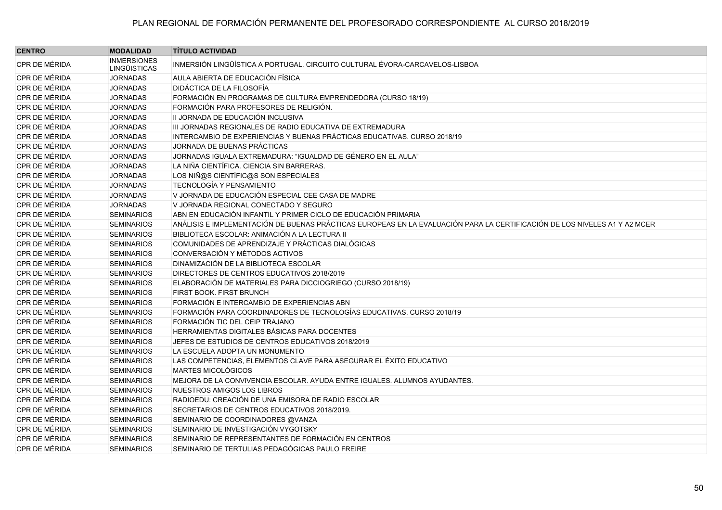| <b>CENTRO</b> | <b>MODALIDAD</b>                          | <b>TÍTULO ACTIVIDAD</b>                                                                                                   |
|---------------|-------------------------------------------|---------------------------------------------------------------------------------------------------------------------------|
| CPR DE MÉRIDA | <b>INMERSIONES</b><br><b>LINGÜISTICAS</b> | INMERSIÓN LINGÜÍSTICA A PORTUGAL. CIRCUITO CULTURAL ÉVORA-CARCAVELOS-LISBOA                                               |
| CPR DE MÉRIDA | <b>JORNADAS</b>                           | AULA ABIERTA DE EDUCACIÓN FÍSICA                                                                                          |
| CPR DE MÉRIDA | <b>JORNADAS</b>                           | <b>DIDÁCTICA DE LA FILOSOFÍA</b>                                                                                          |
| CPR DE MÉRIDA | <b>JORNADAS</b>                           | FORMACIÓN EN PROGRAMAS DE CULTURA EMPRENDEDORA (CURSO 18/19)                                                              |
| CPR DE MÉRIDA | <b>JORNADAS</b>                           | FORMACIÓN PARA PROFESORES DE RELIGIÓN.                                                                                    |
| CPR DE MÉRIDA | <b>JORNADAS</b>                           | II JORNADA DE EDUCACIÓN INCLUSIVA                                                                                         |
| CPR DE MÉRIDA | <b>JORNADAS</b>                           | III JORNADAS REGIONALES DE RADIO EDUCATIVA DE EXTREMADURA                                                                 |
| CPR DE MÉRIDA | <b>JORNADAS</b>                           | INTERCAMBIO DE EXPERIENCIAS Y BUENAS PRÁCTICAS EDUCATIVAS. CURSO 2018/19                                                  |
| CPR DE MÉRIDA | <b>JORNADAS</b>                           | JORNADA DE BUENAS PRÁCTICAS                                                                                               |
| CPR DE MÉRIDA | <b>JORNADAS</b>                           | JORNADAS IGUALA EXTREMADURA: "IGUALDAD DE GÉNERO EN EL AULA"                                                              |
| CPR DE MÉRIDA | <b>JORNADAS</b>                           | LA NIÑA CIENTÍFICA. CIENCIA SIN BARRERAS.                                                                                 |
| CPR DE MÉRIDA | <b>JORNADAS</b>                           | LOS NIÑ@S CIENTÍFIC@S SON ESPECIALES                                                                                      |
| CPR DE MÉRIDA | <b>JORNADAS</b>                           | <b>TECNOLOGÍA Y PENSAMIENTO</b>                                                                                           |
| CPR DE MÉRIDA | <b>JORNADAS</b>                           | V JORNADA DE EDUCACIÓN ESPECIAL CEE CASA DE MADRE                                                                         |
| CPR DE MÉRIDA | <b>JORNADAS</b>                           | V JORNADA REGIONAL CONECTADO Y SEGURO                                                                                     |
| CPR DE MÉRIDA | <b>SEMINARIOS</b>                         | ABN EN EDUCACIÓN INFANTIL Y PRIMER CICLO DE EDUCACIÓN PRIMARIA                                                            |
| CPR DE MÉRIDA | <b>SEMINARIOS</b>                         | ANÁLISIS E IMPLEMENTACIÓN DE BUENAS PRÁCTICAS EUROPEAS EN LA EVALUACIÓN PARA LA CERTIFICACIÓN DE LOS NIVELES A1 Y A2 MCER |
| CPR DE MÉRIDA | <b>SEMINARIOS</b>                         | BIBLIOTECA ESCOLAR: ANIMACIÓN A LA LECTURA II                                                                             |
| CPR DE MÉRIDA | <b>SEMINARIOS</b>                         | COMUNIDADES DE APRENDIZAJE Y PRÁCTICAS DIALÓGICAS                                                                         |
| CPR DE MÉRIDA | <b>SEMINARIOS</b>                         | CONVERSACIÓN Y MÉTODOS ACTIVOS                                                                                            |
| CPR DE MÉRIDA | <b>SEMINARIOS</b>                         | DINAMIZACIÓN DE LA BIBLIOTECA ESCOLAR                                                                                     |
| CPR DE MÉRIDA | <b>SEMINARIOS</b>                         | DIRECTORES DE CENTROS EDUCATIVOS 2018/2019                                                                                |
| CPR DE MÉRIDA | <b>SEMINARIOS</b>                         | ELABORACIÓN DE MATERIALES PARA DICCIOGRIEGO (CURSO 2018/19)                                                               |
| CPR DE MÉRIDA | <b>SEMINARIOS</b>                         | FIRST BOOK. FIRST BRUNCH                                                                                                  |
| CPR DE MÉRIDA | <b>SEMINARIOS</b>                         | FORMACIÓN E INTERCAMBIO DE EXPERIENCIAS ABN                                                                               |
| CPR DE MÉRIDA | <b>SEMINARIOS</b>                         | FORMACIÓN PARA COORDINADORES DE TECNOLOGÍAS EDUCATIVAS. CURSO 2018/19                                                     |
| CPR DE MÉRIDA | <b>SEMINARIOS</b>                         | FORMACIÓN TIC DEL CEIP TRAJANO                                                                                            |
| CPR DE MÉRIDA | <b>SEMINARIOS</b>                         | HERRAMIENTAS DIGITALES BÁSICAS PARA DOCENTES                                                                              |
| CPR DE MÉRIDA | <b>SEMINARIOS</b>                         | JEFES DE ESTUDIOS DE CENTROS EDUCATIVOS 2018/2019                                                                         |
| CPR DE MÉRIDA | <b>SEMINARIOS</b>                         | LA ESCUELA ADOPTA UN MONUMENTO                                                                                            |
| CPR DE MÉRIDA | <b>SEMINARIOS</b>                         | LAS COMPETENCIAS, ELEMENTOS CLAVE PARA ASEGURAR EL ÉXITO EDUCATIVO                                                        |
| CPR DE MÉRIDA | <b>SEMINARIOS</b>                         | MARTES MICOLÓGICOS                                                                                                        |
| CPR DE MÉRIDA | <b>SEMINARIOS</b>                         | MEJORA DE LA CONVIVENCIA ESCOLAR. AYUDA ENTRE IGUALES. ALUMNOS AYUDANTES.                                                 |
| CPR DE MÉRIDA | <b>SEMINARIOS</b>                         | NUESTROS AMIGOS LOS LIBROS                                                                                                |
| CPR DE MÉRIDA | <b>SEMINARIOS</b>                         | RADIOEDU: CREACIÓN DE UNA EMISORA DE RADIO ESCOLAR                                                                        |
| CPR DE MÉRIDA | <b>SEMINARIOS</b>                         | SECRETARIOS DE CENTROS EDUCATIVOS 2018/2019.                                                                              |
| CPR DE MÉRIDA | <b>SEMINARIOS</b>                         | SEMINARIO DE COORDINADORES @VANZA                                                                                         |
| CPR DE MÉRIDA | <b>SEMINARIOS</b>                         | SEMINARIO DE INVESTIGACIÓN VYGOTSKY                                                                                       |
| CPR DE MÉRIDA | <b>SEMINARIOS</b>                         | SEMINARIO DE REPRESENTANTES DE FORMACIÓN EN CENTROS                                                                       |
| CPR DE MÉRIDA | <b>SEMINARIOS</b>                         | SEMINARIO DE TERTULIAS PEDAGÓGICAS PAULO FREIRE                                                                           |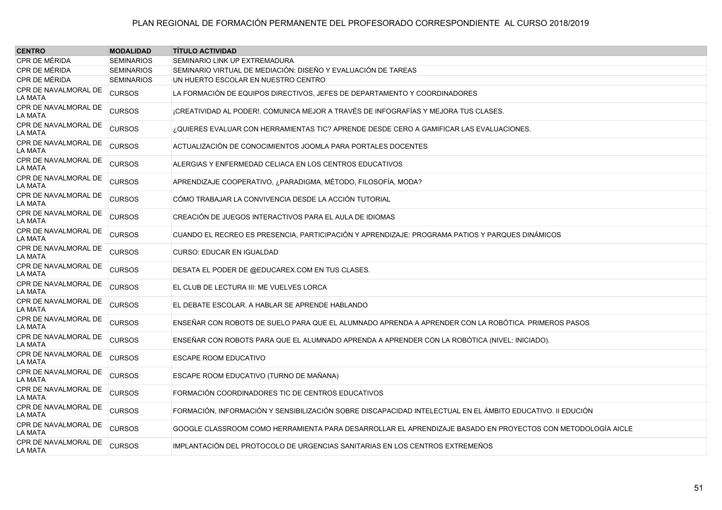| <b>CENTRO</b>                   | <b>MODALIDAD</b>  | <b>TÍTULO ACTIVIDAD</b>                                                                                     |
|---------------------------------|-------------------|-------------------------------------------------------------------------------------------------------------|
| CPR DE MÉRIDA                   | <b>SEMINARIOS</b> | SEMINARIO LINK UP EXTREMADURA                                                                               |
| CPR DE MÉRIDA                   | <b>SEMINARIOS</b> | SEMINARIO VIRTUAL DE MEDIACIÓN: DISEÑO Y EVALUACIÓN DE TAREAS                                               |
| CPR DE MÉRIDA                   | <b>SEMINARIOS</b> | UN HUERTO ESCOLAR EN NUESTRO CENTRO                                                                         |
| CPR DE NAVALMORAL DE<br>LA MATA | <b>CURSOS</b>     | LA FORMACIÓN DE EQUIPOS DIRECTIVOS. JEFES DE DEPARTAMENTO Y COORDINADORES.                                  |
| CPR DE NAVALMORAL DE<br>LA MATA | <b>CURSOS</b>     | ¡CREATIVIDAD AL PODER!. COMUNICA MEJOR A TRAVÉS DE INFOGRAFÍAS Y MEJORA TUS CLASES.                         |
| CPR DE NAVALMORAL DE<br>LA MATA | <b>CURSOS</b>     | ¿QUIERES EVALUAR CON HERRAMIENTAS TIC? APRENDE DESDE CERO A GAMIFICAR LAS EVALUACIONES.                     |
| CPR DE NAVALMORAL DE<br>LA MATA | <b>CURSOS</b>     | ACTUALIZACIÓN DE CONOCIMIENTOS JOOMLA PARA PORTALES DOCENTES                                                |
| CPR DE NAVALMORAL DE<br>LA MATA | <b>CURSOS</b>     | ALERGIAS Y ENFERMEDAD CELIACA EN LOS CENTROS EDUCATIVOS                                                     |
| CPR DE NAVALMORAL DE<br>LA MATA | <b>CURSOS</b>     | APRENDIZAJE COOPERATIVO, ¿PARADIGMA, MÉTODO, FILOSOFÍA, MODA?                                               |
| CPR DE NAVALMORAL DE<br>LA MATA | <b>CURSOS</b>     | CÓMO TRABAJAR LA CONVIVENCIA DESDE LA ACCIÓN TUTORIAL                                                       |
| CPR DE NAVALMORAL DE<br>LA MATA | <b>CURSOS</b>     | CREACIÓN DE JUEGOS INTERACTIVOS PARA EL AULA DE IDIOMAS                                                     |
| CPR DE NAVALMORAL DE<br>LA MATA | <b>CURSOS</b>     | CUANDO EL RECREO ES PRESENCIA. PARTICIPACIÓN Y APRENDIZAJE: PROGRAMA PATIOS Y PARQUES DINÁMICOS             |
| CPR DE NAVALMORAL DE<br>LA MATA | <b>CURSOS</b>     | <b>CURSO: EDUCAR EN IGUALDAD</b>                                                                            |
| CPR DE NAVALMORAL DE<br>LA MATA | <b>CURSOS</b>     | DESATA EL PODER DE @EDUCAREX.COM EN TUS CLASES.                                                             |
| CPR DE NAVALMORAL DE<br>LA MATA | <b>CURSOS</b>     | EL CLUB DE LECTURA III: ME VUELVES LORCA                                                                    |
| CPR DE NAVALMORAL DE<br>LA MATA | <b>CURSOS</b>     | EL DEBATE ESCOLAR. A HABLAR SE APRENDE HABLANDO                                                             |
| CPR DE NAVALMORAL DE<br>LA MATA | <b>CURSOS</b>     | ENSEÑAR CON ROBOTS DE SUELO PARA QUE EL ALUMNADO APRENDA A APRENDER CON LA ROBÓTICA. PRIMEROS PASOS         |
| CPR DE NAVALMORAL DE<br>LA MATA | <b>CURSOS</b>     | ENSEÑAR CON ROBOTS PARA QUE EL ALUMNADO APRENDA A APRENDER CON LA ROBÓTICA (NIVEL: INICIADO).               |
| CPR DE NAVALMORAL DE<br>LA MATA | <b>CURSOS</b>     | <b>ESCAPE ROOM EDUCATIVO</b>                                                                                |
| CPR DE NAVALMORAL DE<br>LA MATA | <b>CURSOS</b>     | ESCAPE ROOM EDUCATIVO (TURNO DE MAÑANA)                                                                     |
| CPR DE NAVALMORAL DE<br>LA MATA | <b>CURSOS</b>     | FORMACIÓN COORDINADORES TIC DE CENTROS EDUCATIVOS                                                           |
| CPR DE NAVALMORAL DE<br>LA MATA | <b>CURSOS</b>     | FORMACIÓN. INFORMACIÓN Y SENSIBILIZACIÓN SOBRE DISCAPACIDAD INTELECTUAL EN EL ÁMBITO EDUCATIVO. II EDUCIÓN  |
| CPR DE NAVALMORAL DE<br>LA MATA | <b>CURSOS</b>     | GOOGLE CLASSROOM COMO HERRAMIENTA PARA DESARROLLAR EL APRENDIZAJE BASADO EN PROYECTOS CON METODOLOGÍA AICLE |
| CPR DE NAVALMORAL DE<br>LA MATA | <b>CURSOS</b>     | IMPLANTACIÓN DEL PROTOCOLO DE URGENCIAS SANITARIAS EN LOS CENTROS EXTREMEÑOS                                |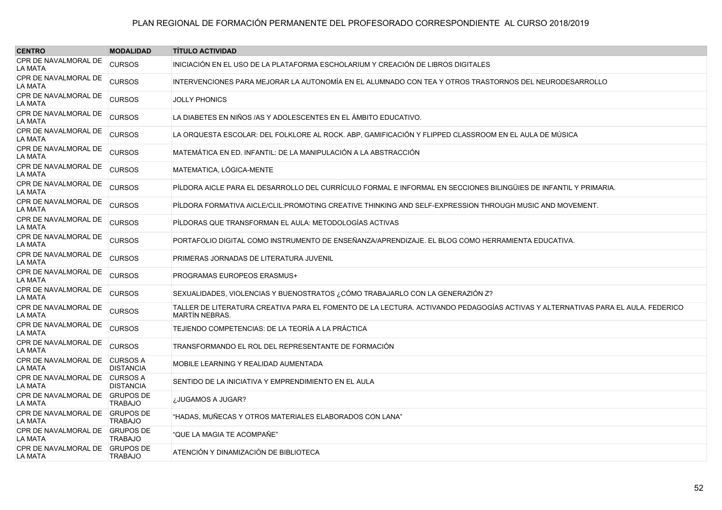| <b>CENTRO</b>                                    | <b>MODALIDAD</b>                    | <b>TÍTULO ACTIVIDAD</b>                                                                                                                                  |
|--------------------------------------------------|-------------------------------------|----------------------------------------------------------------------------------------------------------------------------------------------------------|
| CPR DE NAVALMORAL DE<br>LA MATA                  | <b>CURSOS</b>                       | INICIACIÓN EN EL USO DE LA PLATAFORMA ESCHOLARIUM Y CREACIÓN DE LIBROS DIGITALES                                                                         |
| CPR DE NAVALMORAL DE<br><b>LA MATA</b>           | <b>CURSOS</b>                       | INTERVENCIONES PARA MEJORAR LA AUTONOMÍA EN EL ALUMNADO CON TEA Y OTROS TRASTORNOS DEL NEURODESARROLLO                                                   |
| CPR DE NAVALMORAL DE<br><b>LA MATA</b>           | <b>CURSOS</b>                       | <b>JOLLY PHONICS</b>                                                                                                                                     |
| CPR DE NAVALMORAL DE<br>LA MATA                  | <b>CURSOS</b>                       | LA DIABETES EN NIÑOS /AS Y ADOLESCENTES EN EL ÁMBITO EDUCATIVO.                                                                                          |
| CPR DE NAVALMORAL DE<br>LA MATA                  | <b>CURSOS</b>                       | LA ORQUESTA ESCOLAR: DEL FOLKLORE AL ROCK. ABP. GAMIFICACIÓN Y FLIPPED CLASSROOM EN EL AULA DE MÚSICA                                                    |
| CPR DE NAVALMORAL DE<br>LA MATA                  | <b>CURSOS</b>                       | MATEMÁTICA EN ED. INFANTIL: DE LA MANIPULACIÓN A LA ABSTRACCIÓN                                                                                          |
| CPR DE NAVALMORAL DE<br><b>LA MATA</b>           | <b>CURSOS</b>                       | MATEMATICA, LÓGICA-MENTE                                                                                                                                 |
| CPR DE NAVALMORAL DE<br><b>LA MATA</b>           | <b>CURSOS</b>                       | PÍLDORA AICLE PARA EL DESARROLLO DEL CURRÍCULO FORMAL E INFORMAL EN SECCIONES BILINGÜIES DE INFANTIL Y PRIMARIA.                                         |
| CPR DE NAVALMORAL DE<br><b>LA MATA</b>           | <b>CURSOS</b>                       | PILDORA FORMATIVA AICLE/CLIL:PROMOTING CREATIVE THINKING AND SELF-EXPRESSION THROUGH MUSIC AND MOVEMENT.                                                 |
| CPR DE NAVALMORAL DE<br><b>LA MATA</b>           | <b>CURSOS</b>                       | PÍLDORAS QUE TRANSFORMAN EL AULA: METODOLOGÍAS ACTIVAS                                                                                                   |
| CPR DE NAVALMORAL DE<br>LA MATA                  | <b>CURSOS</b>                       | PORTAFOLIO DIGITAL COMO INSTRUMENTO DE ENSEÑANZA/APRENDIZAJE. EL BLOG COMO HERRAMIENTA EDUCATIVA.                                                        |
| CPR DE NAVALMORAL DE<br>LA MATA                  | <b>CURSOS</b>                       | PRIMERAS JORNADAS DE LITERATURA JUVENIL                                                                                                                  |
| CPR DE NAVALMORAL DE<br>LA MATA                  | <b>CURSOS</b>                       | PROGRAMAS EUROPEOS ERASMUS+                                                                                                                              |
| CPR DE NAVALMORAL DE<br>LA MATA                  | <b>CURSOS</b>                       | SEXUALIDADES, VIOLENCIAS Y BUENOSTRATOS ¿CÓMO TRABAJARLO CON LA GENERAZIÓN Z?                                                                            |
| CPR DE NAVALMORAL DE<br><b>LA MATA</b>           | <b>CURSOS</b>                       | TALLER DE LITERATURA CREATIVA PARA EL FOMENTO DE LA LECTURA. ACTIVANDO PEDAGOGÍAS ACTIVAS Y ALTERNATIVAS PARA EL AULA. FEDERICO<br><b>MARTÍN NEBRAS.</b> |
| CPR DE NAVALMORAL DE<br><b>LA MATA</b>           | <b>CURSOS</b>                       | TEJIENDO COMPETENCIAS: DE LA TEORÍA A LA PRÁCTICA                                                                                                        |
| CPR DE NAVALMORAL DE<br><b>LA MATA</b>           | <b>CURSOS</b>                       | TRANSFORMANDO EL ROL DEL REPRESENTANTE DE FORMACIÓN                                                                                                      |
| <b>CPR DE NAVALMORAL DE</b><br>LA MATA           | <b>CURSOS A</b><br><b>DISTANCIA</b> | MOBILE LEARNING Y REALIDAD AUMENTADA                                                                                                                     |
| CPR DE NAVALMORAL DE CURSOS A<br>LA MATA         | <b>DISTANCIA</b>                    | SENTIDO DE LA INICIATIVA Y EMPRENDIMIENTO EN EL AULA                                                                                                     |
| CPR DE NAVALMORAL DE GRUPOS DE<br><b>LA MATA</b> | <b>TRABAJO</b>                      | ¿JUGAMOS A JUGAR?                                                                                                                                        |
| CPR DE NAVALMORAL DE GRUPOS DE<br>LA MATA        | TRABAJO                             | "HADAS, MUÑECAS Y OTROS MATERIALES ELABORADOS CON LANA"                                                                                                  |
| CPR DE NAVALMORAL DE GRUPOS DE<br><b>LA MATA</b> | <b>TRABAJO</b>                      | "QUE LA MAGIA TE ACOMPAÑE"                                                                                                                               |
| CPR DE NAVALMORAL DE GRUPOS DE<br>LA MATA        | <b>TRABAJO</b>                      | ATENCIÓN Y DINAMIZACIÓN DE BIBLIOTECA                                                                                                                    |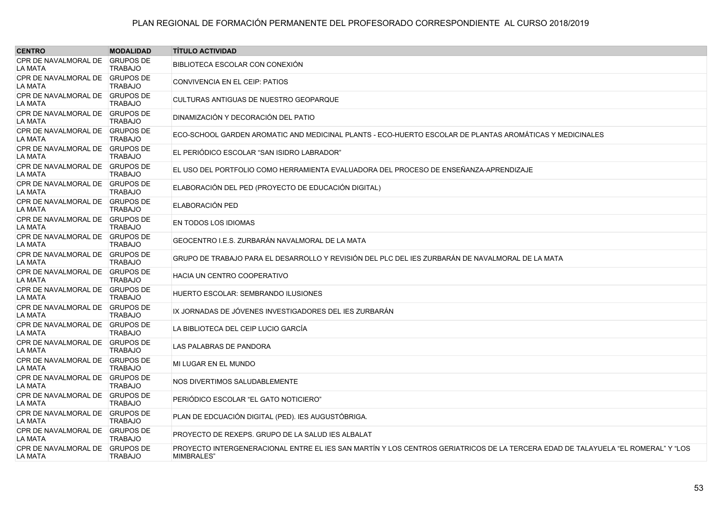| <b>CENTRO</b>                                    | <b>MODALIDAD</b> | <b>TITULO ACTIVIDAD</b>                                                                                                                        |
|--------------------------------------------------|------------------|------------------------------------------------------------------------------------------------------------------------------------------------|
| CPR DE NAVALMORAL DE GRUPOS DE<br>LA MATA        | <b>TRABAJO</b>   | BIBLIOTECA ESCOLAR CON CONEXIÓN                                                                                                                |
| CPR DE NAVALMORAL DE GRUPOS DE<br>LA MATA        | <b>TRABAJO</b>   | CONVIVENCIA EN EL CEIP: PATIOS                                                                                                                 |
| CPR DE NAVALMORAL DE GRUPOS DE<br>LA MATA        | <b>TRABAJO</b>   | CULTURAS ANTIGUAS DE NUESTRO GEOPARQUE                                                                                                         |
| CPR DE NAVALMORAL DE GRUPOS DE<br>LA MATA        | <b>TRABAJO</b>   | DINAMIZACIÓN Y DECORACIÓN DEL PATIO                                                                                                            |
| CPR DE NAVALMORAL DE GRUPOS DE<br>LA MATA        | <b>TRABAJO</b>   | ECO-SCHOOL GARDEN AROMATIC AND MEDICINAL PLANTS - ECO-HUERTO ESCOLAR DE PLANTAS AROMÁTICAS Y MEDICINALES                                       |
| CPR DE NAVALMORAL DE GRUPOS DE<br>LA MATA        | <b>TRABAJO</b>   | EL PERIÓDICO ESCOLAR "SAN ISIDRO LABRADOR"                                                                                                     |
| CPR DE NAVALMORAL DE GRUPOS DE<br><b>LA MATA</b> | <b>TRABAJO</b>   | EL USO DEL PORTFOLIO COMO HERRAMIENTA EVALUADORA DEL PROCESO DE ENSEÑANZA-APRENDIZAJE                                                          |
| CPR DE NAVALMORAL DE GRUPOS DE<br>LA MATA        | <b>TRABAJO</b>   | ELABORACIÓN DEL PED (PROYECTO DE EDUCACIÓN DIGITAL)                                                                                            |
| CPR DE NAVALMORAL DE GRUPOS DE<br>LA MATA        | <b>TRABAJO</b>   | ELABORACIÓN PED                                                                                                                                |
| CPR DE NAVALMORAL DE GRUPOS DE<br>LA MATA        | <b>TRABAJO</b>   | EN TODOS LOS IDIOMAS                                                                                                                           |
| CPR DE NAVALMORAL DE GRUPOS DE<br>LA MATA        | <b>TRABAJO</b>   | GEOCENTRO I.E.S. ZURBARÁN NAVALMORAL DE LA MATA                                                                                                |
| CPR DE NAVALMORAL DE GRUPOS DE<br>LA MATA        | <b>TRABAJO</b>   | GRUPO DE TRABAJO PARA EL DESARROLLO Y REVISIÓN DEL PLC DEL IES ZURBARÁN DE NAVALMORAL DE LA MATA                                               |
| CPR DE NAVALMORAL DE GRUPOS DE<br>LA MATA        | <b>TRABAJO</b>   | <b>HACIA UN CENTRO COOPERATIVO</b>                                                                                                             |
| CPR DE NAVALMORAL DE GRUPOS DE<br>LA MATA        | <b>TRABAJO</b>   | <b>HUERTO ESCOLAR: SEMBRANDO ILUSIONES</b>                                                                                                     |
| CPR DE NAVALMORAL DE GRUPOS DE<br>LA MATA        | <b>TRABAJO</b>   | IX JORNADAS DE JÓVENES INVESTIGADORES DEL IES ZURBARÁN                                                                                         |
| CPR DE NAVALMORAL DE GRUPOS DE<br>LA MATA        | <b>TRABAJO</b>   | LA BIBLIOTECA DEL CEIP LUCIO GARCÍA                                                                                                            |
| CPR DE NAVALMORAL DE GRUPOS DE<br>LA MATA        | <b>TRABAJO</b>   | LAS PALABRAS DE PANDORA                                                                                                                        |
| CPR DE NAVALMORAL DE GRUPOS DE<br>LA MATA        | <b>TRABAJO</b>   | MI LUGAR EN EL MUNDO                                                                                                                           |
| CPR DE NAVALMORAL DE GRUPOS DE<br>LA MATA        | <b>TRABAJO</b>   | NOS DIVERTIMOS SALUDABLEMENTE                                                                                                                  |
| CPR DE NAVALMORAL DE GRUPOS DE<br>LA MATA        | <b>TRABAJO</b>   | PERIÓDICO ESCOLAR "EL GATO NOTICIERO"                                                                                                          |
| CPR DE NAVALMORAL DE GRUPOS DE<br>LA MATA        | <b>TRABAJO</b>   | PLAN DE EDCUACIÓN DIGITAL (PED). IES AUGUSTÓBRIGA.                                                                                             |
| CPR DE NAVALMORAL DE GRUPOS DE<br>LA MATA        | <b>TRABAJO</b>   | PROYECTO DE REXEPS. GRUPO DE LA SALUD IES ALBALAT                                                                                              |
| CPR DE NAVALMORAL DE GRUPOS DE<br>LA MATA        | <b>TRABAJO</b>   | PROYECTO INTERGENERACIONAL ENTRE EL IES SAN MARTÍN Y LOS CENTROS GERIATRICOS DE LA TERCERA EDAD DE TALAYUELA "EL ROMERAL" Y "LOS<br>MIMBRALES" |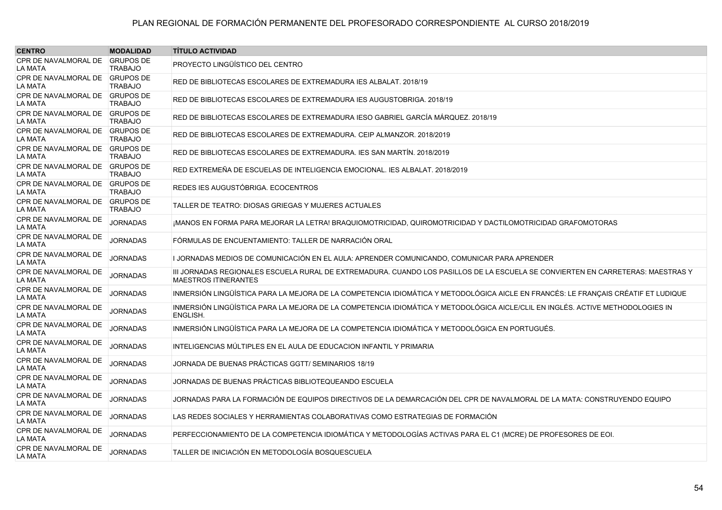| <b>CENTRO</b>                                    | <b>MODALIDAD</b> | <b>TÍTULO ACTIVIDAD</b>                                                                                                                                        |
|--------------------------------------------------|------------------|----------------------------------------------------------------------------------------------------------------------------------------------------------------|
| CPR DE NAVALMORAL DE GRUPOS DE<br><b>LA MATA</b> | <b>TRABAJO</b>   | PROYECTO LINGÜÍSTICO DEL CENTRO                                                                                                                                |
| CPR DE NAVALMORAL DE GRUPOS DE<br>LA MATA        | <b>TRABAJO</b>   | RED DE BIBLIOTECAS ESCOLARES DE EXTREMADURA IES ALBALAT. 2018/19                                                                                               |
| CPR DE NAVALMORAL DE GRUPOS DE<br>LA MATA        | <b>TRABAJO</b>   | RED DE BIBLIOTECAS ESCOLARES DE EXTREMADURA IES AUGUSTOBRIGA, 2018/19                                                                                          |
| CPR DE NAVALMORAL DE GRUPOS DE<br>LA MATA        | <b>TRABAJO</b>   | RED DE BIBLIOTECAS ESCOLARES DE EXTREMADURA IESO GABRIEL GARCÍA MÁRQUEZ. 2018/19                                                                               |
| CPR DE NAVALMORAL DE GRUPOS DE<br><b>LA MATA</b> | <b>TRABAJO</b>   | RED DE BIBLIOTECAS ESCOLARES DE EXTREMADURA. CEIP ALMANZOR. 2018/2019                                                                                          |
| CPR DE NAVALMORAL DE GRUPOS DE<br><b>LA MATA</b> | <b>TRABAJO</b>   | RED DE BIBLIOTECAS ESCOLARES DE EXTREMADURA. IES SAN MARTÍN. 2018/2019                                                                                         |
| CPR DE NAVALMORAL DE GRUPOS DE<br><b>LA MATA</b> | <b>TRABAJO</b>   | RED EXTREMEÑA DE ESCUELAS DE INTELIGENCIA EMOCIONAL. IES ALBALAT. 2018/2019                                                                                    |
| CPR DE NAVALMORAL DE GRUPOS DE<br><b>LA MATA</b> | <b>TRABAJO</b>   | REDES IES AUGUSTÓBRIGA. ECOCENTROS                                                                                                                             |
| CPR DE NAVALMORAL DE GRUPOS DE<br>LA MATA        | <b>TRABAJO</b>   | TALLER DE TEATRO: DIOSAS GRIEGAS Y MUJERES ACTUALES                                                                                                            |
| CPR DE NAVALMORAL DE<br><b>LA MATA</b>           | <b>JORNADAS</b>  | ¡MANOS EN FORMA PARA MEJORAR LA LETRA! BRAQUIOMOTRICIDAD, QUIROMOTRICIDAD Y DACTILOMOTRICIDAD GRAFOMOTORAS                                                     |
| CPR DE NAVALMORAL DE<br><b>LA MATA</b>           | <b>JORNADAS</b>  | FÓRMULAS DE ENCUENTAMIENTO: TALLER DE NARRACIÓN ORAL                                                                                                           |
| CPR DE NAVALMORAL DE<br>LA MATA                  | <b>JORNADAS</b>  | I JORNADAS MEDIOS DE COMUNICACIÓN EN EL AULA: APRENDER COMUNICANDO, COMUNICAR PARA APRENDER                                                                    |
| CPR DE NAVALMORAL DE<br><b>LA MATA</b>           | <b>JORNADAS</b>  | III JORNADAS REGIONALES ESCUELA RURAL DE EXTREMADURA. CUANDO LOS PASILLOS DE LA ESCUELA SE CONVIERTEN EN CARRETERAS: MAESTRAS Y<br><b>MAESTROS ITINERANTES</b> |
| CPR DE NAVALMORAL DE<br><b>LA MATA</b>           | <b>JORNADAS</b>  | INMERSIÓN LINGÜÍSTICA PARA LA MEJORA DE LA COMPETENCIA IDIOMÁTICA Y METODOLÓGICA AICLE EN FRANCÉS: LE FRANCAIS CRÉATIF ET LUDIQUE                              |
| CPR DE NAVALMORAL DE<br>LA MATA                  | <b>JORNADAS</b>  | INMERSIÓN LINGÜÍSTICA PARA LA MEJORA DE LA COMPETENCIA IDIOMÁTICA Y METODOLÓGICA AICLE/CLIL EN INGLÉS. ACTIVE METHODOLOGIES IN<br>ENGLISH.                     |
| CPR DE NAVALMORAL DE<br>LA MATA                  | <b>JORNADAS</b>  | INMERSIÓN LINGÜÍSTICA PARA LA MEJORA DE LA COMPETENCIA IDIOMÁTICA Y METODOLÓGICA EN PORTUGUÉS.                                                                 |
| CPR DE NAVALMORAL DE<br>LA MATA                  | <b>JORNADAS</b>  | INTELIGENCIAS MÚLTIPLES EN EL AULA DE EDUCACION INFANTIL Y PRIMARIA                                                                                            |
| CPR DE NAVALMORAL DE<br><b>LA MATA</b>           | <b>JORNADAS</b>  | JORNADA DE BUENAS PRÁCTICAS GGTT/ SEMINARIOS 18/19                                                                                                             |
| CPR DE NAVALMORAL DE<br><b>LA MATA</b>           | <b>JORNADAS</b>  | JORNADAS DE BUENAS PRÁCTICAS BIBLIOTEQUEANDO ESCUELA                                                                                                           |
| CPR DE NAVALMORAL DE<br><b>LA MATA</b>           | <b>JORNADAS</b>  | JORNADAS PARA LA FORMACIÓN DE EQUIPOS DIRECTIVOS DE LA DEMARCACIÓN DEL CPR DE NAVALMORAL DE LA MATA: CONSTRUYENDO EQUIPO                                       |
| CPR DE NAVALMORAL DE<br><b>LA MATA</b>           | <b>JORNADAS</b>  | LAS REDES SOCIALES Y HERRAMIENTAS COLABORATIVAS COMO ESTRATEGIAS DE FORMACIÓN                                                                                  |
| CPR DE NAVALMORAL DE<br><b>LA MATA</b>           | <b>JORNADAS</b>  | PERFECCIONAMIENTO DE LA COMPETENCIA IDIOMÁTICA Y METODOLOGÍAS ACTIVAS PARA EL C1 (MCRE) DE PROFESORES DE EOI.                                                  |
| CPR DE NAVALMORAL DE<br>LA MATA                  | <b>JORNADAS</b>  | TALLER DE INICIACIÓN EN METODOLOGÍA BOSQUESCUELA                                                                                                               |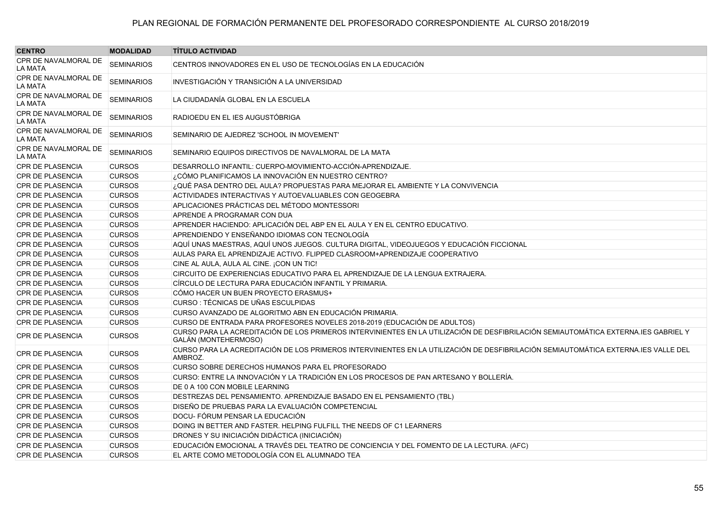| <b>CENTRO</b>                   | <b>MODALIDAD</b>  | <b>TÍTULO ACTIVIDAD</b>                                                                                                                                    |
|---------------------------------|-------------------|------------------------------------------------------------------------------------------------------------------------------------------------------------|
| CPR DE NAVALMORAL DE<br>LA MATA | <b>SEMINARIOS</b> | CENTROS INNOVADORES EN EL USO DE TECNOLOGÍAS EN LA EDUCACIÓN                                                                                               |
| CPR DE NAVALMORAL DE<br>LA MATA | <b>SEMINARIOS</b> | INVESTIGACIÓN Y TRANSICIÓN A LA UNIVERSIDAD                                                                                                                |
| CPR DE NAVALMORAL DE<br>LA MATA | <b>SEMINARIOS</b> | LA CIUDADANÍA GLOBAL EN LA ESCUELA                                                                                                                         |
| CPR DE NAVALMORAL DE<br>LA MATA | <b>SEMINARIOS</b> | RADIOEDU EN EL IES AUGUSTÓBRIGA                                                                                                                            |
| CPR DE NAVALMORAL DE<br>LA MATA | <b>SEMINARIOS</b> | SEMINARIO DE AJEDREZ 'SCHOOL IN MOVEMENT'                                                                                                                  |
| CPR DE NAVALMORAL DE<br>LA MATA | <b>SEMINARIOS</b> | SEMINARIO EQUIPOS DIRECTIVOS DE NAVALMORAL DE LA MATA                                                                                                      |
| <b>CPR DE PLASENCIA</b>         | <b>CURSOS</b>     | DESARROLLO INFANTIL: CUERPO-MOVIMIENTO-ACCIÓN-APRENDIZAJE.                                                                                                 |
| <b>CPR DE PLASENCIA</b>         | <b>CURSOS</b>     | ¿CÓMO PLANIFICAMOS LA INNOVACIÓN EN NUESTRO CENTRO?                                                                                                        |
| <b>CPR DE PLASENCIA</b>         | <b>CURSOS</b>     | ¿QUÉ PASA DENTRO DEL AULA? PROPUESTAS PARA MEJORAR EL AMBIENTE Y LA CONVIVENCIA                                                                            |
| CPR DE PLASENCIA                | <b>CURSOS</b>     | ACTIVIDADES INTERACTIVAS Y AUTOEVALUABLES CON GEOGEBRA                                                                                                     |
| <b>CPR DE PLASENCIA</b>         | <b>CURSOS</b>     | APLICACIONES PRÁCTICAS DEL MÉTODO MONTESSORI                                                                                                               |
| <b>CPR DE PLASENCIA</b>         | <b>CURSOS</b>     | APRENDE A PROGRAMAR CON DUA                                                                                                                                |
| CPR DE PLASENCIA                | <b>CURSOS</b>     | APRENDER HACIENDO: APLICACIÓN DEL ABP EN EL AULA Y EN EL CENTRO EDUCATIVO.                                                                                 |
| <b>CPR DE PLASENCIA</b>         | <b>CURSOS</b>     | APRENDIENDO Y ENSEÑANDO IDIOMAS CON TECNOLOGÍA                                                                                                             |
| CPR DE PLASENCIA                | <b>CURSOS</b>     | AQUÍ UNAS MAESTRAS, AQUÍ UNOS JUEGOS. CULTURA DIGITAL, VIDEOJUEGOS Y EDUCACIÓN FICCIONAL                                                                   |
| <b>CPR DE PLASENCIA</b>         | <b>CURSOS</b>     | AULAS PARA EL APRENDIZAJE ACTIVO. FLIPPED CLASROOM+APRENDIZAJE COOPERATIVO                                                                                 |
| CPR DE PLASENCIA                | <b>CURSOS</b>     | CINE AL AULA, AULA AL CINE. ¡CON UN TIC!                                                                                                                   |
| <b>CPR DE PLASENCIA</b>         | <b>CURSOS</b>     | CIRCUITO DE EXPERIENCIAS EDUCATIVO PARA EL APRENDIZAJE DE LA LENGUA EXTRAJERA.                                                                             |
| <b>CPR DE PLASENCIA</b>         | <b>CURSOS</b>     | CÍRCULO DE LECTURA PARA EDUCACIÓN INFANTIL Y PRIMARIA.                                                                                                     |
| CPR DE PLASENCIA                | <b>CURSOS</b>     | CÓMO HACER UN BUEN PROYECTO ERASMUS+                                                                                                                       |
| <b>CPR DE PLASENCIA</b>         | <b>CURSOS</b>     | CURSO : TÉCNICAS DE UÑAS ESCULPIDAS                                                                                                                        |
| CPR DE PLASENCIA                | <b>CURSOS</b>     | CURSO AVANZADO DE ALGORITMO ABN EN EDUCACIÓN PRIMARIA.                                                                                                     |
| <b>CPR DE PLASENCIA</b>         | <b>CURSOS</b>     | CURSO DE ENTRADA PARA PROFESORES NOVELES 2018-2019 (EDUCACIÓN DE ADULTOS)                                                                                  |
| <b>CPR DE PLASENCIA</b>         | <b>CURSOS</b>     | CURSO PARA LA ACREDITACIÓN DE LOS PRIMEROS INTERVINIENTES EN LA UTILIZACIÓN DE DESFIBRILACIÓN SEMIAUTOMÁTICA EXTERNA.IES GABRIEL Y<br>GALÁN (MONTEHERMOSO) |
| <b>CPR DE PLASENCIA</b>         | <b>CURSOS</b>     | CURSO PARA LA ACREDITACIÓN DE LOS PRIMEROS INTERVINIENTES EN LA UTILIZACIÓN DE DESFIBRILACIÓN SEMIAUTOMÁTICA EXTERNA.IES VALLE DEL<br>AMBROZ.              |
| <b>CPR DE PLASENCIA</b>         | <b>CURSOS</b>     | CURSO SOBRE DERECHOS HUMANOS PARA EL PROFESORADO                                                                                                           |
| CPR DE PLASENCIA                | <b>CURSOS</b>     | CURSO: ENTRE LA INNOVACIÓN Y LA TRADICIÓN EN LOS PROCESOS DE PAN ARTESANO Y BOLLERÍA.                                                                      |
| <b>CPR DE PLASENCIA</b>         | <b>CURSOS</b>     | DE 0 A 100 CON MOBILE LEARNING                                                                                                                             |
| CPR DE PLASENCIA                | <b>CURSOS</b>     | DESTREZAS DEL PENSAMIENTO. APRENDIZAJE BASADO EN EL PENSAMIENTO (TBL)                                                                                      |
| <b>CPR DE PLASENCIA</b>         | <b>CURSOS</b>     | DISEÑO DE PRUEBAS PARA LA EVALUACIÓN COMPETENCIAL                                                                                                          |
| CPR DE PLASENCIA                | <b>CURSOS</b>     | DOCU- FÓRUM PENSAR LA EDUCACIÓN                                                                                                                            |
| <b>CPR DE PLASENCIA</b>         | <b>CURSOS</b>     | DOING IN BETTER AND FASTER. HELPING FULFILL THE NEEDS OF C1 LEARNERS                                                                                       |
| CPR DE PLASENCIA                | <b>CURSOS</b>     | DRONES Y SU INICIACIÓN DIDÁCTICA (INICIACIÓN)                                                                                                              |
| <b>CPR DE PLASENCIA</b>         | <b>CURSOS</b>     | EDUCACIÓN EMOCIONAL A TRAVÉS DEL TEATRO DE CONCIENCIA Y DEL FOMENTO DE LA LECTURA. (AFC)                                                                   |
| <b>CPR DE PLASENCIA</b>         | <b>CURSOS</b>     | EL ARTE COMO METODOLOGÍA CON EL ALUMNADO TEA                                                                                                               |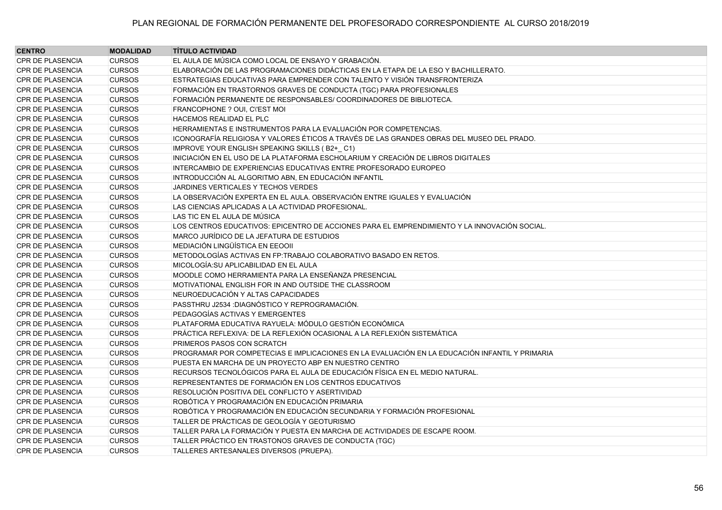| <b>CENTRO</b>           | <b>MODALIDAD</b> | <b>TÍTULO ACTIVIDAD</b>                                                                        |
|-------------------------|------------------|------------------------------------------------------------------------------------------------|
| <b>CPR DE PLASENCIA</b> | <b>CURSOS</b>    | EL AULA DE MÚSICA COMO LOCAL DE ENSAYO Y GRABACIÓN.                                            |
| <b>CPR DE PLASENCIA</b> | <b>CURSOS</b>    | ELABORACIÓN DE LAS PROGRAMACIONES DIDÁCTICAS EN LA ETAPA DE LA ESO Y BACHILLERATO.             |
| <b>CPR DE PLASENCIA</b> | <b>CURSOS</b>    | ESTRATEGIAS EDUCATIVAS PARA EMPRENDER CON TALENTO Y VISIÓN TRANSFRONTERIZA                     |
| CPR DE PLASENCIA        | <b>CURSOS</b>    | FORMACIÓN EN TRASTORNOS GRAVES DE CONDUCTA (TGC) PARA PROFESIONALES                            |
| <b>CPR DE PLASENCIA</b> | <b>CURSOS</b>    | FORMACIÓN PERMANENTE DE RESPONSABLES/ COORDINADORES DE BIBLIOTECA.                             |
| CPR DE PLASENCIA        | <b>CURSOS</b>    | FRANCOPHONE ? OUI, CI'EST MOI                                                                  |
| <b>CPR DE PLASENCIA</b> | <b>CURSOS</b>    | HACEMOS REALIDAD EL PLC                                                                        |
| <b>CPR DE PLASENCIA</b> | <b>CURSOS</b>    | HERRAMIENTAS E INSTRUMENTOS PARA LA EVALUACIÓN POR COMPETENCIAS.                               |
| <b>CPR DE PLASENCIA</b> | <b>CURSOS</b>    | ICONOGRAFÍA RELIGIOSA Y VALORES ÉTICOS A TRAVÉS DE LAS GRANDES OBRAS DEL MUSEO DEL PRADO.      |
| <b>CPR DE PLASENCIA</b> | <b>CURSOS</b>    | IMPROVE YOUR ENGLISH SPEAKING SKILLS (B2+_C1)                                                  |
| <b>CPR DE PLASENCIA</b> | <b>CURSOS</b>    | INICIACIÓN EN EL USO DE LA PLATAFORMA ESCHOLARIUM Y CREACIÓN DE LIBROS DIGITALES               |
| <b>CPR DE PLASENCIA</b> | <b>CURSOS</b>    | INTERCAMBIO DE EXPERIENCIAS EDUCATIVAS ENTRE PROFESORADO EUROPEO                               |
| <b>CPR DE PLASENCIA</b> | <b>CURSOS</b>    | INTRODUCCIÓN AL ALGORITMO ABN, EN EDUCACIÓN INFANTIL                                           |
| <b>CPR DE PLASENCIA</b> | <b>CURSOS</b>    | JARDINES VERTICALES Y TECHOS VERDES                                                            |
| <b>CPR DE PLASENCIA</b> | <b>CURSOS</b>    | LA OBSERVACIÓN EXPERTA EN EL AULA. OBSERVACIÓN ENTRE IGUALES Y EVALUACIÓN                      |
| <b>CPR DE PLASENCIA</b> | <b>CURSOS</b>    | LAS CIENCIAS APLICADAS A LA ACTIVIDAD PROFESIONAL.                                             |
| <b>CPR DE PLASENCIA</b> | <b>CURSOS</b>    | LAS TIC EN EL AULA DE MÚSICA                                                                   |
| <b>CPR DE PLASENCIA</b> | <b>CURSOS</b>    | LOS CENTROS EDUCATIVOS: EPICENTRO DE ACCIONES PARA EL EMPRENDIMIENTO Y LA INNOVACIÓN SOCIAL.   |
| <b>CPR DE PLASENCIA</b> | <b>CURSOS</b>    | MARCO JURÍDICO DE LA JEFATURA DE ESTUDIOS                                                      |
| <b>CPR DE PLASENCIA</b> | <b>CURSOS</b>    | MEDIACIÓN LINGÜÍSTICA EN EEOOII                                                                |
| <b>CPR DE PLASENCIA</b> | <b>CURSOS</b>    | METODOLOGÍAS ACTIVAS EN FP:TRABAJO COLABORATIVO BASADO EN RETOS.                               |
| CPR DE PLASENCIA        | <b>CURSOS</b>    | MICOLOGÍA: SU APLICABILIDAD EN EL AULA                                                         |
| <b>CPR DE PLASENCIA</b> | <b>CURSOS</b>    | MOODLE COMO HERRAMIENTA PARA LA ENSEÑANZA PRESENCIAL                                           |
| <b>CPR DE PLASENCIA</b> | <b>CURSOS</b>    | MOTIVATIONAL ENGLISH FOR IN AND OUTSIDE THE CLASSROOM                                          |
| CPR DE PLASENCIA        | <b>CURSOS</b>    | NEUROEDUCACIÓN Y ALTAS CAPACIDADES                                                             |
| <b>CPR DE PLASENCIA</b> | <b>CURSOS</b>    | PASSTHRU J2534 :DIAGNÓSTICO Y REPROGRAMACIÓN.                                                  |
| <b>CPR DE PLASENCIA</b> | <b>CURSOS</b>    | PEDAGOGÍAS ACTIVAS Y EMERGENTES                                                                |
| <b>CPR DE PLASENCIA</b> | <b>CURSOS</b>    | PLATAFORMA EDUCATIVA RAYUELA: MÓDULO GESTIÓN ECONÓMICA                                         |
| <b>CPR DE PLASENCIA</b> | <b>CURSOS</b>    | PRÁCTICA REFLEXIVA: DE LA REFLEXIÓN OCASIONAL A LA REFLEXIÓN SISTEMÁTICA                       |
| <b>CPR DE PLASENCIA</b> | <b>CURSOS</b>    | PRIMEROS PASOS CON SCRATCH                                                                     |
| <b>CPR DE PLASENCIA</b> | <b>CURSOS</b>    | PROGRAMAR POR COMPETECIAS E IMPLICACIONES EN LA EVALUACIÓN EN LA EDUCACIÓN INFANTIL Y PRIMARIA |
| <b>CPR DE PLASENCIA</b> | <b>CURSOS</b>    | PUESTA EN MARCHA DE UN PROYECTO ABP EN NUESTRO CENTRO                                          |
| <b>CPR DE PLASENCIA</b> | <b>CURSOS</b>    | RECURSOS TECNOLÓGICOS PARA EL AULA DE EDUCACIÓN FÍSICA EN EL MEDIO NATURAL.                    |
| <b>CPR DE PLASENCIA</b> | <b>CURSOS</b>    | REPRESENTANTES DE FORMACIÓN EN LOS CENTROS EDUCATIVOS                                          |
| CPR DE PLASENCIA        | <b>CURSOS</b>    | RESOLUCIÓN POSITIVA DEL CONFLICTO Y ASERTIVIDAD                                                |
| <b>CPR DE PLASENCIA</b> | <b>CURSOS</b>    | ROBÓTICA Y PROGRAMACIÓN EN EDUCACIÓN PRIMARIA                                                  |
| <b>CPR DE PLASENCIA</b> | <b>CURSOS</b>    | ROBÓTICA Y PROGRAMACIÓN EN EDUCACIÓN SECUNDARIA Y FORMACIÓN PROFESIONAL                        |
| <b>CPR DE PLASENCIA</b> | <b>CURSOS</b>    | TALLER DE PRÁCTICAS DE GEOLOGÍA Y GEOTURISMO                                                   |
| <b>CPR DE PLASENCIA</b> | <b>CURSOS</b>    | TALLER PARA LA FORMACIÓN Y PUESTA EN MARCHA DE ACTIVIDADES DE ESCAPE ROOM.                     |
| CPR DE PLASENCIA        | <b>CURSOS</b>    | TALLER PRÁCTICO EN TRASTONOS GRAVES DE CONDUCTA (TGC)                                          |
| <b>CPR DE PLASENCIA</b> | <b>CURSOS</b>    | TALLERES ARTESANALES DIVERSOS (PRUEPA).                                                        |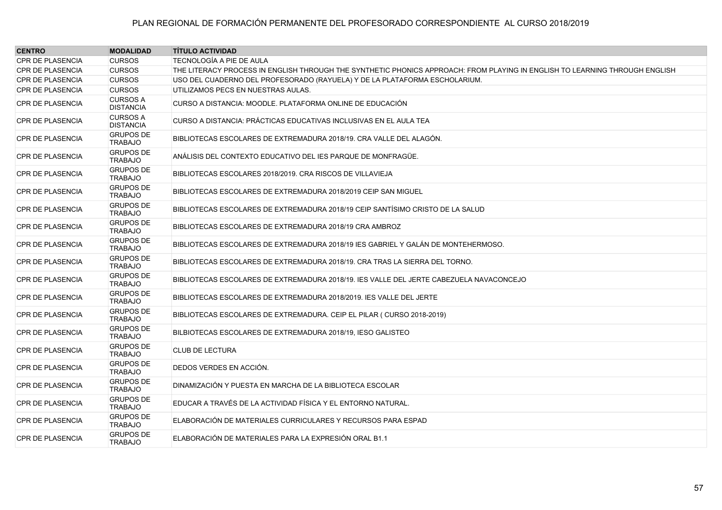| <b>CENTRO</b>           | <b>MODALIDAD</b>                    | <b>TÍTULO ACTIVIDAD</b>                                                                                                     |
|-------------------------|-------------------------------------|-----------------------------------------------------------------------------------------------------------------------------|
| <b>CPR DE PLASENCIA</b> | <b>CURSOS</b>                       | TECNOLOGÍA A PIE DE AULA                                                                                                    |
| <b>CPR DE PLASENCIA</b> | <b>CURSOS</b>                       | THE LITERACY PROCESS IN ENGLISH THROUGH THE SYNTHETIC PHONICS APPROACH: FROM PLAYING IN ENGLISH TO LEARNING THROUGH ENGLISH |
| <b>CPR DE PLASENCIA</b> | <b>CURSOS</b>                       | USO DEL CUADERNO DEL PROFESORADO (RAYUELA) Y DE LA PLATAFORMA ESCHOLARIUM.                                                  |
| <b>CPR DE PLASENCIA</b> | <b>CURSOS</b>                       | UTILIZAMOS PECS EN NUESTRAS AULAS.                                                                                          |
| <b>CPR DE PLASENCIA</b> | <b>CURSOS A</b><br><b>DISTANCIA</b> | CURSO A DISTANCIA: MOODLE. PLATAFORMA ONLINE DE EDUCACIÓN                                                                   |
| <b>CPR DE PLASENCIA</b> | <b>CURSOS A</b><br><b>DISTANCIA</b> | CURSO A DISTANCIA: PRÁCTICAS EDUCATIVAS INCLUSIVAS EN EL AULA TEA                                                           |
| <b>CPR DE PLASENCIA</b> | <b>GRUPOS DE</b><br><b>TRABAJO</b>  | BIBLIOTECAS ESCOLARES DE EXTREMADURA 2018/19. CRA VALLE DEL ALAGÓN.                                                         |
| <b>CPR DE PLASENCIA</b> | <b>GRUPOS DE</b><br><b>TRABAJO</b>  | ANÁLISIS DEL CONTEXTO EDUCATIVO DEL IES PARQUE DE MONFRAGÜE.                                                                |
| <b>CPR DE PLASENCIA</b> | <b>GRUPOS DE</b><br><b>TRABAJO</b>  | BIBLIOTECAS ESCOLARES 2018/2019. CRA RISCOS DE VILLAVIEJA                                                                   |
| <b>CPR DE PLASENCIA</b> | <b>GRUPOS DE</b><br><b>TRABAJO</b>  | BIBLIOTECAS ESCOLARES DE EXTREMADURA 2018/2019 CEIP SAN MIGUEL                                                              |
| <b>CPR DE PLASENCIA</b> | <b>GRUPOS DE</b><br><b>TRABAJO</b>  | BIBLIOTECAS ESCOLARES DE EXTREMADURA 2018/19 CEIP SANTÍSIMO CRISTO DE LA SALUD                                              |
| <b>CPR DE PLASENCIA</b> | <b>GRUPOS DE</b><br><b>TRABAJO</b>  | BIBLIOTECAS ESCOLARES DE EXTREMADURA 2018/19 CRA AMBROZ                                                                     |
| <b>CPR DE PLASENCIA</b> | <b>GRUPOS DE</b><br><b>TRABAJO</b>  | BIBLIOTECAS ESCOLARES DE EXTREMADURA 2018/19 IES GABRIEL Y GALÁN DE MONTEHERMOSO.                                           |
| <b>CPR DE PLASENCIA</b> | <b>GRUPOS DE</b><br><b>TRABAJO</b>  | BIBLIOTECAS ESCOLARES DE EXTREMADURA 2018/19, CRA TRAS LA SIERRA DEL TORNO.                                                 |
| <b>CPR DE PLASENCIA</b> | <b>GRUPOS DE</b><br><b>TRABAJO</b>  | BIBLIOTECAS ESCOLARES DE EXTREMADURA 2018/19. IES VALLE DEL JERTE CABEZUELA NAVACONCEJO                                     |
| <b>CPR DE PLASENCIA</b> | <b>GRUPOS DE</b><br><b>TRABAJO</b>  | BIBLIOTECAS ESCOLARES DE EXTREMADURA 2018/2019. IES VALLE DEL JERTE                                                         |
| <b>CPR DE PLASENCIA</b> | <b>GRUPOS DE</b><br><b>TRABAJO</b>  | BIBLIOTECAS ESCOLARES DE EXTREMADURA. CEIP EL PILAR (CURSO 2018-2019)                                                       |
| <b>CPR DE PLASENCIA</b> | <b>GRUPOS DE</b><br><b>TRABAJO</b>  | BILBIOTECAS ESCOLARES DE EXTREMADURA 2018/19, IESO GALISTEO                                                                 |
| <b>CPR DE PLASENCIA</b> | <b>GRUPOS DE</b><br><b>TRABAJO</b>  | <b>CLUB DE LECTURA</b>                                                                                                      |
| <b>CPR DE PLASENCIA</b> | <b>GRUPOS DE</b><br><b>TRABAJO</b>  | DEDOS VERDES EN ACCIÓN.                                                                                                     |
| <b>CPR DE PLASENCIA</b> | <b>GRUPOS DE</b><br><b>TRABAJO</b>  | DINAMIZACIÓN Y PUESTA EN MARCHA DE LA BIBLIOTECA ESCOLAR                                                                    |
| CPR DE PLASENCIA        | <b>GRUPOS DE</b><br><b>TRABAJO</b>  | EDUCAR A TRAVÉS DE LA ACTIVIDAD FÍSICA Y EL ENTORNO NATURAL.                                                                |
| <b>CPR DE PLASENCIA</b> | <b>GRUPOS DE</b><br><b>TRABAJO</b>  | ELABORACIÓN DE MATERIALES CURRICULARES Y RECURSOS PARA ESPAD                                                                |
| <b>CPR DE PLASENCIA</b> | <b>GRUPOS DE</b><br><b>TRABAJO</b>  | ELABORACIÓN DE MATERIALES PARA LA EXPRESIÓN ORAL B1.1                                                                       |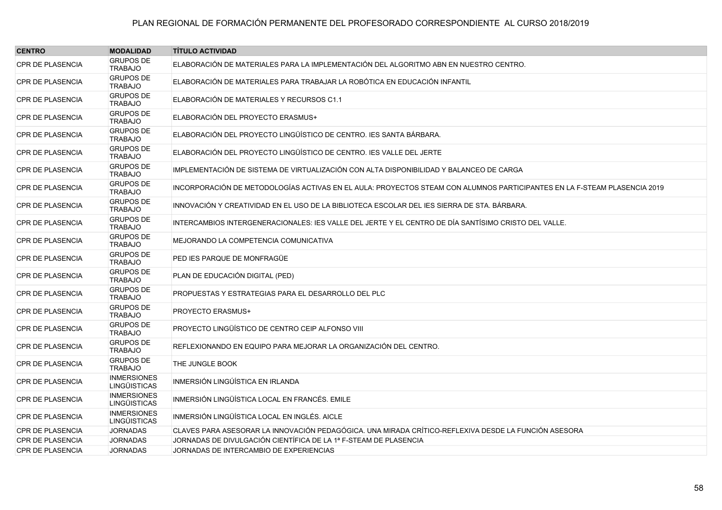| <b>CENTRO</b>           | <b>MODALIDAD</b>                          | <b>TÍTULO ACTIVIDAD</b>                                                                                                  |
|-------------------------|-------------------------------------------|--------------------------------------------------------------------------------------------------------------------------|
| <b>CPR DE PLASENCIA</b> | <b>GRUPOS DE</b><br><b>TRABAJO</b>        | ELABORACIÓN DE MATERIALES PARA LA IMPLEMENTACIÓN DEL ALGORITMO ABN EN NUESTRO CENTRO.                                    |
| <b>CPR DE PLASENCIA</b> | <b>GRUPOS DE</b><br>TRABAJO               | ELABORACIÓN DE MATERIALES PARA TRABAJAR LA ROBÓTICA EN EDUCACIÓN INFANTIL                                                |
| <b>CPR DE PLASENCIA</b> | <b>GRUPOS DE</b><br><b>TRABAJO</b>        | ELABORACIÓN DE MATERIALES Y RECURSOS C1.1                                                                                |
| <b>CPR DE PLASENCIA</b> | <b>GRUPOS DE</b><br><b>TRABAJO</b>        | ELABORACIÓN DEL PROYECTO ERASMUS+                                                                                        |
| <b>CPR DE PLASENCIA</b> | <b>GRUPOS DE</b><br><b>TRABAJO</b>        | ELABORACIÓN DEL PROYECTO LINGÜÍSTICO DE CENTRO. JES SANTA BÁRBARA.                                                       |
| <b>CPR DE PLASENCIA</b> | <b>GRUPOS DE</b><br><b>TRABAJO</b>        | ELABORACIÓN DEL PROYECTO LINGÜÍSTICO DE CENTRO. IES VALLE DEL JERTE                                                      |
| <b>CPR DE PLASENCIA</b> | <b>GRUPOS DE</b><br><b>TRABAJO</b>        | IMPLEMENTACIÓN DE SISTEMA DE VIRTUALIZACIÓN CON ALTA DISPONIBILIDAD Y BALANCEO DE CARGA                                  |
| <b>CPR DE PLASENCIA</b> | <b>GRUPOS DE</b><br><b>TRABAJO</b>        | INCORPORACIÓN DE METODOLOGÍAS ACTIVAS EN EL AULA: PROYECTOS STEAM CON ALUMNOS PARTICIPANTES EN LA F-STEAM PLASENCIA 2019 |
| <b>CPR DE PLASENCIA</b> | <b>GRUPOS DE</b><br><b>TRABAJO</b>        | INNOVACIÓN Y CREATIVIDAD EN EL USO DE LA BIBLIOTECA ESCOLAR DEL IES SIERRA DE STA. BÁRBARA.                              |
| <b>CPR DE PLASENCIA</b> | <b>GRUPOS DE</b><br><b>TRABAJO</b>        | INTERCAMBIOS INTERGENERACIONALES: IES VALLE DEL JERTE Y EL CENTRO DE DÍA SANTÍSIMO CRISTO DEL VALLE.                     |
| <b>CPR DE PLASENCIA</b> | <b>GRUPOS DE</b><br><b>TRABAJO</b>        | MEJORANDO LA COMPETENCIA COMUNICATIVA                                                                                    |
| <b>CPR DE PLASENCIA</b> | <b>GRUPOS DE</b><br><b>TRABAJO</b>        | PED IES PARQUE DE MONFRAGÜE                                                                                              |
| <b>CPR DE PLASENCIA</b> | <b>GRUPOS DE</b><br><b>TRABAJO</b>        | PLAN DE EDUCACIÓN DIGITAL (PED)                                                                                          |
| <b>CPR DE PLASENCIA</b> | <b>GRUPOS DE</b><br><b>TRABAJO</b>        | PROPUESTAS Y ESTRATEGIAS PARA EL DESARROLLO DEL PLC                                                                      |
| <b>CPR DE PLASENCIA</b> | <b>GRUPOS DE</b><br><b>TRABAJO</b>        | <b>PROYECTO ERASMUS+</b>                                                                                                 |
| <b>CPR DE PLASENCIA</b> | <b>GRUPOS DE</b><br><b>TRABAJO</b>        | PROYECTO LINGÜÍSTICO DE CENTRO CEIP ALFONSO VIII                                                                         |
| <b>CPR DE PLASENCIA</b> | <b>GRUPOS DE</b><br><b>TRABAJO</b>        | REFLEXIONANDO EN EQUIPO PARA MEJORAR LA ORGANIZACIÓN DEL CENTRO.                                                         |
| <b>CPR DE PLASENCIA</b> | <b>GRUPOS DE</b><br><b>TRABAJO</b>        | THE JUNGLE BOOK                                                                                                          |
| <b>CPR DE PLASENCIA</b> | <b>INMERSIONES</b><br><b>LINGÜISTICAS</b> | INMERSIÓN LINGÚÍSTICA EN IRLANDA                                                                                         |
| <b>CPR DE PLASENCIA</b> | <b>INMERSIONES</b><br><b>LINGÜISTICAS</b> | INMERSIÓN LINGÜÍSTICA LOCAL EN FRANCÉS. EMILE                                                                            |
| <b>CPR DE PLASENCIA</b> | <b>INMERSIONES</b><br><b>LINGÜISTICAS</b> | INMERSIÓN LINGÜÍSTICA LOCAL EN INGLÉS. AICLE                                                                             |
| <b>CPR DE PLASENCIA</b> | <b>JORNADAS</b>                           | CLAVES PARA ASESORAR LA INNOVACIÓN PEDAGÓGICA. UNA MIRADA CRÍTICO-REFLEXIVA DESDE LA FUNCIÓN ASESORA                     |
| CPR DE PLASENCIA        | <b>JORNADAS</b>                           | JORNADAS DE DIVULGACIÓN CIENTÍFICA DE LA 1ª F-STEAM DE PLASENCIA                                                         |
| <b>CPR DE PLASENCIA</b> | <b>JORNADAS</b>                           | JORNADAS DE INTERCAMBIO DE EXPERIENCIAS                                                                                  |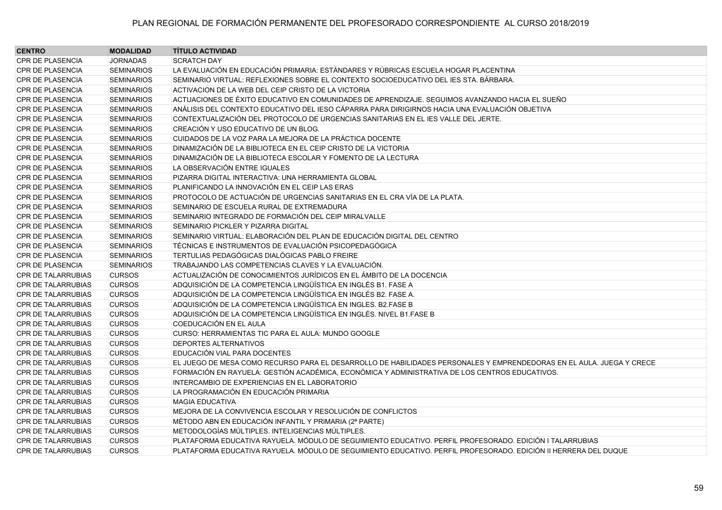| <b>CENTRO</b>             | <b>MODALIDAD</b>  | <b>TÍTULO ACTIVIDAD</b>                                                                                              |
|---------------------------|-------------------|----------------------------------------------------------------------------------------------------------------------|
| <b>CPR DE PLASENCIA</b>   | <b>JORNADAS</b>   | <b>SCRATCH DAY</b>                                                                                                   |
| <b>CPR DE PLASENCIA</b>   | <b>SEMINARIOS</b> | LA EVALUACIÓN EN EDUCACIÓN PRIMARIA: ESTÁNDARES Y RÚBRICAS ESCUELA HOGAR PLACENTINA                                  |
| <b>CPR DE PLASENCIA</b>   | <b>SEMINARIOS</b> | SEMINARIO VIRTUAL: REFLEXIONES SOBRE EL CONTEXTO SOCIOEDUCATIVO DEL IES STA. BÁRBARA.                                |
| <b>CPR DE PLASENCIA</b>   | <b>SEMINARIOS</b> | ACTIVACION DE LA WEB DEL CEIP CRISTO DE LA VICTORIA                                                                  |
| <b>CPR DE PLASENCIA</b>   | <b>SEMINARIOS</b> | ACTUACIONES DE ÉXITO EDUCATIVO EN COMUNIDADES DE APRENDIZAJE. SEGUIMOS AVANZANDO HACIA EL SUEÑO                      |
| <b>CPR DE PLASENCIA</b>   | <b>SEMINARIOS</b> | ANÁLISIS DEL CONTEXTO EDUCATIVO DEL IESO CÁPARRA PARA DIRIGIRNOS HACIA UNA EVALUACIÓN OBJETIVA                       |
| <b>CPR DE PLASENCIA</b>   | <b>SEMINARIOS</b> | CONTEXTUALIZACIÓN DEL PROTOCOLO DE URGENCIAS SANITARIAS EN EL IES VALLE DEL JERTE.                                   |
| <b>CPR DE PLASENCIA</b>   | <b>SEMINARIOS</b> | CREACIÓN Y USO EDUCATIVO DE UN BLOG.                                                                                 |
| <b>CPR DE PLASENCIA</b>   | <b>SEMINARIOS</b> | CUIDADOS DE LA VOZ PARA LA MEJORA DE LA PRÁCTICA DOCENTE                                                             |
| <b>CPR DE PLASENCIA</b>   | <b>SEMINARIOS</b> | DINAMIZACIÓN DE LA BIBLIOTECA EN EL CEIP CRISTO DE LA VICTORIA                                                       |
| <b>CPR DE PLASENCIA</b>   | <b>SEMINARIOS</b> | DINAMIZACIÓN DE LA BIBLIOTECA ESCOLAR Y FOMENTO DE LA LECTURA                                                        |
| <b>CPR DE PLASENCIA</b>   | <b>SEMINARIOS</b> | LA OBSERVACIÓN ENTRE IGUALES                                                                                         |
| <b>CPR DE PLASENCIA</b>   | <b>SEMINARIOS</b> | PIZARRA DIGITAL INTERACTIVA: UNA HERRAMIENTA GLOBAL                                                                  |
| <b>CPR DE PLASENCIA</b>   | <b>SEMINARIOS</b> | PLANIFICANDO LA INNOVACIÓN EN EL CEIP LAS ERAS                                                                       |
| <b>CPR DE PLASENCIA</b>   | <b>SEMINARIOS</b> | PROTOCOLO DE ACTUACIÓN DE URGENCIAS SANITARIAS EN EL CRA VÍA DE LA PLATA.                                            |
| <b>CPR DE PLASENCIA</b>   | <b>SEMINARIOS</b> | SEMINARIO DE ESCUELA RURAL DE EXTREMADURA                                                                            |
| <b>CPR DE PLASENCIA</b>   | <b>SEMINARIOS</b> | SEMINARIO INTEGRADO DE FORMACIÓN DEL CEIP MIRALVALLE                                                                 |
| <b>CPR DE PLASENCIA</b>   | <b>SEMINARIOS</b> | SEMINARIO PICKLER Y PIZARRA DIGITAL                                                                                  |
| <b>CPR DE PLASENCIA</b>   | <b>SEMINARIOS</b> | SEMINARIO VIRTUAL: ELABORACIÓN DEL PLAN DE EDUCACIÓN DIGITAL DEL CENTRO                                              |
| <b>CPR DE PLASENCIA</b>   | <b>SEMINARIOS</b> | TÉCNICAS E INSTRUMENTOS DE EVALUACIÓN PSICOPEDAGÓGICA                                                                |
| <b>CPR DE PLASENCIA</b>   | <b>SEMINARIOS</b> | TERTULIAS PEDAGÓGICAS DIALÓGICAS PABLO FREIRE                                                                        |
| <b>CPR DE PLASENCIA</b>   | <b>SEMINARIOS</b> | TRABAJANDO LAS COMPETENCIAS CLAVES Y LA EVALUACIÓN.                                                                  |
| CPR DE TALARRUBIAS        | <b>CURSOS</b>     | ACTUALIZACIÓN DE CONOCIMIENTOS JURÍDICOS EN EL ÁMBITO DE LA DOCENCIA                                                 |
| <b>CPR DE TALARRUBIAS</b> | <b>CURSOS</b>     | ADQUISICIÓN DE LA COMPETENCIA LINGÜÍSTICA EN INGLÉS B1. FASE A                                                       |
| <b>CPR DE TALARRUBIAS</b> | <b>CURSOS</b>     | ADQUISICIÓN DE LA COMPETENCIA LINGÜÍSTICA EN INGLÉS B2. FASE A.                                                      |
| <b>CPR DE TALARRUBIAS</b> | <b>CURSOS</b>     | ADQUISICIÓN DE LA COMPETENCIA LINGÜÍSTICA EN INGLES. B2.FASE B                                                       |
| <b>CPR DE TALARRUBIAS</b> | <b>CURSOS</b>     | ADQUISICIÓN DE LA COMPETENCIA LINGÜÍSTICA EN INGLÉS. NIVEL B1.FASE B                                                 |
| <b>CPR DE TALARRUBIAS</b> | <b>CURSOS</b>     | COEDUCACIÓN EN EL AULA                                                                                               |
| <b>CPR DE TALARRUBIAS</b> | <b>CURSOS</b>     | CURSO: HERRAMIENTAS TIC PARA EL AULA: MUNDO GOOGLE                                                                   |
| <b>CPR DE TALARRUBIAS</b> | <b>CURSOS</b>     | DEPORTES ALTERNATIVOS                                                                                                |
| <b>CPR DE TALARRUBIAS</b> | <b>CURSOS</b>     | EDUCACIÓN VIAL PARA DOCENTES                                                                                         |
| <b>CPR DE TALARRUBIAS</b> | <b>CURSOS</b>     | EL JUEGO DE MESA COMO RECURSO PARA EL DESARROLLO DE HABILIDADES PERSONALES Y EMPRENDEDORAS EN EL AULA. JUEGA Y CRECE |
| <b>CPR DE TALARRUBIAS</b> | <b>CURSOS</b>     | FORMACIÓN EN RAYUELA: GESTIÓN ACADÉMICA, ECONÓMICA Y ADMINISTRATIVA DE LOS CENTROS EDUCATIVOS.                       |
| <b>CPR DE TALARRUBIAS</b> | <b>CURSOS</b>     | INTERCAMBIO DE EXPERIENCIAS EN EL LABORATORIO                                                                        |
| <b>CPR DE TALARRUBIAS</b> | <b>CURSOS</b>     | LA PROGRAMACIÓN EN EDUCACIÓN PRIMARIA                                                                                |
| CPR DE TALARRUBIAS        | <b>CURSOS</b>     | <b>MAGIA EDUCATIVA</b>                                                                                               |
| <b>CPR DE TALARRUBIAS</b> | <b>CURSOS</b>     | MEJORA DE LA CONVIVENCIA ESCOLAR Y RESOLUCIÓN DE CONFLICTOS                                                          |
| <b>CPR DE TALARRUBIAS</b> | <b>CURSOS</b>     | MÉTODO ABN EN EDUCACIÓN INFANTIL Y PRIMARIA (2ª PARTE)                                                               |
| CPR DE TALARRUBIAS        | <b>CURSOS</b>     | METODOLOGÍAS MÚLTIPLES. INTELIGENCIAS MÚLTIPLES.                                                                     |
| <b>CPR DE TALARRUBIAS</b> | <b>CURSOS</b>     | PLATAFORMA EDUCATIVA RAYUELA. MÓDULO DE SEGUIMIENTO EDUCATIVO. PERFIL PROFESORADO. EDICIÓN I TALARRUBIAS             |
| <b>CPR DE TALARRUBIAS</b> | <b>CURSOS</b>     | PLATAFORMA EDUCATIVA RAYUELA. MÓDULO DE SEGUIMIENTO EDUCATIVO. PERFIL PROFESORADO. EDICIÓN II HERRERA DEL DUQUE      |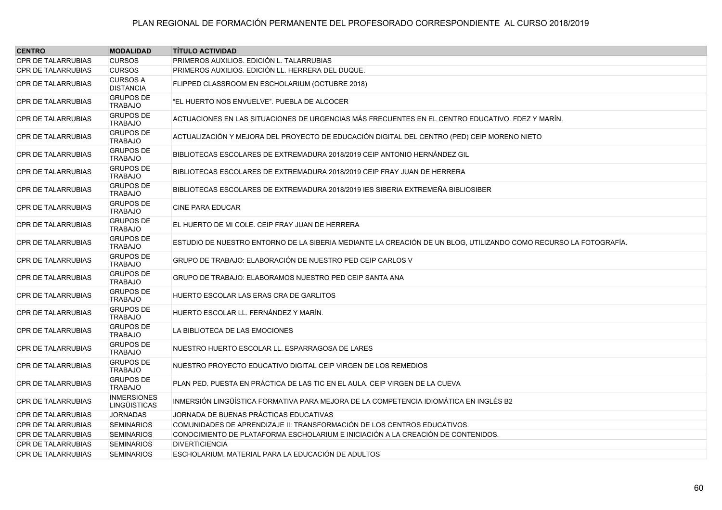| <b>CENTRO</b>             | <b>MODALIDAD</b>                          | <b>TÍTULO ACTIVIDAD</b>                                                                                          |
|---------------------------|-------------------------------------------|------------------------------------------------------------------------------------------------------------------|
| <b>CPR DE TALARRUBIAS</b> | <b>CURSOS</b>                             | PRIMEROS AUXILIOS. EDICIÓN L. TALARRUBIAS                                                                        |
| <b>CPR DE TALARRUBIAS</b> | <b>CURSOS</b>                             | PRIMEROS AUXILIOS. EDICIÓN LL. HERRERA DEL DUQUE.                                                                |
| <b>CPR DE TALARRUBIAS</b> | <b>CURSOS A</b><br><b>DISTANCIA</b>       | FLIPPED CLASSROOM EN ESCHOLARIUM (OCTUBRE 2018)                                                                  |
| <b>CPR DE TALARRUBIAS</b> | <b>GRUPOS DE</b><br><b>TRABAJO</b>        | "EL HUERTO NOS ENVUELVE". PUEBLA DE ALCOCER                                                                      |
| <b>CPR DE TALARRUBIAS</b> | <b>GRUPOS DE</b><br><b>TRABAJO</b>        | ACTUACIONES EN LAS SITUACIONES DE URGENCIAS MÁS FRECUENTES EN EL CENTRO EDUCATIVO. FDEZ Y MARÍN.                 |
| CPR DE TALARRUBIAS        | <b>GRUPOS DE</b><br><b>TRABAJO</b>        | ACTUALIZACIÓN Y MEJORA DEL PROYECTO DE EDUCACIÓN DIGITAL DEL CENTRO (PED) CEIP MORENO NIETO                      |
| <b>CPR DE TALARRUBIAS</b> | <b>GRUPOS DE</b><br><b>TRABAJO</b>        | BIBLIOTECAS ESCOLARES DE EXTREMADURA 2018/2019 CEIP ANTONIO HERNÁNDEZ GIL                                        |
| <b>CPR DE TALARRUBIAS</b> | <b>GRUPOS DE</b><br><b>TRABAJO</b>        | BIBLIOTECAS ESCOLARES DE EXTREMADURA 2018/2019 CEIP FRAY JUAN DE HERRERA                                         |
| <b>CPR DE TALARRUBIAS</b> | <b>GRUPOS DE</b><br><b>TRABAJO</b>        | BIBLIOTECAS ESCOLARES DE EXTREMADURA 2018/2019 IES SIBERIA EXTREMEÑA BIBLIOSIBER                                 |
| <b>CPR DE TALARRUBIAS</b> | <b>GRUPOS DE</b><br><b>TRABAJO</b>        | <b>CINE PARA EDUCAR</b>                                                                                          |
| <b>CPR DE TALARRUBIAS</b> | <b>GRUPOS DE</b><br><b>TRABAJO</b>        | EL HUERTO DE MI COLE. CEIP FRAY JUAN DE HERRERA                                                                  |
| <b>CPR DE TALARRUBIAS</b> | <b>GRUPOS DE</b><br><b>TRABAJO</b>        | ESTUDIO DE NUESTRO ENTORNO DE LA SIBERIA MEDIANTE LA CREACIÓN DE UN BLOG, UTILIZANDO COMO RECURSO LA FOTOGRAFÍA. |
| <b>CPR DE TALARRUBIAS</b> | <b>GRUPOS DE</b><br><b>TRABAJO</b>        | GRUPO DE TRABAJO: ELABORACIÓN DE NUESTRO PED CEIP CARLOS V                                                       |
| <b>CPR DE TALARRUBIAS</b> | <b>GRUPOS DE</b><br><b>TRABAJO</b>        | GRUPO DE TRABAJO: ELABORAMOS NUESTRO PED CEIP SANTA ANA                                                          |
| <b>CPR DE TALARRUBIAS</b> | <b>GRUPOS DE</b><br><b>TRABAJO</b>        | HUERTO ESCOLAR LAS ERAS CRA DE GARLITOS                                                                          |
| <b>CPR DE TALARRUBIAS</b> | <b>GRUPOS DE</b><br><b>TRABAJO</b>        | HUERTO ESCOLAR LL. FERNÁNDEZ Y MARÍN.                                                                            |
| <b>CPR DE TALARRUBIAS</b> | <b>GRUPOS DE</b><br><b>TRABAJO</b>        | LA BIBLIOTECA DE LAS EMOCIONES                                                                                   |
| <b>CPR DE TALARRUBIAS</b> | <b>GRUPOS DE</b><br><b>TRABAJO</b>        | NUESTRO HUERTO ESCOLAR LL. ESPARRAGOSA DE LARES                                                                  |
| <b>CPR DE TALARRUBIAS</b> | <b>GRUPOS DE</b><br><b>TRABAJO</b>        | NUESTRO PROYECTO EDUCATIVO DIGITAL CEIP VIRGEN DE LOS REMEDIOS                                                   |
| <b>CPR DE TALARRUBIAS</b> | <b>GRUPOS DE</b><br><b>TRABAJO</b>        | PLAN PED. PUESTA EN PRÁCTICA DE LAS TIC EN EL AULA. CEIP VIRGEN DE LA CUEVA                                      |
| <b>CPR DE TALARRUBIAS</b> | <b>INMERSIONES</b><br><b>LINGÜISTICAS</b> | INMERSIÓN LINGÜÍSTICA FORMATIVA PARA MEJORA DE LA COMPETENCIA IDIOMÁTICA EN INGLÉS B2                            |
| <b>CPR DE TALARRUBIAS</b> | <b>JORNADAS</b>                           | JORNADA DE BUENAS PRÁCTICAS EDUCATIVAS                                                                           |
| <b>CPR DE TALARRUBIAS</b> | <b>SEMINARIOS</b>                         | COMUNIDADES DE APRENDIZAJE II: TRANSFORMACIÓN DE LOS CENTROS EDUCATIVOS.                                         |
| <b>CPR DE TALARRUBIAS</b> | <b>SEMINARIOS</b>                         | CONOCIMIENTO DE PLATAFORMA ESCHOLARIUM E INICIACIÓN A LA CREACIÓN DE CONTENIDOS.                                 |
| <b>CPR DE TALARRUBIAS</b> | <b>SEMINARIOS</b>                         | <b>DIVERTICIENCIA</b>                                                                                            |
| <b>CPR DE TALARRUBIAS</b> | <b>SEMINARIOS</b>                         | ESCHOLARIUM. MATERIAL PARA LA EDUCACIÓN DE ADULTOS                                                               |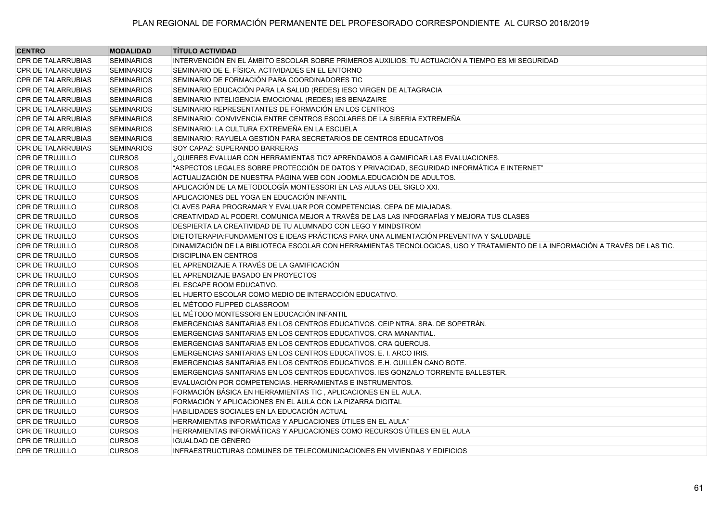| <b>CENTRO</b>             | <b>MODALIDAD</b>  | <b>TÍTULO ACTIVIDAD</b>                                                                                                       |
|---------------------------|-------------------|-------------------------------------------------------------------------------------------------------------------------------|
| <b>CPR DE TALARRUBIAS</b> | <b>SEMINARIOS</b> | INTERVENCIÓN EN EL ÁMBITO ESCOLAR SOBRE PRIMEROS AUXILIOS: TU ACTUACIÓN A TIEMPO ES MI SEGURIDAD                              |
| <b>CPR DE TALARRUBIAS</b> | <b>SEMINARIOS</b> | SEMINARIO DE E. FÍSICA. ACTIVIDADES EN EL ENTORNO                                                                             |
| <b>CPR DE TALARRUBIAS</b> | <b>SEMINARIOS</b> | SEMINARIO DE FORMACIÓN PARA COORDINADORES TIC                                                                                 |
| <b>CPR DE TALARRUBIAS</b> | <b>SEMINARIOS</b> | SEMINARIO EDUCACIÓN PARA LA SALUD (REDES) IESO VIRGEN DE ALTAGRACIA                                                           |
| <b>CPR DE TALARRUBIAS</b> | <b>SEMINARIOS</b> | SEMINARIO INTELIGENCIA EMOCIONAL (REDES) IES BENAZAIRE                                                                        |
| <b>CPR DE TALARRUBIAS</b> | <b>SEMINARIOS</b> | SEMINARIO REPRESENTANTES DE FORMACIÓN EN LOS CENTROS                                                                          |
| <b>CPR DE TALARRUBIAS</b> | <b>SEMINARIOS</b> | SEMINARIO: CONVIVENCIA ENTRE CENTROS ESCOLARES DE LA SIBERIA EXTREMEÑA                                                        |
| <b>CPR DE TALARRUBIAS</b> | <b>SEMINARIOS</b> | SEMINARIO: LA CULTURA EXTREMEÑA EN LA ESCUELA                                                                                 |
| <b>CPR DE TALARRUBIAS</b> | <b>SEMINARIOS</b> | SEMINARIO: RAYUELA GESTIÓN PARA SECRETARIOS DE CENTROS EDUCATIVOS                                                             |
| <b>CPR DE TALARRUBIAS</b> | <b>SEMINARIOS</b> | SOY CAPAZ: SUPERANDO BARRERAS                                                                                                 |
| <b>CPR DE TRUJILLO</b>    | <b>CURSOS</b>     | ¿QUIERES EVALUAR CON HERRAMIENTAS TIC? APRENDAMOS A GAMIFICAR LAS EVALUACIONES.                                               |
| CPR DE TRUJILLO           | <b>CURSOS</b>     | "ASPECTOS LEGALES SOBRE PROTECCIÓN DE DATOS Y PRIVACIDAD, SEGURIDAD INFORMÁTICA E INTERNET"                                   |
| <b>CPR DE TRUJILLO</b>    | <b>CURSOS</b>     | ACTUALIZACIÓN DE NUESTRA PÁGINA WEB CON JOOMLA.EDUCACIÓN DE ADULTOS.                                                          |
| <b>CPR DE TRUJILLO</b>    | <b>CURSOS</b>     | APLICACIÓN DE LA METODOLOGÍA MONTESSORI EN LAS AULAS DEL SIGLO XXI.                                                           |
| <b>CPR DE TRUJILLO</b>    | <b>CURSOS</b>     | APLICACIONES DEL YOGA EN EDUCACIÓN INFANTIL                                                                                   |
| <b>CPR DE TRUJILLO</b>    | <b>CURSOS</b>     | CLAVES PARA PROGRAMAR Y EVALUAR POR COMPETENCIAS. CEPA DE MIAJADAS.                                                           |
| <b>CPR DE TRUJILLO</b>    | <b>CURSOS</b>     | CREATIVIDAD AL PODER!. COMUNICA MEJOR A TRAVÉS DE LAS LAS INFOGRAFÍAS Y MEJORA TUS CLASES                                     |
| <b>CPR DE TRUJILLO</b>    | <b>CURSOS</b>     | DESPIERTA LA CREATIVIDAD DE TU ALUMNADO CON LEGO Y MINDSTROM                                                                  |
| <b>CPR DE TRUJILLO</b>    | <b>CURSOS</b>     | DIETOTERAPIA: FUNDAMENTOS E IDEAS PRÁCTICAS PARA UNA ALIMENTACIÓN PREVENTIVA Y SALUDABLE                                      |
| <b>CPR DE TRUJILLO</b>    | <b>CURSOS</b>     | DINAMIZACIÓN DE LA BIBLIOTECA ESCOLAR CON HERRAMIENTAS TECNOLOGICAS, USO Y TRATAMIENTO DE LA INFORMACIÓN A TRAVÉS DE LAS TIC. |
| <b>CPR DE TRUJILLO</b>    | <b>CURSOS</b>     | <b>DISCIPLINA EN CENTROS</b>                                                                                                  |
| CPR DE TRUJILLO           | <b>CURSOS</b>     | EL APRENDIZAJE A TRAVÉS DE LA GAMIFICACIÓN                                                                                    |
| <b>CPR DE TRUJILLO</b>    | <b>CURSOS</b>     | EL APRENDIZAJE BASADO EN PROYECTOS                                                                                            |
| <b>CPR DE TRUJILLO</b>    | <b>CURSOS</b>     | EL ESCAPE ROOM EDUCATIVO.                                                                                                     |
| <b>CPR DE TRUJILLO</b>    | <b>CURSOS</b>     | EL HUERTO ESCOLAR COMO MEDIO DE INTERACCIÓN EDUCATIVO.                                                                        |
| <b>CPR DE TRUJILLO</b>    | <b>CURSOS</b>     | EL MÉTODO FLIPPED CLASSROOM                                                                                                   |
| <b>CPR DE TRUJILLO</b>    | <b>CURSOS</b>     | EL MÉTODO MONTESSORI EN EDUCACIÓN INFANTIL                                                                                    |
| <b>CPR DE TRUJILLO</b>    | <b>CURSOS</b>     | EMERGENCIAS SANITARIAS EN LOS CENTROS EDUCATIVOS. CEIP NTRA. SRA. DE SOPETRÁN.                                                |
| <b>CPR DE TRUJILLO</b>    | <b>CURSOS</b>     | EMERGENCIAS SANITARIAS EN LOS CENTROS EDUCATIVOS. CRA MANANTIAL.                                                              |
| <b>CPR DE TRUJILLO</b>    | <b>CURSOS</b>     | EMERGENCIAS SANITARIAS EN LOS CENTROS EDUCATIVOS. CRA QUERCUS.                                                                |
| <b>CPR DE TRUJILLO</b>    | <b>CURSOS</b>     | EMERGENCIAS SANITARIAS EN LOS CENTROS EDUCATIVOS. E. I. ARCO IRIS.                                                            |
| <b>CPR DE TRUJILLO</b>    | <b>CURSOS</b>     | EMERGENCIAS SANITARIAS EN LOS CENTROS EDUCATIVOS. E.H. GUILLÉN CANO BOTE.                                                     |
| <b>CPR DE TRUJILLO</b>    | <b>CURSOS</b>     | EMERGENCIAS SANITARIAS EN LOS CENTROS EDUCATIVOS. IES GONZALO TORRENTE BALLESTER.                                             |
| <b>CPR DE TRUJILLO</b>    | <b>CURSOS</b>     | EVALUACIÓN POR COMPETENCIAS. HERRAMIENTAS E INSTRUMENTOS.                                                                     |
| <b>CPR DE TRUJILLO</b>    | <b>CURSOS</b>     | FORMACIÓN BÁSICA EN HERRAMIENTAS TIC, APLICACIONES EN EL AULA.                                                                |
| CPR DE TRUJILLO           | <b>CURSOS</b>     | FORMACIÓN Y APLICACIONES EN EL AULA CON LA PIZARRA DIGITAL                                                                    |
| CPR DE TRUJILLO           | <b>CURSOS</b>     | HABILIDADES SOCIALES EN LA EDUCACIÓN ACTUAL                                                                                   |
| CPR DE TRUJILLO           | <b>CURSOS</b>     | HERRAMIENTAS INFORMÁTICAS Y APLICACIONES ÚTILES EN EL AULA"                                                                   |
| <b>CPR DE TRUJILLO</b>    | <b>CURSOS</b>     | HERRAMIENTAS INFORMÁTICAS Y APLICACIONES COMO RECURSOS ÚTILES EN EL AULA                                                      |
| <b>CPR DE TRUJILLO</b>    | <b>CURSOS</b>     | IGUALDAD DE GÉNERO                                                                                                            |
| CPR DE TRUJILLO           | <b>CURSOS</b>     | INFRAESTRUCTURAS COMUNES DE TELECOMUNICACIONES EN VIVIENDAS Y EDIFICIOS                                                       |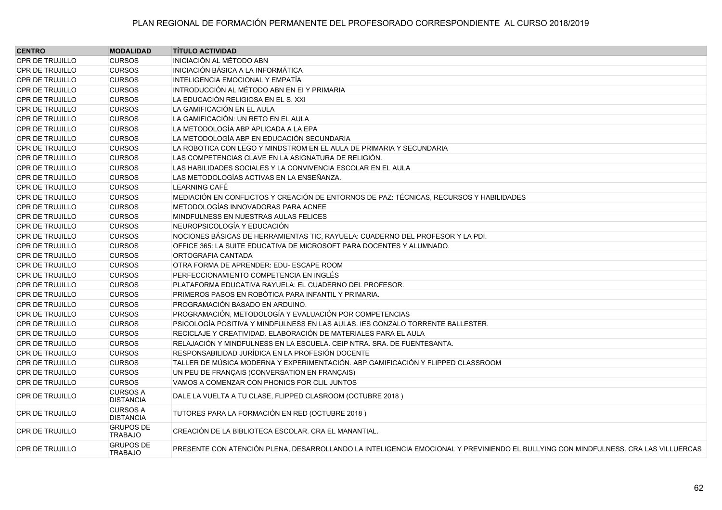| <b>CENTRO</b>          | <b>MODALIDAD</b>                    | <b>TÍTULO ACTIVIDAD</b>                                                                                                            |
|------------------------|-------------------------------------|------------------------------------------------------------------------------------------------------------------------------------|
| <b>CPR DE TRUJILLO</b> | <b>CURSOS</b>                       | INICIACIÓN AL MÉTODO ABN                                                                                                           |
| <b>CPR DE TRUJILLO</b> | <b>CURSOS</b>                       | INICIACIÓN BÁSICA A LA INFORMÁTICA                                                                                                 |
| <b>CPR DE TRUJILLO</b> | <b>CURSOS</b>                       | INTELIGENCIA EMOCIONAL Y EMPATÍA                                                                                                   |
| <b>CPR DE TRUJILLO</b> | <b>CURSOS</b>                       | INTRODUCCIÓN AL MÉTODO ABN EN EI Y PRIMARIA                                                                                        |
| <b>CPR DE TRUJILLO</b> | <b>CURSOS</b>                       | LA EDUCACIÓN RELIGIOSA EN EL S. XXI                                                                                                |
| <b>CPR DE TRUJILLO</b> | <b>CURSOS</b>                       | LA GAMIFICACIÓN EN EL AULA                                                                                                         |
| <b>CPR DE TRUJILLO</b> | <b>CURSOS</b>                       | LA GAMIFICACIÓN: UN RETO EN EL AULA                                                                                                |
| <b>CPR DE TRUJILLO</b> | <b>CURSOS</b>                       | LA METODOLOGÍA ABP APLICADA A LA EPA                                                                                               |
| <b>CPR DE TRUJILLO</b> | <b>CURSOS</b>                       | LA METODOLOGÍA ABP EN EDUCACIÓN SECUNDARIA                                                                                         |
| <b>CPR DE TRUJILLO</b> | <b>CURSOS</b>                       | LA ROBOTICA CON LEGO Y MINDSTROM EN EL AULA DE PRIMARIA Y SECUNDARIA                                                               |
| <b>CPR DE TRUJILLO</b> | <b>CURSOS</b>                       | LAS COMPETENCIAS CLAVE EN LA ASIGNATURA DE RELIGIÓN.                                                                               |
| <b>CPR DE TRUJILLO</b> | <b>CURSOS</b>                       | LAS HABILIDADES SOCIALES Y LA CONVIVENCIA ESCOLAR EN EL AULA                                                                       |
| <b>CPR DE TRUJILLO</b> | <b>CURSOS</b>                       | LAS METODOLOGÍAS ACTIVAS EN LA ENSEÑANZA.                                                                                          |
| <b>CPR DE TRUJILLO</b> | <b>CURSOS</b>                       | LEARNING CAFÉ                                                                                                                      |
| <b>CPR DE TRUJILLO</b> | <b>CURSOS</b>                       | MEDIACIÓN EN CONFLICTOS Y CREACIÓN DE ENTORNOS DE PAZ: TÉCNICAS, RECURSOS Y HABILIDADES                                            |
| <b>CPR DE TRUJILLO</b> | <b>CURSOS</b>                       | METODOLOGÍAS INNOVADORAS PARA ACNEE                                                                                                |
| <b>CPR DE TRUJILLO</b> | <b>CURSOS</b>                       | MINDFULNESS EN NUESTRAS AULAS FELICES                                                                                              |
| <b>CPR DE TRUJILLO</b> | <b>CURSOS</b>                       | NEUROPSICOLOGÍA Y EDUCACIÓN                                                                                                        |
| <b>CPR DE TRUJILLO</b> | <b>CURSOS</b>                       | NOCIONES BÁSICAS DE HERRAMIENTAS TIC. RAYUELA: CUADERNO DEL PROFESOR Y LA PDI.                                                     |
| CPR DE TRUJILLO        | <b>CURSOS</b>                       | OFFICE 365: LA SUITE EDUCATIVA DE MICROSOFT PARA DOCENTES Y ALUMNADO.                                                              |
| <b>CPR DE TRUJILLO</b> | <b>CURSOS</b>                       | ORTOGRAFIA CANTADA                                                                                                                 |
| <b>CPR DE TRUJILLO</b> | <b>CURSOS</b>                       | OTRA FORMA DE APRENDER: EDU- ESCAPE ROOM                                                                                           |
| <b>CPR DE TRUJILLO</b> | <b>CURSOS</b>                       | PERFECCIONAMIENTO COMPETENCIA EN INGLÉS                                                                                            |
| <b>CPR DE TRUJILLO</b> | <b>CURSOS</b>                       | PLATAFORMA EDUCATIVA RAYUELA: EL CUADERNO DEL PROFESOR.                                                                            |
| <b>CPR DE TRUJILLO</b> | <b>CURSOS</b>                       | PRIMEROS PASOS EN ROBÒTICA PARA INFANTIL Y PRIMARIA.                                                                               |
| <b>CPR DE TRUJILLO</b> | <b>CURSOS</b>                       | PROGRAMACIÓN BASADO EN ARDUINO.                                                                                                    |
| <b>CPR DE TRUJILLO</b> | <b>CURSOS</b>                       | PROGRAMACIÓN, METODOLOGÍA Y EVALUACIÓN POR COMPETENCIAS                                                                            |
| <b>CPR DE TRUJILLO</b> | <b>CURSOS</b>                       | PSICOLOGÍA POSITIVA Y MINDFULNESS EN LAS AULAS. IES GONZALO TORRENTE BALLESTER.                                                    |
| CPR DE TRUJILLO        | <b>CURSOS</b>                       | RECICLAJE Y CREATIVIDAD. ELABORACIÓN DE MATERIALES PARA EL AULA                                                                    |
| <b>CPR DE TRUJILLO</b> | <b>CURSOS</b>                       | RELAJACIÓN Y MINDFULNESS EN LA ESCUELA. CEIP NTRA. SRA. DE FUENTESANTA.                                                            |
| <b>CPR DE TRUJILLO</b> | <b>CURSOS</b>                       | RESPONSABILIDAD JURÍDICA EN LA PROFESIÓN DOCENTE                                                                                   |
| <b>CPR DE TRUJILLO</b> | <b>CURSOS</b>                       | TALLER DE MÚSICA MODERNA Y EXPERIMENTACIÓN. ABP GAMIFICACIÓN Y FLIPPED CLASSROOM                                                   |
| <b>CPR DE TRUJILLO</b> | <b>CURSOS</b>                       | UN PEU DE FRANÇAIS (CONVERSATION EN FRANÇAIS)                                                                                      |
| <b>CPR DE TRUJILLO</b> | <b>CURSOS</b>                       | VAMOS A COMENZAR CON PHONICS FOR CLIL JUNTOS                                                                                       |
| <b>CPR DE TRUJILLO</b> | <b>CURSOS A</b><br><b>DISTANCIA</b> | DALE LA VUELTA A TU CLASE, FLIPPED CLASROOM (OCTUBRE 2018)                                                                         |
| <b>CPR DE TRUJILLO</b> | <b>CURSOS A</b><br><b>DISTANCIA</b> | TUTORES PARA LA FORMACIÓN EN RED (OCTUBRE 2018)                                                                                    |
| <b>CPR DE TRUJILLO</b> | <b>GRUPOS DE</b><br><b>TRABAJO</b>  | CREACIÓN DE LA BIBLIOTECA ESCOLAR. CRA EL MANANTIAL.                                                                               |
| <b>CPR DE TRUJILLO</b> | <b>GRUPOS DE</b><br><b>TRABAJO</b>  | PRESENTE CON ATENCIÓN PLENA, DESARROLLANDO LA INTELIGENCIA EMOCIONAL Y PREVINIENDO EL BULLYING CON MINDFULNESS. CRA LAS VILLUERCAS |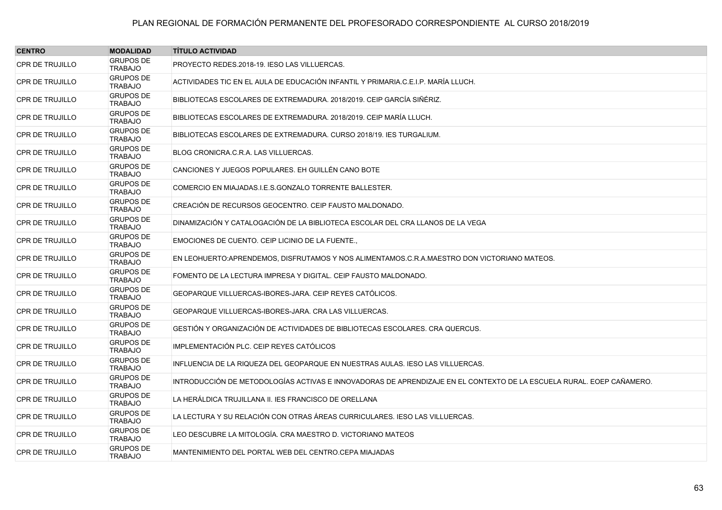| <b>CENTRO</b>          | <b>MODALIDAD</b>                   | <b>TÍTULO ACTIVIDAD</b>                                                                                              |
|------------------------|------------------------------------|----------------------------------------------------------------------------------------------------------------------|
| <b>CPR DE TRUJILLO</b> | <b>GRUPOS DE</b><br><b>TRABAJO</b> | PROYECTO REDES.2018-19. IESO LAS VILLUERCAS.                                                                         |
| <b>CPR DE TRUJILLO</b> | <b>GRUPOS DE</b><br><b>TRABAJO</b> | ACTIVIDADES TIC EN EL AULA DE EDUCACIÓN INFANTIL Y PRIMARIA C.E.I.P. MARÍA LLUCH.                                    |
| <b>CPR DE TRUJILLO</b> | <b>GRUPOS DE</b><br><b>TRABAJO</b> | BIBLIOTECAS ESCOLARES DE EXTREMADURA. 2018/2019. CEIP GARCÍA SIÑÉRIZ.                                                |
| <b>CPR DE TRUJILLO</b> | <b>GRUPOS DE</b><br><b>TRABAJO</b> | BIBLIOTECAS ESCOLARES DE EXTREMADURA, 2018/2019, CEIP MARÍA LLUCH.                                                   |
| <b>CPR DE TRUJILLO</b> | <b>GRUPOS DE</b><br><b>TRABAJO</b> | BIBLIOTECAS ESCOLARES DE EXTREMADURA, CURSO 2018/19, IES TURGALIUM.                                                  |
| <b>CPR DE TRUJILLO</b> | <b>GRUPOS DE</b><br><b>TRABAJO</b> | BLOG CRONICRA C.R.A. LAS VILLUERCAS.                                                                                 |
| <b>CPR DE TRUJILLO</b> | <b>GRUPOS DE</b><br><b>TRABAJO</b> | CANCIONES Y JUEGOS POPULARES. EH GUILLÉN CANO BOTE                                                                   |
| <b>CPR DE TRUJILLO</b> | <b>GRUPOS DE</b><br><b>TRABAJO</b> | COMERCIO EN MIAJADAS I E.S. GONZALO TORRENTE BALLESTER.                                                              |
| <b>CPR DE TRUJILLO</b> | <b>GRUPOS DE</b><br><b>TRABAJO</b> | CREACIÓN DE RECURSOS GEOCENTRO. CEIP FAUSTO MALDONADO.                                                               |
| <b>CPR DE TRUJILLO</b> | <b>GRUPOS DE</b><br><b>TRABAJO</b> | DINAMIZACIÓN Y CATALOGACIÓN DE LA BIBLIOTECA ESCOLAR DEL CRA LLANOS DE LA VEGA                                       |
| <b>CPR DE TRUJILLO</b> | <b>GRUPOS DE</b><br><b>TRABAJO</b> | EMOCIONES DE CUENTO. CEIP LICINIO DE LA FUENTE.                                                                      |
| <b>CPR DE TRUJILLO</b> | <b>GRUPOS DE</b><br><b>TRABAJO</b> | EN LEOHUERTO: APRENDEMOS, DISFRUTAMOS Y NOS ALIMENTAMOS.C.R.A.MAESTRO DON VICTORIANO MATEOS.                         |
| <b>CPR DE TRUJILLO</b> | <b>GRUPOS DE</b><br><b>TRABAJO</b> | FOMENTO DE LA LECTURA IMPRESA Y DIGITAL. CEIP FAUSTO MALDONADO.                                                      |
| <b>CPR DE TRUJILLO</b> | <b>GRUPOS DE</b><br><b>TRABAJO</b> | GEOPARQUE VILLUERCAS-IBORES-JARA. CEIP REYES CATÓLICOS.                                                              |
| <b>CPR DE TRUJILLO</b> | <b>GRUPOS DE</b><br><b>TRABAJO</b> | GEOPARQUE VILLUERCAS-IBORES-JARA. CRA LAS VILLUERCAS.                                                                |
| <b>CPR DE TRUJILLO</b> | <b>GRUPOS DE</b><br><b>TRABAJO</b> | GESTIÓN Y ORGANIZACIÓN DE ACTIVIDADES DE BIBLIOTECAS ESCOLARES. CRA QUERCUS.                                         |
| <b>CPR DE TRUJILLO</b> | <b>GRUPOS DE</b><br><b>TRABAJO</b> | IMPLEMENTACIÓN PLC. CEIP REYES CATÓLICOS                                                                             |
| <b>CPR DE TRUJILLO</b> | <b>GRUPOS DE</b><br><b>TRABAJO</b> | INFLUENCIA DE LA RIQUEZA DEL GEOPARQUE EN NUESTRAS AULAS. IESO LAS VILLUERCAS.                                       |
| <b>CPR DE TRUJILLO</b> | <b>GRUPOS DE</b><br><b>TRABAJO</b> | INTRODUCCIÓN DE METODOLOGÍAS ACTIVAS E INNOVADORAS DE APRENDIZAJE EN EL CONTEXTO DE LA ESCUELA RURAL. EOEP CAÑAMERO. |
| <b>CPR DE TRUJILLO</b> | <b>GRUPOS DE</b><br><b>TRABAJO</b> | LA HERÁLDICA TRUJILLANA II. IES FRANCISCO DE ORELLANA                                                                |
| <b>CPR DE TRUJILLO</b> | <b>GRUPOS DE</b><br><b>TRABAJO</b> | LA LECTURA Y SU RELACIÓN CON OTRAS ÁREAS CURRICULARES. IESO LAS VILLUERCAS.                                          |
| <b>CPR DE TRUJILLO</b> | <b>GRUPOS DE</b><br><b>TRABAJO</b> | LEO DESCUBRE LA MITOLOGÍA. CRA MAESTRO D. VICTORIANO MATEOS                                                          |
| <b>CPR DE TRUJILLO</b> | <b>GRUPOS DE</b><br><b>TRABAJO</b> | MANTENIMIENTO DEL PORTAL WEB DEL CENTRO CEPA MIAJADAS                                                                |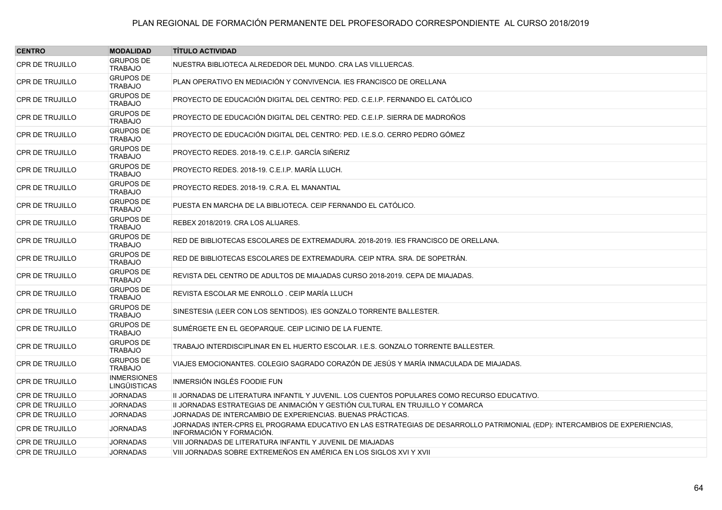| <b>CENTRO</b>          | <b>MODALIDAD</b>                          | <b>TÍTULO ACTIVIDAD</b>                                                                                                                                 |
|------------------------|-------------------------------------------|---------------------------------------------------------------------------------------------------------------------------------------------------------|
| <b>CPR DE TRUJILLO</b> | <b>GRUPOS DE</b><br><b>TRABAJO</b>        | NUESTRA BIBLIOTECA ALREDEDOR DEL MUNDO. CRA LAS VILLUERCAS.                                                                                             |
| <b>CPR DE TRUJILLO</b> | <b>GRUPOS DE</b><br><b>TRABAJO</b>        | PLAN OPERATIVO EN MEDIACIÓN Y CONVIVENCIA. IES FRANCISCO DE ORELLANA                                                                                    |
| <b>CPR DE TRUJILLO</b> | <b>GRUPOS DE</b><br><b>TRABAJO</b>        | PROYECTO DE EDUCACIÓN DIGITAL DEL CENTRO: PED. C.E.I.P. FERNANDO EL CATÓLICO                                                                            |
| <b>CPR DE TRUJILLO</b> | <b>GRUPOS DE</b><br><b>TRABAJO</b>        | PROYECTO DE EDUCACIÓN DIGITAL DEL CENTRO: PED. C.E.I.P. SIERRA DE MADROÑOS                                                                              |
| <b>CPR DE TRUJILLO</b> | <b>GRUPOS DE</b><br><b>TRABAJO</b>        | PROYECTO DE EDUCACIÓN DIGITAL DEL CENTRO: PED. I.E.S.O. CERRO PEDRO GÓMEZ                                                                               |
| <b>CPR DE TRUJILLO</b> | <b>GRUPOS DE</b><br><b>TRABAJO</b>        | PROYECTO REDES. 2018-19. C.E.I.P. GARCÍA SIÑERIZ                                                                                                        |
| <b>CPR DE TRUJILLO</b> | <b>GRUPOS DE</b><br><b>TRABAJO</b>        | PROYECTO REDES. 2018-19. C.E.I.P. MARÍA LLUCH.                                                                                                          |
| <b>CPR DE TRUJILLO</b> | <b>GRUPOS DE</b><br><b>TRABAJO</b>        | PROYECTO REDES, 2018-19, C.R.A. EL MANANTIAL                                                                                                            |
| <b>CPR DE TRUJILLO</b> | <b>GRUPOS DE</b><br><b>TRABAJO</b>        | PUESTA EN MARCHA DE LA BIBLIOTECA. CEIP FERNANDO EL CATÓLICO.                                                                                           |
| <b>CPR DE TRUJILLO</b> | <b>GRUPOS DE</b><br><b>TRABAJO</b>        | REBEX 2018/2019. CRA LOS ALIJARES.                                                                                                                      |
| <b>CPR DE TRUJILLO</b> | <b>GRUPOS DE</b><br><b>TRABAJO</b>        | RED DE BIBLIOTECAS ESCOLARES DE EXTREMADURA, 2018-2019, JES FRANCISCO DE ORELLANA.                                                                      |
| <b>CPR DE TRUJILLO</b> | <b>GRUPOS DE</b><br><b>TRABAJO</b>        | RED DE BIBLIOTECAS ESCOLARES DE EXTREMADURA. CEIP NTRA. SRA. DE SOPETRÁN.                                                                               |
| <b>CPR DE TRUJILLO</b> | <b>GRUPOS DE</b><br><b>TRABAJO</b>        | REVISTA DEL CENTRO DE ADULTOS DE MIAJADAS CURSO 2018-2019. CEPA DE MIAJADAS.                                                                            |
| <b>CPR DE TRUJILLO</b> | <b>GRUPOS DE</b><br><b>TRABAJO</b>        | REVISTA ESCOLAR ME ENROLLO. CEIP MARÍA LLUCH                                                                                                            |
| <b>CPR DE TRUJILLO</b> | <b>GRUPOS DE</b><br><b>TRABAJO</b>        | SINESTESIA (LEER CON LOS SENTIDOS). IES GONZALO TORRENTE BALLESTER.                                                                                     |
| <b>CPR DE TRUJILLO</b> | <b>GRUPOS DE</b><br><b>TRABAJO</b>        | SUMÉRGETE EN EL GEOPARQUE. CEIP LICINIO DE LA FUENTE.                                                                                                   |
| <b>CPR DE TRUJILLO</b> | <b>GRUPOS DE</b><br><b>TRABAJO</b>        | TRABAJO INTERDISCIPLINAR EN EL HUERTO ESCOLAR. I.E.S. GONZALO TORRENTE BALLESTER.                                                                       |
| <b>CPR DE TRUJILLO</b> | <b>GRUPOS DE</b><br><b>TRABAJO</b>        | VIAJES EMOCIONANTES. COLEGIO SAGRADO CORAZÓN DE JESÚS Y MARÍA INMACULADA DE MIAJADAS.                                                                   |
| <b>CPR DE TRUJILLO</b> | <b>INMERSIONES</b><br><b>LINGÜISTICAS</b> | INMERSIÓN INGLÉS FOODIE FUN                                                                                                                             |
| <b>CPR DE TRUJILLO</b> | <b>JORNADAS</b>                           | III JORNADAS DE LITERATURA INFANTIL Y JUVENIL. LOS CUENTOS POPULARES COMO RECURSO EDUCATIVO.                                                            |
| <b>CPR DE TRUJILLO</b> | <b>JORNADAS</b>                           | II JORNADAS ESTRATEGIAS DE ANIMACIÓN Y GESTIÓN CULTURAL EN TRUJILLO Y COMARCA                                                                           |
| <b>CPR DE TRUJILLO</b> | <b>JORNADAS</b>                           | JORNADAS DE INTERCAMBIO DE EXPERIENCIAS. BUENAS PRÁCTICAS.                                                                                              |
| <b>CPR DE TRUJILLO</b> | <b>JORNADAS</b>                           | JORNADAS INTER-CPRS EL PROGRAMA EDUCATIVO EN LAS ESTRATEGIAS DE DESARROLLO PATRIMONIAL (EDP): INTERCAMBIOS DE EXPERIENCIAS,<br>INFORMACIÓN Y FORMACIÓN. |
| <b>CPR DE TRUJILLO</b> | <b>JORNADAS</b>                           | VIII JORNADAS DE LITERATURA INFANTIL Y JUVENIL DE MIAJADAS                                                                                              |
| CPR DE TRUJILLO        | <b>JORNADAS</b>                           | VIII JORNADAS SOBRE EXTREMEÑOS EN AMÉRICA EN LOS SIGLOS XVI Y XVII                                                                                      |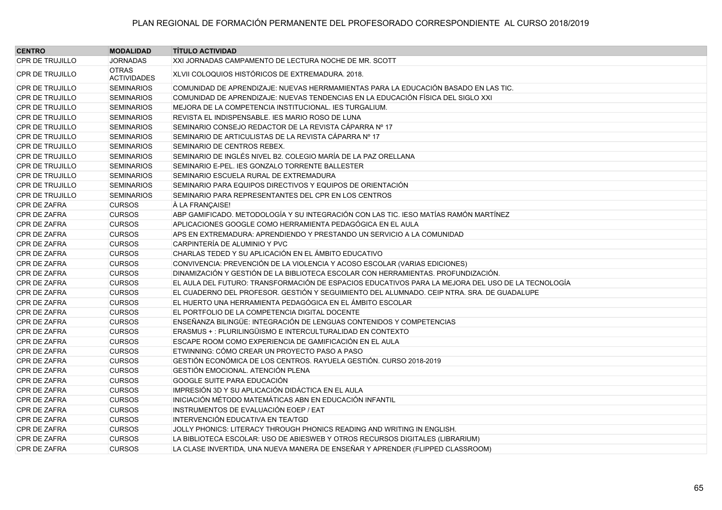| <b>CENTRO</b>          | <b>MODALIDAD</b>                   | <b>TÍTULO ACTIVIDAD</b>                                                                           |
|------------------------|------------------------------------|---------------------------------------------------------------------------------------------------|
| <b>CPR DE TRUJILLO</b> | <b>JORNADAS</b>                    | XXI JORNADAS CAMPAMENTO DE LECTURA NOCHE DE MR. SCOTT                                             |
| <b>CPR DE TRUJILLO</b> | <b>OTRAS</b><br><b>ACTIVIDADES</b> | XLVII COLOQUIOS HISTÓRICOS DE EXTREMADURA. 2018.                                                  |
| <b>CPR DE TRUJILLO</b> | <b>SEMINARIOS</b>                  | COMUNIDAD DE APRENDIZAJE: NUEVAS HERRMAMIENTAS PARA LA EDUCACIÓN BASADO EN LAS TIC.               |
| <b>CPR DE TRUJILLO</b> | <b>SEMINARIOS</b>                  | COMUNIDAD DE APRENDIZAJE: NUEVAS TENDENCIAS EN LA EDUCACIÓN FÍSICA DEL SIGLO XXI                  |
| <b>CPR DE TRUJILLO</b> | <b>SEMINARIOS</b>                  | MEJORA DE LA COMPETENCIA INSTITUCIONAL. IES TURGALIUM.                                            |
| <b>CPR DE TRUJILLO</b> | <b>SEMINARIOS</b>                  | REVISTA EL INDISPENSABLE. IES MARIO ROSO DE LUNA                                                  |
| <b>CPR DE TRUJILLO</b> | <b>SEMINARIOS</b>                  | SEMINARIO CONSEJO REDACTOR DE LA REVISTA CÁPARRA Nº 17                                            |
| <b>CPR DE TRUJILLO</b> | <b>SEMINARIOS</b>                  | SEMINARIO DE ARTICULISTAS DE LA REVISTA CÁPARRA Nº 17                                             |
| <b>CPR DE TRUJILLO</b> | <b>SEMINARIOS</b>                  | SEMINARIO DE CENTROS REBEX.                                                                       |
| <b>CPR DE TRUJILLO</b> | <b>SEMINARIOS</b>                  | SEMINARIO DE INGLÉS NIVEL B2. COLEGIO MARÍA DE LA PAZ ORELLANA                                    |
| <b>CPR DE TRUJILLO</b> | <b>SEMINARIOS</b>                  | SEMINARIO E-PEL. IES GONZALO TORRENTE BALLESTER                                                   |
| <b>CPR DE TRUJILLO</b> | <b>SEMINARIOS</b>                  | SEMINARIO ESCUELA RURAL DE EXTREMADURA                                                            |
| <b>CPR DE TRUJILLO</b> | <b>SEMINARIOS</b>                  | SEMINARIO PARA EQUIPOS DIRECTIVOS Y EQUIPOS DE ORIENTACIÓN                                        |
| <b>CPR DE TRUJILLO</b> | <b>SEMINARIOS</b>                  | SEMINARIO PARA REPRESENTANTES DEL CPR EN LOS CENTROS                                              |
| CPR DE ZAFRA           | <b>CURSOS</b>                      | À LA FRANCAISE!                                                                                   |
| CPR DE ZAFRA           | <b>CURSOS</b>                      | ABP GAMIFICADO. METODOLOGÍA Y SU INTEGRACIÓN CON LAS TIC. IESO MATÍAS RAMÓN MARTÍNEZ              |
| <b>CPR DE ZAFRA</b>    | <b>CURSOS</b>                      | APLICACIONES GOOGLE COMO HERRAMIENTA PEDAGÓGICA EN EL AULA                                        |
| CPR DE ZAFRA           | <b>CURSOS</b>                      | APS EN EXTREMADURA: APRENDIENDO Y PRESTANDO UN SERVICIO A LA COMUNIDAD                            |
| CPR DE ZAFRA           | <b>CURSOS</b>                      | CARPINTERÍA DE ALUMINIO Y PVC                                                                     |
| <b>CPR DE ZAFRA</b>    | <b>CURSOS</b>                      | CHARLAS TEDED Y SU APLICACIÓN EN EL ÁMBITO EDUCATIVO                                              |
| CPR DE ZAFRA           | <b>CURSOS</b>                      | CONVIVENCIA: PREVENCIÓN DE LA VIOLENCIA Y ACOSO ESCOLAR (VARIAS EDICIONES)                        |
| CPR DE ZAFRA           | <b>CURSOS</b>                      | DINAMIZACIÓN Y GESTIÓN DE LA BIBLIOTECA ESCOLAR CON HERRAMIENTAS. PROFUNDIZACIÓN.                 |
| CPR DE ZAFRA           | <b>CURSOS</b>                      | EL AULA DEL FUTURO: TRANSFORMACIÓN DE ESPACIOS EDUCATIVOS PARA LA MEJORA DEL USO DE LA TECNOLOGÍA |
| CPR DE ZAFRA           | <b>CURSOS</b>                      | EL CUADERNO DEL PROFESOR. GESTIÓN Y SEGUIMIENTO DEL ALUMNADO. CEIP NTRA. SRA. DE GUADALUPE        |
| <b>CPR DE ZAFRA</b>    | <b>CURSOS</b>                      | EL HUERTO UNA HERRAMIENTA PEDAGÓGICA EN EL ÁMBITO ESCOLAR                                         |
| <b>CPR DE ZAFRA</b>    | <b>CURSOS</b>                      | EL PORTFOLIO DE LA COMPETENCIA DIGITAL DOCENTE                                                    |
| <b>CPR DE ZAFRA</b>    | <b>CURSOS</b>                      | ENSEÑANZA BILINGÜE: INTEGRACIÓN DE LENGUAS CONTENIDOS Y COMPETENCIAS                              |
| CPR DE ZAFRA           | <b>CURSOS</b>                      | ERASMUS + : PLURILINGÜISMO E INTERCULTURALIDAD EN CONTEXTO                                        |
| <b>CPR DE ZAFRA</b>    | <b>CURSOS</b>                      | ESCAPE ROOM COMO EXPERIENCIA DE GAMIFICACIÓN EN EL AULA                                           |
| CPR DE ZAFRA           | <b>CURSOS</b>                      | ETWINNING: CÓMO CREAR UN PROYECTO PASO A PASO                                                     |
| <b>CPR DE ZAFRA</b>    | <b>CURSOS</b>                      | GESTIÓN ECONÓMICA DE LOS CENTROS. RAYUELA GESTIÓN. CURSO 2018-2019                                |
| CPR DE ZAFRA           | <b>CURSOS</b>                      | <b>GESTIÓN EMOCIONAL. ATENCIÓN PLENA</b>                                                          |
| CPR DE ZAFRA           | <b>CURSOS</b>                      | GOOGLE SUITE PARA EDUCACIÓN                                                                       |
| <b>CPR DE ZAFRA</b>    | <b>CURSOS</b>                      | IMPRESIÓN 3D Y SU APLICACIÓN DIDÁCTICA EN EL AULA                                                 |
| <b>CPR DE ZAFRA</b>    | <b>CURSOS</b>                      | INICIACIÓN MÉTODO MATEMÁTICAS ABN EN EDUCACIÓN INFANTIL                                           |
| <b>CPR DE ZAFRA</b>    | <b>CURSOS</b>                      | INSTRUMENTOS DE EVALUACIÓN EOEP / EAT                                                             |
| CPR DE ZAFRA           | <b>CURSOS</b>                      | INTERVENCIÓN EDUCATIVA EN TEA/TGD                                                                 |
| CPR DE ZAFRA           | <b>CURSOS</b>                      | JOLLY PHONICS: LITERACY THROUGH PHONICS READING AND WRITING IN ENGLISH.                           |
| CPR DE ZAFRA           | <b>CURSOS</b>                      | LA BIBLIOTECA ESCOLAR: USO DE ABIESWEB Y OTROS RECURSOS DIGITALES (LIBRARIUM)                     |
| CPR DE ZAFRA           | <b>CURSOS</b>                      | LA CLASE INVERTIDA, UNA NUEVA MANERA DE ENSEÑAR Y APRENDER (FLIPPED CLASSROOM)                    |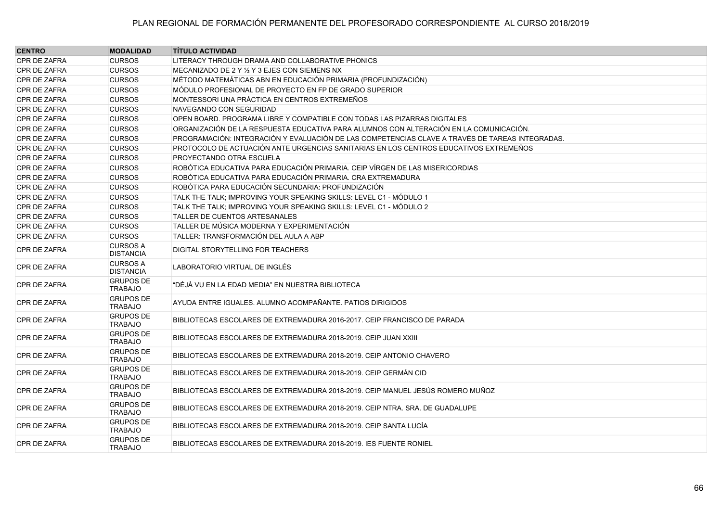| <b>CENTRO</b>       | <b>MODALIDAD</b>                    | <b>TÍTULO ACTIVIDAD</b>                                                                         |
|---------------------|-------------------------------------|-------------------------------------------------------------------------------------------------|
| CPR DE ZAFRA        | <b>CURSOS</b>                       | LITERACY THROUGH DRAMA AND COLLABORATIVE PHONICS                                                |
| CPR DE ZAFRA        | <b>CURSOS</b>                       | MECANIZADO DE 2 Y 1/2 Y 3 EJES CON SIEMENS NX                                                   |
| CPR DE ZAFRA        | <b>CURSOS</b>                       | MÉTODO MATEMÁTICAS ABN EN EDUCACIÓN PRIMARIA (PROFUNDIZACIÓN)                                   |
| CPR DE ZAFRA        | <b>CURSOS</b>                       | MÓDULO PROFESIONAL DE PROYECTO EN FP DE GRADO SUPERIOR                                          |
| CPR DE ZAFRA        | <b>CURSOS</b>                       | MONTESSORI UNA PRÁCTICA EN CENTROS EXTREMEÑOS                                                   |
| CPR DE ZAFRA        | <b>CURSOS</b>                       | NAVEGANDO CON SEGURIDAD                                                                         |
| CPR DE ZAFRA        | <b>CURSOS</b>                       | OPEN BOARD. PROGRAMA LIBRE Y COMPATIBLE CON TODAS LAS PIZARRAS DIGITALES                        |
| CPR DE ZAFRA        | <b>CURSOS</b>                       | ORGANIZACIÓN DE LA RESPUESTA EDUCATIVA PARA ALUMNOS CON ALTERACIÓN EN LA COMUNICACIÓN.          |
| CPR DE ZAFRA        | <b>CURSOS</b>                       | PROGRAMACIÓN: INTEGRACIÓN Y EVALUACIÓN DE LAS COMPETENCIAS CLAVE A TRAVÉS DE TAREAS INTEGRADAS. |
| CPR DE ZAFRA        | <b>CURSOS</b>                       | PROTOCOLO DE ACTUACIÓN ANTE URGENCIAS SANITARIAS EN LOS CENTROS EDUCATIVOS EXTREMEÑOS           |
| CPR DE ZAFRA        | <b>CURSOS</b>                       | PROYECTANDO OTRA ESCUELA                                                                        |
| CPR DE ZAFRA        | <b>CURSOS</b>                       | ROBÓTICA EDUCATIVA PARA EDUCACIÓN PRIMARIA. CEIP VÍRGEN DE LAS MISERICORDIAS                    |
| CPR DE ZAFRA        | <b>CURSOS</b>                       | ROBÓTICA EDUCATIVA PARA EDUCACIÓN PRIMARIA. CRA EXTREMADURA                                     |
| CPR DE ZAFRA        | <b>CURSOS</b>                       | ROBÓTICA PARA EDUCACIÓN SECUNDARIA: PROFUNDIZACIÓN                                              |
| CPR DE ZAFRA        | <b>CURSOS</b>                       | TALK THE TALK; IMPROVING YOUR SPEAKING SKILLS: LEVEL C1 - MÓDULO 1                              |
| CPR DE ZAFRA        | <b>CURSOS</b>                       | TALK THE TALK; IMPROVING YOUR SPEAKING SKILLS: LEVEL C1 - MÓDULO 2                              |
| <b>CPR DE ZAFRA</b> | <b>CURSOS</b>                       | <b>TALLER DE CUENTOS ARTESANALES</b>                                                            |
| CPR DE ZAFRA        | <b>CURSOS</b>                       | TALLER DE MÚSICA MODERNA Y EXPERIMENTACIÓN.                                                     |
| CPR DE ZAFRA        | <b>CURSOS</b>                       | TALLER: TRANSFORMACIÓN DEL AULA A ABP                                                           |
| CPR DE ZAFRA        | <b>CURSOS A</b><br><b>DISTANCIA</b> | DIGITAL STORYTELLING FOR TEACHERS                                                               |
| <b>CPR DE ZAFRA</b> | <b>CURSOS A</b><br><b>DISTANCIA</b> | LABORATORIO VIRTUAL DE INGLÉS                                                                   |
| CPR DE ZAFRA        | <b>GRUPOS DE</b><br><b>TRABAJO</b>  | "DÉJÀ VU EN LA EDAD MEDIA" EN NUESTRA BIBLIOTECA                                                |
| CPR DE ZAFRA        | <b>GRUPOS DE</b><br><b>TRABAJO</b>  | AYUDA ENTRE IGUALES. ALUMNO ACOMPAÑANTE. PATIOS DIRIGIDOS                                       |
| CPR DE ZAFRA        | <b>GRUPOS DE</b><br><b>TRABAJO</b>  | BIBLIOTECAS ESCOLARES DE EXTREMADURA 2016-2017. CEIP FRANCISCO DE PARADA                        |
| CPR DE ZAFRA        | <b>GRUPOS DE</b><br><b>TRABAJO</b>  | BIBLIOTECAS ESCOLARES DE EXTREMADURA 2018-2019. CEIP JUAN XXIII                                 |
| CPR DE ZAFRA        | <b>GRUPOS DE</b><br><b>TRABAJO</b>  | BIBLIOTECAS ESCOLARES DE EXTREMADURA 2018-2019. CEIP ANTONIO CHAVERO                            |
| <b>CPR DE ZAFRA</b> | <b>GRUPOS DE</b><br><b>TRABAJO</b>  | BIBLIOTECAS ESCOLARES DE EXTREMADURA 2018-2019. CEIP GERMÁN CID                                 |
| CPR DE ZAFRA        | <b>GRUPOS DE</b><br><b>TRABAJO</b>  | BIBLIOTECAS ESCOLARES DE EXTREMADURA 2018-2019. CEIP MANUEL JESÚS ROMERO MUÑOZ                  |
| CPR DE ZAFRA        | <b>GRUPOS DE</b><br><b>TRABAJO</b>  | BIBLIOTECAS ESCOLARES DE EXTREMADURA 2018-2019. CEIP NTRA. SRA. DE GUADALUPE                    |
| CPR DE ZAFRA        | <b>GRUPOS DE</b><br><b>TRABAJO</b>  | BIBLIOTECAS ESCOLARES DE EXTREMADURA 2018-2019. CEIP SANTA LUCÍA                                |
| CPR DE ZAFRA        | <b>GRUPOS DE</b><br><b>TRABAJO</b>  | BIBLIOTECAS ESCOLARES DE EXTREMADURA 2018-2019. IES FUENTE RONIEL                               |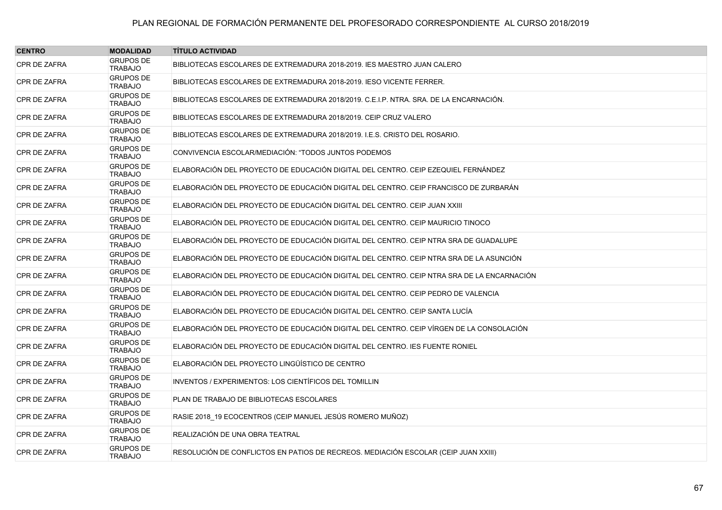| <b>CENTRO</b>       | <b>MODALIDAD</b>                   | <b>TÍTULO ACTIVIDAD</b>                                                                   |
|---------------------|------------------------------------|-------------------------------------------------------------------------------------------|
| <b>CPR DE ZAFRA</b> | <b>GRUPOS DE</b><br><b>TRABAJO</b> | BIBLIOTECAS ESCOLARES DE EXTREMADURA 2018-2019. IES MAESTRO JUAN CALERO                   |
| CPR DE ZAFRA        | <b>GRUPOS DE</b><br><b>TRABAJO</b> | BIBLIOTECAS ESCOLARES DE EXTREMADURA 2018-2019. IESO VICENTE FERRER.                      |
| CPR DE ZAFRA        | <b>GRUPOS DE</b><br><b>TRABAJO</b> | BIBLIOTECAS ESCOLARES DE EXTREMADURA 2018/2019. C.E.I.P. NTRA. SRA. DE LA ENCARNACIÓN.    |
| CPR DE ZAFRA        | <b>GRUPOS DE</b><br><b>TRABAJO</b> | BIBLIOTECAS ESCOLARES DE EXTREMADURA 2018/2019. CEIP CRUZ VALERO                          |
| CPR DE ZAFRA        | <b>GRUPOS DE</b><br><b>TRABAJO</b> | BIBLIOTECAS ESCOLARES DE EXTREMADURA 2018/2019. I.E.S. CRISTO DEL ROSARIO.                |
| CPR DE ZAFRA        | <b>GRUPOS DE</b><br><b>TRABAJO</b> | CONVIVENCIA ESCOLAR/MEDIACIÓN: "TODOS JUNTOS PODEMOS                                      |
| CPR DE ZAFRA        | <b>GRUPOS DE</b><br><b>TRABAJO</b> | ELABORACIÓN DEL PROYECTO DE EDUCACIÓN DIGITAL DEL CENTRO. CEIP EZEQUIEL FERNÁNDEZ         |
| CPR DE ZAFRA        | <b>GRUPOS DE</b><br><b>TRABAJO</b> | ELABORACIÓN DEL PROYECTO DE EDUCACIÓN DIGITAL DEL CENTRO. CEIP FRANCISCO DE ZURBARÁN      |
| CPR DE ZAFRA        | <b>GRUPOS DE</b><br><b>TRABAJO</b> | ELABORACIÓN DEL PROYECTO DE EDUCACIÓN DIGITAL DEL CENTRO. CEIP JUAN XXIII                 |
| CPR DE ZAFRA        | <b>GRUPOS DE</b><br><b>TRABAJO</b> | ELABORACIÓN DEL PROYECTO DE EDUCACIÓN DIGITAL DEL CENTRO. CEIP MAURICIO TINOCO            |
| CPR DE ZAFRA        | <b>GRUPOS DE</b><br><b>TRABAJO</b> | ELABORACIÓN DEL PROYECTO DE EDUCACIÓN DIGITAL DEL CENTRO. CEIP NTRA SRA DE GUADALUPE      |
| CPR DE ZAFRA        | <b>GRUPOS DE</b><br><b>TRABAJO</b> | ELABORACIÓN DEL PROYECTO DE EDUCACIÓN DIGITAL DEL CENTRO. CEIP NTRA SRA DE LA ASUNCIÓN    |
| CPR DE ZAFRA        | <b>GRUPOS DE</b><br><b>TRABAJO</b> | ELABORACIÓN DEL PROYECTO DE EDUCACIÓN DIGITAL DEL CENTRO. CEIP NTRA SRA DE LA ENCARNACIÓN |
| CPR DE ZAFRA        | <b>GRUPOS DE</b><br><b>TRABAJO</b> | ELABORACIÓN DEL PROYECTO DE EDUCACIÓN DIGITAL DEL CENTRO. CEIP PEDRO DE VALENCIA          |
| CPR DE ZAFRA        | <b>GRUPOS DE</b><br><b>TRABAJO</b> | ELABORACIÓN DEL PROYECTO DE EDUCACIÓN DIGITAL DEL CENTRO. CEIP SANTA LUCÍA                |
| CPR DE ZAFRA        | <b>GRUPOS DE</b><br><b>TRABAJO</b> | ELABORACIÓN DEL PROYECTO DE EDUCACIÓN DIGITAL DEL CENTRO. CEIP VÍRGEN DE LA CONSOLACIÓN   |
| CPR DE ZAFRA        | <b>GRUPOS DE</b><br><b>TRABAJO</b> | ELABORACIÓN DEL PROYECTO DE EDUCACIÓN DIGITAL DEL CENTRO. IES FUENTE RONIEL               |
| <b>CPR DE ZAFRA</b> | <b>GRUPOS DE</b><br><b>TRABAJO</b> | ELABORACIÓN DEL PROYECTO LINGÜÍSTICO DE CENTRO                                            |
| CPR DE ZAFRA        | <b>GRUPOS DE</b><br><b>TRABAJO</b> | <b>INVENTOS / EXPERIMENTOS: LOS CIENTÍFICOS DEL TOMILLIN</b>                              |
| CPR DE ZAFRA        | <b>GRUPOS DE</b><br><b>TRABAJO</b> | PLAN DE TRABAJO DE BIBLIOTECAS ESCOLARES                                                  |
| CPR DE ZAFRA        | <b>GRUPOS DE</b><br><b>TRABAJO</b> | RASIE 2018_19 ECOCENTROS (CEIP MANUEL JESÚS ROMERO MUÑOZ)                                 |
| CPR DE ZAFRA        | <b>GRUPOS DE</b><br><b>TRABAJO</b> | REALIZACIÓN DE UNA OBRA TEATRAL                                                           |
| CPR DE ZAFRA        | <b>GRUPOS DE</b><br><b>TRABAJO</b> | RESOLUCIÓN DE CONFLICTOS EN PATIOS DE RECREOS. MEDIACIÓN ESCOLAR (CEIP JUAN XXIII)        |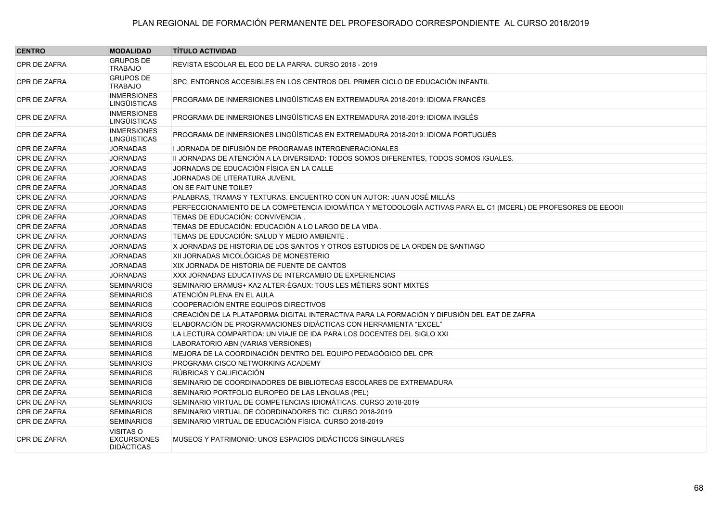| <b>CENTRO</b>       | <b>MODALIDAD</b>                                     | <b>TÍTULO ACTIVIDAD</b>                                                                                         |
|---------------------|------------------------------------------------------|-----------------------------------------------------------------------------------------------------------------|
| CPR DE ZAFRA        | <b>GRUPOS DE</b><br><b>TRABAJO</b>                   | REVISTA ESCOLAR EL ECO DE LA PARRA. CURSO 2018 - 2019                                                           |
| CPR DE ZAFRA        | <b>GRUPOS DE</b><br><b>TRABAJO</b>                   | SPC, ENTORNOS ACCESIBLES EN LOS CENTROS DEL PRIMER CICLO DE EDUCACIÓN INFANTIL                                  |
| <b>CPR DE ZAFRA</b> | <b>INMERSIONES</b><br><b>LINGÜISTICAS</b>            | PROGRAMA DE INMERSIONES LINGÜÍSTICAS EN EXTREMADURA 2018-2019: IDIOMA FRANCÉS                                   |
| CPR DE ZAFRA        | <b>INMERSIONES</b><br><b>LINGÜISTICAS</b>            | PROGRAMA DE INMERSIONES LINGÜÍSTICAS EN EXTREMADURA 2018-2019: IDIOMA INGLÉS                                    |
| CPR DE ZAFRA        | <b>INMERSIONES</b><br><b>LINGÜISTICAS</b>            | PROGRAMA DE INMERSIONES LINGÜÍSTICAS EN EXTREMADURA 2018-2019: IDIOMA PORTUGUÉS                                 |
| CPR DE ZAFRA        | <b>JORNADAS</b>                                      | I JORNADA DE DIFUSIÓN DE PROGRAMAS INTERGENERACIONALES.                                                         |
| CPR DE ZAFRA        | <b>JORNADAS</b>                                      | II JORNADAS DE ATENCIÓN A LA DIVERSIDAD: TODOS SOMOS DIFERENTES, TODOS SOMOS IGUALES.                           |
| CPR DE ZAFRA        | <b>JORNADAS</b>                                      | JORNADAS DE EDUCACIÓN FÍSICA EN LA CALLE                                                                        |
| CPR DE ZAFRA        | <b>JORNADAS</b>                                      | JORNADAS DE LITERATURA JUVENIL                                                                                  |
| CPR DE ZAFRA        | <b>JORNADAS</b>                                      | ON SE FAIT UNE TOILE?                                                                                           |
| CPR DE ZAFRA        | <b>JORNADAS</b>                                      | PALABRAS, TRAMAS Y TEXTURAS. ENCUENTRO CON UN AUTOR: JUAN JOSÉ MILLÁS                                           |
| CPR DE ZAFRA        | <b>JORNADAS</b>                                      | PERFECCIONAMIENTO DE LA COMPETENCIA IDIOMÁTICA Y METODOLOGÍA ACTIVAS PARA EL C1 (MCERL) DE PROFESORES DE EEOOII |
| CPR DE ZAFRA        | <b>JORNADAS</b>                                      | TEMAS DE EDUCACIÓN: CONVIVENCIA.                                                                                |
| CPR DE ZAFRA        | <b>JORNADAS</b>                                      | TEMAS DE EDUCACIÓN: EDUCACIÓN A LO LARGO DE LA VIDA .                                                           |
| <b>CPR DE ZAFRA</b> | <b>JORNADAS</b>                                      | TEMAS DE EDUCACIÓN: SALUD Y MEDIO AMBIENTE.                                                                     |
| CPR DE ZAFRA        | <b>JORNADAS</b>                                      | X JORNADAS DE HISTORIA DE LOS SANTOS Y OTROS ESTUDIOS DE LA ORDEN DE SANTIAGO                                   |
| CPR DE ZAFRA        | <b>JORNADAS</b>                                      | XII JORNADAS MICOLÓGICAS DE MONESTERIO                                                                          |
| CPR DE ZAFRA        | <b>JORNADAS</b>                                      | XIX JORNADA DE HISTORIA DE FUENTE DE CANTOS                                                                     |
| CPR DE ZAFRA        | <b>JORNADAS</b>                                      | XXX JORNADAS EDUCATIVAS DE INTERCAMBIO DE EXPERIENCIAS                                                          |
| CPR DE ZAFRA        | <b>SEMINARIOS</b>                                    | SEMINARIO ERAMUS+ KA2 ALTER-ÉGAUX: TOUS LES MÉTIERS SONT MIXTES                                                 |
| CPR DE ZAFRA        | <b>SEMINARIOS</b>                                    | ATENCIÓN PLENA EN EL AULA                                                                                       |
| CPR DE ZAFRA        | <b>SEMINARIOS</b>                                    | COOPERACIÓN ENTRE EQUIPOS DIRECTIVOS                                                                            |
| CPR DE ZAFRA        | <b>SEMINARIOS</b>                                    | CREACIÓN DE LA PLATAFORMA DIGITAL INTERACTIVA PARA LA FORMACIÓN Y DIFUSIÓN DEL EAT DE ZAFRA                     |
| CPR DE ZAFRA        | <b>SEMINARIOS</b>                                    | ELABORACIÓN DE PROGRAMACIONES DIDÁCTICAS CON HERRAMIENTA "EXCEL"                                                |
| CPR DE ZAFRA        | <b>SEMINARIOS</b>                                    | LA LECTURA COMPARTIDA: UN VIAJE DE IDA PARA LOS DOCENTES DEL SIGLO XXI                                          |
| CPR DE ZAFRA        | <b>SEMINARIOS</b>                                    | LABORATORIO ABN (VARIAS VERSIONES)                                                                              |
| CPR DE ZAFRA        | <b>SEMINARIOS</b>                                    | MEJORA DE LA COORDINACIÓN DENTRO DEL EQUIPO PEDAGÓGICO DEL CPR                                                  |
| CPR DE ZAFRA        | <b>SEMINARIOS</b>                                    | PROGRAMA CISCO NETWORKING ACADEMY                                                                               |
| CPR DE ZAFRA        | <b>SEMINARIOS</b>                                    | RÚBRICAS Y CALIFICACIÓN                                                                                         |
| CPR DE ZAFRA        | <b>SEMINARIOS</b>                                    | SEMINARIO DE COORDINADORES DE BIBLIOTECAS ESCOLARES DE EXTREMADURA                                              |
| <b>CPR DE ZAFRA</b> | <b>SEMINARIOS</b>                                    | SEMINARIO PORTFOLIO EUROPEO DE LAS LENGUAS (PEL)                                                                |
| CPR DE ZAFRA        | <b>SEMINARIOS</b>                                    | SEMINARIO VIRTUAL DE COMPETENCIAS IDIOMÁTICAS. CURSO 2018-2019                                                  |
| CPR DE ZAFRA        | <b>SEMINARIOS</b>                                    | SEMINARIO VIRTUAL DE COORDINADORES TIC. CURSO 2018-2019                                                         |
| CPR DE ZAFRA        | <b>SEMINARIOS</b>                                    | SEMINARIO VIRTUAL DE EDUCACIÓN FÍSICA. CURSO 2018-2019                                                          |
| CPR DE ZAFRA        | VISITAS O<br><b>EXCURSIONES</b><br><b>DIDÁCTICAS</b> | MUSEOS Y PATRIMONIO: UNOS ESPACIOS DIDÁCTICOS SINGULARES                                                        |